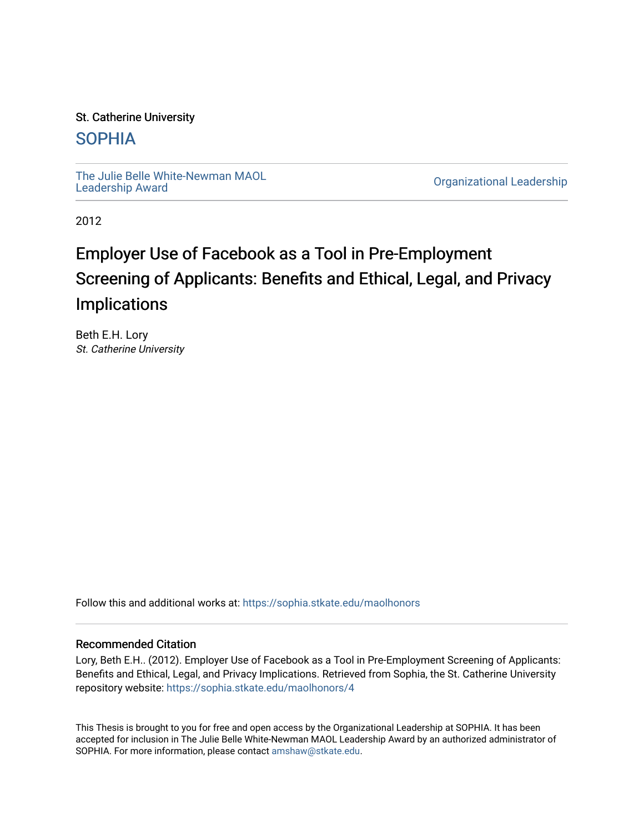### St. Catherine University

## [SOPHIA](https://sophia.stkate.edu/)

[The Julie Belle White-Newman MAOL](https://sophia.stkate.edu/maolhonors)<br>Leadership Award

**Organizational Leadership** 

2012

# Employer Use of Facebook as a Tool in Pre-Employment Screening of Applicants: Benefits and Ethical, Legal, and Privacy Implications

Beth E.H. Lory St. Catherine University

Follow this and additional works at: [https://sophia.stkate.edu/maolhonors](https://sophia.stkate.edu/maolhonors?utm_source=sophia.stkate.edu%2Fmaolhonors%2F4&utm_medium=PDF&utm_campaign=PDFCoverPages) 

#### Recommended Citation

Lory, Beth E.H.. (2012). Employer Use of Facebook as a Tool in Pre-Employment Screening of Applicants: Benefits and Ethical, Legal, and Privacy Implications. Retrieved from Sophia, the St. Catherine University repository website: [https://sophia.stkate.edu/maolhonors/4](https://sophia.stkate.edu/maolhonors/4?utm_source=sophia.stkate.edu%2Fmaolhonors%2F4&utm_medium=PDF&utm_campaign=PDFCoverPages) 

This Thesis is brought to you for free and open access by the Organizational Leadership at SOPHIA. It has been accepted for inclusion in The Julie Belle White-Newman MAOL Leadership Award by an authorized administrator of SOPHIA. For more information, please contact [amshaw@stkate.edu](mailto:amshaw@stkate.edu).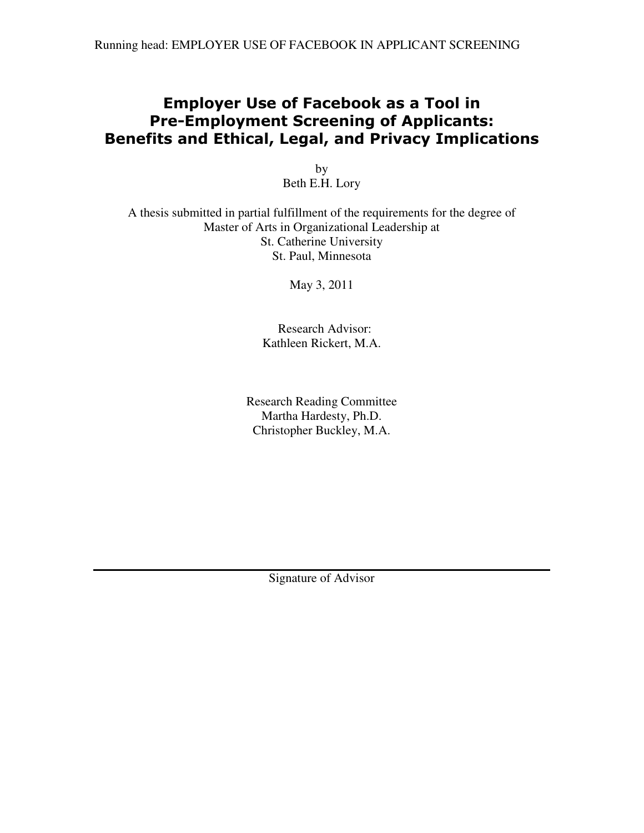## Employer Use of Facebook as a Tool in Pre-Employment Screening of Applicants: Benefits and Ethical, Legal, and Privacy Implications

by Beth E.H. Lory

A thesis submitted in partial fulfillment of the requirements for the degree of Master of Arts in Organizational Leadership at St. Catherine University St. Paul, Minnesota

May 3, 2011

 Research Advisor: Kathleen Rickert, M.A.

Research Reading Committee Martha Hardesty, Ph.D. Christopher Buckley, M.A.

Signature of Advisor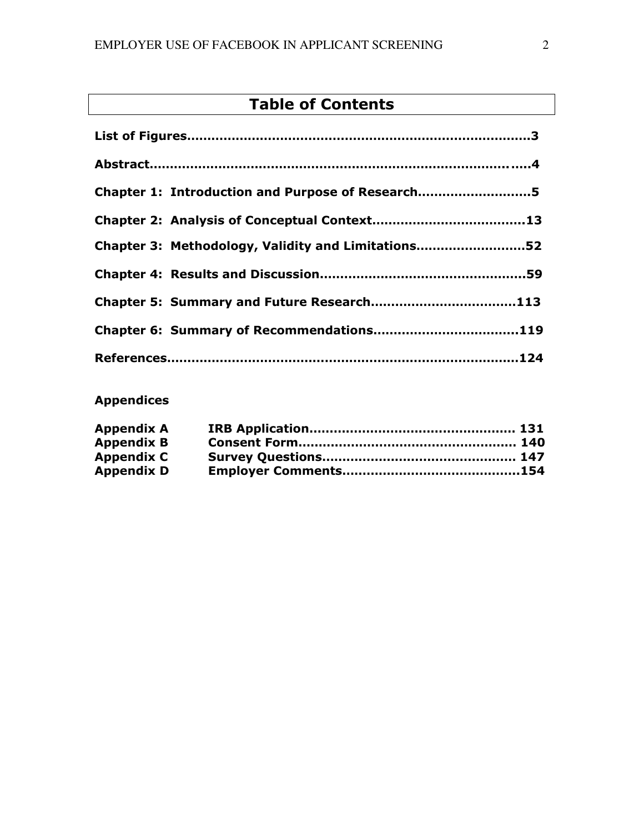## Table of Contents

| Chapter 1: Introduction and Purpose of Research5   |
|----------------------------------------------------|
|                                                    |
| Chapter 3: Methodology, Validity and Limitations52 |
|                                                    |
|                                                    |
|                                                    |
|                                                    |

## Appendices

| <b>Appendix A</b> |  |
|-------------------|--|
| <b>Appendix B</b> |  |
| <b>Appendix C</b> |  |
| <b>Appendix D</b> |  |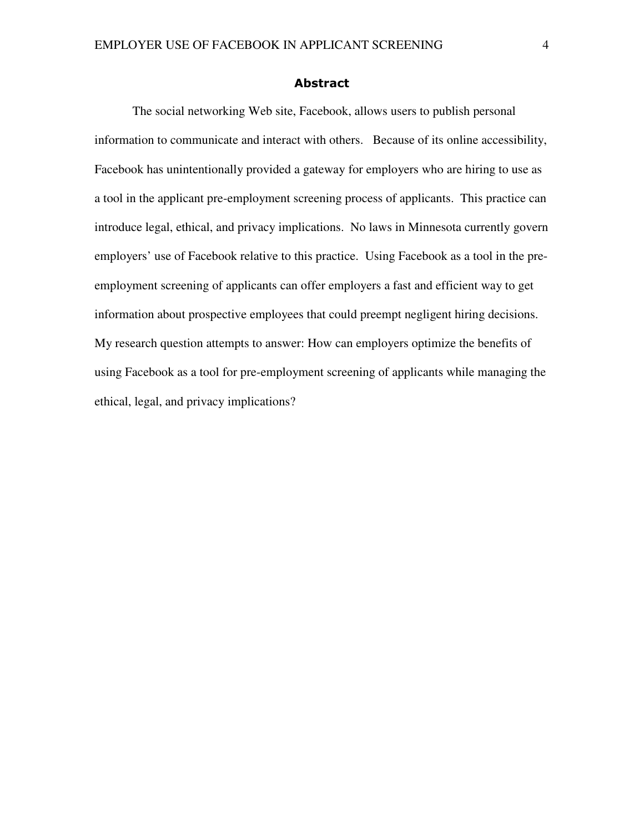#### Abstract

The social networking Web site, Facebook, allows users to publish personal information to communicate and interact with others. Because of its online accessibility, Facebook has unintentionally provided a gateway for employers who are hiring to use as a tool in the applicant pre-employment screening process of applicants. This practice can introduce legal, ethical, and privacy implications. No laws in Minnesota currently govern employers' use of Facebook relative to this practice. Using Facebook as a tool in the preemployment screening of applicants can offer employers a fast and efficient way to get information about prospective employees that could preempt negligent hiring decisions. My research question attempts to answer: How can employers optimize the benefits of using Facebook as a tool for pre-employment screening of applicants while managing the ethical, legal, and privacy implications?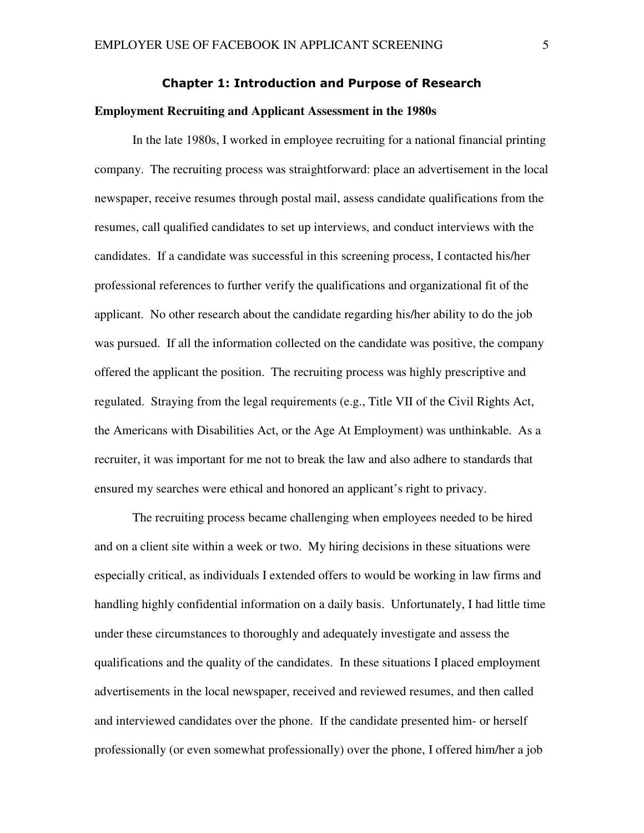#### Chapter 1: Introduction and Purpose of Research

#### **Employment Recruiting and Applicant Assessment in the 1980s**

In the late 1980s, I worked in employee recruiting for a national financial printing company. The recruiting process was straightforward: place an advertisement in the local newspaper, receive resumes through postal mail, assess candidate qualifications from the resumes, call qualified candidates to set up interviews, and conduct interviews with the candidates. If a candidate was successful in this screening process, I contacted his/her professional references to further verify the qualifications and organizational fit of the applicant. No other research about the candidate regarding his/her ability to do the job was pursued. If all the information collected on the candidate was positive, the company offered the applicant the position. The recruiting process was highly prescriptive and regulated. Straying from the legal requirements (e.g., Title VII of the Civil Rights Act, the Americans with Disabilities Act, or the Age At Employment) was unthinkable. As a recruiter, it was important for me not to break the law and also adhere to standards that ensured my searches were ethical and honored an applicant's right to privacy.

The recruiting process became challenging when employees needed to be hired and on a client site within a week or two. My hiring decisions in these situations were especially critical, as individuals I extended offers to would be working in law firms and handling highly confidential information on a daily basis. Unfortunately, I had little time under these circumstances to thoroughly and adequately investigate and assess the qualifications and the quality of the candidates. In these situations I placed employment advertisements in the local newspaper, received and reviewed resumes, and then called and interviewed candidates over the phone. If the candidate presented him- or herself professionally (or even somewhat professionally) over the phone, I offered him/her a job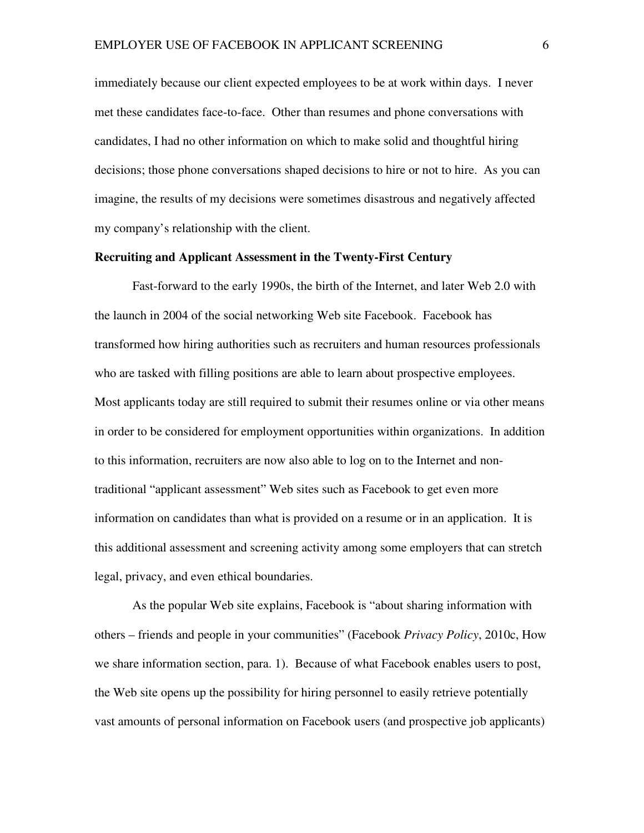immediately because our client expected employees to be at work within days. I never met these candidates face-to-face. Other than resumes and phone conversations with candidates, I had no other information on which to make solid and thoughtful hiring decisions; those phone conversations shaped decisions to hire or not to hire. As you can imagine, the results of my decisions were sometimes disastrous and negatively affected my company's relationship with the client.

#### **Recruiting and Applicant Assessment in the Twenty-First Century**

Fast-forward to the early 1990s, the birth of the Internet, and later Web 2.0 with the launch in 2004 of the social networking Web site Facebook. Facebook has transformed how hiring authorities such as recruiters and human resources professionals who are tasked with filling positions are able to learn about prospective employees. Most applicants today are still required to submit their resumes online or via other means in order to be considered for employment opportunities within organizations. In addition to this information, recruiters are now also able to log on to the Internet and nontraditional "applicant assessment" Web sites such as Facebook to get even more information on candidates than what is provided on a resume or in an application. It is this additional assessment and screening activity among some employers that can stretch legal, privacy, and even ethical boundaries.

As the popular Web site explains, Facebook is "about sharing information with others – friends and people in your communities" (Facebook *Privacy Policy*, 2010c, How we share information section, para. 1). Because of what Facebook enables users to post, the Web site opens up the possibility for hiring personnel to easily retrieve potentially vast amounts of personal information on Facebook users (and prospective job applicants)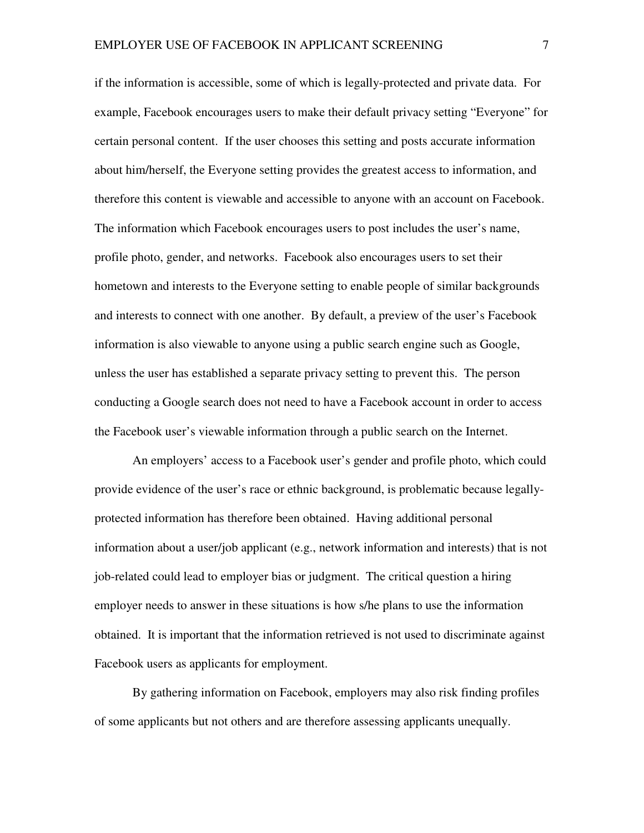if the information is accessible, some of which is legally-protected and private data. For example, Facebook encourages users to make their default privacy setting "Everyone" for certain personal content. If the user chooses this setting and posts accurate information about him/herself, the Everyone setting provides the greatest access to information, and therefore this content is viewable and accessible to anyone with an account on Facebook. The information which Facebook encourages users to post includes the user's name, profile photo, gender, and networks. Facebook also encourages users to set their hometown and interests to the Everyone setting to enable people of similar backgrounds and interests to connect with one another. By default, a preview of the user's Facebook information is also viewable to anyone using a public search engine such as Google, unless the user has established a separate privacy setting to prevent this. The person conducting a Google search does not need to have a Facebook account in order to access the Facebook user's viewable information through a public search on the Internet.

An employers' access to a Facebook user's gender and profile photo, which could provide evidence of the user's race or ethnic background, is problematic because legallyprotected information has therefore been obtained. Having additional personal information about a user/job applicant (e.g., network information and interests) that is not job-related could lead to employer bias or judgment. The critical question a hiring employer needs to answer in these situations is how s/he plans to use the information obtained. It is important that the information retrieved is not used to discriminate against Facebook users as applicants for employment.

By gathering information on Facebook, employers may also risk finding profiles of some applicants but not others and are therefore assessing applicants unequally.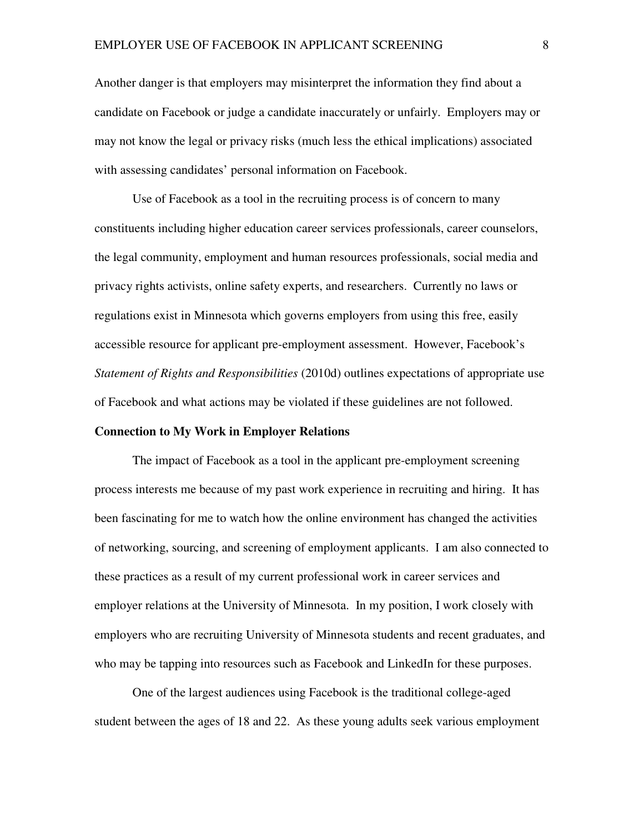Another danger is that employers may misinterpret the information they find about a candidate on Facebook or judge a candidate inaccurately or unfairly. Employers may or may not know the legal or privacy risks (much less the ethical implications) associated with assessing candidates' personal information on Facebook.

Use of Facebook as a tool in the recruiting process is of concern to many constituents including higher education career services professionals, career counselors, the legal community, employment and human resources professionals, social media and privacy rights activists, online safety experts, and researchers. Currently no laws or regulations exist in Minnesota which governs employers from using this free, easily accessible resource for applicant pre-employment assessment. However, Facebook's *Statement of Rights and Responsibilities* (2010d) outlines expectations of appropriate use of Facebook and what actions may be violated if these guidelines are not followed.

#### **Connection to My Work in Employer Relations**

The impact of Facebook as a tool in the applicant pre-employment screening process interests me because of my past work experience in recruiting and hiring. It has been fascinating for me to watch how the online environment has changed the activities of networking, sourcing, and screening of employment applicants. I am also connected to these practices as a result of my current professional work in career services and employer relations at the University of Minnesota. In my position, I work closely with employers who are recruiting University of Minnesota students and recent graduates, and who may be tapping into resources such as Facebook and LinkedIn for these purposes.

One of the largest audiences using Facebook is the traditional college-aged student between the ages of 18 and 22. As these young adults seek various employment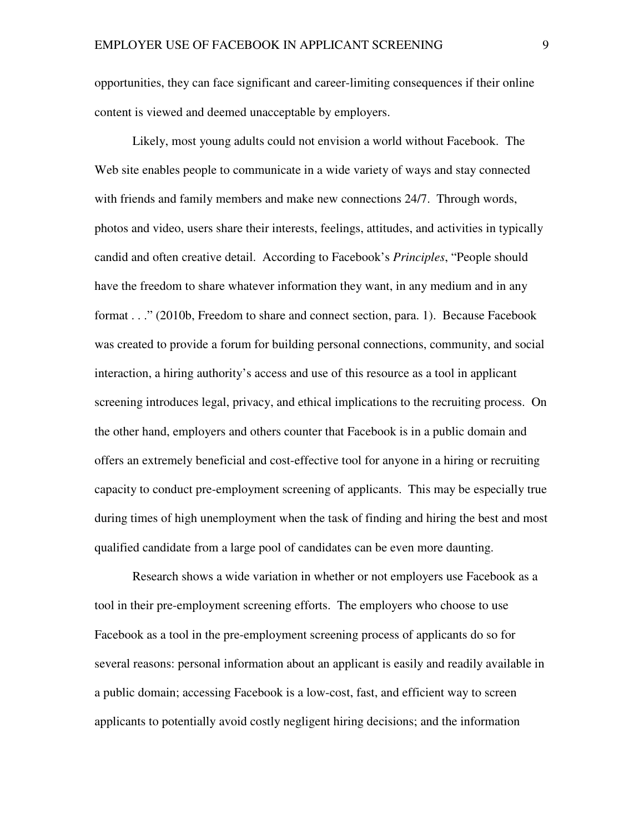opportunities, they can face significant and career-limiting consequences if their online content is viewed and deemed unacceptable by employers.

Likely, most young adults could not envision a world without Facebook. The Web site enables people to communicate in a wide variety of ways and stay connected with friends and family members and make new connections 24/7. Through words, photos and video, users share their interests, feelings, attitudes, and activities in typically candid and often creative detail. According to Facebook's *Principles*, "People should have the freedom to share whatever information they want, in any medium and in any format . . ." (2010b, Freedom to share and connect section, para. 1). Because Facebook was created to provide a forum for building personal connections, community, and social interaction, a hiring authority's access and use of this resource as a tool in applicant screening introduces legal, privacy, and ethical implications to the recruiting process. On the other hand, employers and others counter that Facebook is in a public domain and offers an extremely beneficial and cost-effective tool for anyone in a hiring or recruiting capacity to conduct pre-employment screening of applicants. This may be especially true during times of high unemployment when the task of finding and hiring the best and most qualified candidate from a large pool of candidates can be even more daunting.

Research shows a wide variation in whether or not employers use Facebook as a tool in their pre-employment screening efforts. The employers who choose to use Facebook as a tool in the pre-employment screening process of applicants do so for several reasons: personal information about an applicant is easily and readily available in a public domain; accessing Facebook is a low-cost, fast, and efficient way to screen applicants to potentially avoid costly negligent hiring decisions; and the information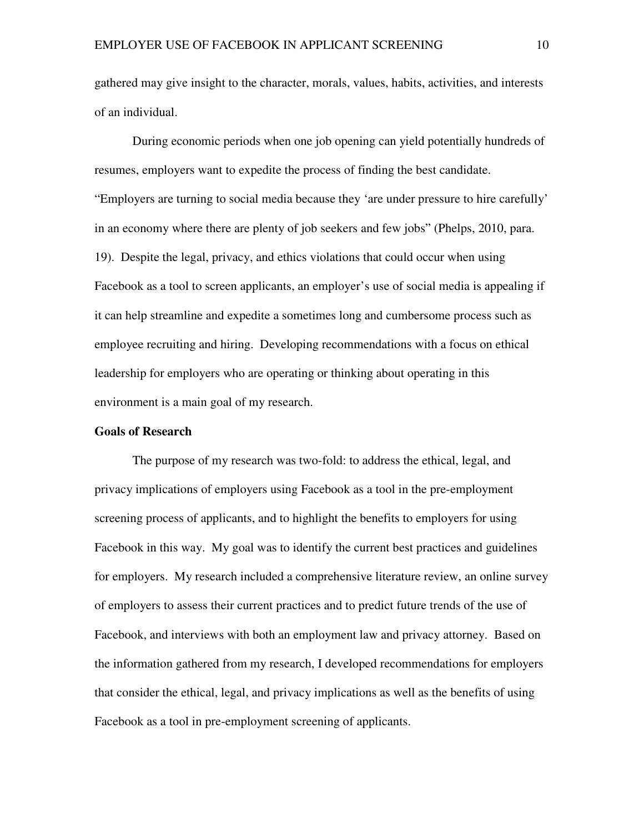gathered may give insight to the character, morals, values, habits, activities, and interests of an individual.

During economic periods when one job opening can yield potentially hundreds of resumes, employers want to expedite the process of finding the best candidate. "Employers are turning to social media because they 'are under pressure to hire carefully' in an economy where there are plenty of job seekers and few jobs" (Phelps, 2010, para. 19). Despite the legal, privacy, and ethics violations that could occur when using Facebook as a tool to screen applicants, an employer's use of social media is appealing if it can help streamline and expedite a sometimes long and cumbersome process such as employee recruiting and hiring. Developing recommendations with a focus on ethical leadership for employers who are operating or thinking about operating in this environment is a main goal of my research.

#### **Goals of Research**

The purpose of my research was two-fold: to address the ethical, legal, and privacy implications of employers using Facebook as a tool in the pre-employment screening process of applicants, and to highlight the benefits to employers for using Facebook in this way. My goal was to identify the current best practices and guidelines for employers. My research included a comprehensive literature review, an online survey of employers to assess their current practices and to predict future trends of the use of Facebook, and interviews with both an employment law and privacy attorney. Based on the information gathered from my research, I developed recommendations for employers that consider the ethical, legal, and privacy implications as well as the benefits of using Facebook as a tool in pre-employment screening of applicants.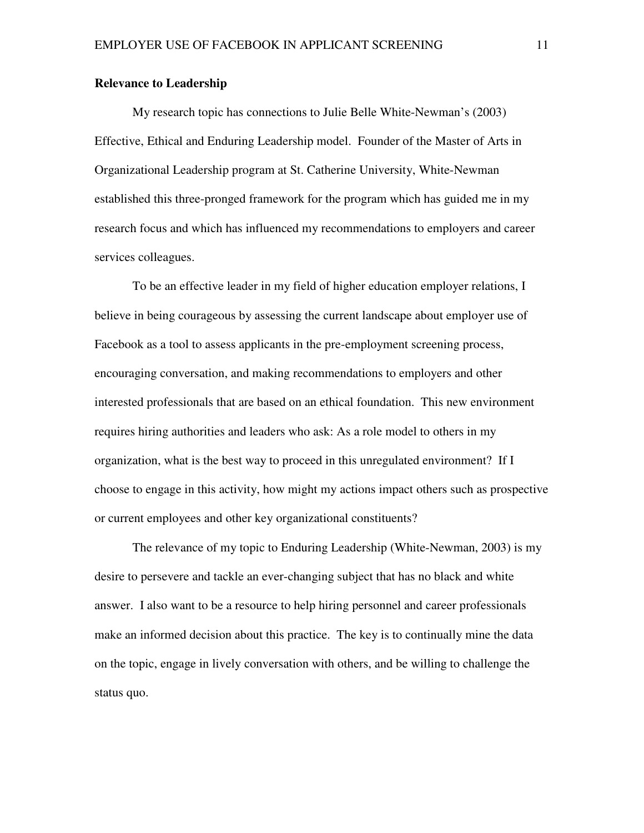#### **Relevance to Leadership**

 My research topic has connections to Julie Belle White-Newman's (2003) Effective, Ethical and Enduring Leadership model.Founder of the Master of Arts in Organizational Leadership program at St. Catherine University, White-Newman established this three-pronged framework for the program which has guided me in my research focus and which has influenced my recommendations to employers and career services colleagues.

To be an effective leader in my field of higher education employer relations, I believe in being courageous by assessing the current landscape about employer use of Facebook as a tool to assess applicants in the pre-employment screening process, encouraging conversation, and making recommendations to employers and other interested professionals that are based on an ethical foundation. This new environment requires hiring authorities and leaders who ask: As a role model to others in my organization, what is the best way to proceed in this unregulated environment? If I choose to engage in this activity, how might my actions impact others such as prospective or current employees and other key organizational constituents?

The relevance of my topic to Enduring Leadership (White-Newman, 2003) is my desire to persevere and tackle an ever-changing subject that has no black and white answer. I also want to be a resource to help hiring personnel and career professionals make an informed decision about this practice. The key is to continually mine the data on the topic, engage in lively conversation with others, and be willing to challenge the status quo.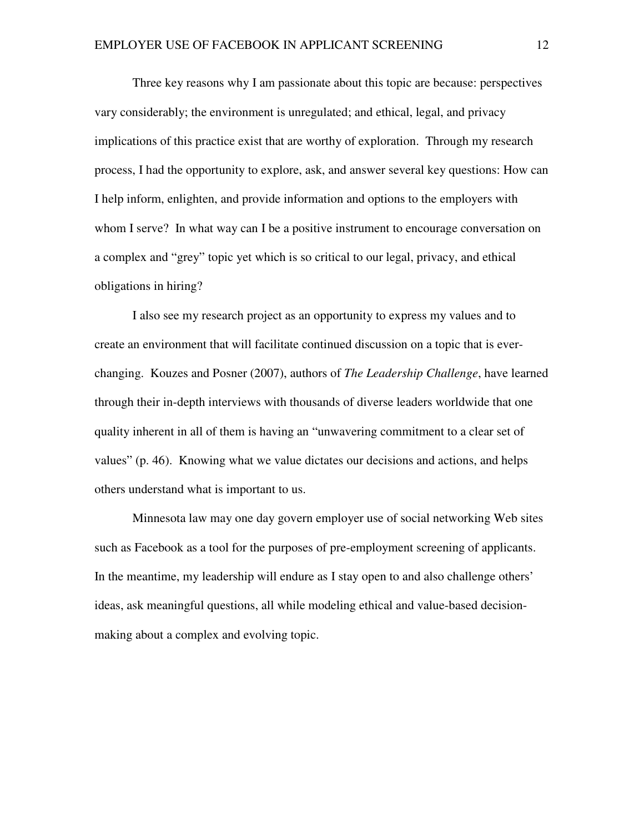Three key reasons why I am passionate about this topic are because: perspectives vary considerably; the environment is unregulated; and ethical, legal, and privacy implications of this practice exist that are worthy of exploration. Through my research process, I had the opportunity to explore, ask, and answer several key questions: How can I help inform, enlighten, and provide information and options to the employers with whom I serve? In what way can I be a positive instrument to encourage conversation on a complex and "grey" topic yet which is so critical to our legal, privacy, and ethical obligations in hiring?

I also see my research project as an opportunity to express my values and to create an environment that will facilitate continued discussion on a topic that is everchanging. Kouzes and Posner (2007), authors of *The Leadership Challenge*, have learned through their in-depth interviews with thousands of diverse leaders worldwide that one quality inherent in all of them is having an "unwavering commitment to a clear set of values" (p. 46). Knowing what we value dictates our decisions and actions, and helps others understand what is important to us.

Minnesota law may one day govern employer use of social networking Web sites such as Facebook as a tool for the purposes of pre-employment screening of applicants. In the meantime, my leadership will endure as I stay open to and also challenge others' ideas, ask meaningful questions, all while modeling ethical and value-based decisionmaking about a complex and evolving topic.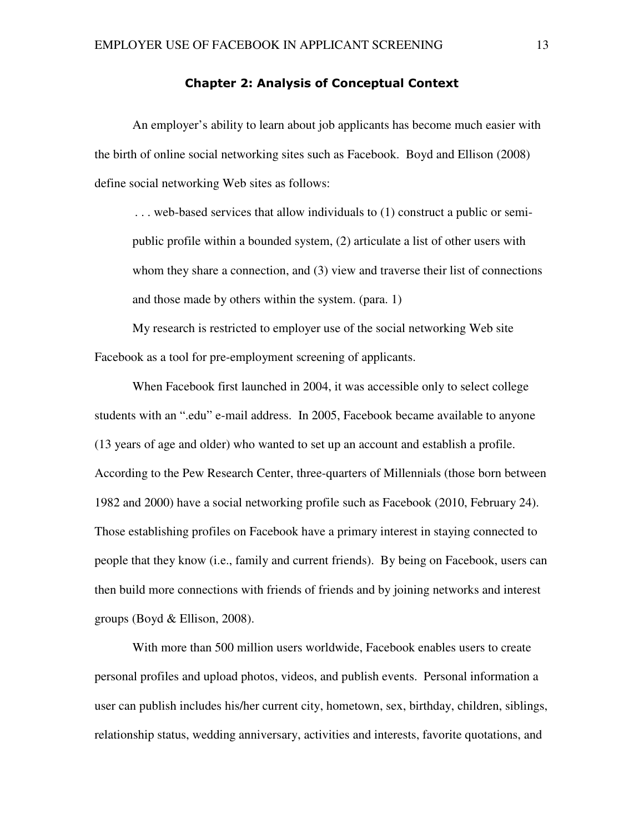#### Chapter 2: Analysis of Conceptual Context

An employer's ability to learn about job applicants has become much easier with the birth of online social networking sites such as Facebook. Boyd and Ellison (2008) define social networking Web sites as follows:

. . . web-based services that allow individuals to (1) construct a public or semipublic profile within a bounded system, (2) articulate a list of other users with whom they share a connection, and (3) view and traverse their list of connections and those made by others within the system. (para. 1)

My research is restricted to employer use of the social networking Web site Facebook as a tool for pre-employment screening of applicants.

When Facebook first launched in 2004, it was accessible only to select college students with an ".edu" e-mail address. In 2005, Facebook became available to anyone (13 years of age and older) who wanted to set up an account and establish a profile. According to the Pew Research Center, three-quarters of Millennials (those born between 1982 and 2000) have a social networking profile such as Facebook (2010, February 24). Those establishing profiles on Facebook have a primary interest in staying connected to people that they know (i.e., family and current friends). By being on Facebook, users can then build more connections with friends of friends and by joining networks and interest groups (Boyd & Ellison, 2008).

With more than 500 million users worldwide, Facebook enables users to create personal profiles and upload photos, videos, and publish events. Personal information a user can publish includes his/her current city, hometown, sex, birthday, children, siblings, relationship status, wedding anniversary, activities and interests, favorite quotations, and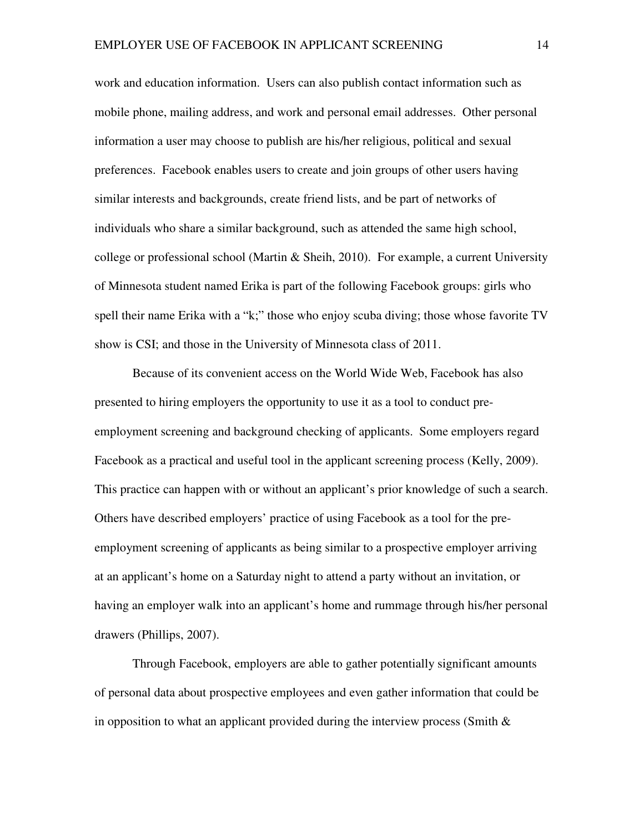work and education information. Users can also publish contact information such as mobile phone, mailing address, and work and personal email addresses. Other personal information a user may choose to publish are his/her religious, political and sexual preferences. Facebook enables users to create and join groups of other users having similar interests and backgrounds, create friend lists, and be part of networks of individuals who share a similar background, such as attended the same high school, college or professional school (Martin & Sheih, 2010). For example, a current University of Minnesota student named Erika is part of the following Facebook groups: girls who spell their name Erika with a "k;" those who enjoy scuba diving; those whose favorite TV show is CSI; and those in the University of Minnesota class of 2011.

Because of its convenient access on the World Wide Web, Facebook has also presented to hiring employers the opportunity to use it as a tool to conduct preemployment screening and background checking of applicants. Some employers regard Facebook as a practical and useful tool in the applicant screening process (Kelly, 2009). This practice can happen with or without an applicant's prior knowledge of such a search. Others have described employers' practice of using Facebook as a tool for the preemployment screening of applicants as being similar to a prospective employer arriving at an applicant's home on a Saturday night to attend a party without an invitation, or having an employer walk into an applicant's home and rummage through his/her personal drawers (Phillips, 2007).

Through Facebook, employers are able to gather potentially significant amounts of personal data about prospective employees and even gather information that could be in opposition to what an applicant provided during the interview process (Smith  $\&$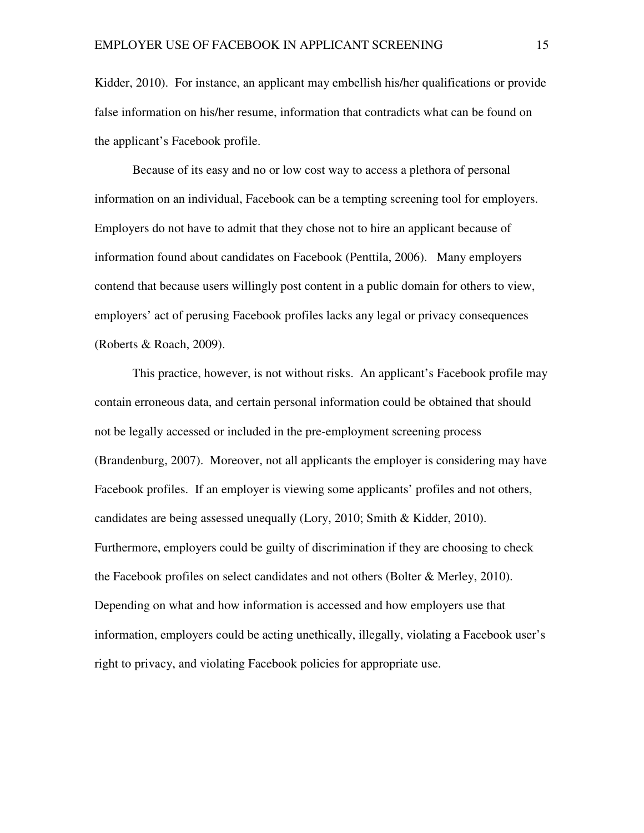Kidder, 2010). For instance, an applicant may embellish his/her qualifications or provide false information on his/her resume, information that contradicts what can be found on the applicant's Facebook profile.

Because of its easy and no or low cost way to access a plethora of personal information on an individual, Facebook can be a tempting screening tool for employers. Employers do not have to admit that they chose not to hire an applicant because of information found about candidates on Facebook (Penttila, 2006). Many employers contend that because users willingly post content in a public domain for others to view, employers' act of perusing Facebook profiles lacks any legal or privacy consequences (Roberts & Roach, 2009).

This practice, however, is not without risks. An applicant's Facebook profile may contain erroneous data, and certain personal information could be obtained that should not be legally accessed or included in the pre-employment screening process (Brandenburg, 2007). Moreover, not all applicants the employer is considering may have Facebook profiles. If an employer is viewing some applicants' profiles and not others, candidates are being assessed unequally (Lory, 2010; Smith & Kidder, 2010). Furthermore, employers could be guilty of discrimination if they are choosing to check the Facebook profiles on select candidates and not others (Bolter & Merley, 2010). Depending on what and how information is accessed and how employers use that information, employers could be acting unethically, illegally, violating a Facebook user's right to privacy, and violating Facebook policies for appropriate use.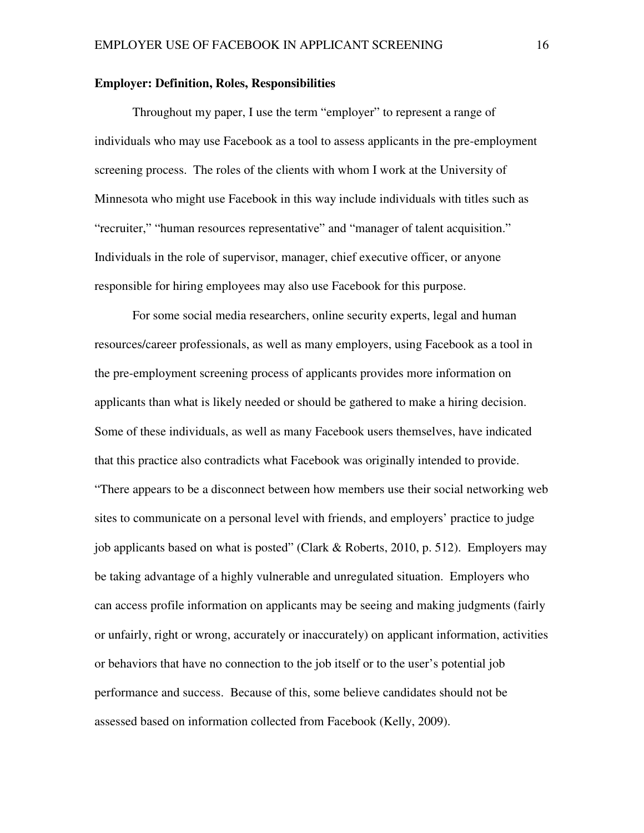#### **Employer: Definition, Roles, Responsibilities**

Throughout my paper, I use the term "employer" to represent a range of individuals who may use Facebook as a tool to assess applicants in the pre-employment screening process. The roles of the clients with whom I work at the University of Minnesota who might use Facebook in this way include individuals with titles such as "recruiter," "human resources representative" and "manager of talent acquisition." Individuals in the role of supervisor, manager, chief executive officer, or anyone responsible for hiring employees may also use Facebook for this purpose.

For some social media researchers, online security experts, legal and human resources/career professionals, as well as many employers, using Facebook as a tool in the pre-employment screening process of applicants provides more information on applicants than what is likely needed or should be gathered to make a hiring decision. Some of these individuals, as well as many Facebook users themselves, have indicated that this practice also contradicts what Facebook was originally intended to provide. "There appears to be a disconnect between how members use their social networking web sites to communicate on a personal level with friends, and employers' practice to judge job applicants based on what is posted" (Clark & Roberts, 2010, p. 512). Employers may be taking advantage of a highly vulnerable and unregulated situation. Employers who can access profile information on applicants may be seeing and making judgments (fairly or unfairly, right or wrong, accurately or inaccurately) on applicant information, activities or behaviors that have no connection to the job itself or to the user's potential job performance and success. Because of this, some believe candidates should not be assessed based on information collected from Facebook (Kelly, 2009).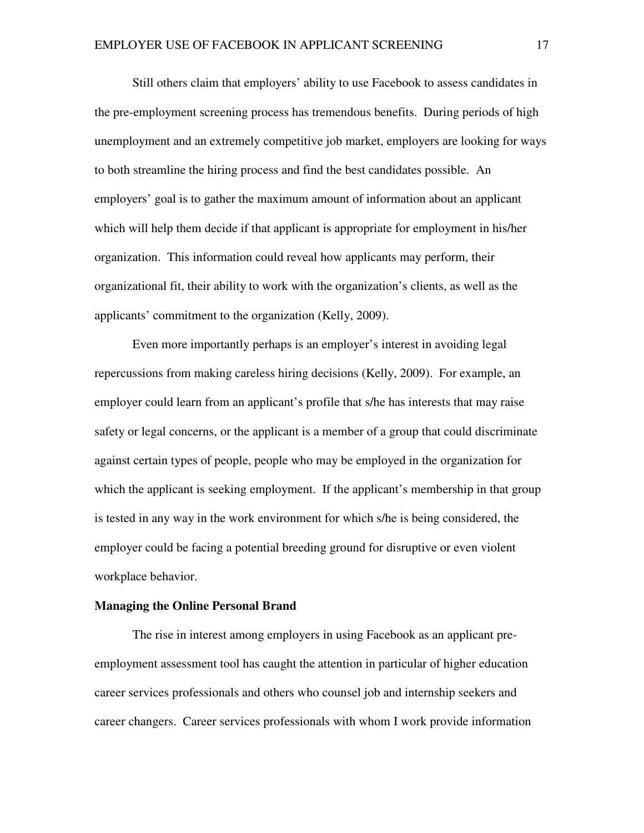Still others claim that employers' ability to use Facebook to assess candidates in the pre-employment screening process has tremendous benefits. During periods of high unemployment and an extremely competitive job market, employers are looking for ways to both streamline the hiring process and find the best candidates possible. An employers' goal is to gather the maximum amount of information about an applicant which will help them decide if that applicant is appropriate for employment in his/her organization. This information could reveal how applicants may perform, their organizational fit, their ability to work with the organization's clients, as well as the applicants' commitment to the organization (Kelly, 2009).

Even more importantly perhaps is an employer's interest in avoiding legal repercussions from making careless hiring decisions (Kelly, 2009). For example, an employer could learn from an applicant's profile that s/he has interests that may raise safety or legal concerns, or the applicant is a member of a group that could discriminate against certain types of people, people who may be employed in the organization for which the applicant is seeking employment. If the applicant's membership in that group is tested in any way in the work environment for which s/he is being considered, the employer could be facing a potential breeding ground for disruptive or even violent workplace behavior.

#### **Managing the Online Personal Brand**

The rise in interest among employers in using Facebook as an applicant preemployment assessment tool has caught the attention in particular of higher education career services professionals and others who counsel job and internship seekers and career changers. Career services professionals with whom I work provide information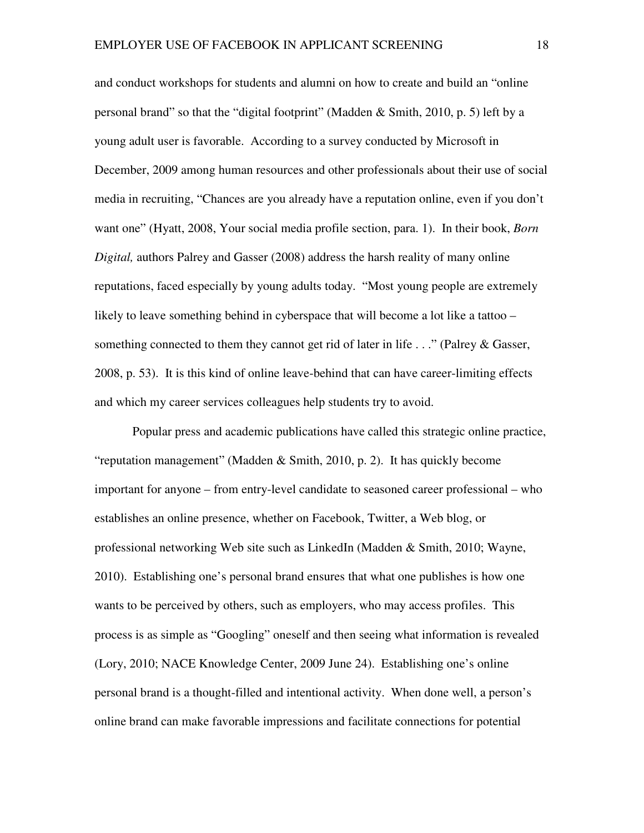and conduct workshops for students and alumni on how to create and build an "online personal brand" so that the "digital footprint" (Madden & Smith, 2010, p. 5) left by a young adult user is favorable. According to a survey conducted by Microsoft in December, 2009 among human resources and other professionals about their use of social media in recruiting, "Chances are you already have a reputation online, even if you don't want one" (Hyatt, 2008, Your social media profile section, para. 1). In their book, *Born Digital,* authors Palrey and Gasser (2008) address the harsh reality of many online reputations, faced especially by young adults today. "Most young people are extremely likely to leave something behind in cyberspace that will become a lot like a tattoo – something connected to them they cannot get rid of later in life . . ." (Palrey & Gasser, 2008, p. 53). It is this kind of online leave-behind that can have career-limiting effects and which my career services colleagues help students try to avoid.

Popular press and academic publications have called this strategic online practice, "reputation management" (Madden & Smith, 2010, p. 2). It has quickly become important for anyone – from entry-level candidate to seasoned career professional – who establishes an online presence, whether on Facebook, Twitter, a Web blog, or professional networking Web site such as LinkedIn (Madden & Smith, 2010; Wayne, 2010). Establishing one's personal brand ensures that what one publishes is how one wants to be perceived by others, such as employers, who may access profiles. This process is as simple as "Googling" oneself and then seeing what information is revealed (Lory, 2010; NACE Knowledge Center, 2009 June 24). Establishing one's online personal brand is a thought-filled and intentional activity. When done well, a person's online brand can make favorable impressions and facilitate connections for potential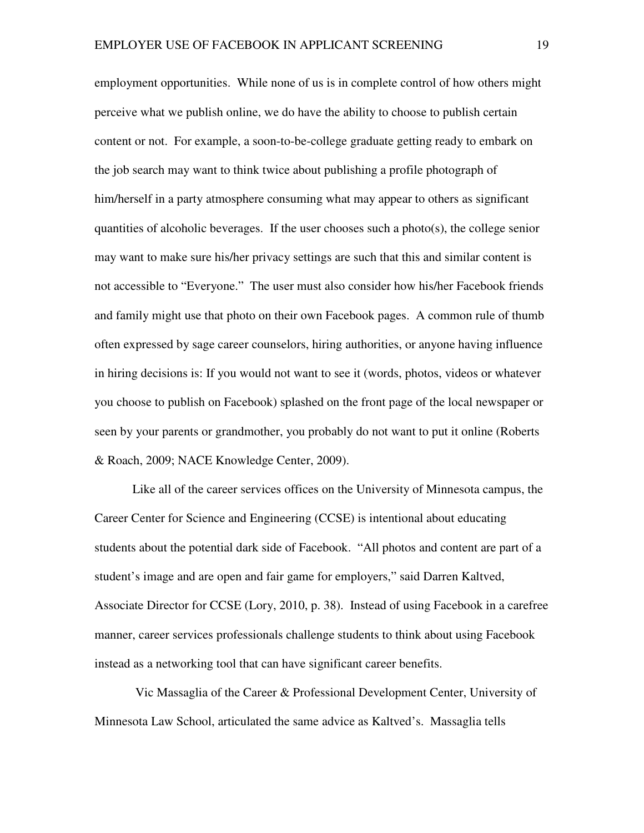employment opportunities. While none of us is in complete control of how others might perceive what we publish online, we do have the ability to choose to publish certain content or not. For example, a soon-to-be-college graduate getting ready to embark on the job search may want to think twice about publishing a profile photograph of him/herself in a party atmosphere consuming what may appear to others as significant quantities of alcoholic beverages. If the user chooses such a photo $(s)$ , the college senior may want to make sure his/her privacy settings are such that this and similar content is not accessible to "Everyone." The user must also consider how his/her Facebook friends and family might use that photo on their own Facebook pages. A common rule of thumb often expressed by sage career counselors, hiring authorities, or anyone having influence in hiring decisions is: If you would not want to see it (words, photos, videos or whatever you choose to publish on Facebook) splashed on the front page of the local newspaper or seen by your parents or grandmother, you probably do not want to put it online (Roberts & Roach, 2009; NACE Knowledge Center, 2009).

Like all of the career services offices on the University of Minnesota campus, the Career Center for Science and Engineering (CCSE) is intentional about educating students about the potential dark side of Facebook. "All photos and content are part of a student's image and are open and fair game for employers," said Darren Kaltved, Associate Director for CCSE (Lory, 2010, p. 38). Instead of using Facebook in a carefree manner, career services professionals challenge students to think about using Facebook instead as a networking tool that can have significant career benefits.

Vic Massaglia of the Career & Professional Development Center, University of Minnesota Law School, articulated the same advice as Kaltved's. Massaglia tells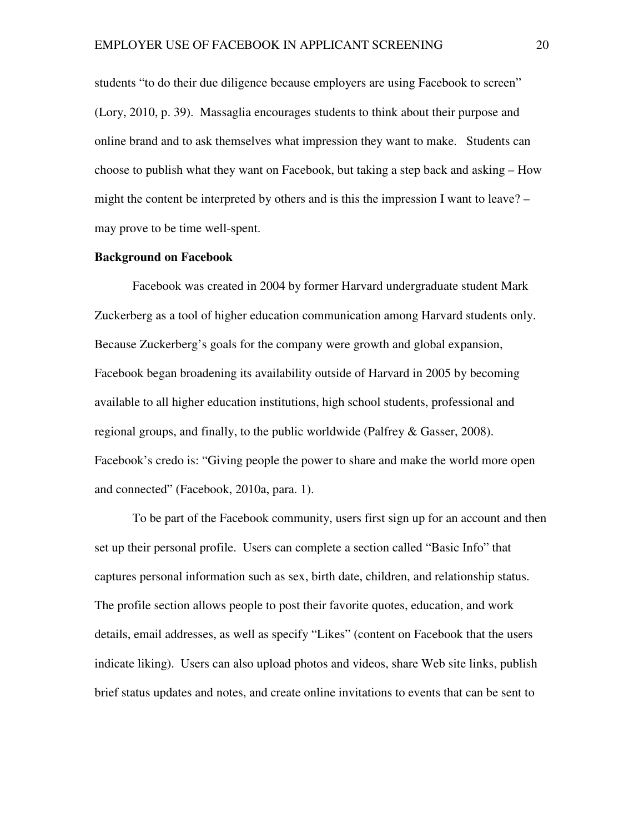students "to do their due diligence because employers are using Facebook to screen" (Lory, 2010, p. 39). Massaglia encourages students to think about their purpose and online brand and to ask themselves what impression they want to make. Students can choose to publish what they want on Facebook, but taking a step back and asking – How might the content be interpreted by others and is this the impression I want to leave? – may prove to be time well-spent.

#### **Background on Facebook**

Facebook was created in 2004 by former Harvard undergraduate student Mark Zuckerberg as a tool of higher education communication among Harvard students only. Because Zuckerberg's goals for the company were growth and global expansion, Facebook began broadening its availability outside of Harvard in 2005 by becoming available to all higher education institutions, high school students, professional and regional groups, and finally, to the public worldwide (Palfrey & Gasser, 2008). Facebook's credo is: "Giving people the power to share and make the world more open and connected" (Facebook, 2010a, para. 1).

To be part of the Facebook community, users first sign up for an account and then set up their personal profile. Users can complete a section called "Basic Info" that captures personal information such as sex, birth date, children, and relationship status. The profile section allows people to post their favorite quotes, education, and work details, email addresses, as well as specify "Likes" (content on Facebook that the users indicate liking). Users can also upload photos and videos, share Web site links, publish brief status updates and notes, and create online invitations to events that can be sent to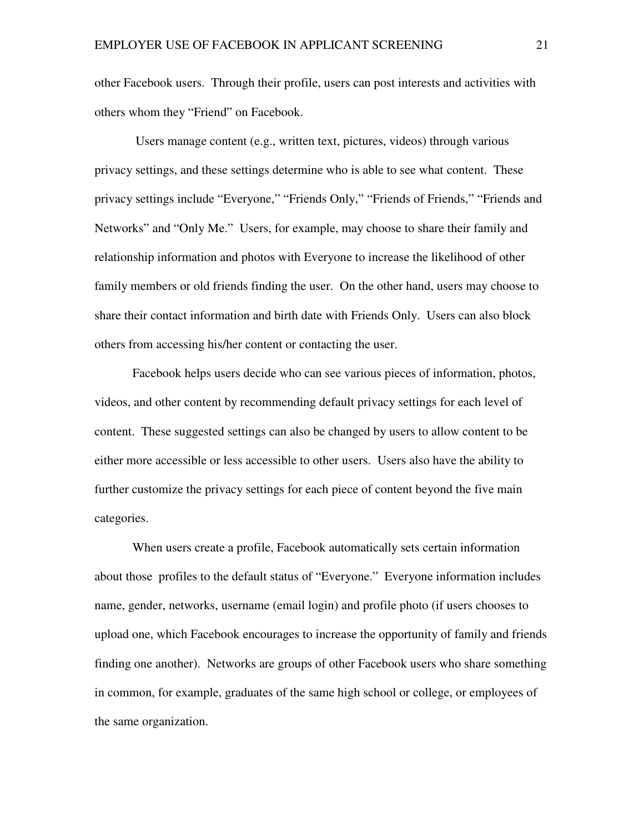other Facebook users. Through their profile, users can post interests and activities with others whom they "Friend" on Facebook.

 Users manage content (e.g., written text, pictures, videos) through various privacy settings, and these settings determine who is able to see what content. These privacy settings include "Everyone," "Friends Only," "Friends of Friends," "Friends and Networks" and "Only Me." Users, for example, may choose to share their family and relationship information and photos with Everyone to increase the likelihood of other family members or old friends finding the user. On the other hand, users may choose to share their contact information and birth date with Friends Only. Users can also block others from accessing his/her content or contacting the user.

Facebook helps users decide who can see various pieces of information, photos, videos, and other content by recommending default privacy settings for each level of content. These suggested settings can also be changed by users to allow content to be either more accessible or less accessible to other users. Users also have the ability to further customize the privacy settings for each piece of content beyond the five main categories.

When users create a profile, Facebook automatically sets certain information about those profiles to the default status of "Everyone." Everyone information includes name, gender, networks, username (email login) and profile photo (if users chooses to upload one, which Facebook encourages to increase the opportunity of family and friends finding one another). Networks are groups of other Facebook users who share something in common, for example, graduates of the same high school or college, or employees of the same organization.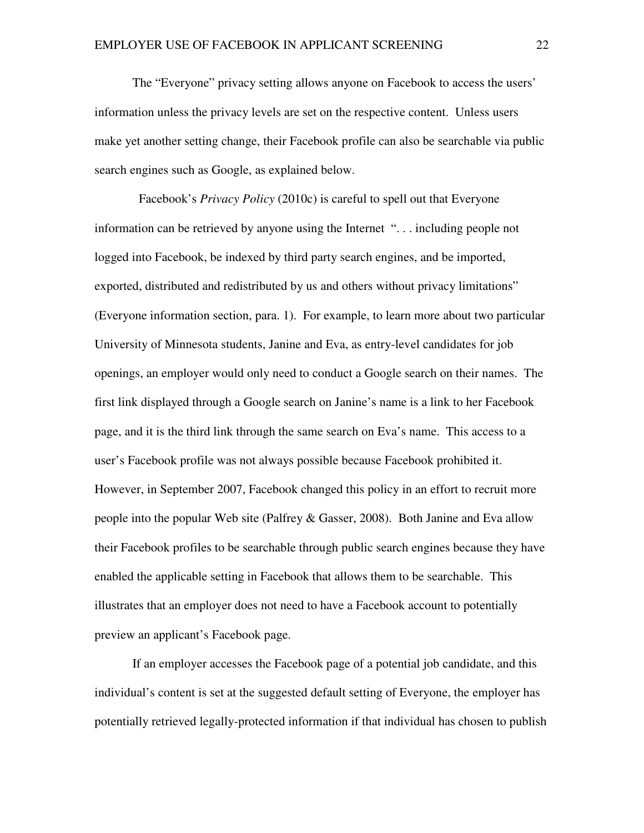The "Everyone" privacy setting allows anyone on Facebook to access the users' information unless the privacy levels are set on the respective content. Unless users make yet another setting change, their Facebook profile can also be searchable via public search engines such as Google, as explained below.

 Facebook's *Privacy Policy* (2010c) is careful to spell out that Everyone information can be retrieved by anyone using the Internet ". . . including people not logged into Facebook, be indexed by third party search engines, and be imported, exported, distributed and redistributed by us and others without privacy limitations" (Everyone information section, para. 1). For example, to learn more about two particular University of Minnesota students, Janine and Eva, as entry-level candidates for job openings, an employer would only need to conduct a Google search on their names. The first link displayed through a Google search on Janine's name is a link to her Facebook page, and it is the third link through the same search on Eva's name. This access to a user's Facebook profile was not always possible because Facebook prohibited it. However, in September 2007, Facebook changed this policy in an effort to recruit more people into the popular Web site (Palfrey & Gasser, 2008). Both Janine and Eva allow their Facebook profiles to be searchable through public search engines because they have enabled the applicable setting in Facebook that allows them to be searchable. This illustrates that an employer does not need to have a Facebook account to potentially preview an applicant's Facebook page.

If an employer accesses the Facebook page of a potential job candidate, and this individual's content is set at the suggested default setting of Everyone, the employer has potentially retrieved legally-protected information if that individual has chosen to publish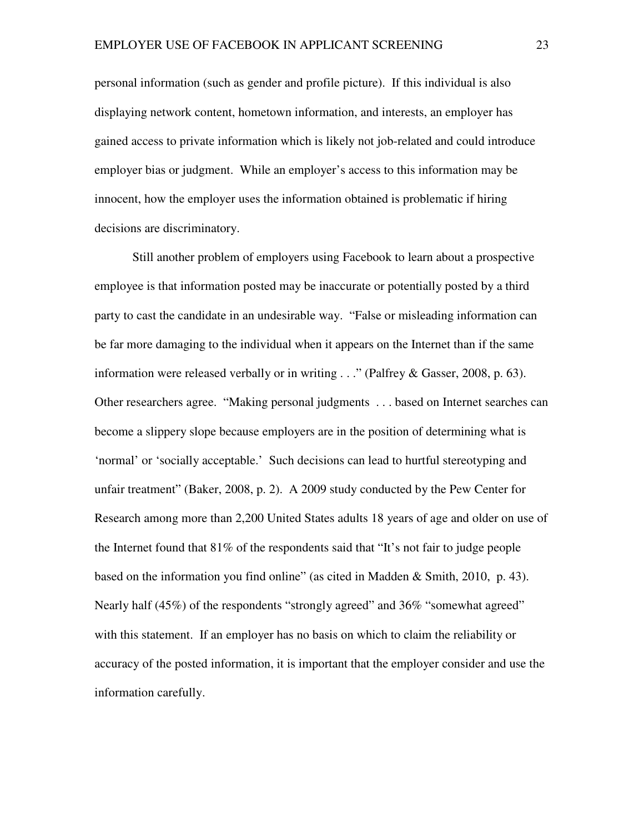personal information (such as gender and profile picture). If this individual is also displaying network content, hometown information, and interests, an employer has gained access to private information which is likely not job-related and could introduce employer bias or judgment. While an employer's access to this information may be innocent, how the employer uses the information obtained is problematic if hiring decisions are discriminatory.

Still another problem of employers using Facebook to learn about a prospective employee is that information posted may be inaccurate or potentially posted by a third party to cast the candidate in an undesirable way. "False or misleading information can be far more damaging to the individual when it appears on the Internet than if the same information were released verbally or in writing . . ." (Palfrey & Gasser, 2008, p. 63). Other researchers agree. "Making personal judgments . . . based on Internet searches can become a slippery slope because employers are in the position of determining what is 'normal' or 'socially acceptable.' Such decisions can lead to hurtful stereotyping and unfair treatment" (Baker, 2008, p. 2). A 2009 study conducted by the Pew Center for Research among more than 2,200 United States adults 18 years of age and older on use of the Internet found that 81% of the respondents said that "It's not fair to judge people based on the information you find online" (as cited in Madden & Smith, 2010, p. 43). Nearly half (45%) of the respondents "strongly agreed" and 36% "somewhat agreed" with this statement. If an employer has no basis on which to claim the reliability or accuracy of the posted information, it is important that the employer consider and use the information carefully.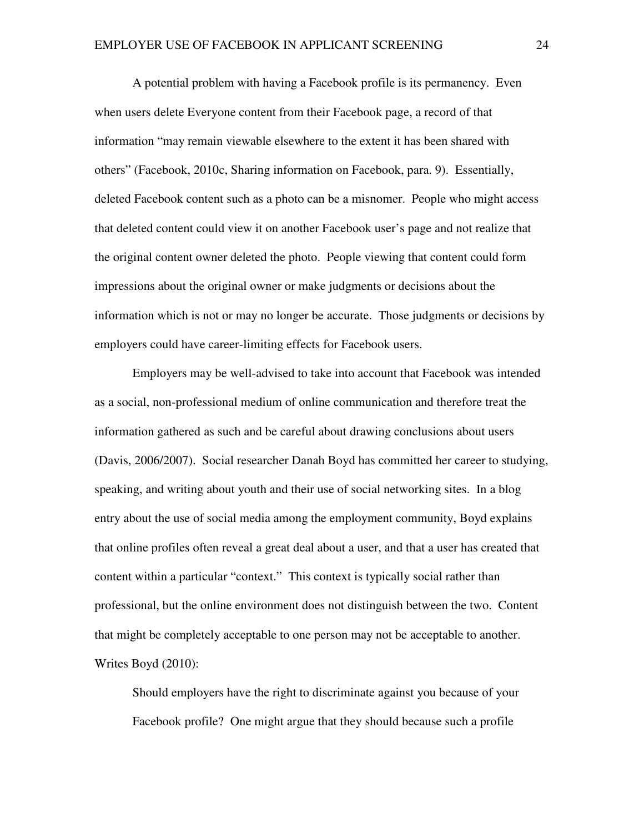A potential problem with having a Facebook profile is its permanency. Even when users delete Everyone content from their Facebook page, a record of that information "may remain viewable elsewhere to the extent it has been shared with others" (Facebook, 2010c, Sharing information on Facebook, para. 9). Essentially, deleted Facebook content such as a photo can be a misnomer. People who might access that deleted content could view it on another Facebook user's page and not realize that the original content owner deleted the photo. People viewing that content could form impressions about the original owner or make judgments or decisions about the information which is not or may no longer be accurate. Those judgments or decisions by employers could have career-limiting effects for Facebook users.

Employers may be well-advised to take into account that Facebook was intended as a social, non-professional medium of online communication and therefore treat the information gathered as such and be careful about drawing conclusions about users (Davis, 2006/2007). Social researcher Danah Boyd has committed her career to studying, speaking, and writing about youth and their use of social networking sites. In a blog entry about the use of social media among the employment community, Boyd explains that online profiles often reveal a great deal about a user, and that a user has created that content within a particular "context." This context is typically social rather than professional, but the online environment does not distinguish between the two. Content that might be completely acceptable to one person may not be acceptable to another. Writes Boyd (2010):

Should employers have the right to discriminate against you because of your Facebook profile? One might argue that they should because such a profile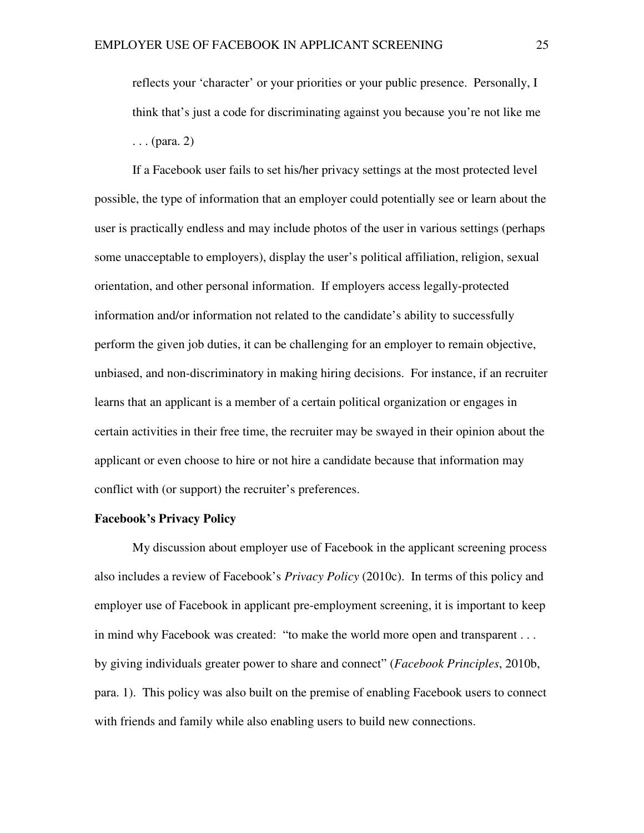reflects your 'character' or your priorities or your public presence. Personally, I think that's just a code for discriminating against you because you're not like me . . . (para. 2)

If a Facebook user fails to set his/her privacy settings at the most protected level possible, the type of information that an employer could potentially see or learn about the user is practically endless and may include photos of the user in various settings (perhaps some unacceptable to employers), display the user's political affiliation, religion, sexual orientation, and other personal information. If employers access legally-protected information and/or information not related to the candidate's ability to successfully perform the given job duties, it can be challenging for an employer to remain objective, unbiased, and non-discriminatory in making hiring decisions. For instance, if an recruiter learns that an applicant is a member of a certain political organization or engages in certain activities in their free time, the recruiter may be swayed in their opinion about the applicant or even choose to hire or not hire a candidate because that information may conflict with (or support) the recruiter's preferences.

#### **Facebook's Privacy Policy**

My discussion about employer use of Facebook in the applicant screening process also includes a review of Facebook's *Privacy Policy* (2010c). In terms of this policy and employer use of Facebook in applicant pre-employment screening, it is important to keep in mind why Facebook was created: "to make the world more open and transparent . . . by giving individuals greater power to share and connect" (*Facebook Principles*, 2010b, para. 1). This policy was also built on the premise of enabling Facebook users to connect with friends and family while also enabling users to build new connections.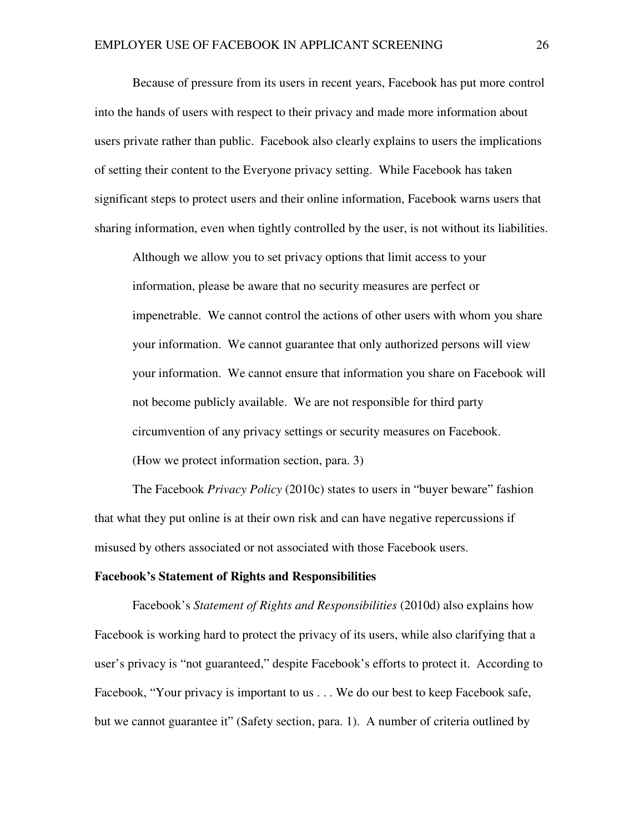Because of pressure from its users in recent years, Facebook has put more control into the hands of users with respect to their privacy and made more information about users private rather than public. Facebook also clearly explains to users the implications of setting their content to the Everyone privacy setting. While Facebook has taken significant steps to protect users and their online information, Facebook warns users that sharing information, even when tightly controlled by the user, is not without its liabilities.

Although we allow you to set privacy options that limit access to your information, please be aware that no security measures are perfect or impenetrable. We cannot control the actions of other users with whom you share your information. We cannot guarantee that only authorized persons will view your information. We cannot ensure that information you share on Facebook will not become publicly available. We are not responsible for third party circumvention of any privacy settings or security measures on Facebook. (How we protect information section, para. 3)

 The Facebook *Privacy Policy* (2010c) states to users in "buyer beware" fashion that what they put online is at their own risk and can have negative repercussions if misused by others associated or not associated with those Facebook users.

#### **Facebook's Statement of Rights and Responsibilities**

 Facebook's *Statement of Rights and Responsibilities* (2010d) also explains how Facebook is working hard to protect the privacy of its users, while also clarifying that a user's privacy is "not guaranteed," despite Facebook's efforts to protect it. According to Facebook, "Your privacy is important to us . . . We do our best to keep Facebook safe, but we cannot guarantee it" (Safety section, para. 1). A number of criteria outlined by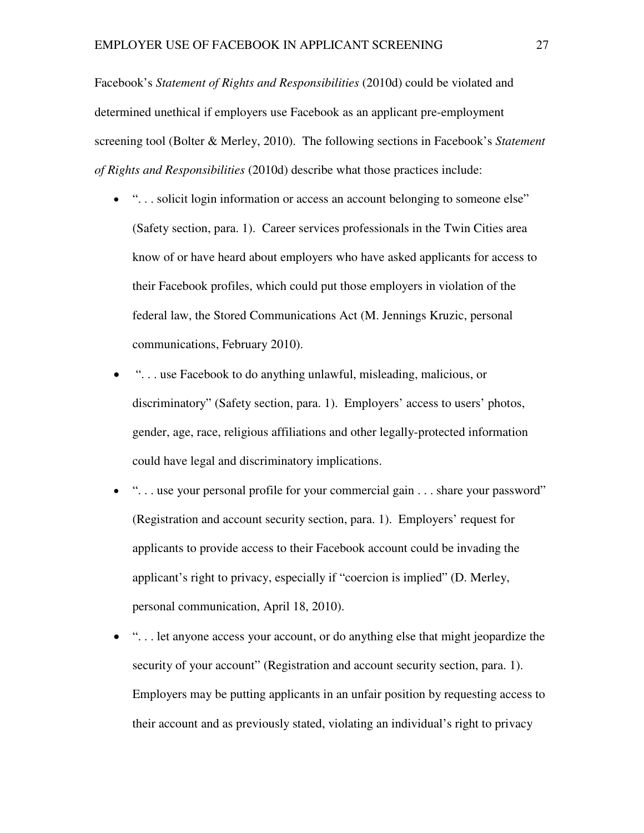Facebook's *Statement of Rights and Responsibilities* (2010d) could be violated and determined unethical if employers use Facebook as an applicant pre-employment screening tool (Bolter & Merley, 2010). The following sections in Facebook's *Statement of Rights and Responsibilities* (2010d) describe what those practices include:

- "... solicit login information or access an account belonging to someone else" (Safety section, para. 1). Career services professionals in the Twin Cities area know of or have heard about employers who have asked applicants for access to their Facebook profiles, which could put those employers in violation of the federal law, the Stored Communications Act (M. Jennings Kruzic, personal communications, February 2010).
- ". . . use Facebook to do anything unlawful, misleading, malicious, or discriminatory" (Safety section, para. 1). Employers' access to users' photos, gender, age, race, religious affiliations and other legally-protected information could have legal and discriminatory implications.
- ". . . use your personal profile for your commercial gain . . . share your password" (Registration and account security section, para. 1). Employers' request for applicants to provide access to their Facebook account could be invading the applicant's right to privacy, especially if "coercion is implied" (D. Merley, personal communication, April 18, 2010).
- ". . . let anyone access your account, or do anything else that might jeopardize the security of your account" (Registration and account security section, para. 1). Employers may be putting applicants in an unfair position by requesting access to their account and as previously stated, violating an individual's right to privacy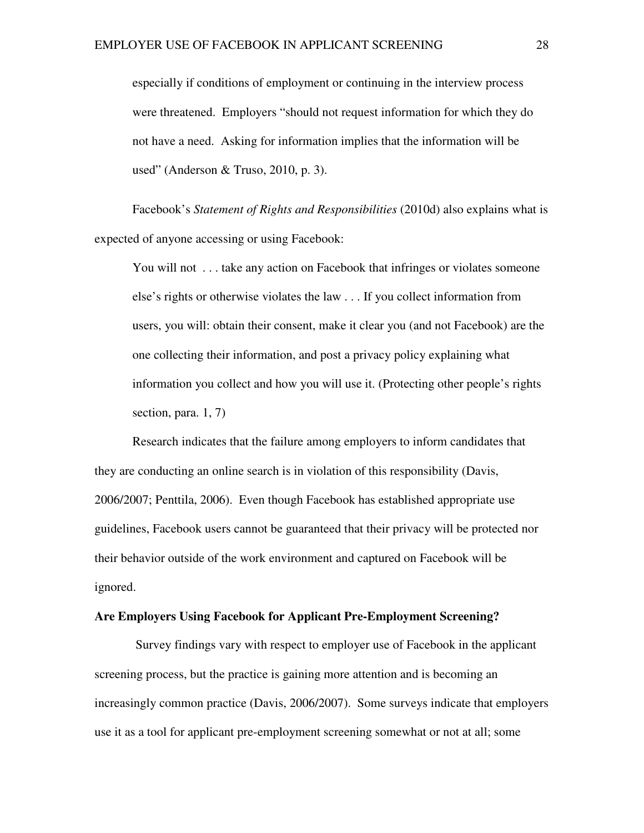especially if conditions of employment or continuing in the interview process were threatened. Employers "should not request information for which they do not have a need. Asking for information implies that the information will be used" (Anderson & Truso, 2010, p. 3).

Facebook's *Statement of Rights and Responsibilities* (2010d) also explains what is expected of anyone accessing or using Facebook:

You will not . . . take any action on Facebook that infringes or violates someone else's rights or otherwise violates the law . . . If you collect information from users, you will: obtain their consent, make it clear you (and not Facebook) are the one collecting their information, and post a privacy policy explaining what information you collect and how you will use it. (Protecting other people's rights section, para. 1, 7)

Research indicates that the failure among employers to inform candidates that they are conducting an online search is in violation of this responsibility (Davis, 2006/2007; Penttila, 2006). Even though Facebook has established appropriate use guidelines, Facebook users cannot be guaranteed that their privacy will be protected nor their behavior outside of the work environment and captured on Facebook will be ignored.

#### **Are Employers Using Facebook for Applicant Pre-Employment Screening?**

 Survey findings vary with respect to employer use of Facebook in the applicant screening process, but the practice is gaining more attention and is becoming an increasingly common practice (Davis, 2006/2007). Some surveys indicate that employers use it as a tool for applicant pre-employment screening somewhat or not at all; some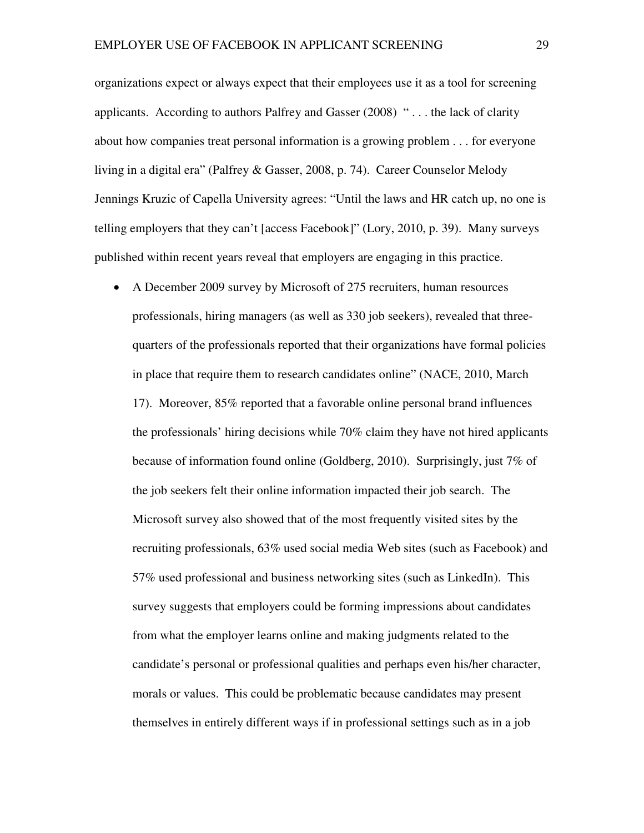organizations expect or always expect that their employees use it as a tool for screening applicants. According to authors Palfrey and Gasser (2008) " . . . the lack of clarity about how companies treat personal information is a growing problem . . . for everyone living in a digital era" (Palfrey & Gasser, 2008, p. 74). Career Counselor Melody Jennings Kruzic of Capella University agrees: "Until the laws and HR catch up, no one is telling employers that they can't [access Facebook]" (Lory, 2010, p. 39). Many surveys published within recent years reveal that employers are engaging in this practice.

• A December 2009 survey by Microsoft of 275 recruiters, human resources professionals, hiring managers (as well as 330 job seekers), revealed that threequarters of the professionals reported that their organizations have formal policies in place that require them to research candidates online" (NACE, 2010, March 17). Moreover, 85% reported that a favorable online personal brand influences the professionals' hiring decisions while 70% claim they have not hired applicants because of information found online (Goldberg, 2010). Surprisingly, just 7% of the job seekers felt their online information impacted their job search. The Microsoft survey also showed that of the most frequently visited sites by the recruiting professionals, 63% used social media Web sites (such as Facebook) and 57% used professional and business networking sites (such as LinkedIn). This survey suggests that employers could be forming impressions about candidates from what the employer learns online and making judgments related to the candidate's personal or professional qualities and perhaps even his/her character, morals or values. This could be problematic because candidates may present themselves in entirely different ways if in professional settings such as in a job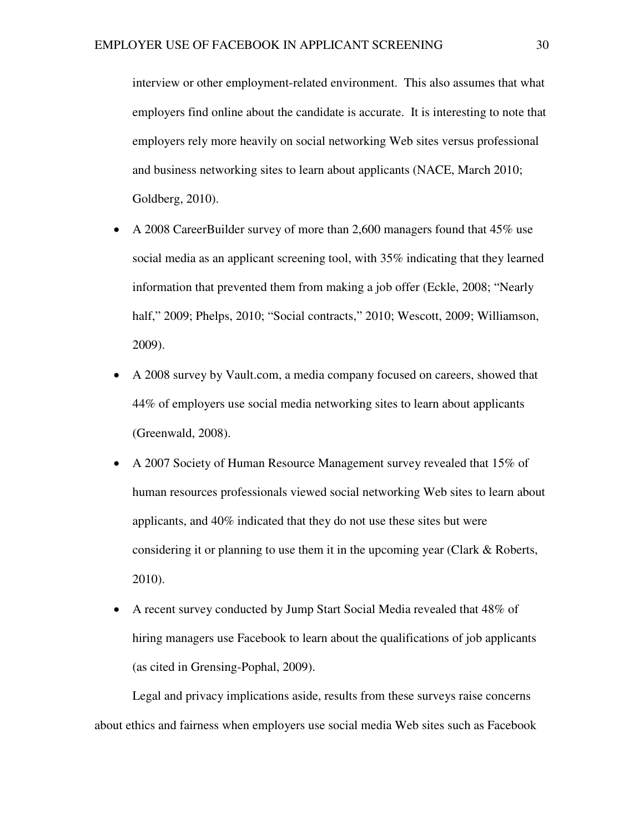interview or other employment-related environment. This also assumes that what employers find online about the candidate is accurate. It is interesting to note that employers rely more heavily on social networking Web sites versus professional and business networking sites to learn about applicants (NACE, March 2010; Goldberg, 2010).

- A 2008 CareerBuilder survey of more than 2,600 managers found that 45% use social media as an applicant screening tool, with 35% indicating that they learned information that prevented them from making a job offer (Eckle, 2008; "Nearly half," 2009; Phelps, 2010; "Social contracts," 2010; Wescott, 2009; Williamson, 2009).
- A 2008 survey by Vault.com, a media company focused on careers, showed that 44% of employers use social media networking sites to learn about applicants (Greenwald, 2008).
- A 2007 Society of Human Resource Management survey revealed that 15% of human resources professionals viewed social networking Web sites to learn about applicants, and 40% indicated that they do not use these sites but were considering it or planning to use them it in the upcoming year (Clark & Roberts, 2010).
- A recent survey conducted by Jump Start Social Media revealed that 48% of hiring managers use Facebook to learn about the qualifications of job applicants (as cited in Grensing-Pophal, 2009).

Legal and privacy implications aside, results from these surveys raise concerns about ethics and fairness when employers use social media Web sites such as Facebook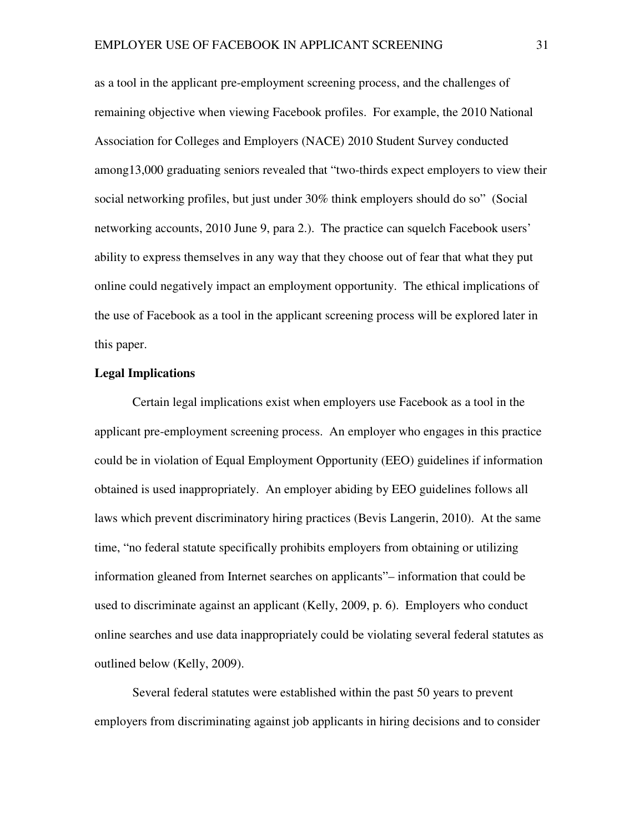as a tool in the applicant pre-employment screening process, and the challenges of remaining objective when viewing Facebook profiles. For example, the 2010 National Association for Colleges and Employers (NACE) 2010 Student Survey conducted among13,000 graduating seniors revealed that "two-thirds expect employers to view their social networking profiles, but just under 30% think employers should do so" (Social networking accounts, 2010 June 9, para 2.). The practice can squelch Facebook users' ability to express themselves in any way that they choose out of fear that what they put online could negatively impact an employment opportunity. The ethical implications of the use of Facebook as a tool in the applicant screening process will be explored later in this paper.

#### **Legal Implications**

 Certain legal implications exist when employers use Facebook as a tool in the applicant pre-employment screening process. An employer who engages in this practice could be in violation of Equal Employment Opportunity (EEO) guidelines if information obtained is used inappropriately. An employer abiding by EEO guidelines follows all laws which prevent discriminatory hiring practices (Bevis Langerin, 2010). At the same time, "no federal statute specifically prohibits employers from obtaining or utilizing information gleaned from Internet searches on applicants"– information that could be used to discriminate against an applicant (Kelly, 2009, p. 6). Employers who conduct online searches and use data inappropriately could be violating several federal statutes as outlined below (Kelly, 2009).

Several federal statutes were established within the past 50 years to prevent employers from discriminating against job applicants in hiring decisions and to consider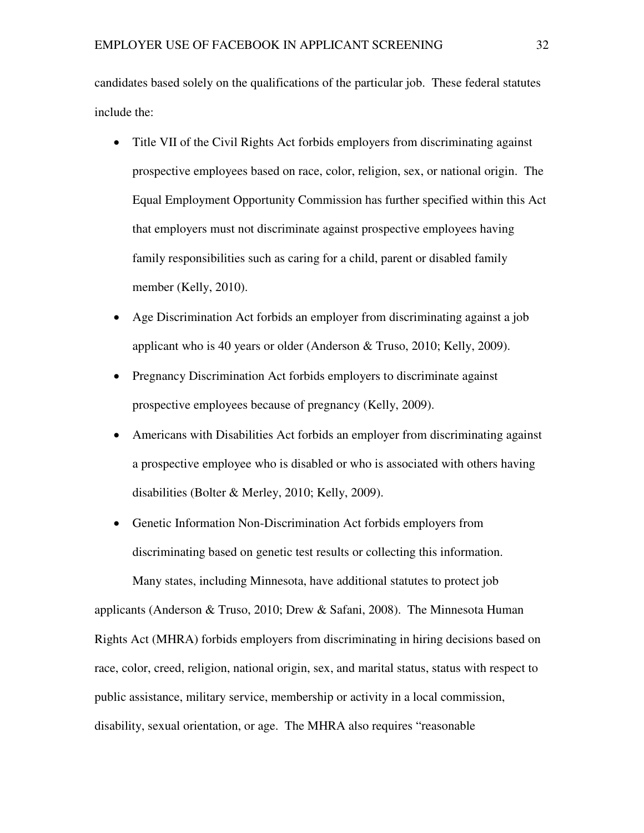candidates based solely on the qualifications of the particular job. These federal statutes include the:

- Title VII of the Civil Rights Act forbids employers from discriminating against prospective employees based on race, color, religion, sex, or national origin. The Equal Employment Opportunity Commission has further specified within this Act that employers must not discriminate against prospective employees having family responsibilities such as caring for a child, parent or disabled family member (Kelly, 2010).
- Age Discrimination Act forbids an employer from discriminating against a job applicant who is 40 years or older (Anderson & Truso, 2010; Kelly, 2009).
- Pregnancy Discrimination Act forbids employers to discriminate against prospective employees because of pregnancy (Kelly, 2009).
- Americans with Disabilities Act forbids an employer from discriminating against a prospective employee who is disabled or who is associated with others having disabilities (Bolter & Merley, 2010; Kelly, 2009).
- Genetic Information Non-Discrimination Act forbids employers from discriminating based on genetic test results or collecting this information.

Many states, including Minnesota, have additional statutes to protect job applicants (Anderson & Truso, 2010; Drew & Safani, 2008). The Minnesota Human Rights Act (MHRA) forbids employers from discriminating in hiring decisions based on race, color, creed, religion, national origin, sex, and marital status, status with respect to public assistance, military service, membership or activity in a local commission, disability, sexual orientation, or age. The MHRA also requires "reasonable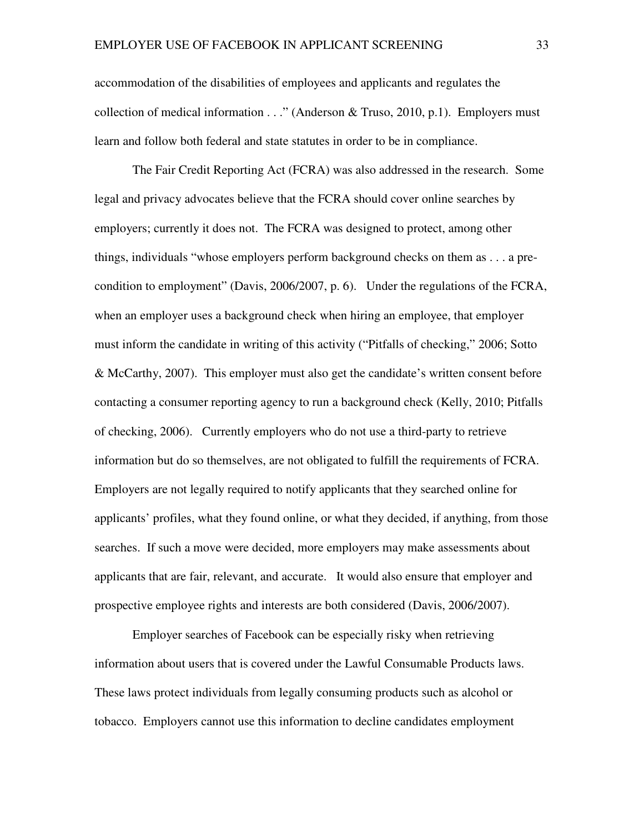accommodation of the disabilities of employees and applicants and regulates the collection of medical information  $\dots$  " (Anderson & Truso, 2010, p.1). Employers must learn and follow both federal and state statutes in order to be in compliance.

The Fair Credit Reporting Act (FCRA) was also addressed in the research. Some legal and privacy advocates believe that the FCRA should cover online searches by employers; currently it does not. The FCRA was designed to protect, among other things, individuals "whose employers perform background checks on them as . . . a precondition to employment" (Davis, 2006/2007, p. 6). Under the regulations of the FCRA, when an employer uses a background check when hiring an employee, that employer must inform the candidate in writing of this activity ("Pitfalls of checking," 2006; Sotto & McCarthy, 2007). This employer must also get the candidate's written consent before contacting a consumer reporting agency to run a background check (Kelly, 2010; Pitfalls of checking, 2006). Currently employers who do not use a third-party to retrieve information but do so themselves, are not obligated to fulfill the requirements of FCRA. Employers are not legally required to notify applicants that they searched online for applicants' profiles, what they found online, or what they decided, if anything, from those searches. If such a move were decided, more employers may make assessments about applicants that are fair, relevant, and accurate. It would also ensure that employer and prospective employee rights and interests are both considered (Davis, 2006/2007).

Employer searches of Facebook can be especially risky when retrieving information about users that is covered under the Lawful Consumable Products laws. These laws protect individuals from legally consuming products such as alcohol or tobacco. Employers cannot use this information to decline candidates employment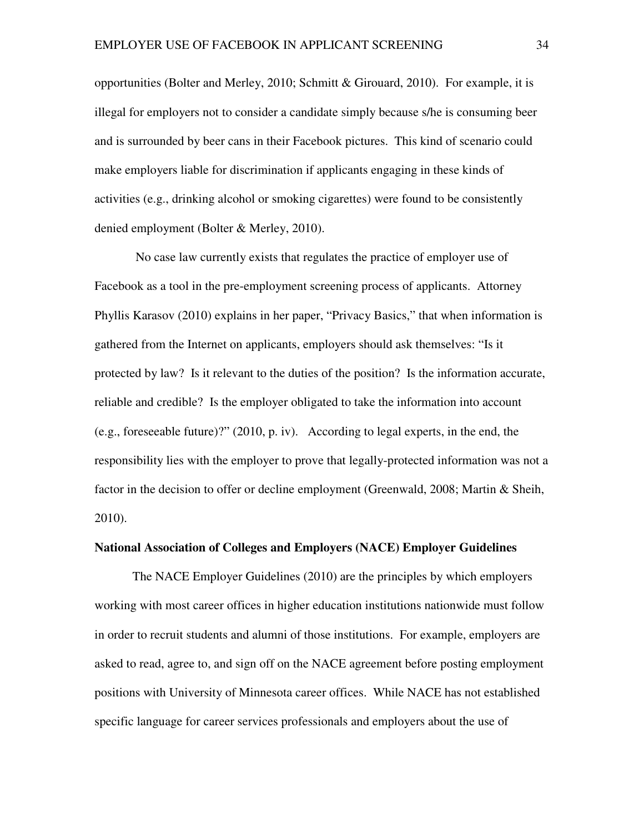opportunities (Bolter and Merley, 2010; Schmitt & Girouard, 2010). For example, it is illegal for employers not to consider a candidate simply because s/he is consuming beer and is surrounded by beer cans in their Facebook pictures. This kind of scenario could make employers liable for discrimination if applicants engaging in these kinds of activities (e.g., drinking alcohol or smoking cigarettes) were found to be consistently denied employment (Bolter & Merley, 2010).

 No case law currently exists that regulates the practice of employer use of Facebook as a tool in the pre-employment screening process of applicants. Attorney Phyllis Karasov (2010) explains in her paper, "Privacy Basics," that when information is gathered from the Internet on applicants, employers should ask themselves: "Is it protected by law? Is it relevant to the duties of the position? Is the information accurate, reliable and credible? Is the employer obligated to take the information into account (e.g., foreseeable future)?" (2010, p. iv). According to legal experts, in the end, the responsibility lies with the employer to prove that legally-protected information was not a factor in the decision to offer or decline employment (Greenwald, 2008; Martin & Sheih, 2010).

#### **National Association of Colleges and Employers (NACE) Employer Guidelines**

The NACE Employer Guidelines (2010) are the principles by which employers working with most career offices in higher education institutions nationwide must follow in order to recruit students and alumni of those institutions. For example, employers are asked to read, agree to, and sign off on the NACE agreement before posting employment positions with University of Minnesota career offices. While NACE has not established specific language for career services professionals and employers about the use of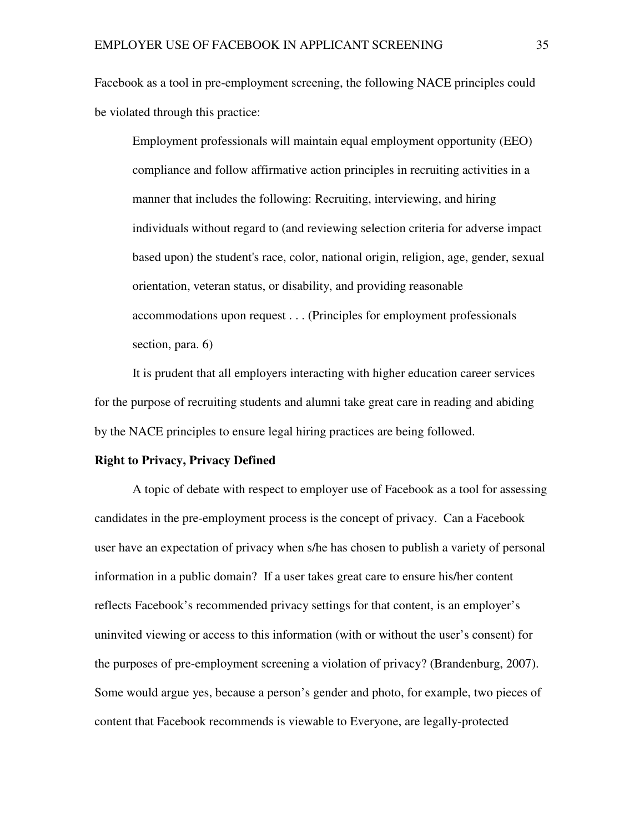Facebook as a tool in pre-employment screening, the following NACE principles could be violated through this practice:

Employment professionals will maintain equal employment opportunity (EEO) compliance and follow affirmative action principles in recruiting activities in a manner that includes the following: Recruiting, interviewing, and hiring individuals without regard to (and reviewing selection criteria for adverse impact based upon) the student's race, color, national origin, religion, age, gender, sexual orientation, veteran status, or disability, and providing reasonable accommodations upon request . . . (Principles for employment professionals section, para. 6)

It is prudent that all employers interacting with higher education career services for the purpose of recruiting students and alumni take great care in reading and abiding by the NACE principles to ensure legal hiring practices are being followed.

#### **Right to Privacy, Privacy Defined**

A topic of debate with respect to employer use of Facebook as a tool for assessing candidates in the pre-employment process is the concept of privacy. Can a Facebook user have an expectation of privacy when s/he has chosen to publish a variety of personal information in a public domain? If a user takes great care to ensure his/her content reflects Facebook's recommended privacy settings for that content, is an employer's uninvited viewing or access to this information (with or without the user's consent) for the purposes of pre-employment screening a violation of privacy? (Brandenburg, 2007). Some would argue yes, because a person's gender and photo, for example, two pieces of content that Facebook recommends is viewable to Everyone, are legally-protected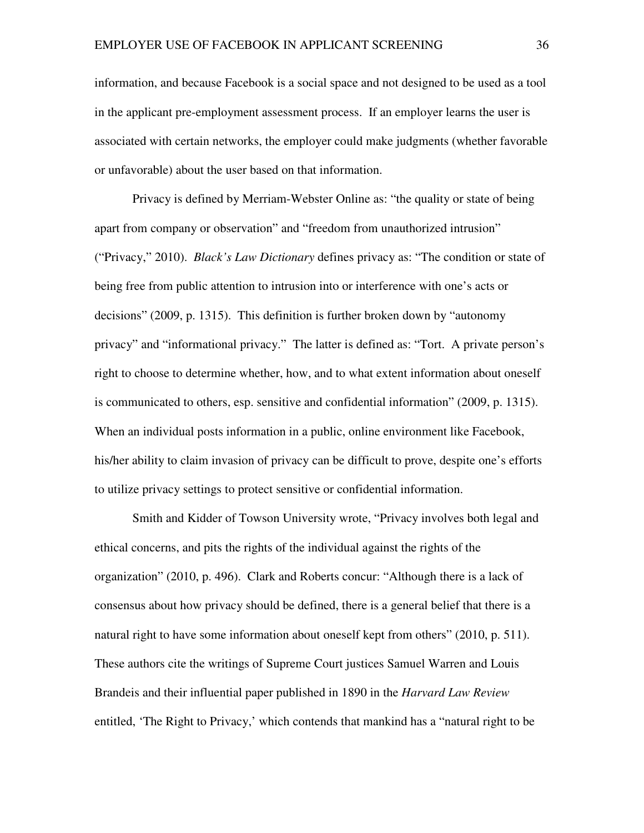information, and because Facebook is a social space and not designed to be used as a tool in the applicant pre-employment assessment process. If an employer learns the user is associated with certain networks, the employer could make judgments (whether favorable or unfavorable) about the user based on that information.

Privacy is defined by Merriam-Webster Online as: "the quality or state of being apart from company or observation" and "freedom from unauthorized intrusion" ("Privacy," 2010). *Black's Law Dictionary* defines privacy as: "The condition or state of being free from public attention to intrusion into or interference with one's acts or decisions" (2009, p. 1315). This definition is further broken down by "autonomy privacy" and "informational privacy." The latter is defined as: "Tort. A private person's right to choose to determine whether, how, and to what extent information about oneself is communicated to others, esp. sensitive and confidential information" (2009, p. 1315). When an individual posts information in a public, online environment like Facebook, his/her ability to claim invasion of privacy can be difficult to prove, despite one's efforts to utilize privacy settings to protect sensitive or confidential information.

Smith and Kidder of Towson University wrote, "Privacy involves both legal and ethical concerns, and pits the rights of the individual against the rights of the organization" (2010, p. 496). Clark and Roberts concur: "Although there is a lack of consensus about how privacy should be defined, there is a general belief that there is a natural right to have some information about oneself kept from others" (2010, p. 511). These authors cite the writings of Supreme Court justices Samuel Warren and Louis Brandeis and their influential paper published in 1890 in the *Harvard Law Review* entitled, 'The Right to Privacy,' which contends that mankind has a "natural right to be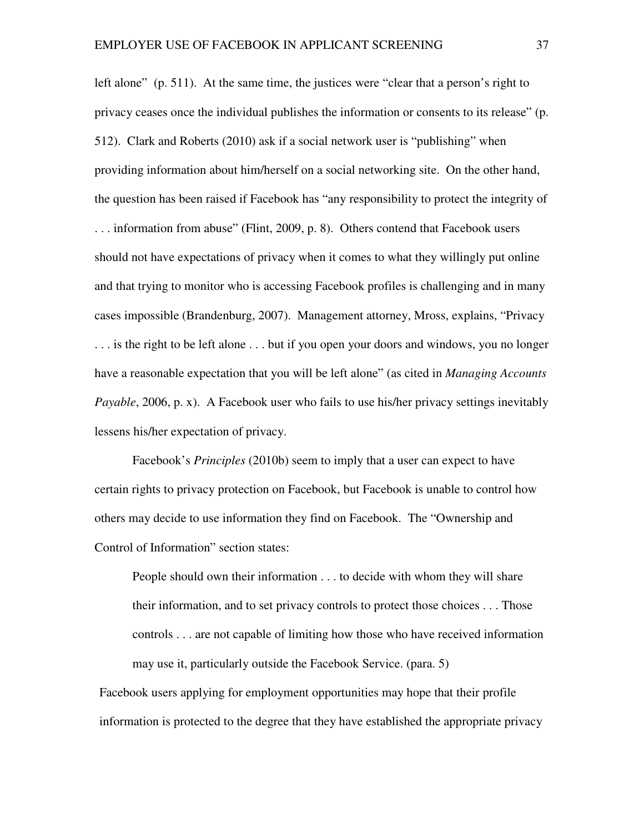left alone" (p. 511). At the same time, the justices were "clear that a person's right to privacy ceases once the individual publishes the information or consents to its release" (p. 512). Clark and Roberts (2010) ask if a social network user is "publishing" when providing information about him/herself on a social networking site. On the other hand, the question has been raised if Facebook has "any responsibility to protect the integrity of . . . information from abuse" (Flint, 2009, p. 8). Others contend that Facebook users should not have expectations of privacy when it comes to what they willingly put online and that trying to monitor who is accessing Facebook profiles is challenging and in many cases impossible (Brandenburg, 2007). Management attorney, Mross, explains, "Privacy ... is the right to be left alone ... but if you open your doors and windows, you no longer have a reasonable expectation that you will be left alone" (as cited in *Managing Accounts Payable*, 2006, p. x). A Facebook user who fails to use his/her privacy settings inevitably lessens his/her expectation of privacy.

Facebook's *Principles* (2010b) seem to imply that a user can expect to have certain rights to privacy protection on Facebook, but Facebook is unable to control how others may decide to use information they find on Facebook. The "Ownership and Control of Information" section states:

People should own their information . . . to decide with whom they will share their information, and to set privacy controls to protect those choices . . . Those controls . . . are not capable of limiting how those who have received information may use it, particularly outside the Facebook Service. (para. 5)

Facebook users applying for employment opportunities may hope that their profile information is protected to the degree that they have established the appropriate privacy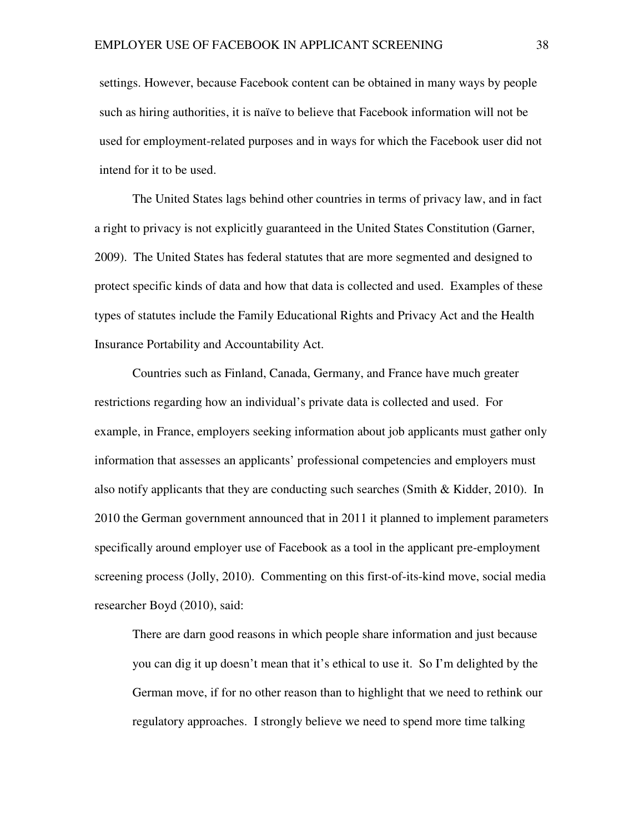settings. However, because Facebook content can be obtained in many ways by people such as hiring authorities, it is naïve to believe that Facebook information will not be used for employment-related purposes and in ways for which the Facebook user did not intend for it to be used.

The United States lags behind other countries in terms of privacy law, and in fact a right to privacy is not explicitly guaranteed in the United States Constitution (Garner, 2009). The United States has federal statutes that are more segmented and designed to protect specific kinds of data and how that data is collected and used. Examples of these types of statutes include the Family Educational Rights and Privacy Act and the Health Insurance Portability and Accountability Act.

Countries such as Finland, Canada, Germany, and France have much greater restrictions regarding how an individual's private data is collected and used. For example, in France, employers seeking information about job applicants must gather only information that assesses an applicants' professional competencies and employers must also notify applicants that they are conducting such searches (Smith & Kidder, 2010). In 2010 the German government announced that in 2011 it planned to implement parameters specifically around employer use of Facebook as a tool in the applicant pre-employment screening process (Jolly, 2010). Commenting on this first-of-its-kind move, social media researcher Boyd (2010), said:

There are darn good reasons in which people share information and just because you can dig it up doesn't mean that it's ethical to use it. So I'm delighted by the German move, if for no other reason than to highlight that we need to rethink our regulatory approaches. I strongly believe we need to spend more time talking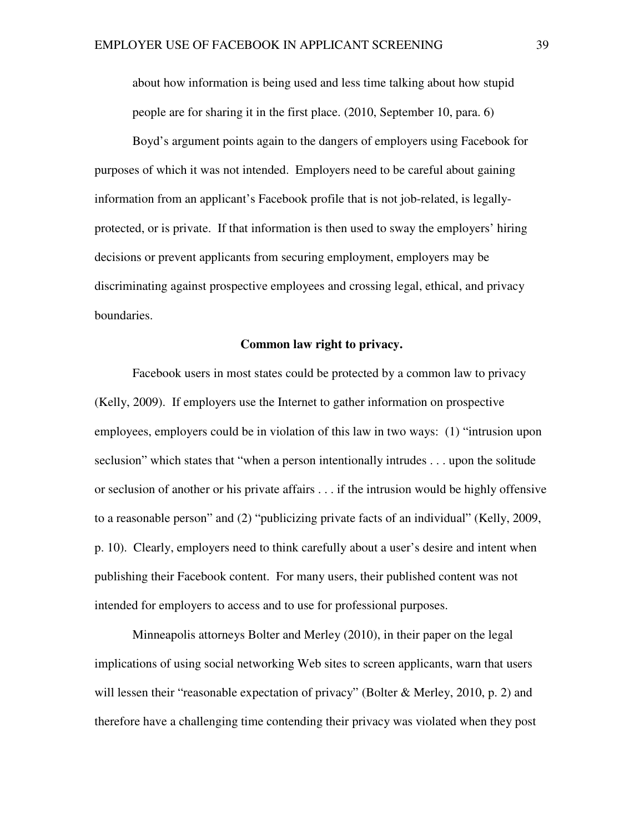about how information is being used and less time talking about how stupid people are for sharing it in the first place. (2010, September 10, para. 6)

Boyd's argument points again to the dangers of employers using Facebook for purposes of which it was not intended. Employers need to be careful about gaining information from an applicant's Facebook profile that is not job-related, is legallyprotected, or is private. If that information is then used to sway the employers' hiring decisions or prevent applicants from securing employment, employers may be discriminating against prospective employees and crossing legal, ethical, and privacy boundaries.

### **Common law right to privacy.**

Facebook users in most states could be protected by a common law to privacy (Kelly, 2009). If employers use the Internet to gather information on prospective employees, employers could be in violation of this law in two ways: (1) "intrusion upon seclusion" which states that "when a person intentionally intrudes . . . upon the solitude or seclusion of another or his private affairs . . . if the intrusion would be highly offensive to a reasonable person" and (2) "publicizing private facts of an individual" (Kelly, 2009, p. 10). Clearly, employers need to think carefully about a user's desire and intent when publishing their Facebook content. For many users, their published content was not intended for employers to access and to use for professional purposes.

 Minneapolis attorneys Bolter and Merley (2010), in their paper on the legal implications of using social networking Web sites to screen applicants, warn that users will lessen their "reasonable expectation of privacy" (Bolter & Merley, 2010, p. 2) and therefore have a challenging time contending their privacy was violated when they post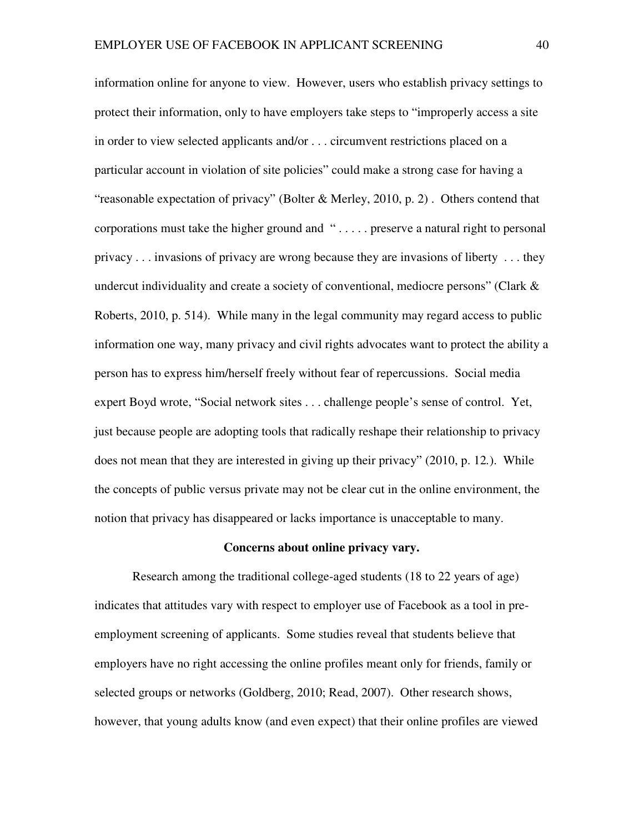information online for anyone to view. However, users who establish privacy settings to protect their information, only to have employers take steps to "improperly access a site in order to view selected applicants and/or . . . circumvent restrictions placed on a particular account in violation of site policies" could make a strong case for having a "reasonable expectation of privacy" (Bolter & Merley, 2010, p. 2) . Others contend that corporations must take the higher ground and " . . . . . preserve a natural right to personal privacy . . . invasions of privacy are wrong because they are invasions of liberty . . . they undercut individuality and create a society of conventional, mediocre persons" (Clark  $\&$ Roberts, 2010, p. 514). While many in the legal community may regard access to public information one way, many privacy and civil rights advocates want to protect the ability a person has to express him/herself freely without fear of repercussions. Social media expert Boyd wrote, "Social network sites . . . challenge people's sense of control. Yet, just because people are adopting tools that radically reshape their relationship to privacy does not mean that they are interested in giving up their privacy" (2010, p. 12*.*). While the concepts of public versus private may not be clear cut in the online environment, the notion that privacy has disappeared or lacks importance is unacceptable to many.

#### **Concerns about online privacy vary.**

Research among the traditional college-aged students (18 to 22 years of age) indicates that attitudes vary with respect to employer use of Facebook as a tool in preemployment screening of applicants. Some studies reveal that students believe that employers have no right accessing the online profiles meant only for friends, family or selected groups or networks (Goldberg, 2010; Read, 2007). Other research shows, however, that young adults know (and even expect) that their online profiles are viewed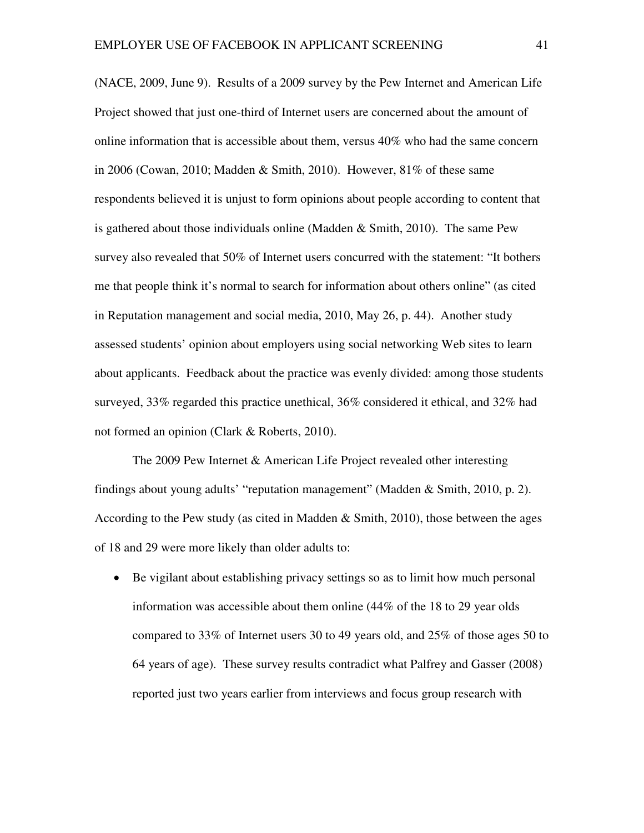(NACE, 2009, June 9). Results of a 2009 survey by the Pew Internet and American Life Project showed that just one-third of Internet users are concerned about the amount of online information that is accessible about them, versus 40% who had the same concern in 2006 (Cowan, 2010; Madden & Smith, 2010). However, 81% of these same respondents believed it is unjust to form opinions about people according to content that is gathered about those individuals online (Madden & Smith, 2010). The same Pew survey also revealed that 50% of Internet users concurred with the statement: "It bothers me that people think it's normal to search for information about others online" (as cited in Reputation management and social media, 2010, May 26, p. 44). Another study assessed students' opinion about employers using social networking Web sites to learn about applicants. Feedback about the practice was evenly divided: among those students surveyed, 33% regarded this practice unethical, 36% considered it ethical, and 32% had not formed an opinion (Clark & Roberts, 2010).

The 2009 Pew Internet & American Life Project revealed other interesting findings about young adults' "reputation management" (Madden & Smith, 2010, p. 2). According to the Pew study (as cited in Madden & Smith, 2010), those between the ages of 18 and 29 were more likely than older adults to:

• Be vigilant about establishing privacy settings so as to limit how much personal information was accessible about them online (44% of the 18 to 29 year olds compared to 33% of Internet users 30 to 49 years old, and 25% of those ages 50 to 64 years of age). These survey results contradict what Palfrey and Gasser (2008) reported just two years earlier from interviews and focus group research with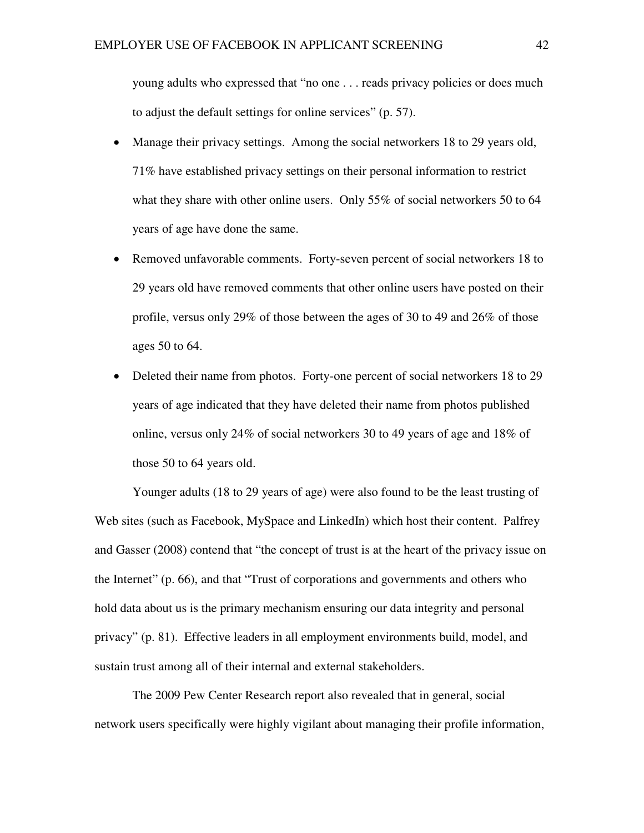young adults who expressed that "no one . . . reads privacy policies or does much to adjust the default settings for online services" (p. 57).

- Manage their privacy settings. Among the social networkers 18 to 29 years old, 71% have established privacy settings on their personal information to restrict what they share with other online users. Only 55% of social networkers 50 to 64 years of age have done the same.
- Removed unfavorable comments. Forty-seven percent of social networkers 18 to 29 years old have removed comments that other online users have posted on their profile, versus only 29% of those between the ages of 30 to 49 and 26% of those ages 50 to 64.
- Deleted their name from photos. Forty-one percent of social networkers 18 to 29 years of age indicated that they have deleted their name from photos published online, versus only 24% of social networkers 30 to 49 years of age and 18% of those 50 to 64 years old.

Younger adults (18 to 29 years of age) were also found to be the least trusting of Web sites (such as Facebook, MySpace and LinkedIn) which host their content. Palfrey and Gasser (2008) contend that "the concept of trust is at the heart of the privacy issue on the Internet" (p. 66), and that "Trust of corporations and governments and others who hold data about us is the primary mechanism ensuring our data integrity and personal privacy" (p. 81). Effective leaders in all employment environments build, model, and sustain trust among all of their internal and external stakeholders.

The 2009 Pew Center Research report also revealed that in general, social network users specifically were highly vigilant about managing their profile information,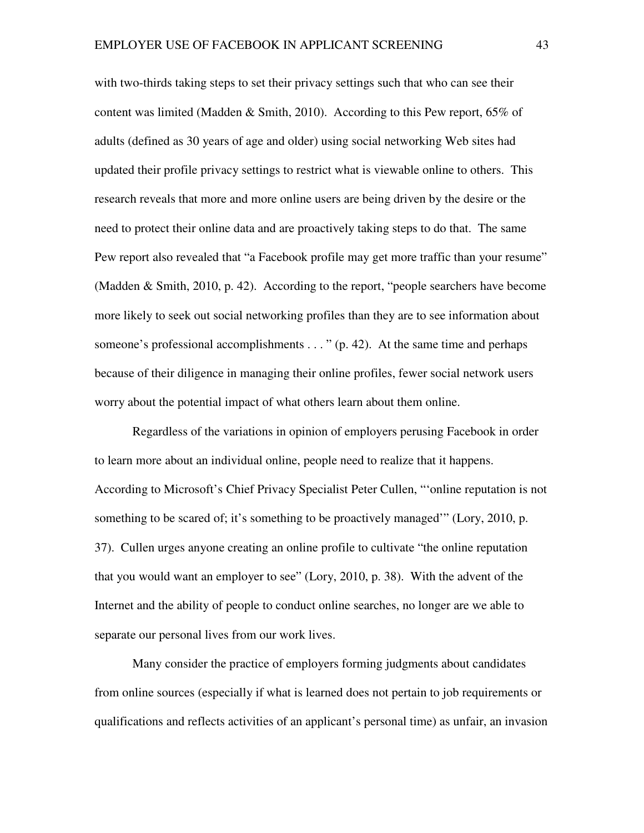with two-thirds taking steps to set their privacy settings such that who can see their content was limited (Madden & Smith, 2010). According to this Pew report, 65% of adults (defined as 30 years of age and older) using social networking Web sites had updated their profile privacy settings to restrict what is viewable online to others. This research reveals that more and more online users are being driven by the desire or the need to protect their online data and are proactively taking steps to do that. The same Pew report also revealed that "a Facebook profile may get more traffic than your resume" (Madden & Smith, 2010, p. 42). According to the report, "people searchers have become more likely to seek out social networking profiles than they are to see information about someone's professional accomplishments . . . " (p. 42). At the same time and perhaps because of their diligence in managing their online profiles, fewer social network users worry about the potential impact of what others learn about them online.

Regardless of the variations in opinion of employers perusing Facebook in order to learn more about an individual online, people need to realize that it happens. According to Microsoft's Chief Privacy Specialist Peter Cullen, "'online reputation is not something to be scared of; it's something to be proactively managed'" (Lory, 2010, p. 37). Cullen urges anyone creating an online profile to cultivate "the online reputation that you would want an employer to see" (Lory, 2010, p. 38). With the advent of the Internet and the ability of people to conduct online searches, no longer are we able to separate our personal lives from our work lives.

Many consider the practice of employers forming judgments about candidates from online sources (especially if what is learned does not pertain to job requirements or qualifications and reflects activities of an applicant's personal time) as unfair, an invasion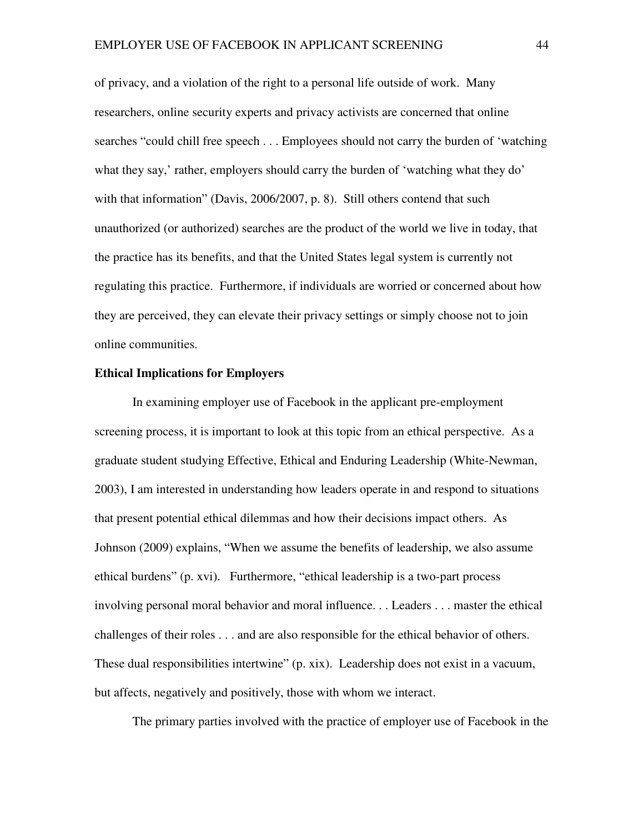of privacy, and a violation of the right to a personal life outside of work. Many researchers, online security experts and privacy activists are concerned that online searches "could chill free speech . . . Employees should not carry the burden of 'watching what they say,' rather, employers should carry the burden of 'watching what they do' with that information" (Davis, 2006/2007, p. 8). Still others contend that such unauthorized (or authorized) searches are the product of the world we live in today, that the practice has its benefits, and that the United States legal system is currently not regulating this practice. Furthermore, if individuals are worried or concerned about how they are perceived, they can elevate their privacy settings or simply choose not to join online communities.

### **Ethical Implications for Employers**

In examining employer use of Facebook in the applicant pre-employment screening process, it is important to look at this topic from an ethical perspective. As a graduate student studying Effective, Ethical and Enduring Leadership (White-Newman, 2003), I am interested in understanding how leaders operate in and respond to situations that present potential ethical dilemmas and how their decisions impact others. As Johnson (2009) explains, "When we assume the benefits of leadership, we also assume ethical burdens" (p. xvi). Furthermore, "ethical leadership is a two-part process involving personal moral behavior and moral influence. . . Leaders . . . master the ethical challenges of their roles . . . and are also responsible for the ethical behavior of others. These dual responsibilities intertwine" (p. xix). Leadership does not exist in a vacuum, but affects, negatively and positively, those with whom we interact.

The primary parties involved with the practice of employer use of Facebook in the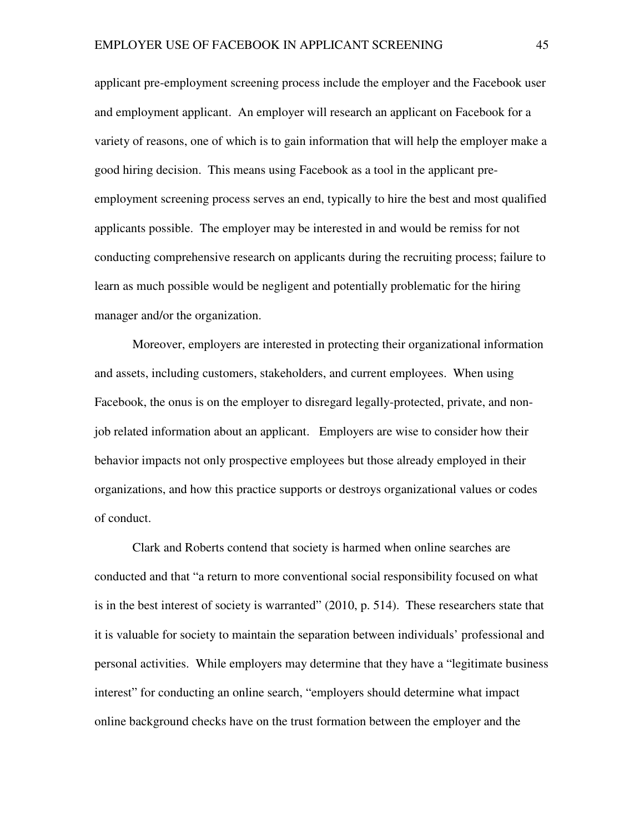applicant pre-employment screening process include the employer and the Facebook user and employment applicant. An employer will research an applicant on Facebook for a variety of reasons, one of which is to gain information that will help the employer make a good hiring decision. This means using Facebook as a tool in the applicant preemployment screening process serves an end, typically to hire the best and most qualified applicants possible. The employer may be interested in and would be remiss for not conducting comprehensive research on applicants during the recruiting process; failure to learn as much possible would be negligent and potentially problematic for the hiring manager and/or the organization.

Moreover, employers are interested in protecting their organizational information and assets, including customers, stakeholders, and current employees. When using Facebook, the onus is on the employer to disregard legally-protected, private, and nonjob related information about an applicant. Employers are wise to consider how their behavior impacts not only prospective employees but those already employed in their organizations, and how this practice supports or destroys organizational values or codes of conduct.

 Clark and Roberts contend that society is harmed when online searches are conducted and that "a return to more conventional social responsibility focused on what is in the best interest of society is warranted" (2010, p. 514). These researchers state that it is valuable for society to maintain the separation between individuals' professional and personal activities. While employers may determine that they have a "legitimate business interest" for conducting an online search, "employers should determine what impact online background checks have on the trust formation between the employer and the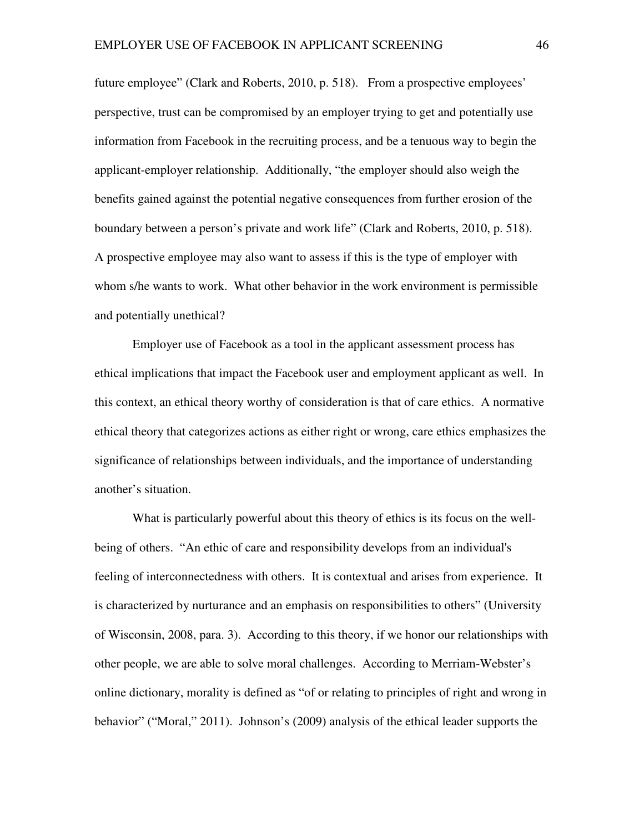future employee" (Clark and Roberts, 2010, p. 518). From a prospective employees' perspective, trust can be compromised by an employer trying to get and potentially use information from Facebook in the recruiting process, and be a tenuous way to begin the applicant-employer relationship. Additionally, "the employer should also weigh the benefits gained against the potential negative consequences from further erosion of the boundary between a person's private and work life" (Clark and Roberts, 2010, p. 518). A prospective employee may also want to assess if this is the type of employer with whom s/he wants to work. What other behavior in the work environment is permissible and potentially unethical?

 Employer use of Facebook as a tool in the applicant assessment process has ethical implications that impact the Facebook user and employment applicant as well. In this context, an ethical theory worthy of consideration is that of care ethics. A normative ethical theory that categorizes actions as either right or wrong, care ethics emphasizes the significance of relationships between individuals, and the importance of understanding another's situation.

What is particularly powerful about this theory of ethics is its focus on the wellbeing of others. "An ethic of care and responsibility develops from an individual's feeling of interconnectedness with others. It is contextual and arises from experience. It is characterized by nurturance and an emphasis on responsibilities to others" (University of Wisconsin, 2008, para. 3). According to this theory, if we honor our relationships with other people, we are able to solve moral challenges. According to Merriam-Webster's online dictionary, morality is defined as "of or relating to principles of right and wrong in behavior" ("Moral," 2011). Johnson's (2009) analysis of the ethical leader supports the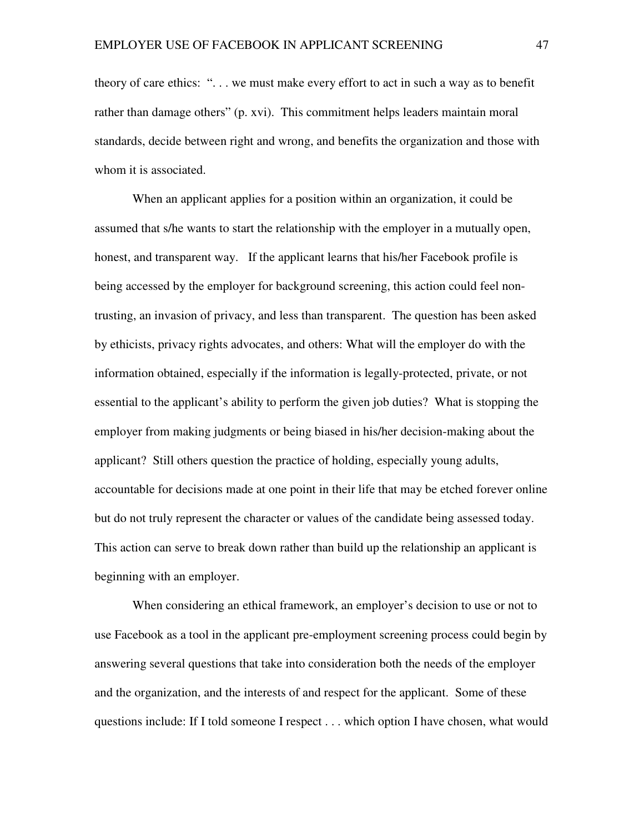theory of care ethics: ". . . we must make every effort to act in such a way as to benefit rather than damage others" (p. xvi). This commitment helps leaders maintain moral standards, decide between right and wrong, and benefits the organization and those with whom it is associated.

When an applicant applies for a position within an organization, it could be assumed that s/he wants to start the relationship with the employer in a mutually open, honest, and transparent way. If the applicant learns that his/her Facebook profile is being accessed by the employer for background screening, this action could feel nontrusting, an invasion of privacy, and less than transparent. The question has been asked by ethicists, privacy rights advocates, and others: What will the employer do with the information obtained, especially if the information is legally-protected, private, or not essential to the applicant's ability to perform the given job duties? What is stopping the employer from making judgments or being biased in his/her decision-making about the applicant? Still others question the practice of holding, especially young adults, accountable for decisions made at one point in their life that may be etched forever online but do not truly represent the character or values of the candidate being assessed today. This action can serve to break down rather than build up the relationship an applicant is beginning with an employer.

When considering an ethical framework, an employer's decision to use or not to use Facebook as a tool in the applicant pre-employment screening process could begin by answering several questions that take into consideration both the needs of the employer and the organization, and the interests of and respect for the applicant. Some of these questions include: If I told someone I respect . . . which option I have chosen, what would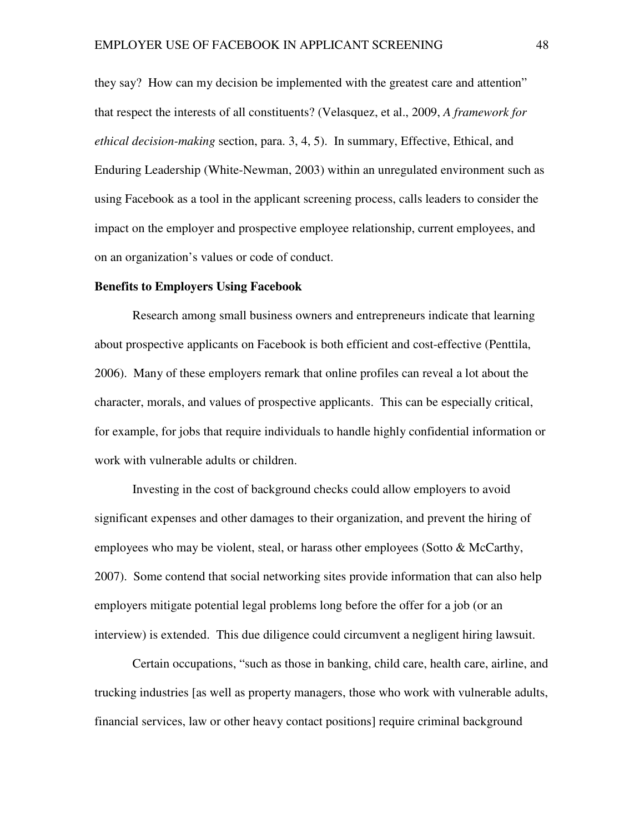they say? How can my decision be implemented with the greatest care and attention" that respect the interests of all constituents? (Velasquez, et al., 2009, *A framework for ethical decision-making* section, para. 3, 4, 5). In summary, Effective, Ethical, and Enduring Leadership (White-Newman, 2003) within an unregulated environment such as using Facebook as a tool in the applicant screening process, calls leaders to consider the impact on the employer and prospective employee relationship, current employees, and on an organization's values or code of conduct.

### **Benefits to Employers Using Facebook**

Research among small business owners and entrepreneurs indicate that learning about prospective applicants on Facebook is both efficient and cost-effective (Penttila, 2006). Many of these employers remark that online profiles can reveal a lot about the character, morals, and values of prospective applicants. This can be especially critical, for example, for jobs that require individuals to handle highly confidential information or work with vulnerable adults or children.

Investing in the cost of background checks could allow employers to avoid significant expenses and other damages to their organization, and prevent the hiring of employees who may be violent, steal, or harass other employees (Sotto & McCarthy, 2007). Some contend that social networking sites provide information that can also help employers mitigate potential legal problems long before the offer for a job (or an interview) is extended. This due diligence could circumvent a negligent hiring lawsuit.

Certain occupations, "such as those in banking, child care, health care, airline, and trucking industries [as well as property managers, those who work with vulnerable adults, financial services, law or other heavy contact positions] require criminal background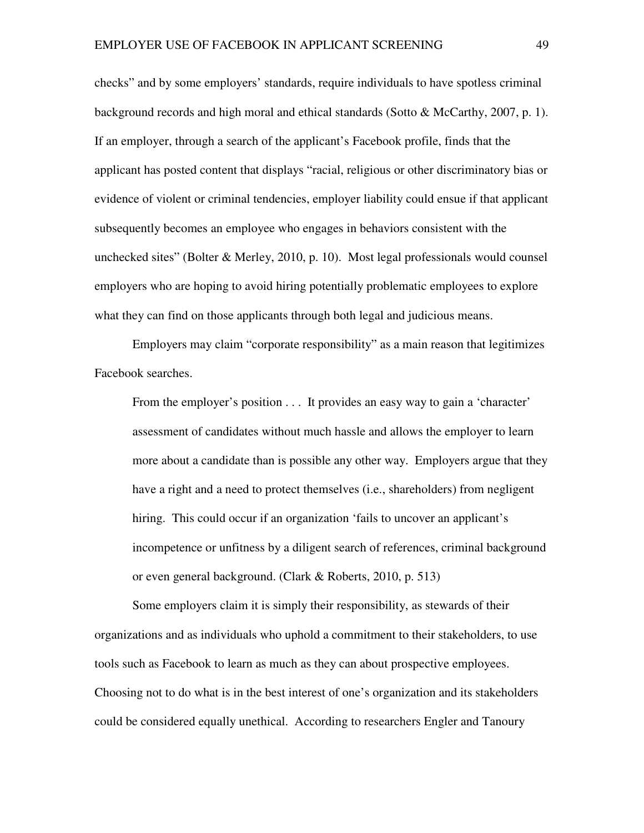checks" and by some employers' standards, require individuals to have spotless criminal background records and high moral and ethical standards (Sotto & McCarthy, 2007, p. 1). If an employer, through a search of the applicant's Facebook profile, finds that the applicant has posted content that displays "racial, religious or other discriminatory bias or evidence of violent or criminal tendencies, employer liability could ensue if that applicant subsequently becomes an employee who engages in behaviors consistent with the unchecked sites" (Bolter & Merley, 2010, p. 10). Most legal professionals would counsel employers who are hoping to avoid hiring potentially problematic employees to explore what they can find on those applicants through both legal and judicious means.

Employers may claim "corporate responsibility" as a main reason that legitimizes Facebook searches.

From the employer's position . . . It provides an easy way to gain a 'character' assessment of candidates without much hassle and allows the employer to learn more about a candidate than is possible any other way. Employers argue that they have a right and a need to protect themselves (i.e., shareholders) from negligent hiring. This could occur if an organization 'fails to uncover an applicant's incompetence or unfitness by a diligent search of references, criminal background or even general background. (Clark & Roberts, 2010, p. 513)

Some employers claim it is simply their responsibility, as stewards of their organizations and as individuals who uphold a commitment to their stakeholders, to use tools such as Facebook to learn as much as they can about prospective employees. Choosing not to do what is in the best interest of one's organization and its stakeholders could be considered equally unethical. According to researchers Engler and Tanoury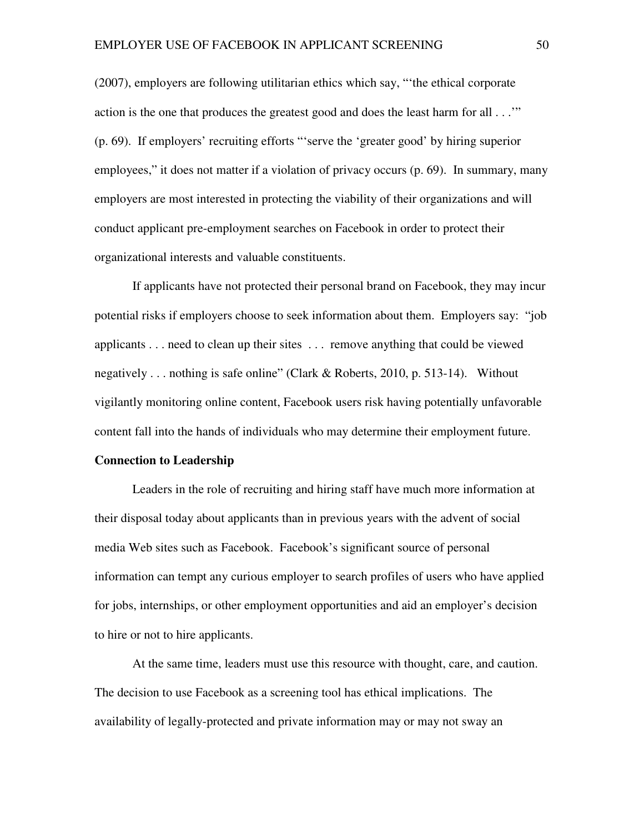(2007), employers are following utilitarian ethics which say, "'the ethical corporate action is the one that produces the greatest good and does the least harm for all . . .'" (p. 69). If employers' recruiting efforts "'serve the 'greater good' by hiring superior employees," it does not matter if a violation of privacy occurs (p. 69). In summary, many employers are most interested in protecting the viability of their organizations and will conduct applicant pre-employment searches on Facebook in order to protect their organizational interests and valuable constituents.

If applicants have not protected their personal brand on Facebook, they may incur potential risks if employers choose to seek information about them. Employers say: "job applicants . . . need to clean up their sites . . . remove anything that could be viewed negatively . . . nothing is safe online" (Clark & Roberts, 2010, p. 513-14). Without vigilantly monitoring online content, Facebook users risk having potentially unfavorable content fall into the hands of individuals who may determine their employment future.

#### **Connection to Leadership**

Leaders in the role of recruiting and hiring staff have much more information at their disposal today about applicants than in previous years with the advent of social media Web sites such as Facebook. Facebook's significant source of personal information can tempt any curious employer to search profiles of users who have applied for jobs, internships, or other employment opportunities and aid an employer's decision to hire or not to hire applicants.

At the same time, leaders must use this resource with thought, care, and caution. The decision to use Facebook as a screening tool has ethical implications. The availability of legally-protected and private information may or may not sway an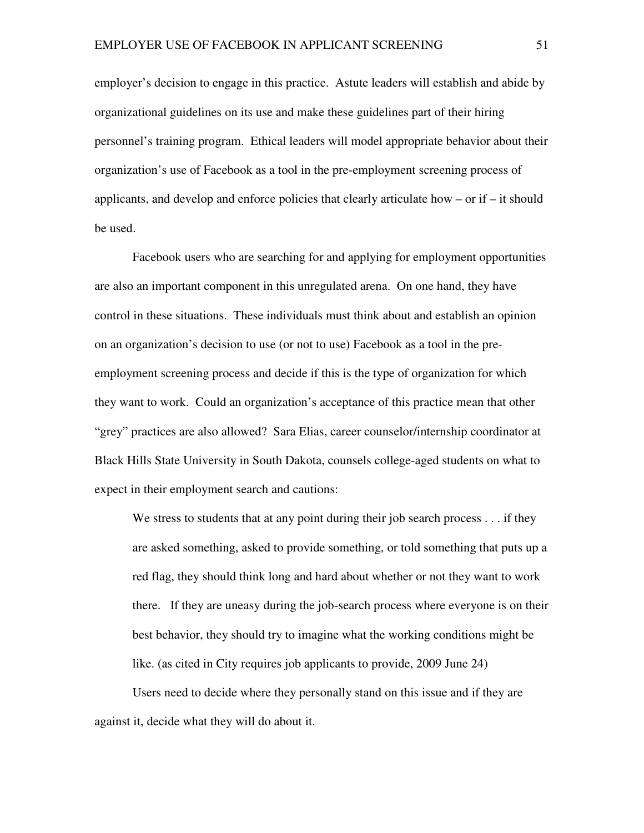employer's decision to engage in this practice. Astute leaders will establish and abide by organizational guidelines on its use and make these guidelines part of their hiring personnel's training program. Ethical leaders will model appropriate behavior about their organization's use of Facebook as a tool in the pre-employment screening process of applicants, and develop and enforce policies that clearly articulate how – or if  $-$  it should be used.

Facebook users who are searching for and applying for employment opportunities are also an important component in this unregulated arena. On one hand, they have control in these situations. These individuals must think about and establish an opinion on an organization's decision to use (or not to use) Facebook as a tool in the preemployment screening process and decide if this is the type of organization for which they want to work. Could an organization's acceptance of this practice mean that other "grey" practices are also allowed? Sara Elias, career counselor/internship coordinator at Black Hills State University in South Dakota, counsels college-aged students on what to expect in their employment search and cautions:

We stress to students that at any point during their job search process . . . if they are asked something, asked to provide something, or told something that puts up a red flag, they should think long and hard about whether or not they want to work there. If they are uneasy during the job-search process where everyone is on their best behavior, they should try to imagine what the working conditions might be like. (as cited in City requires job applicants to provide, 2009 June 24)

Users need to decide where they personally stand on this issue and if they are against it, decide what they will do about it.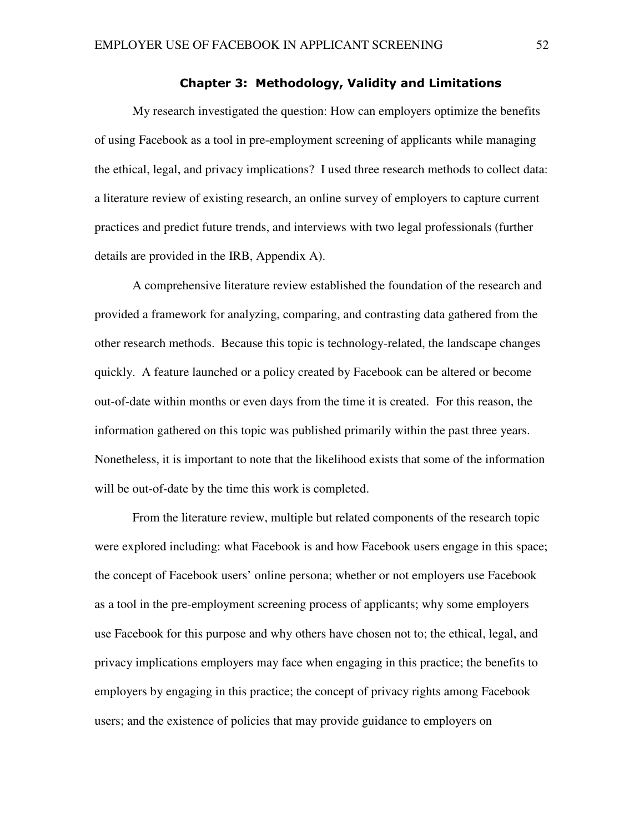# Chapter 3: Methodology, Validity and Limitations

My research investigated the question: How can employers optimize the benefits of using Facebook as a tool in pre-employment screening of applicants while managing the ethical, legal, and privacy implications? I used three research methods to collect data: a literature review of existing research, an online survey of employers to capture current practices and predict future trends, and interviews with two legal professionals (further details are provided in the IRB, Appendix A).

A comprehensive literature review established the foundation of the research and provided a framework for analyzing, comparing, and contrasting data gathered from the other research methods. Because this topic is technology-related, the landscape changes quickly. A feature launched or a policy created by Facebook can be altered or become out-of-date within months or even days from the time it is created. For this reason, the information gathered on this topic was published primarily within the past three years. Nonetheless, it is important to note that the likelihood exists that some of the information will be out-of-date by the time this work is completed.

From the literature review, multiple but related components of the research topic were explored including: what Facebook is and how Facebook users engage in this space; the concept of Facebook users' online persona; whether or not employers use Facebook as a tool in the pre-employment screening process of applicants; why some employers use Facebook for this purpose and why others have chosen not to; the ethical, legal, and privacy implications employers may face when engaging in this practice; the benefits to employers by engaging in this practice; the concept of privacy rights among Facebook users; and the existence of policies that may provide guidance to employers on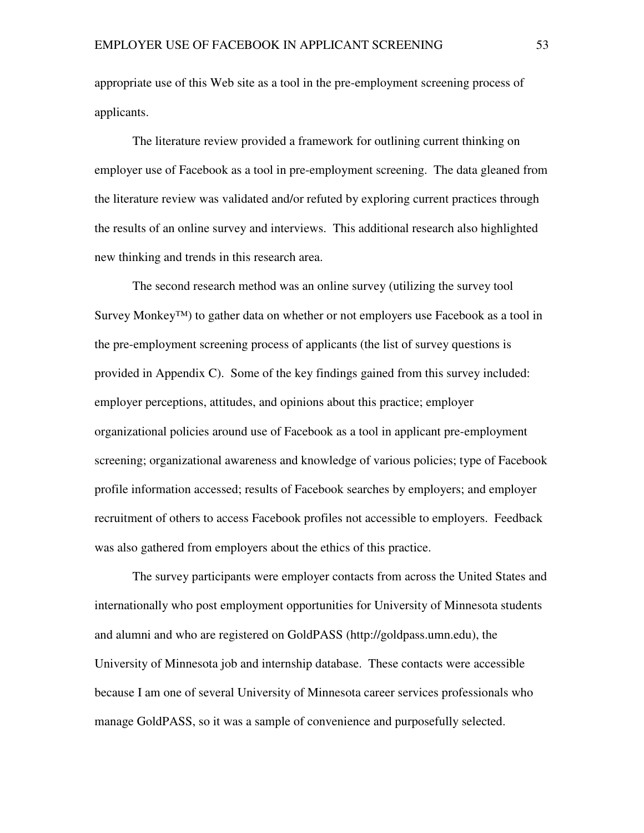appropriate use of this Web site as a tool in the pre-employment screening process of applicants.

The literature review provided a framework for outlining current thinking on employer use of Facebook as a tool in pre-employment screening. The data gleaned from the literature review was validated and/or refuted by exploring current practices through the results of an online survey and interviews. This additional research also highlighted new thinking and trends in this research area.

The second research method was an online survey (utilizing the survey tool Survey Monkey™) to gather data on whether or not employers use Facebook as a tool in the pre-employment screening process of applicants (the list of survey questions is provided in Appendix C). Some of the key findings gained from this survey included: employer perceptions, attitudes, and opinions about this practice; employer organizational policies around use of Facebook as a tool in applicant pre-employment screening; organizational awareness and knowledge of various policies; type of Facebook profile information accessed; results of Facebook searches by employers; and employer recruitment of others to access Facebook profiles not accessible to employers. Feedback was also gathered from employers about the ethics of this practice.

The survey participants were employer contacts from across the United States and internationally who post employment opportunities for University of Minnesota students and alumni and who are registered on GoldPASS (http://goldpass.umn.edu), the University of Minnesota job and internship database. These contacts were accessible because I am one of several University of Minnesota career services professionals who manage GoldPASS, so it was a sample of convenience and purposefully selected.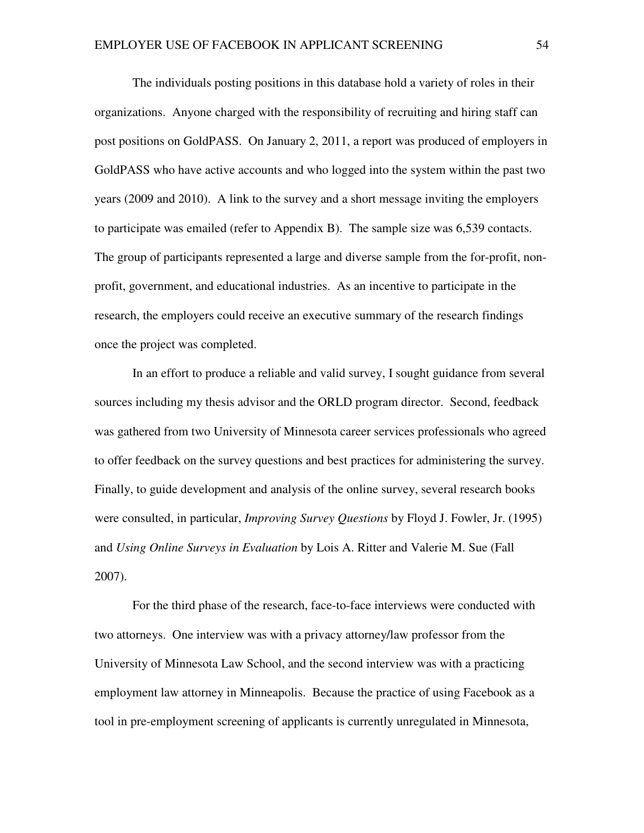The individuals posting positions in this database hold a variety of roles in their organizations. Anyone charged with the responsibility of recruiting and hiring staff can post positions on GoldPASS. On January 2, 2011, a report was produced of employers in GoldPASS who have active accounts and who logged into the system within the past two years (2009 and 2010). A link to the survey and a short message inviting the employers to participate was emailed (refer to Appendix B). The sample size was 6,539 contacts. The group of participants represented a large and diverse sample from the for-profit, nonprofit, government, and educational industries. As an incentive to participate in the research, the employers could receive an executive summary of the research findings once the project was completed.

In an effort to produce a reliable and valid survey, I sought guidance from several sources including my thesis advisor and the ORLD program director. Second, feedback was gathered from two University of Minnesota career services professionals who agreed to offer feedback on the survey questions and best practices for administering the survey. Finally, to guide development and analysis of the online survey, several research books were consulted, in particular, *Improving Survey Questions* by Floyd J. Fowler, Jr. (1995) and *Using Online Surveys in Evaluation* by Lois A. Ritter and Valerie M. Sue (Fall 2007).

For the third phase of the research, face-to-face interviews were conducted with two attorneys. One interview was with a privacy attorney/law professor from the University of Minnesota Law School, and the second interview was with a practicing employment law attorney in Minneapolis. Because the practice of using Facebook as a tool in pre-employment screening of applicants is currently unregulated in Minnesota,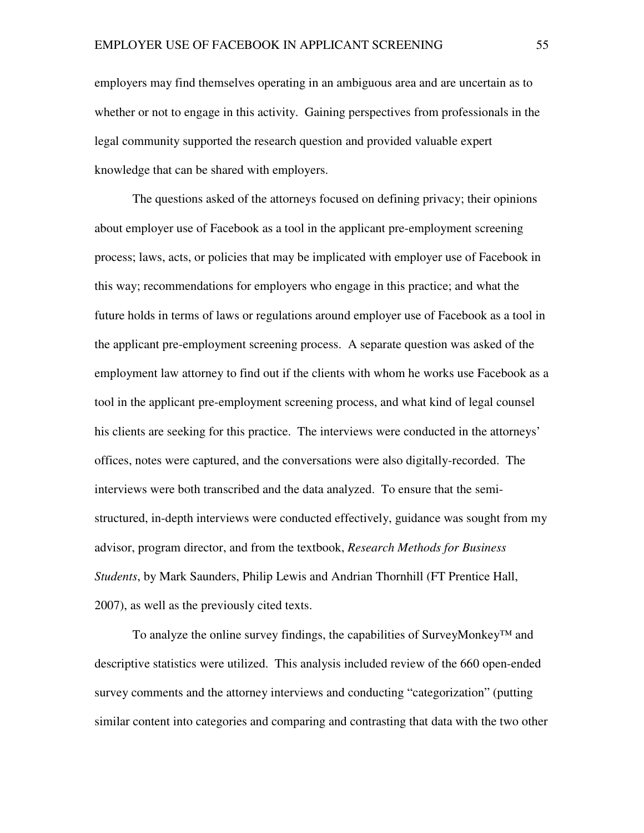employers may find themselves operating in an ambiguous area and are uncertain as to whether or not to engage in this activity. Gaining perspectives from professionals in the legal community supported the research question and provided valuable expert knowledge that can be shared with employers.

The questions asked of the attorneys focused on defining privacy; their opinions about employer use of Facebook as a tool in the applicant pre-employment screening process; laws, acts, or policies that may be implicated with employer use of Facebook in this way; recommendations for employers who engage in this practice; and what the future holds in terms of laws or regulations around employer use of Facebook as a tool in the applicant pre-employment screening process. A separate question was asked of the employment law attorney to find out if the clients with whom he works use Facebook as a tool in the applicant pre-employment screening process, and what kind of legal counsel his clients are seeking for this practice. The interviews were conducted in the attorneys' offices, notes were captured, and the conversations were also digitally-recorded. The interviews were both transcribed and the data analyzed. To ensure that the semistructured, in-depth interviews were conducted effectively, guidance was sought from my advisor, program director, and from the textbook, *Research Methods for Business Students*, by Mark Saunders, Philip Lewis and Andrian Thornhill (FT Prentice Hall, 2007), as well as the previously cited texts.

To analyze the online survey findings, the capabilities of SurveyMonkey™ and descriptive statistics were utilized. This analysis included review of the 660 open-ended survey comments and the attorney interviews and conducting "categorization" (putting similar content into categories and comparing and contrasting that data with the two other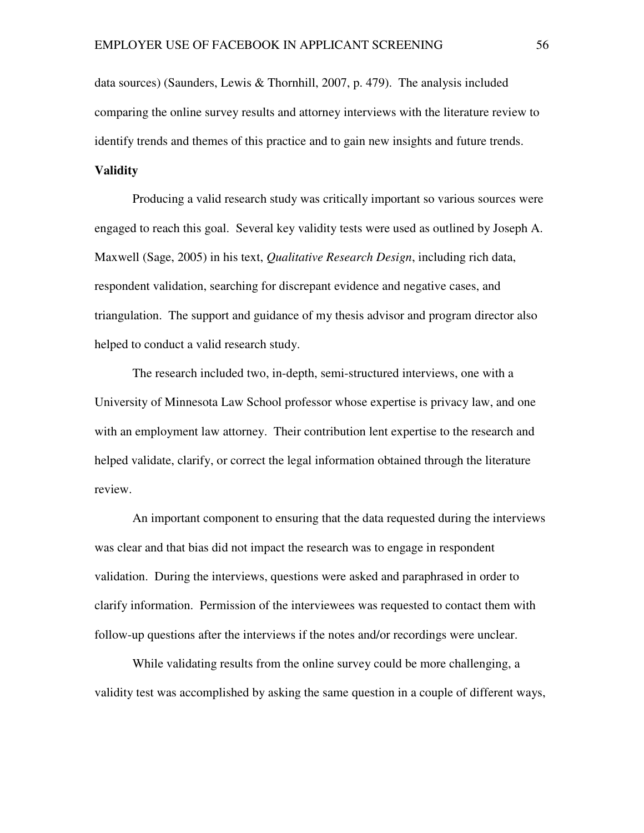data sources) (Saunders, Lewis & Thornhill, 2007, p. 479). The analysis included comparing the online survey results and attorney interviews with the literature review to identify trends and themes of this practice and to gain new insights and future trends.

# **Validity**

Producing a valid research study was critically important so various sources were engaged to reach this goal. Several key validity tests were used as outlined by Joseph A. Maxwell (Sage, 2005) in his text, *Qualitative Research Design*, including rich data, respondent validation, searching for discrepant evidence and negative cases, and triangulation. The support and guidance of my thesis advisor and program director also helped to conduct a valid research study.

 The research included two, in-depth, semi-structured interviews, one with a University of Minnesota Law School professor whose expertise is privacy law, and one with an employment law attorney. Their contribution lent expertise to the research and helped validate, clarify, or correct the legal information obtained through the literature review.

 An important component to ensuring that the data requested during the interviews was clear and that bias did not impact the research was to engage in respondent validation. During the interviews, questions were asked and paraphrased in order to clarify information. Permission of the interviewees was requested to contact them with follow-up questions after the interviews if the notes and/or recordings were unclear.

While validating results from the online survey could be more challenging, a validity test was accomplished by asking the same question in a couple of different ways,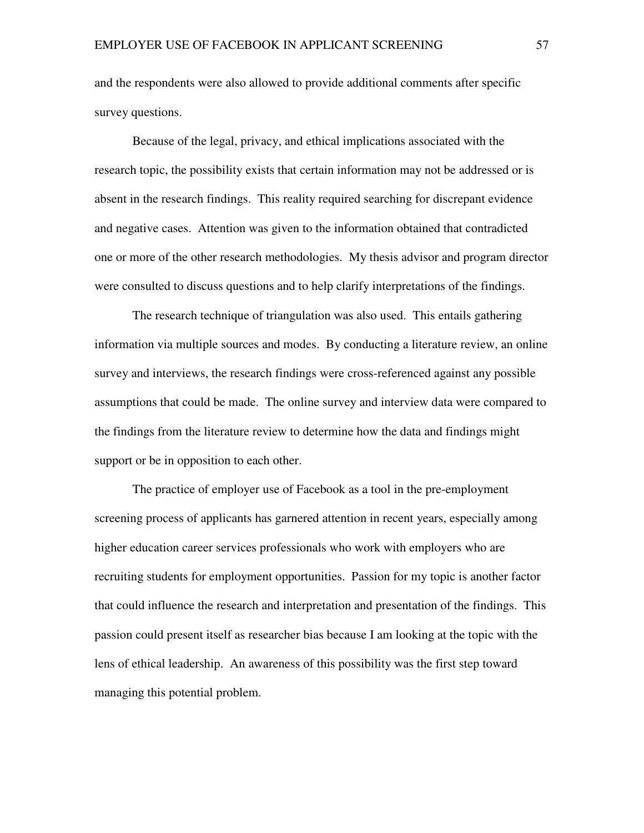and the respondents were also allowed to provide additional comments after specific survey questions.

Because of the legal, privacy, and ethical implications associated with the research topic, the possibility exists that certain information may not be addressed or is absent in the research findings. This reality required searching for discrepant evidence and negative cases. Attention was given to the information obtained that contradicted one or more of the other research methodologies. My thesis advisor and program director were consulted to discuss questions and to help clarify interpretations of the findings.

The research technique of triangulation was also used. This entails gathering information via multiple sources and modes. By conducting a literature review, an online survey and interviews, the research findings were cross-referenced against any possible assumptions that could be made. The online survey and interview data were compared to the findings from the literature review to determine how the data and findings might support or be in opposition to each other.

The practice of employer use of Facebook as a tool in the pre-employment screening process of applicants has garnered attention in recent years, especially among higher education career services professionals who work with employers who are recruiting students for employment opportunities. Passion for my topic is another factor that could influence the research and interpretation and presentation of the findings. This passion could present itself as researcher bias because I am looking at the topic with the lens of ethical leadership. An awareness of this possibility was the first step toward managing this potential problem.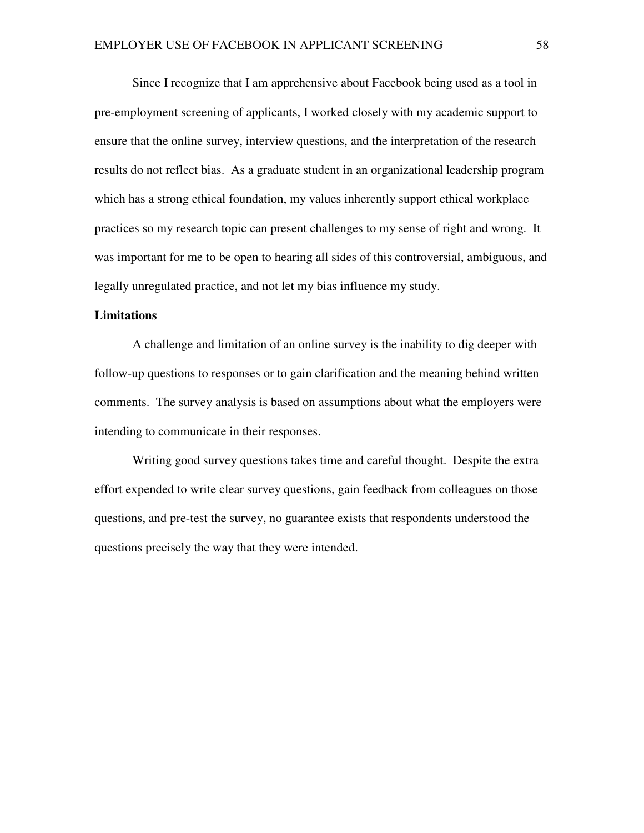Since I recognize that I am apprehensive about Facebook being used as a tool in pre-employment screening of applicants, I worked closely with my academic support to ensure that the online survey, interview questions, and the interpretation of the research results do not reflect bias. As a graduate student in an organizational leadership program which has a strong ethical foundation, my values inherently support ethical workplace practices so my research topic can present challenges to my sense of right and wrong. It was important for me to be open to hearing all sides of this controversial, ambiguous, and legally unregulated practice, and not let my bias influence my study.

## **Limitations**

A challenge and limitation of an online survey is the inability to dig deeper with follow-up questions to responses or to gain clarification and the meaning behind written comments. The survey analysis is based on assumptions about what the employers were intending to communicate in their responses.

Writing good survey questions takes time and careful thought. Despite the extra effort expended to write clear survey questions, gain feedback from colleagues on those questions, and pre-test the survey, no guarantee exists that respondents understood the questions precisely the way that they were intended.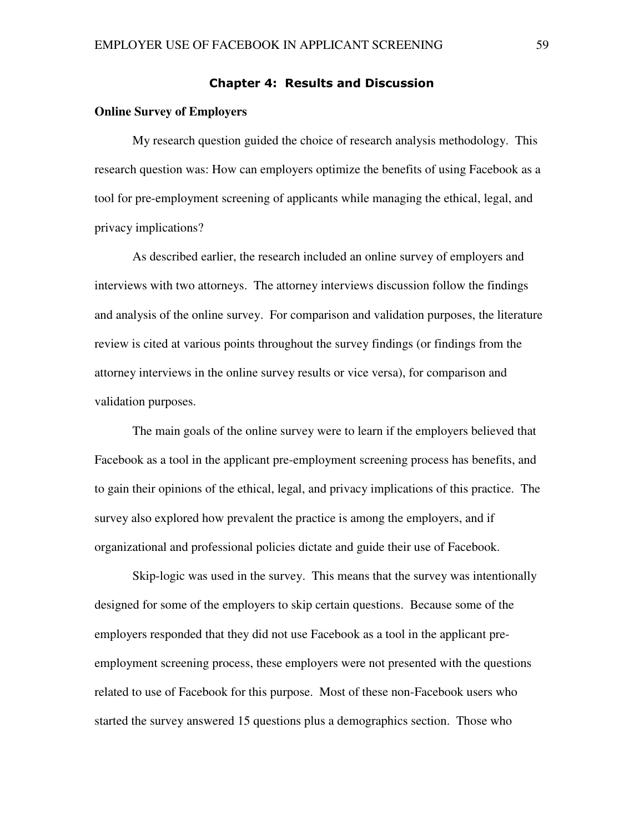# Chapter 4: Results and Discussion

#### **Online Survey of Employers**

My research question guided the choice of research analysis methodology. This research question was: How can employers optimize the benefits of using Facebook as a tool for pre-employment screening of applicants while managing the ethical, legal, and privacy implications?

As described earlier, the research included an online survey of employers and interviews with two attorneys. The attorney interviews discussion follow the findings and analysis of the online survey. For comparison and validation purposes, the literature review is cited at various points throughout the survey findings (or findings from the attorney interviews in the online survey results or vice versa), for comparison and validation purposes.

 The main goals of the online survey were to learn if the employers believed that Facebook as a tool in the applicant pre-employment screening process has benefits, and to gain their opinions of the ethical, legal, and privacy implications of this practice. The survey also explored how prevalent the practice is among the employers, and if organizational and professional policies dictate and guide their use of Facebook.

Skip-logic was used in the survey. This means that the survey was intentionally designed for some of the employers to skip certain questions. Because some of the employers responded that they did not use Facebook as a tool in the applicant preemployment screening process, these employers were not presented with the questions related to use of Facebook for this purpose. Most of these non-Facebook users who started the survey answered 15 questions plus a demographics section. Those who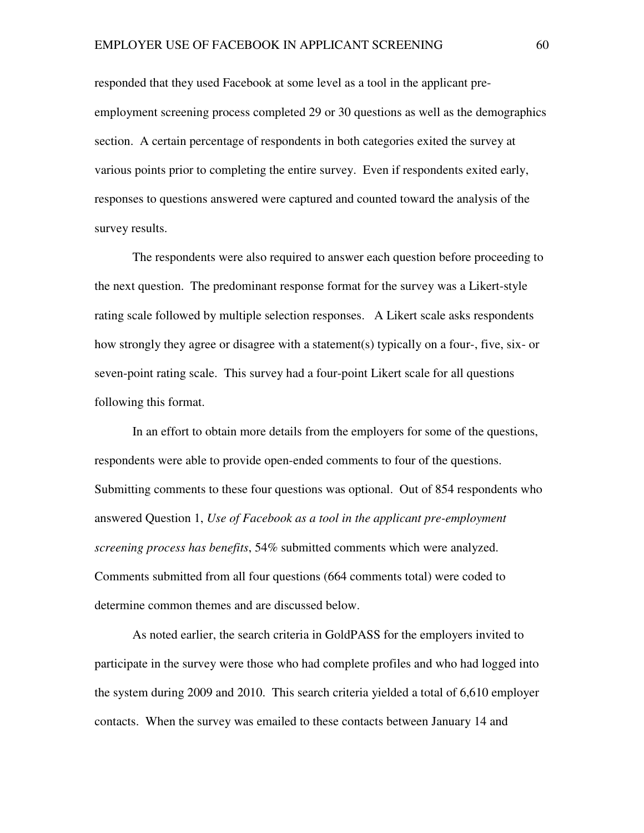responded that they used Facebook at some level as a tool in the applicant preemployment screening process completed 29 or 30 questions as well as the demographics section. A certain percentage of respondents in both categories exited the survey at various points prior to completing the entire survey. Even if respondents exited early, responses to questions answered were captured and counted toward the analysis of the survey results.

The respondents were also required to answer each question before proceeding to the next question. The predominant response format for the survey was a Likert-style rating scale followed by multiple selection responses. A Likert scale asks respondents how strongly they agree or disagree with a statement(s) typically on a four-, five, six- or seven-point rating scale. This survey had a four-point Likert scale for all questions following this format.

In an effort to obtain more details from the employers for some of the questions, respondents were able to provide open-ended comments to four of the questions. Submitting comments to these four questions was optional. Out of 854 respondents who answered Question 1, *Use of Facebook as a tool in the applicant pre-employment screening process has benefits*, 54% submitted comments which were analyzed. Comments submitted from all four questions (664 comments total) were coded to determine common themes and are discussed below.

As noted earlier, the search criteria in GoldPASS for the employers invited to participate in the survey were those who had complete profiles and who had logged into the system during 2009 and 2010. This search criteria yielded a total of 6,610 employer contacts. When the survey was emailed to these contacts between January 14 and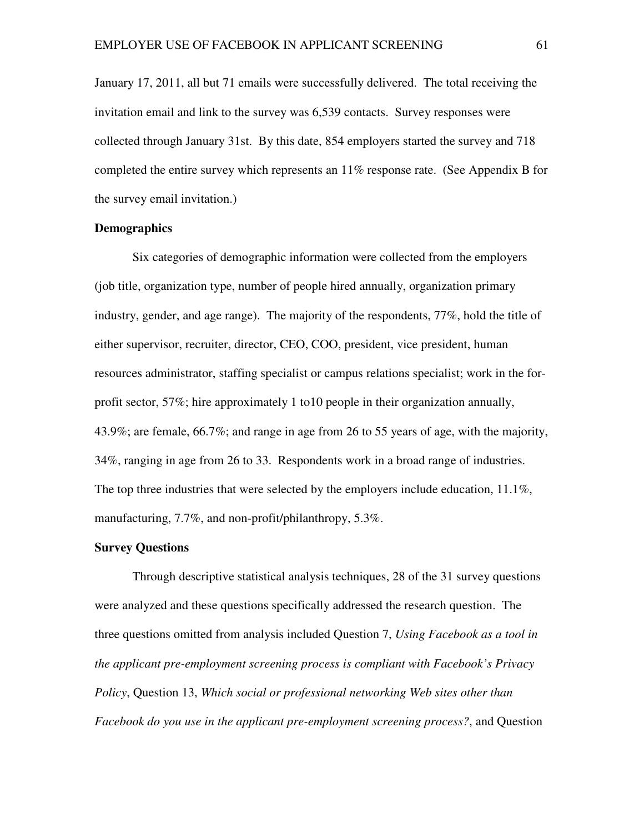January 17, 2011, all but 71 emails were successfully delivered. The total receiving the invitation email and link to the survey was 6,539 contacts. Survey responses were collected through January 31st. By this date, 854 employers started the survey and 718 completed the entire survey which represents an 11% response rate. (See Appendix B for the survey email invitation.)

#### **Demographics**

Six categories of demographic information were collected from the employers (job title, organization type, number of people hired annually, organization primary industry, gender, and age range). The majority of the respondents, 77%, hold the title of either supervisor, recruiter, director, CEO, COO, president, vice president, human resources administrator, staffing specialist or campus relations specialist; work in the forprofit sector, 57%; hire approximately 1 to10 people in their organization annually, 43.9%; are female, 66.7%; and range in age from 26 to 55 years of age, with the majority, 34%, ranging in age from 26 to 33. Respondents work in a broad range of industries. The top three industries that were selected by the employers include education,  $11.1\%$ , manufacturing, 7.7%, and non-profit/philanthropy, 5.3%.

#### **Survey Questions**

Through descriptive statistical analysis techniques, 28 of the 31 survey questions were analyzed and these questions specifically addressed the research question. The three questions omitted from analysis included Question 7, *Using Facebook as a tool in the applicant pre-employment screening process is compliant with Facebook's Privacy Policy*, Question 13, *Which social or professional networking Web sites other than Facebook do you use in the applicant pre-employment screening process?*, and Question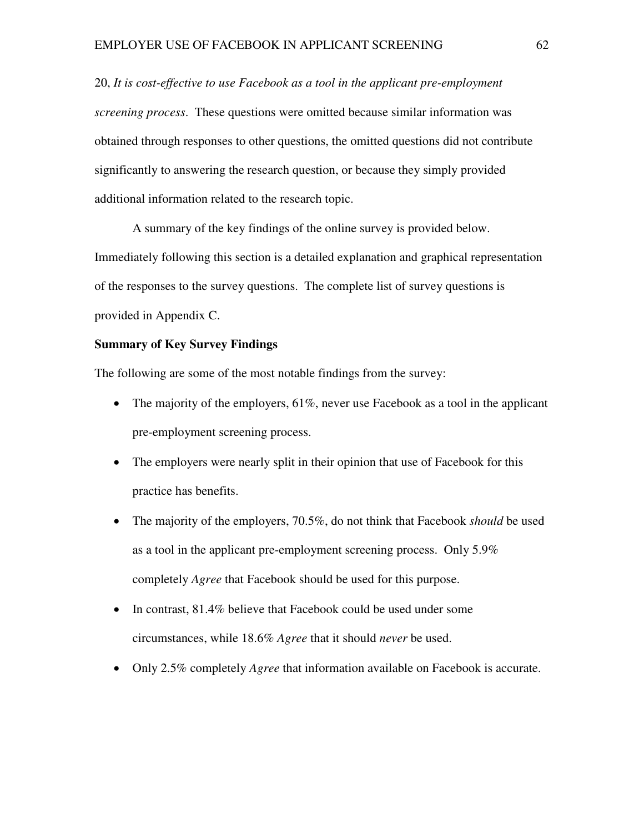20, *It is cost-effective to use Facebook as a tool in the applicant pre-employment screening process*. These questions were omitted because similar information was obtained through responses to other questions, the omitted questions did not contribute significantly to answering the research question, or because they simply provided additional information related to the research topic.

A summary of the key findings of the online survey is provided below. Immediately following this section is a detailed explanation and graphical representation of the responses to the survey questions. The complete list of survey questions is provided in Appendix C.

# **Summary of Key Survey Findings**

The following are some of the most notable findings from the survey:

- The majority of the employers,  $61\%$ , never use Facebook as a tool in the applicant pre-employment screening process.
- The employers were nearly split in their opinion that use of Facebook for this practice has benefits.
- The majority of the employers, 70.5%, do not think that Facebook *should* be used as a tool in the applicant pre-employment screening process. Only 5.9% completely *Agree* that Facebook should be used for this purpose.
- In contrast, 81.4% believe that Facebook could be used under some circumstances, while 18.6% *Agree* that it should *never* be used.
- Only 2.5% completely *Agree* that information available on Facebook is accurate.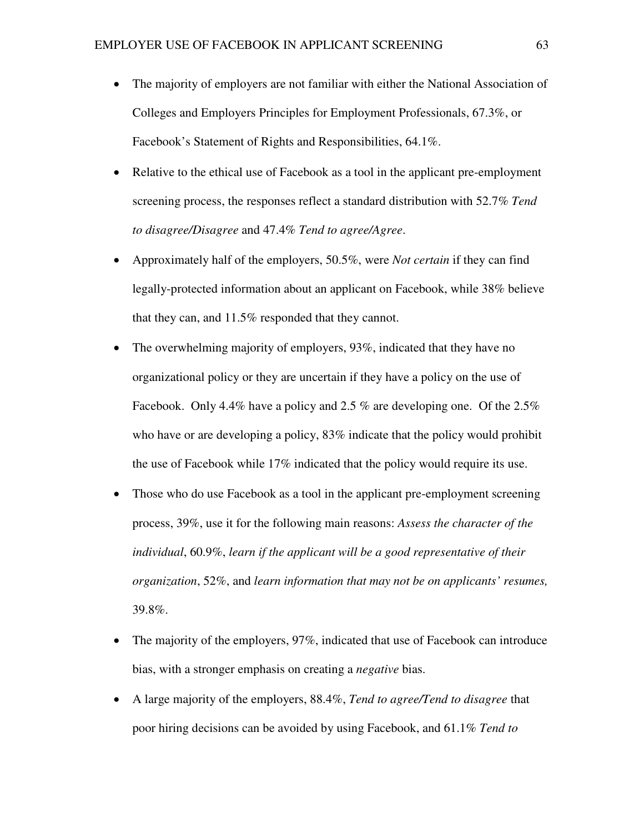- The majority of employers are not familiar with either the National Association of Colleges and Employers Principles for Employment Professionals, 67.3%, or Facebook's Statement of Rights and Responsibilities, 64.1%.
- Relative to the ethical use of Facebook as a tool in the applicant pre-employment screening process, the responses reflect a standard distribution with 52.7% *Tend to disagree/Disagree* and 47.4% *Tend to agree/Agree*.
- Approximately half of the employers, 50.5%, were *Not certain* if they can find legally-protected information about an applicant on Facebook, while 38% believe that they can, and 11.5% responded that they cannot.
- The overwhelming majority of employers, 93%, indicated that they have no organizational policy or they are uncertain if they have a policy on the use of Facebook. Only 4.4% have a policy and 2.5 % are developing one. Of the 2.5% who have or are developing a policy, 83% indicate that the policy would prohibit the use of Facebook while 17% indicated that the policy would require its use.
- Those who do use Facebook as a tool in the applicant pre-employment screening process, 39%, use it for the following main reasons: *Assess the character of the individual*, 60.9%, *learn if the applicant will be a good representative of their organization*, 52%, and *learn information that may not be on applicants' resumes,*  39.8%.
- The majority of the employers, 97%, indicated that use of Facebook can introduce bias, with a stronger emphasis on creating a *negative* bias.
- A large majority of the employers, 88.4%, *Tend to agree/Tend to disagree* that poor hiring decisions can be avoided by using Facebook, and 61.1% *Tend to*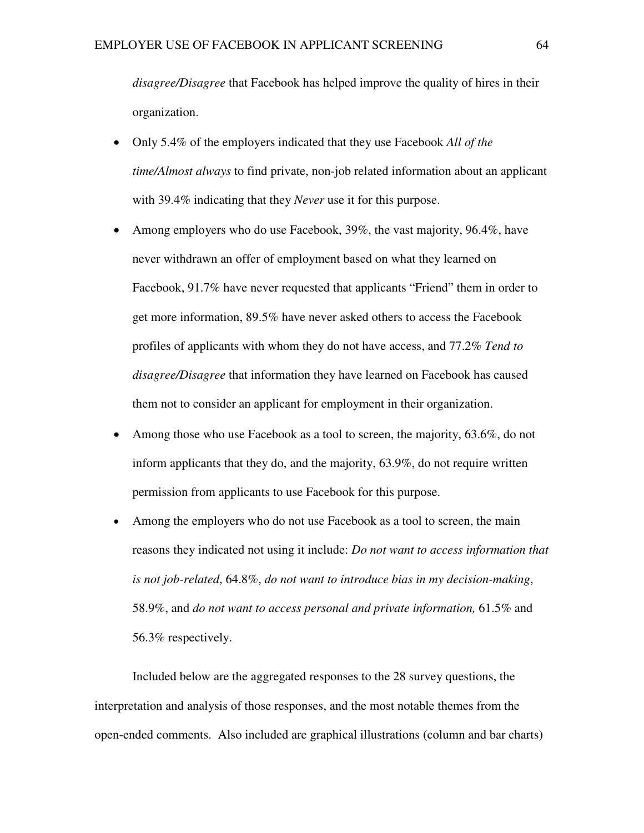*disagree/Disagree* that Facebook has helped improve the quality of hires in their organization.

- Only 5.4% of the employers indicated that they use Facebook *All of the time/Almost always* to find private, non-job related information about an applicant with 39.4% indicating that they *Never* use it for this purpose.
- Among employers who do use Facebook, 39%, the vast majority, 96.4%, have never withdrawn an offer of employment based on what they learned on Facebook, 91.7% have never requested that applicants "Friend" them in order to get more information, 89.5% have never asked others to access the Facebook profiles of applicants with whom they do not have access, and 77.2% *Tend to disagree/Disagree* that information they have learned on Facebook has caused them not to consider an applicant for employment in their organization.
- Among those who use Facebook as a tool to screen, the majority, 63.6%, do not inform applicants that they do, and the majority, 63.9%, do not require written permission from applicants to use Facebook for this purpose.
- Among the employers who do not use Facebook as a tool to screen, the main reasons they indicated not using it include: *Do not want to access information that is not job-related*, 64.8%, *do not want to introduce bias in my decision-making*, 58.9%, and *do not want to access personal and private information,* 61.5% and 56.3% respectively.

Included below are the aggregated responses to the 28 survey questions, the interpretation and analysis of those responses, and the most notable themes from the open-ended comments. Also included are graphical illustrations (column and bar charts)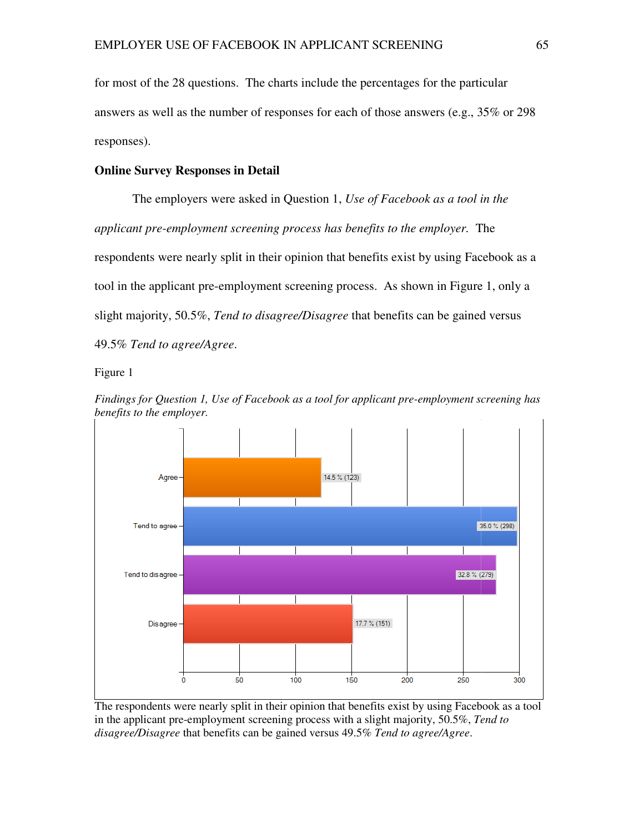for most of the 28 questions. The charts include the percentages for the particular EMPLOYER USE OF FACEBOOK IN APPLICANT SCREENING<br>for most of the 28 questions. The charts include the percentages for the particular<br>answers as well as the number of responses for each of those answers (e.g., 35% or 298 responses).

# **Online Survey Responses in Detail in Detail**

The employers were asked in Question 1, *Use of Facebook as a tool in the* applicant pre-employment screening process has benefits to the employer. The respondents were nearly split in their opinion that benefits exist by using Facebook as a tool in the applicant pre-employment screening process. As shown in Figure 1, only a slight majority, 50.5%, *Tend to disagree/Disag* tool in the applicant pre-employment screening process. As shown in Figure 1, only a tool in the applicant pre-employment screening process. As shown in Figure 1, only a<br>slight majority, 50.5%, *Tend to disagree/Disagree* that benefits can be gained versus 49.5% *Tend to agree/Agree*.

Figure 1



Findings for Question 1, Use of Facebook as a tool for applicant pre-employment screening has *benefits to the employer.*

The respondents were nearly split in their opinion that benefits exist by using Facebook as a tool The respondents were nearly split in their opinion that benefits exist by using Facebook as in the applicant pre-employment screening process with a slight majority, 50.5%, Tend to disagree/Disagree that benefits can be gained versus 49.5% Tend to agree/Agree.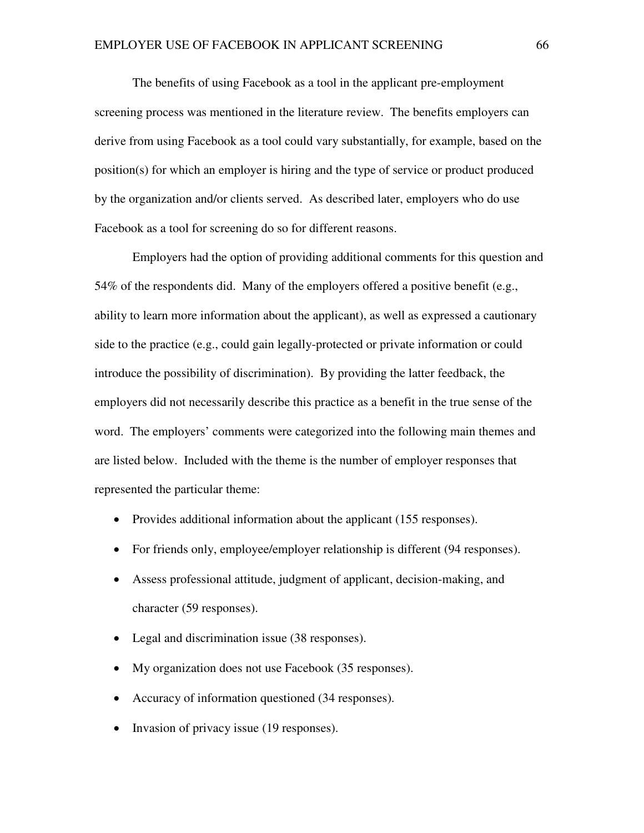The benefits of using Facebook as a tool in the applicant pre-employment screening process was mentioned in the literature review. The benefits employers can derive from using Facebook as a tool could vary substantially, for example, based on the position(s) for which an employer is hiring and the type of service or product produced by the organization and/or clients served. As described later, employers who do use Facebook as a tool for screening do so for different reasons.

Employers had the option of providing additional comments for this question and 54% of the respondents did. Many of the employers offered a positive benefit (e.g., ability to learn more information about the applicant), as well as expressed a cautionary side to the practice (e.g., could gain legally-protected or private information or could introduce the possibility of discrimination). By providing the latter feedback, the employers did not necessarily describe this practice as a benefit in the true sense of the word. The employers' comments were categorized into the following main themes and are listed below. Included with the theme is the number of employer responses that represented the particular theme:

- Provides additional information about the applicant (155 responses).
- For friends only, employee/employer relationship is different (94 responses).
- Assess professional attitude, judgment of applicant, decision-making, and character (59 responses).
- Legal and discrimination issue (38 responses).
- My organization does not use Facebook (35 responses).
- Accuracy of information questioned (34 responses).
- Invasion of privacy issue (19 responses).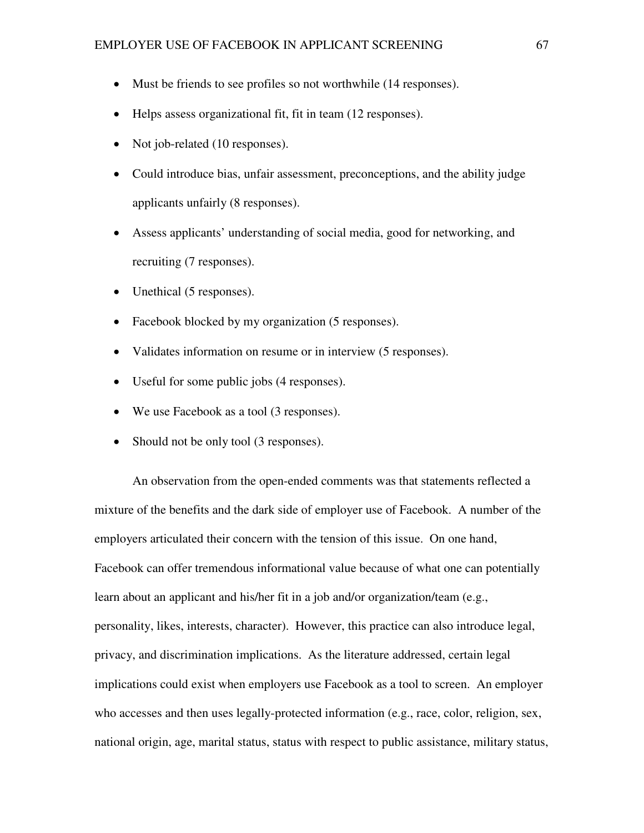- Must be friends to see profiles so not worthwhile (14 responses).
- Helps assess organizational fit, fit in team (12 responses).
- Not job-related (10 responses).
- Could introduce bias, unfair assessment, preconceptions, and the ability judge applicants unfairly (8 responses).
- Assess applicants' understanding of social media, good for networking, and recruiting (7 responses).
- Unethical (5 responses).
- Facebook blocked by my organization (5 responses).
- Validates information on resume or in interview (5 responses).
- Useful for some public jobs (4 responses).
- We use Facebook as a tool (3 responses).
- Should not be only tool (3 responses).

An observation from the open-ended comments was that statements reflected a mixture of the benefits and the dark side of employer use of Facebook. A number of the employers articulated their concern with the tension of this issue. On one hand, Facebook can offer tremendous informational value because of what one can potentially learn about an applicant and his/her fit in a job and/or organization/team (e.g., personality, likes, interests, character). However, this practice can also introduce legal, privacy, and discrimination implications. As the literature addressed, certain legal implications could exist when employers use Facebook as a tool to screen. An employer who accesses and then uses legally-protected information (e.g., race, color, religion, sex, national origin, age, marital status, status with respect to public assistance, military status,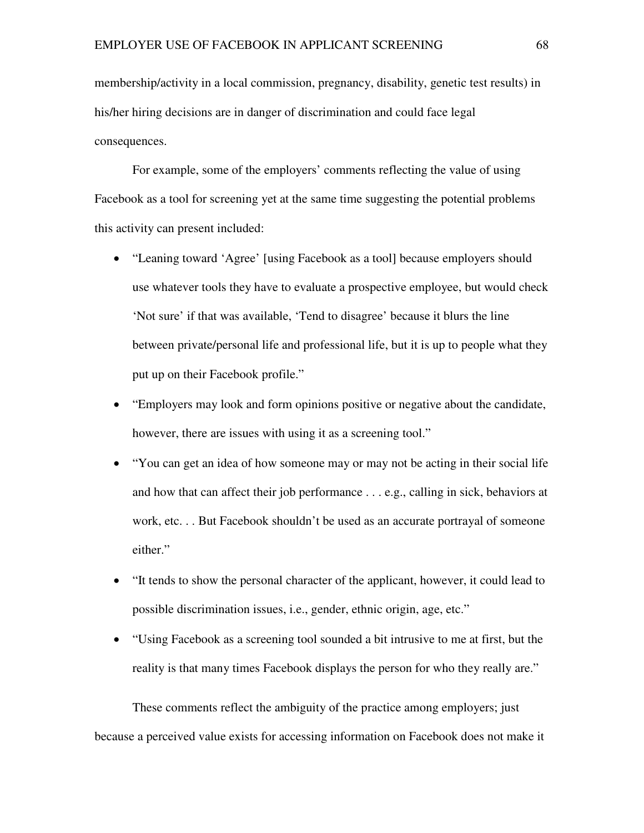membership/activity in a local commission, pregnancy, disability, genetic test results) in his/her hiring decisions are in danger of discrimination and could face legal consequences.

For example, some of the employers' comments reflecting the value of using Facebook as a tool for screening yet at the same time suggesting the potential problems this activity can present included:

- "Leaning toward 'Agree' [using Facebook as a tool] because employers should use whatever tools they have to evaluate a prospective employee, but would check 'Not sure' if that was available, 'Tend to disagree' because it blurs the line between private/personal life and professional life, but it is up to people what they put up on their Facebook profile."
- "Employers may look and form opinions positive or negative about the candidate, however, there are issues with using it as a screening tool."
- "You can get an idea of how someone may or may not be acting in their social life and how that can affect their job performance . . . e.g., calling in sick, behaviors at work, etc. . . But Facebook shouldn't be used as an accurate portrayal of someone either."
- "It tends to show the personal character of the applicant, however, it could lead to possible discrimination issues, i.e., gender, ethnic origin, age, etc."
- "Using Facebook as a screening tool sounded a bit intrusive to me at first, but the reality is that many times Facebook displays the person for who they really are."

These comments reflect the ambiguity of the practice among employers; just because a perceived value exists for accessing information on Facebook does not make it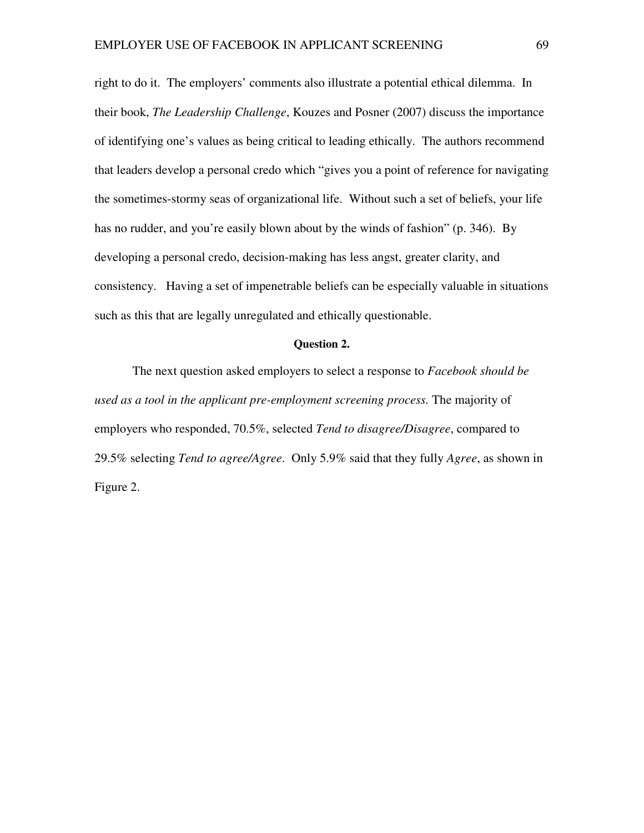right to do it. The employers' comments also illustrate a potential ethical dilemma. In their book, *The Leadership Challenge*, Kouzes and Posner (2007) discuss the importance of identifying one's values as being critical to leading ethically. The authors recommend that leaders develop a personal credo which "gives you a point of reference for navigating the sometimes-stormy seas of organizational life. Without such a set of beliefs, your life has no rudder, and you're easily blown about by the winds of fashion" (p. 346). By developing a personal credo, decision-making has less angst, greater clarity, and consistency. Having a set of impenetrable beliefs can be especially valuable in situations such as this that are legally unregulated and ethically questionable.

# **Question 2.**

The next question asked employers to select a response to *Facebook should be used as a tool in the applicant pre-employment screening process.* The majority of employers who responded, 70.5%, selected *Tend to disagree/Disagree*, compared to 29.5% selecting *Tend to agree/Agree*. Only 5.9% said that they fully *Agree*, as shown in Figure 2.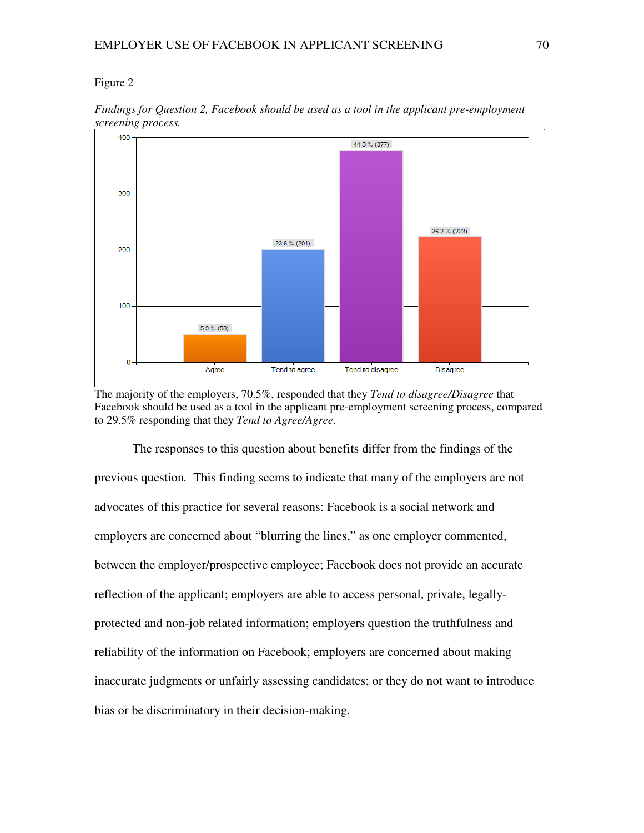# Figure 2



*Findings for Question 2, Facebook should be used as a tool in the applicant pre-employment screening process.*

The majority of the employers, 70.5%, responded that they *Tend to disagree/Disagree* that Facebook should be used as a tool in the applicant pre-employment screening process, compared to 29.5% responding that they *Tend to Agree/Agree* .

The responses to this question about benefits differ from the findings of the previous question. This finding seems to indicate that many of the employers are not advocates of this practice for several reasons: Facebook is a social network and employers are concerned about "blurring the lines," as one employer commented, between the employer/prospective employee; Facebook does not provide an accurate reflection of the applicant; employers are able to access personal, private, legallyprotected and non-job related information; employers question the truthfulness and<br>reliability of the information on Facebook; employers are concerned about making reliability of the information on Facebook; employers are concerned about making inaccurate judgments or unfairly assessing candidates; or they do not want to introduce bias or be discriminatory in their decision-making.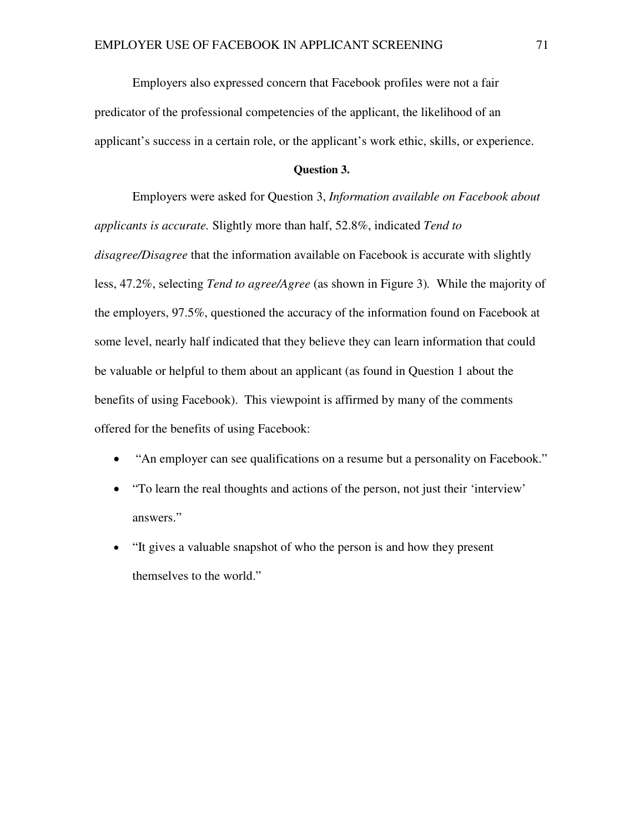Employers also expressed concern that Facebook profiles were not a fair predicator of the professional competencies of the applicant, the likelihood of an applicant's success in a certain role, or the applicant's work ethic, skills, or experience.

#### **Question 3.**

Employers were asked for Question 3, *Information available on Facebook about applicants is accurate.* Slightly more than half, 52.8%, indicated *Tend to disagree/Disagree* that the information available on Facebook is accurate with slightly less, 47.2%, selecting *Tend to agree/Agree* (as shown in Figure 3)*.* While the majority of the employers, 97.5%, questioned the accuracy of the information found on Facebook at some level, nearly half indicated that they believe they can learn information that could be valuable or helpful to them about an applicant (as found in Question 1 about the benefits of using Facebook). This viewpoint is affirmed by many of the comments offered for the benefits of using Facebook:

- "An employer can see qualifications on a resume but a personality on Facebook."
- "To learn the real thoughts and actions of the person, not just their 'interview' answers."
- "It gives a valuable snapshot of who the person is and how they present themselves to the world."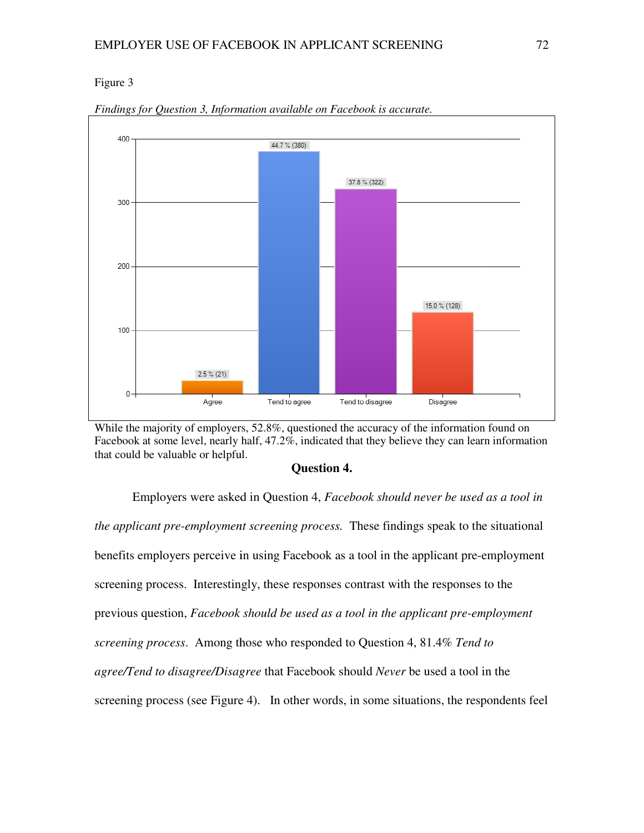

Findings for Question 3, Information available on Facebook is accurate.

While the majority of employers, 52.8%, questioned the accuracy of the information found on Facebook at some level, nearly half, 47.2%, indicated that they believe they can learn information that could be valuable or helpful.

### **Question 4.**

Employers were asked in Question 4, Facebook should never be used as a tool in the applicant pre-employment screening process. These findings speak to the situational the applicant pre-employment screening process. These findings speak to the situational<br>benefits employers perceive in using Facebook as a tool in the applicant pre-employment screening process. Interestingly, these responses contrast with the responses to the previous question, *Facebook should be used as a tool in the applicant pre-employment* screening process. Among those who responded to Question 4, 81.4% *Tend to agree/Tend to disagree/Disagree* that Facebook should *Never* be used a tool in the agree/Tend to disagree/Disagree that Facebook should Never be used a tool in the<br>screening process (see Figure 4). In other words, in some situations, the respondents feel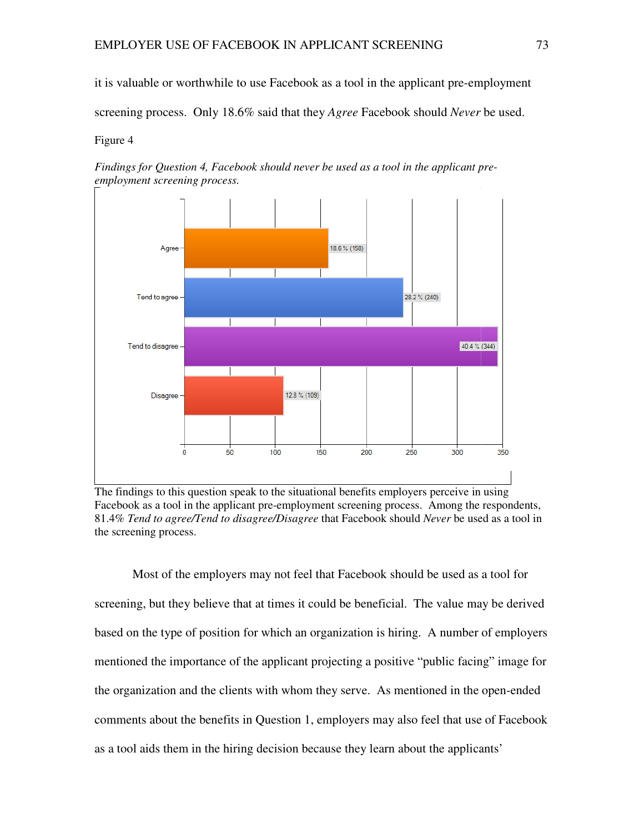EMPLOYER USE OF FACEBOOK IN APPLICANT SCREENING<br>it is valuable or worthwhile to use Facebook as a tool in the applicant pre-employment it is valuable or worthwhile to use Facebook as a tool in the applicant pre-employment<br>screening process. Only 18.6% said that they *Agree* Facebook should *Never* be used.

Figure 4



Findings for Question 4, Facebook should never be used as a tool in the applicant pre*employment screening process.* 

The findings to this question speak to the situational benefits employers perceive in using The findings to this question speak to the situational benefits employers perceive in using<br>Facebook as a tool in the applicant pre-employment screening process. Among the respondents, Facebook as a tool in the applicant pre-employment screening process. Among the respondents, 81.4% *Tend to agree/Tend to disagree/Disagree* that Facebook should *Never* be used as a tool in the screening process.

Most of the employers may not feel that Facebook should be used as a tool fo for Most of the employers may not feel that Facebook should be used as a tool for<br>screening, but they believe that at times it could be beneficial. The value may be derived based on the type of position for which an organization is hiring. A number of employers mentioned the importance of the applicant projecting a positive "public facing" image for<br>the organization and the clients with whom they serve. As mentioned in the open-ended the organization and the clients with whom they serve. As mentioned in the open-ended comments about the benefits in Question 1, employers may also feel that use of Facebook as a tool aids them in the hiring decision because they learn about the applicants'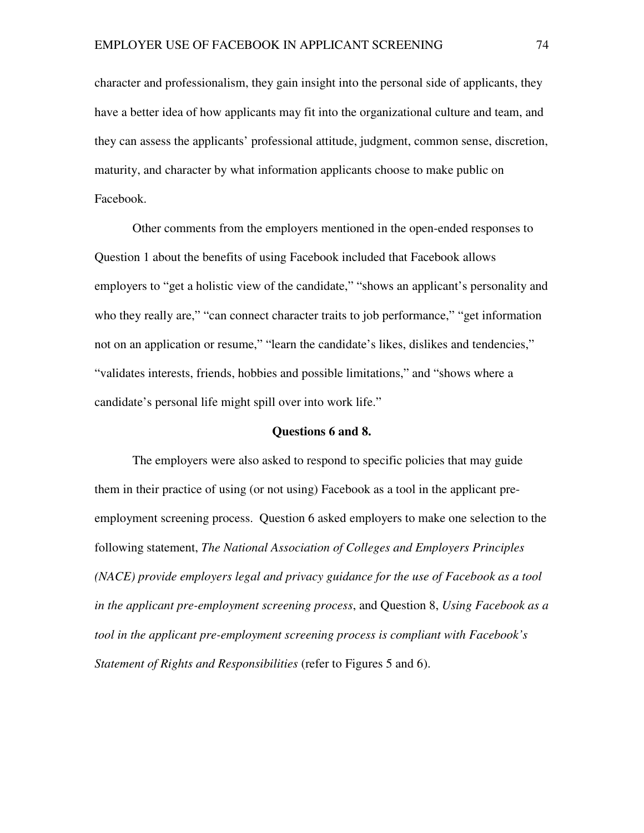character and professionalism, they gain insight into the personal side of applicants, they have a better idea of how applicants may fit into the organizational culture and team, and they can assess the applicants' professional attitude, judgment, common sense, discretion, maturity, and character by what information applicants choose to make public on Facebook.

Other comments from the employers mentioned in the open-ended responses to Question 1 about the benefits of using Facebook included that Facebook allows employers to "get a holistic view of the candidate," "shows an applicant's personality and who they really are," "can connect character traits to job performance," "get information not on an application or resume," "learn the candidate's likes, dislikes and tendencies," "validates interests, friends, hobbies and possible limitations," and "shows where a candidate's personal life might spill over into work life."

### **Questions 6 and 8.**

The employers were also asked to respond to specific policies that may guide them in their practice of using (or not using) Facebook as a tool in the applicant preemployment screening process. Question 6 asked employers to make one selection to the following statement, *The National Association of Colleges and Employers Principles (NACE) provide employers legal and privacy guidance for the use of Facebook as a tool in the applicant pre-employment screening process*, and Question 8, *Using Facebook as a tool in the applicant pre-employment screening process is compliant with Facebook's Statement of Rights and Responsibilities* (refer to Figures 5 and 6).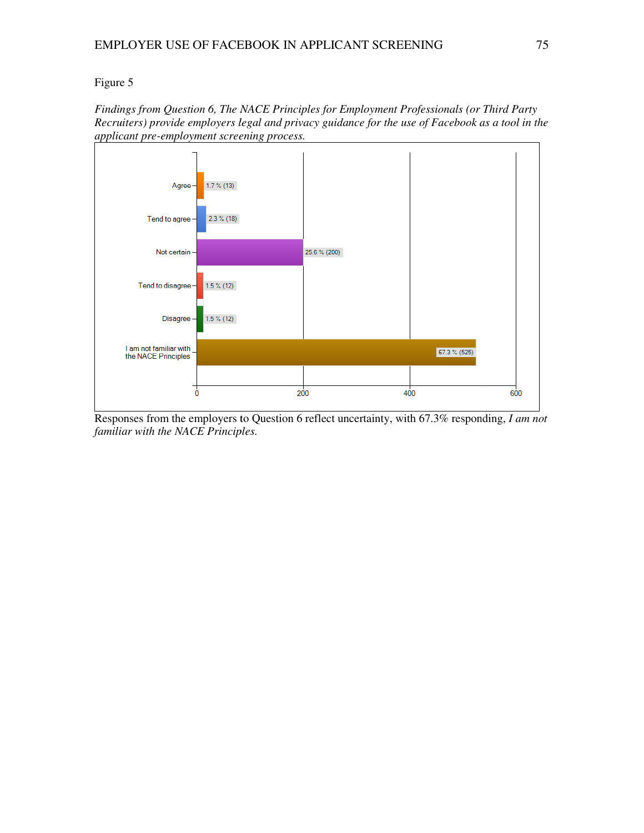*Findings from Question 6, The NACE Principles for Employment Professionals (or Third Party Recruiters) provide employers legal and privacy guidance for the use of Facebook as a tool in the applicant pre-employment screening process. Question 6, The NACE Principles for Employment Professionals (or Third Party ovide employers legal and privacy guidance for the use of Facebook as a tool in themployment screening process.* 



Responses from the employers to Question 6 reflect uncertainty, with 67.3% responding, *I am not familiar with the NACE Principles.*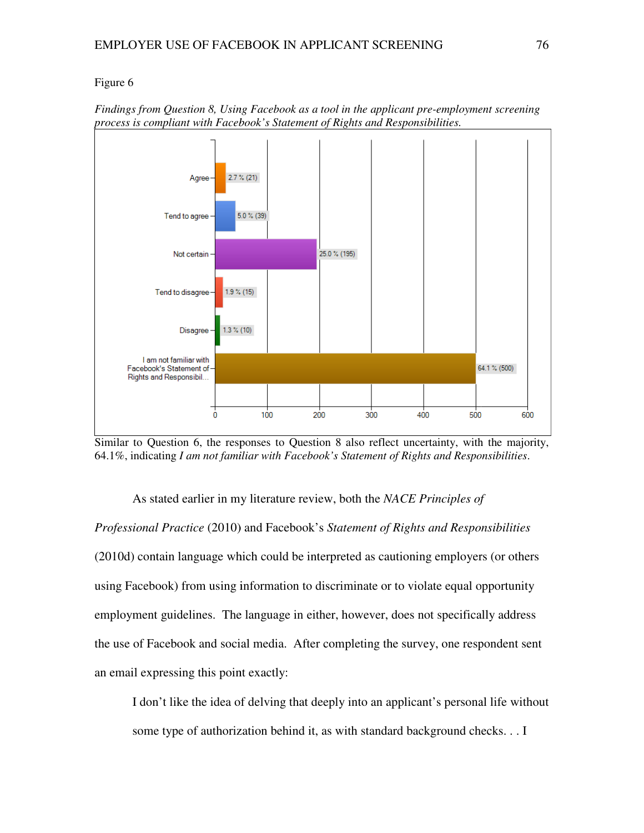

*Findings from Question 8, Using Facebook as a tool in the applicant pre-employment screening* process is compliant with Facebook's Statement of Rights and Responsibilities.

Similar to Question 6, the responses to Question 8 also reflect uncertainty, with the majority, Similar to Question 6, the responses to Question 8 also reflect uncertainty, with the majo 64.1%, indicating *I am not familiar with Facebook's Statement of Rights and Responsibilities*.

As stated earlier in my literature review, both the NACE Principles of As stated earlier in my literature review, both the *NACE Principles of*<br>*Professional Practice* (2010) and Facebook's *Statement of Rights and Responsibilities* (2010d) contain language which could be interpreted as cautioning employers (or others using Facebook) from using information to discriminate or to violate equal opportunity (2010d) contain language which could be interpreted as cautioning employers (or others<br>using Facebook) from using information to discriminate or to violate equal opportunity<br>employment guidelines. The language in either, h the use of Facebook and social media. After completing the survey, one respondent sent an email expressing this point exactly:

I don't like the idea of delving that deeply into an applicant's personal life without some type of authorization behind it, as with standard background checks. . . I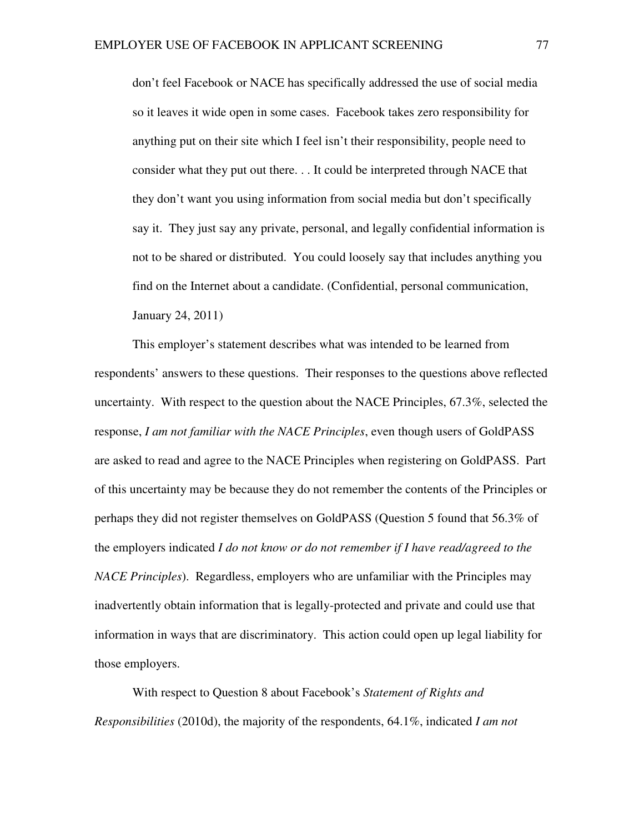don't feel Facebook or NACE has specifically addressed the use of social media so it leaves it wide open in some cases. Facebook takes zero responsibility for anything put on their site which I feel isn't their responsibility, people need to consider what they put out there. . . It could be interpreted through NACE that they don't want you using information from social media but don't specifically say it. They just say any private, personal, and legally confidential information is not to be shared or distributed. You could loosely say that includes anything you find on the Internet about a candidate. (Confidential, personal communication, January 24, 2011)

 This employer's statement describes what was intended to be learned from respondents' answers to these questions. Their responses to the questions above reflected uncertainty. With respect to the question about the NACE Principles, 67.3%, selected the response, *I am not familiar with the NACE Principles*, even though users of GoldPASS are asked to read and agree to the NACE Principles when registering on GoldPASS. Part of this uncertainty may be because they do not remember the contents of the Principles or perhaps they did not register themselves on GoldPASS (Question 5 found that 56.3% of the employers indicated *I do not know or do not remember if I have read/agreed to the NACE Principles*). Regardless, employers who are unfamiliar with the Principles may inadvertently obtain information that is legally-protected and private and could use that information in ways that are discriminatory. This action could open up legal liability for those employers.

 With respect to Question 8 about Facebook's *Statement of Rights and Responsibilities* (2010d), the majority of the respondents, 64.1%, indicated *I am not*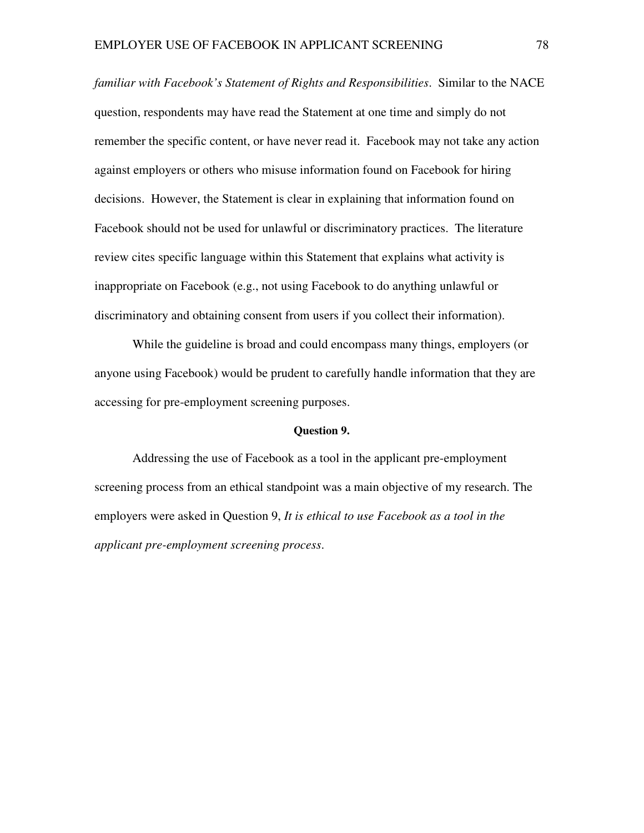*familiar with Facebook's Statement of Rights and Responsibilities*. Similar to the NACE question, respondents may have read the Statement at one time and simply do not remember the specific content, or have never read it. Facebook may not take any action against employers or others who misuse information found on Facebook for hiring decisions. However, the Statement is clear in explaining that information found on Facebook should not be used for unlawful or discriminatory practices. The literature review cites specific language within this Statement that explains what activity is inappropriate on Facebook (e.g., not using Facebook to do anything unlawful or discriminatory and obtaining consent from users if you collect their information).

While the guideline is broad and could encompass many things, employers (or anyone using Facebook) would be prudent to carefully handle information that they are accessing for pre-employment screening purposes.

# **Question 9.**

Addressing the use of Facebook as a tool in the applicant pre-employment screening process from an ethical standpoint was a main objective of my research. The employers were asked in Question 9, *It is ethical to use Facebook as a tool in the applicant pre-employment screening process*.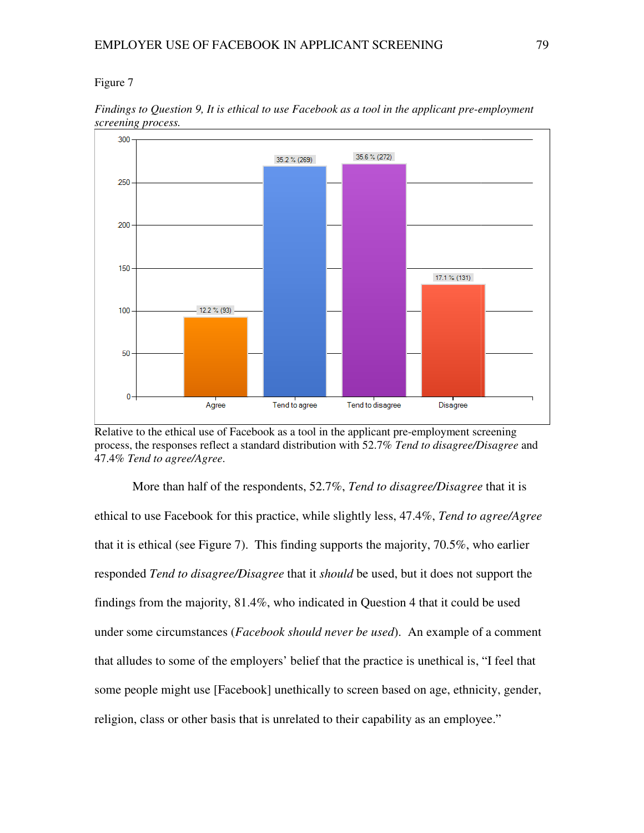

*Findings to Question 9, It is ethical to use Facebook as a tool in the applicant pre-employment screening process.*

More than half of the respondents, 52.7%, *Tend to disagree/Disagree* that it is ethical to use Facebook for this practice, while slightly less, 47.4%, *Tend to agree/Agree* that it is ethical (see Figure 7). This finding supports the majority, 70.5%, who earlier responded *Tend to disagree/Disagree* that it *should* be used, but it does not support the findings from the majority,  $81.4\%$ , who indicated in Question 4 that it could be used under some circumstances (*Facebook should never be used*). An example of a comment that alludes to some of the employers' belief that the practice is unethical is, "I feel that some people might use [Facebook] unethically to screen based on age, ethnicity, gender, religion, class or other basis that is unrelated to their capability as an employee." the employers' belief that the practice is unethical is, "I fe<br>[Facebook] unethically to screen based on age, ethnicity,<br>basis that is unrelated to their capability as an employee." e used, but it does not support the<br>Question 4 that it could be used<br>e used). An example of a comment<br>practice is unethical is, "I feel that<br>een based on age, ethnicity, gender,<br>capability as an employee."

Relative to the ethical use of Facebook as a tool in the applicant pre-employment screening process, the responses reflect a standard distribution with 52.7% Tend to disagree/Disagree and 47.4% *Tend to agree/Agree*.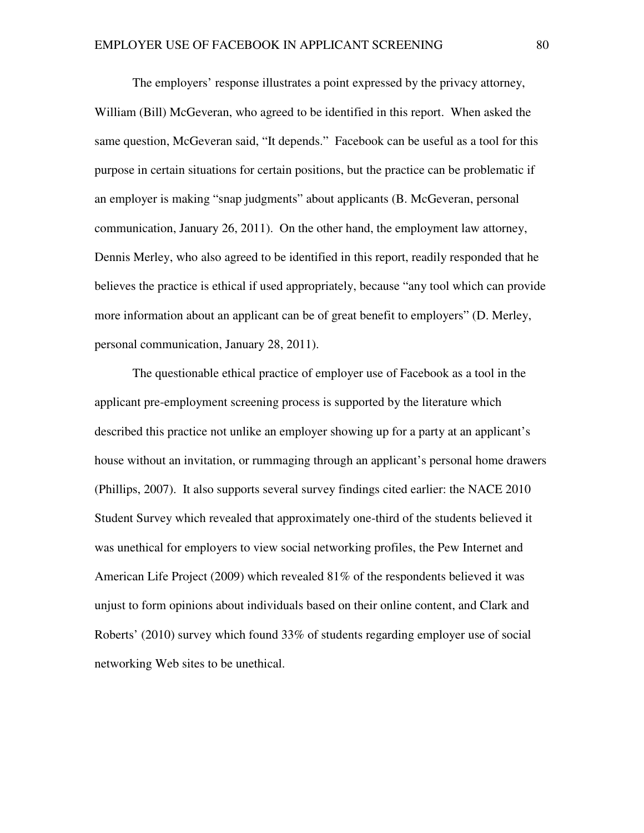The employers' response illustrates a point expressed by the privacy attorney, William (Bill) McGeveran, who agreed to be identified in this report. When asked the same question, McGeveran said, "It depends." Facebook can be useful as a tool for this purpose in certain situations for certain positions, but the practice can be problematic if an employer is making "snap judgments" about applicants (B. McGeveran, personal communication, January 26, 2011). On the other hand, the employment law attorney, Dennis Merley, who also agreed to be identified in this report, readily responded that he believes the practice is ethical if used appropriately, because "any tool which can provide more information about an applicant can be of great benefit to employers" (D. Merley, personal communication, January 28, 2011).

The questionable ethical practice of employer use of Facebook as a tool in the applicant pre-employment screening process is supported by the literature which described this practice not unlike an employer showing up for a party at an applicant's house without an invitation, or rummaging through an applicant's personal home drawers (Phillips, 2007). It also supports several survey findings cited earlier: the NACE 2010 Student Survey which revealed that approximately one-third of the students believed it was unethical for employers to view social networking profiles, the Pew Internet and American Life Project (2009) which revealed 81% of the respondents believed it was unjust to form opinions about individuals based on their online content, and Clark and Roberts' (2010) survey which found 33% of students regarding employer use of social networking Web sites to be unethical.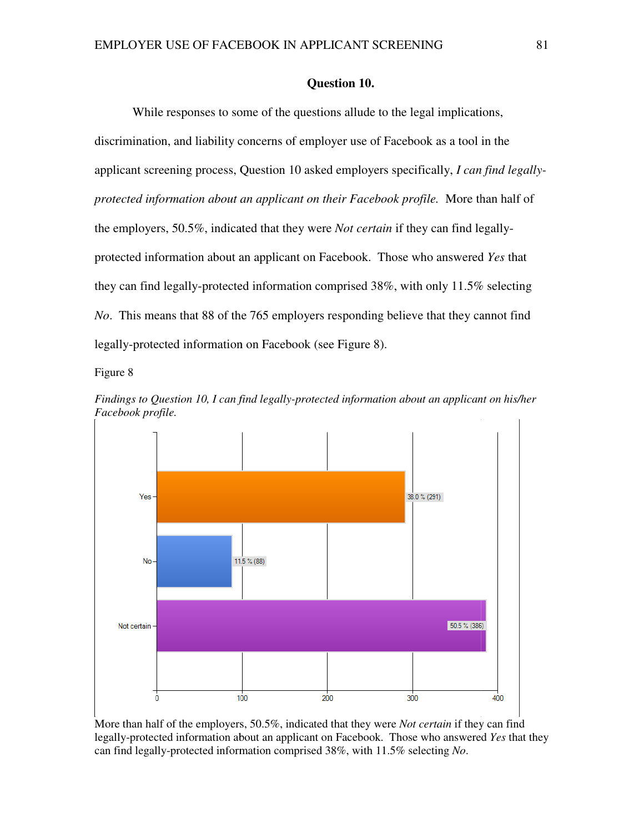# **Question 10.**

While responses to some of the questions allude to the legal implications, While responses to some of the questions allude to the legal implications,<br>discrimination, and liability concerns of employer use of Facebook as a tool in the applicant screening process, Question 10 asked employers specifically, *I can find legally*protected information about an applicant on their Facebook profile. More than half of protected information about an applicant on their Facebook profile. More than ha<br>the employers, 50.5%, indicated that they were *Not certain* if they can find legallyprotected information about an applicant on Facebook. Those who answered *Yes* that they can find legally-protected information comprised  $38\%$ , with only 11.5% selecting *No*. This means that 88 of the 765 employers responding believe that they cannot find legally-protected information on Facebook (see Figure 8).

Figure 8



*Findings to Question 10, I can find legally-protected information about an applicant on his/her Facebook profile.* 

More than half of the employers, 50.5%, indicated that they were *Not certain* if they can find legally-protected information about an applicant on Facebook. Those who answered Yes that they legally-protected information about an applicant on Facebook. Those who answe<br>can find legally-protected information comprised 38%, with 11.5% selecting *No*.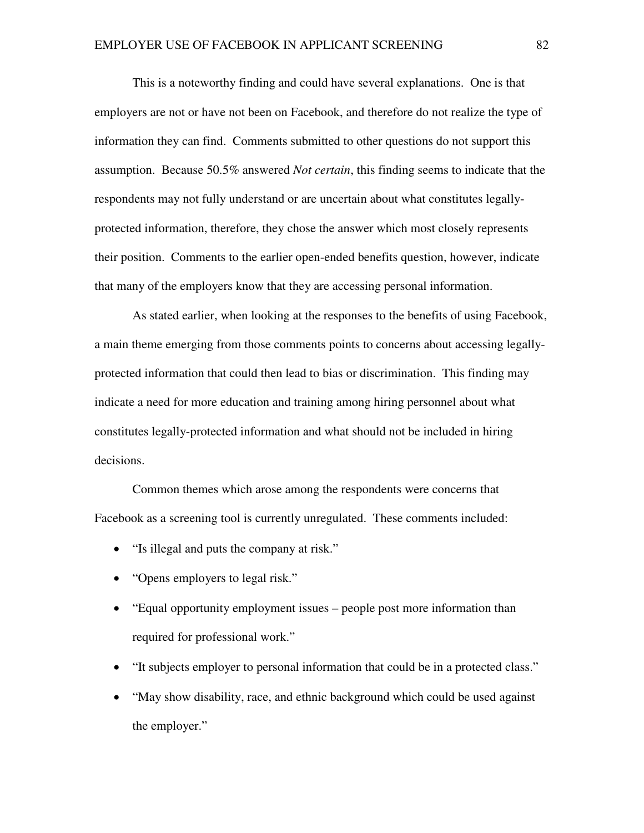This is a noteworthy finding and could have several explanations. One is that employers are not or have not been on Facebook, and therefore do not realize the type of information they can find. Comments submitted to other questions do not support this assumption. Because 50.5% answered *Not certain*, this finding seems to indicate that the respondents may not fully understand or are uncertain about what constitutes legallyprotected information, therefore, they chose the answer which most closely represents their position. Comments to the earlier open-ended benefits question, however, indicate that many of the employers know that they are accessing personal information.

As stated earlier, when looking at the responses to the benefits of using Facebook, a main theme emerging from those comments points to concerns about accessing legallyprotected information that could then lead to bias or discrimination. This finding may indicate a need for more education and training among hiring personnel about what constitutes legally-protected information and what should not be included in hiring decisions.

Common themes which arose among the respondents were concerns that Facebook as a screening tool is currently unregulated. These comments included:

- "Is illegal and puts the company at risk."
- "Opens employers to legal risk."
- "Equal opportunity employment issues people post more information than required for professional work."
- "It subjects employer to personal information that could be in a protected class."
- "May show disability, race, and ethnic background which could be used against the employer."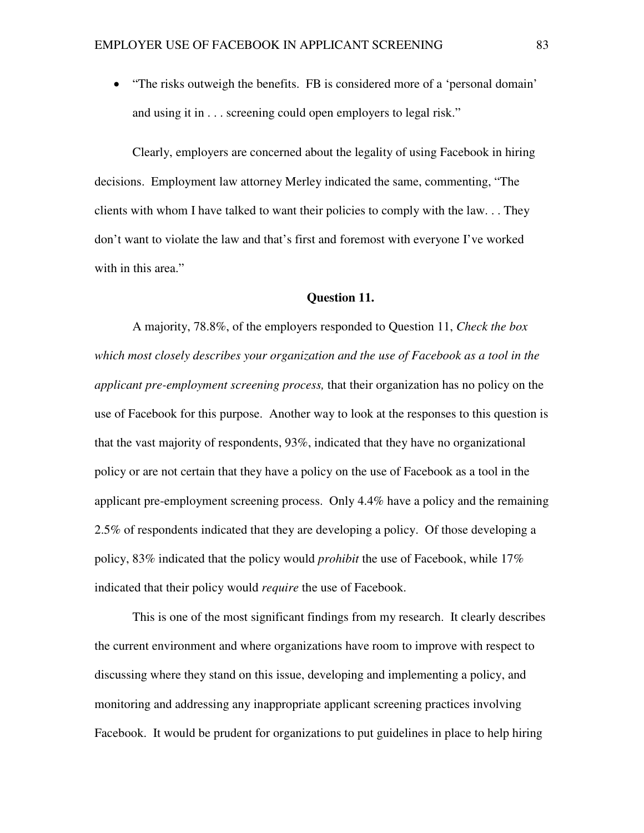• "The risks outweigh the benefits. FB is considered more of a 'personal domain' and using it in . . . screening could open employers to legal risk."

Clearly, employers are concerned about the legality of using Facebook in hiring decisions. Employment law attorney Merley indicated the same, commenting, "The clients with whom I have talked to want their policies to comply with the law. . . They don't want to violate the law and that's first and foremost with everyone I've worked with in this area."

### **Question 11.**

 A majority, 78.8%, of the employers responded to Question 11, *Check the box which most closely describes your organization and the use of Facebook as a tool in the applicant pre-employment screening process,* that their organization has no policy on the use of Facebook for this purpose. Another way to look at the responses to this question is that the vast majority of respondents, 93%, indicated that they have no organizational policy or are not certain that they have a policy on the use of Facebook as a tool in the applicant pre-employment screening process. Only 4.4% have a policy and the remaining 2.5% of respondents indicated that they are developing a policy. Of those developing a policy, 83% indicated that the policy would *prohibit* the use of Facebook, while 17% indicated that their policy would *require* the use of Facebook.

This is one of the most significant findings from my research. It clearly describes the current environment and where organizations have room to improve with respect to discussing where they stand on this issue, developing and implementing a policy, and monitoring and addressing any inappropriate applicant screening practices involving Facebook. It would be prudent for organizations to put guidelines in place to help hiring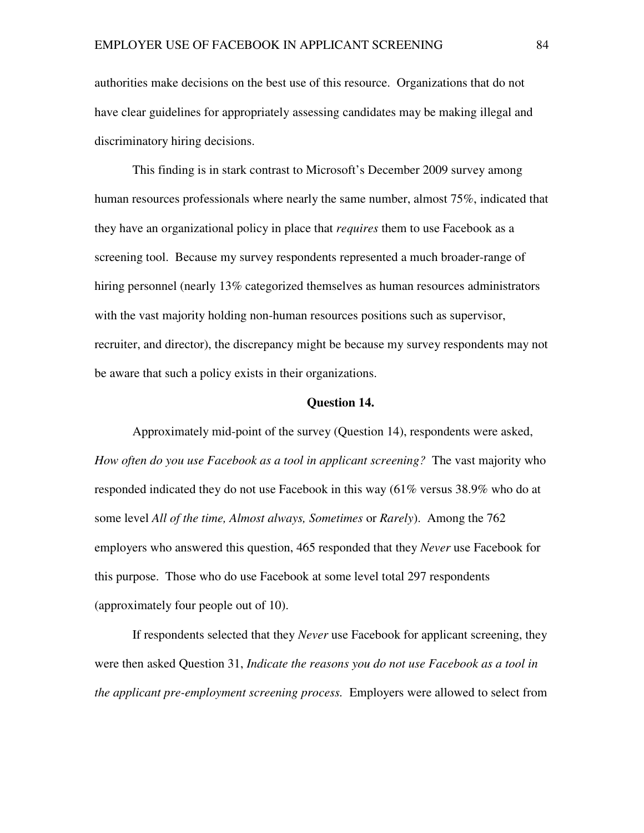authorities make decisions on the best use of this resource. Organizations that do not have clear guidelines for appropriately assessing candidates may be making illegal and discriminatory hiring decisions.

This finding is in stark contrast to Microsoft's December 2009 survey among human resources professionals where nearly the same number, almost 75%, indicated that they have an organizational policy in place that *requires* them to use Facebook as a screening tool. Because my survey respondents represented a much broader-range of hiring personnel (nearly 13% categorized themselves as human resources administrators with the vast majority holding non-human resources positions such as supervisor, recruiter, and director), the discrepancy might be because my survey respondents may not be aware that such a policy exists in their organizations.

#### **Question 14.**

Approximately mid-point of the survey (Question 14), respondents were asked, *How often do you use Facebook as a tool in applicant screening?* The vast majority who responded indicated they do not use Facebook in this way (61% versus 38.9% who do at some level *All of the time, Almost always, Sometimes* or *Rarely*). Among the 762 employers who answered this question, 465 responded that they *Never* use Facebook for this purpose. Those who do use Facebook at some level total 297 respondents (approximately four people out of 10).

If respondents selected that they *Never* use Facebook for applicant screening, they were then asked Question 31, *Indicate the reasons you do not use Facebook as a tool in the applicant pre-employment screening process.* Employers were allowed to select from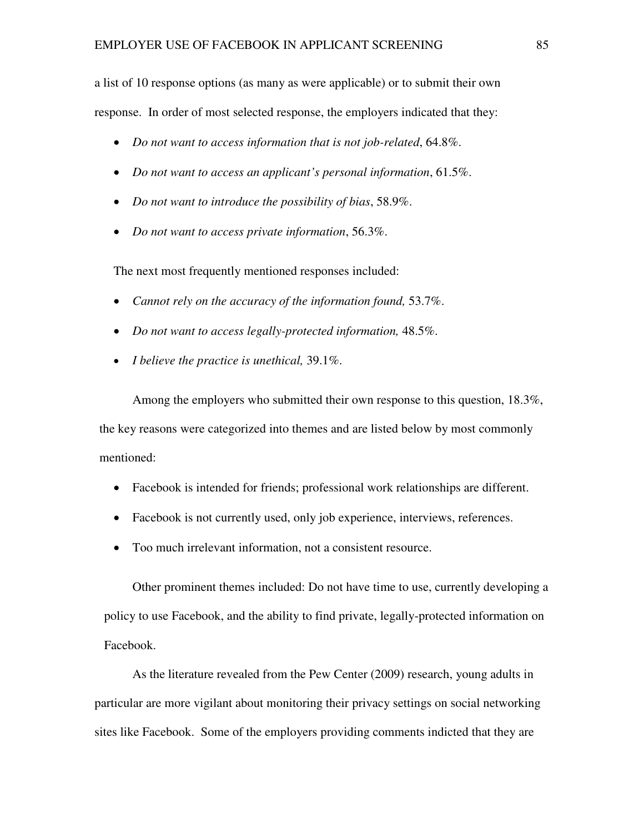a list of 10 response options (as many as were applicable) or to submit their own response. In order of most selected response, the employers indicated that they:

- *Do not want to access information that is not job-related*, 64.8%.
- *Do not want to access an applicant's personal information*, 61.5%.
- *Do not want to introduce the possibility of bias*, 58.9%.
- *Do not want to access private information*, 56.3%.

The next most frequently mentioned responses included:

- *Cannot rely on the accuracy of the information found, 53.7%.*
- *Do not want to access legally-protected information,* 48.5%.
- *I believe the practice is unethical,* 39.1%.

Among the employers who submitted their own response to this question, 18.3%, the key reasons were categorized into themes and are listed below by most commonly mentioned:

- Facebook is intended for friends; professional work relationships are different.
- Facebook is not currently used, only job experience, interviews, references.
- Too much irrelevant information, not a consistent resource.

Other prominent themes included: Do not have time to use, currently developing a policy to use Facebook, and the ability to find private, legally-protected information on Facebook.

 As the literature revealed from the Pew Center (2009) research, young adults in particular are more vigilant about monitoring their privacy settings on social networking sites like Facebook. Some of the employers providing comments indicted that they are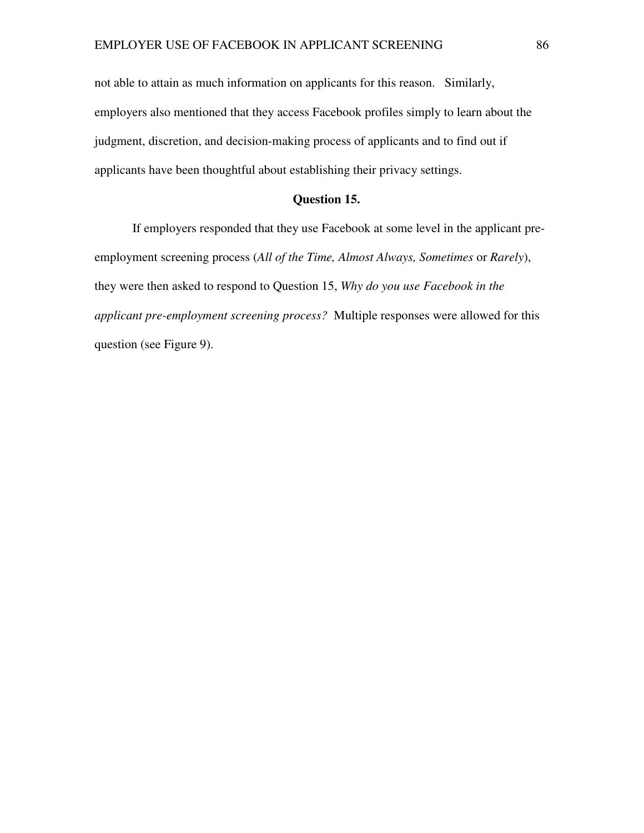not able to attain as much information on applicants for this reason. Similarly, employers also mentioned that they access Facebook profiles simply to learn about the judgment, discretion, and decision-making process of applicants and to find out if applicants have been thoughtful about establishing their privacy settings.

# **Question 15.**

If employers responded that they use Facebook at some level in the applicant preemployment screening process (*All of the Time, Almost Always, Sometimes* or *Rarely*), they were then asked to respond to Question 15, *Why do you use Facebook in the applicant pre-employment screening process?* Multiple responses were allowed for this question (see Figure 9).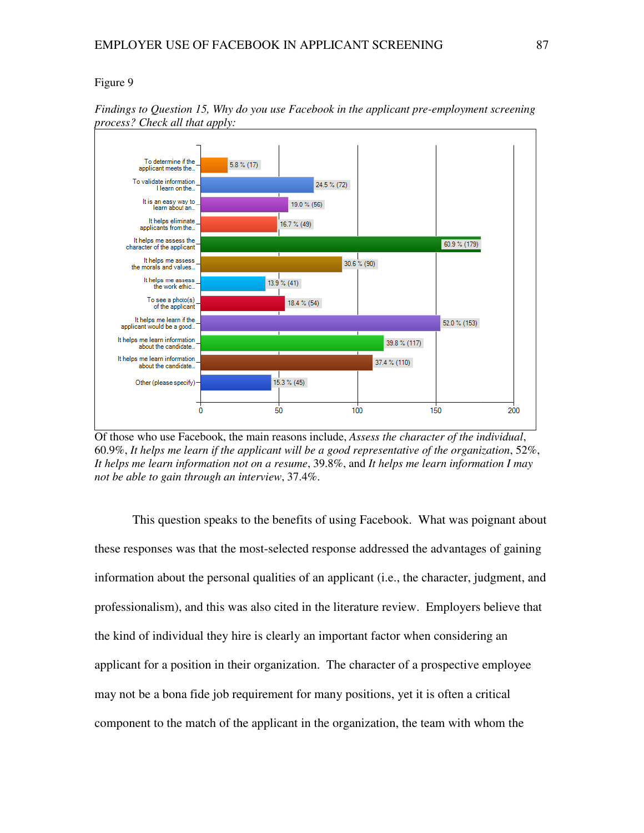

Findings to Question 15, Why do you use Facebook in the applicant pre-employment screening *process? Check all that apply:*

This question speaks to the benefits of using Facebook. What was poignant about these responses was that the most-selected response addressed the advantages of gaining information about the personal qualities of an applicant (i.e., the character, judgment, and professionalism), and this was also cited in the literature review. Employers believe that the kind of individual they hire is clearly an important factor when considering an applicant for a position in their organization. The character of a prospective employee may not be a bona fide job requirement for many positions, yet it is often a critical component to the match of the applicant in the organization, the team with whom the literature review. Employers believe to important factor when considering an<br>a. The character of a prospective employer<br>many positions, yet it is often a critical<br>the organization, the team with whom the

Of those who use Facebook, the main reasons include, Assess the character of the individual 60.9%, It helps me learn if the applicant will be a good representative of the organization, 52%,<br>It helps me learn information not on a resume, 39.8%, and It helps me learn information I may It helps me learn information not on a resume, 39.8%, and It helps me learn *not be able to gain through an interview* , 37.4%.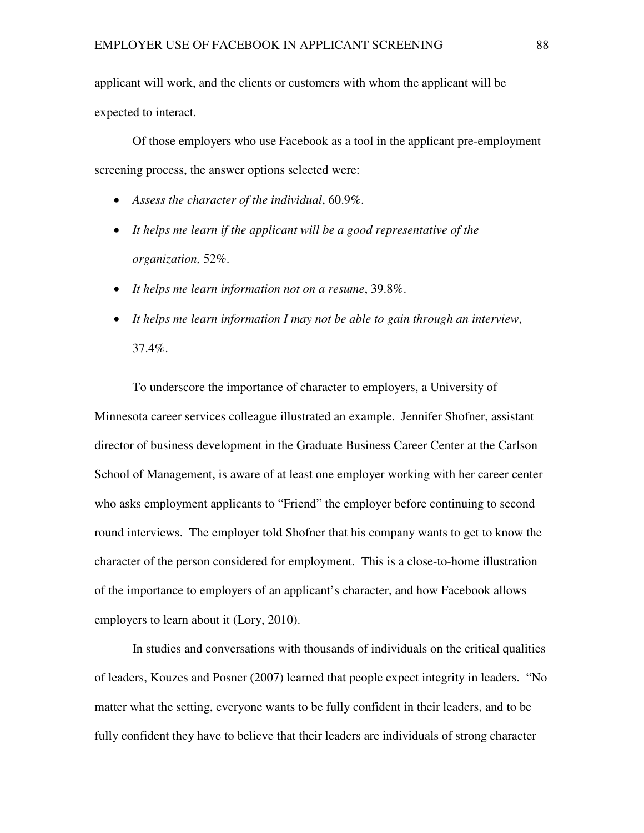applicant will work, and the clients or customers with whom the applicant will be expected to interact.

Of those employers who use Facebook as a tool in the applicant pre-employment screening process, the answer options selected were:

- *Assess the character of the individual*, 60.9%.
- *It helps me learn if the applicant will be a good representative of the organization,* 52%.
- *It helps me learn information not on a resume*, 39.8%.
- *It helps me learn information I may not be able to gain through an interview*, 37.4%.

To underscore the importance of character to employers, a University of Minnesota career services colleague illustrated an example. Jennifer Shofner, assistant director of business development in the Graduate Business Career Center at the Carlson School of Management, is aware of at least one employer working with her career center who asks employment applicants to "Friend" the employer before continuing to second round interviews. The employer told Shofner that his company wants to get to know the character of the person considered for employment. This is a close-to-home illustration of the importance to employers of an applicant's character, and how Facebook allows employers to learn about it (Lory, 2010).

In studies and conversations with thousands of individuals on the critical qualities of leaders, Kouzes and Posner (2007) learned that people expect integrity in leaders. "No matter what the setting, everyone wants to be fully confident in their leaders, and to be fully confident they have to believe that their leaders are individuals of strong character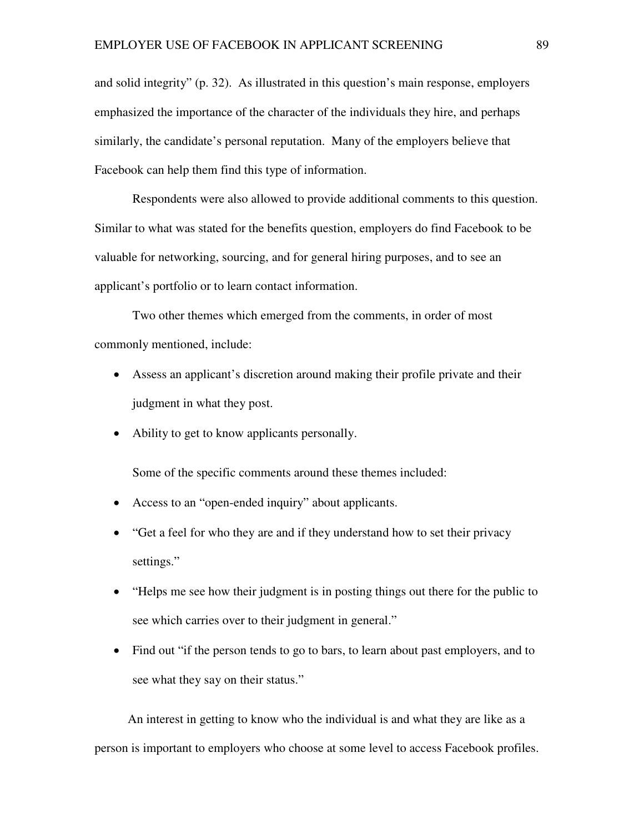and solid integrity" (p. 32). As illustrated in this question's main response, employers emphasized the importance of the character of the individuals they hire, and perhaps similarly, the candidate's personal reputation. Many of the employers believe that Facebook can help them find this type of information.

Respondents were also allowed to provide additional comments to this question. Similar to what was stated for the benefits question, employers do find Facebook to be valuable for networking, sourcing, and for general hiring purposes, and to see an applicant's portfolio or to learn contact information.

Two other themes which emerged from the comments, in order of most commonly mentioned, include:

- Assess an applicant's discretion around making their profile private and their judgment in what they post.
- Ability to get to know applicants personally.

Some of the specific comments around these themes included:

- Access to an "open-ended inquiry" about applicants.
- "Get a feel for who they are and if they understand how to set their privacy settings."
- "Helps me see how their judgment is in posting things out there for the public to see which carries over to their judgment in general."
- Find out "if the person tends to go to bars, to learn about past employers, and to see what they say on their status."

An interest in getting to know who the individual is and what they are like as a person is important to employers who choose at some level to access Facebook profiles.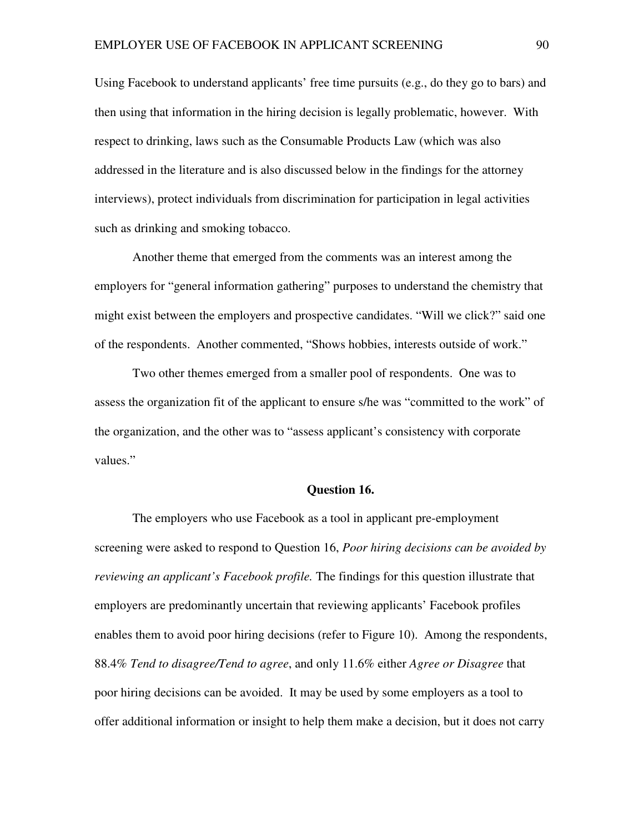Using Facebook to understand applicants' free time pursuits (e.g., do they go to bars) and then using that information in the hiring decision is legally problematic, however. With respect to drinking, laws such as the Consumable Products Law (which was also addressed in the literature and is also discussed below in the findings for the attorney interviews), protect individuals from discrimination for participation in legal activities such as drinking and smoking tobacco.

Another theme that emerged from the comments was an interest among the employers for "general information gathering" purposes to understand the chemistry that might exist between the employers and prospective candidates. "Will we click?" said one of the respondents. Another commented, "Shows hobbies, interests outside of work."

Two other themes emerged from a smaller pool of respondents. One was to assess the organization fit of the applicant to ensure s/he was "committed to the work" of the organization, and the other was to "assess applicant's consistency with corporate values."

### **Question 16.**

The employers who use Facebook as a tool in applicant pre-employment screening were asked to respond to Question 16, *Poor hiring decisions can be avoided by reviewing an applicant's Facebook profile.* The findings for this question illustrate that employers are predominantly uncertain that reviewing applicants' Facebook profiles enables them to avoid poor hiring decisions (refer to Figure 10). Among the respondents, 88.4% *Tend to disagree/Tend to agree*, and only 11.6% either *Agree or Disagree* that poor hiring decisions can be avoided. It may be used by some employers as a tool to offer additional information or insight to help them make a decision, but it does not carry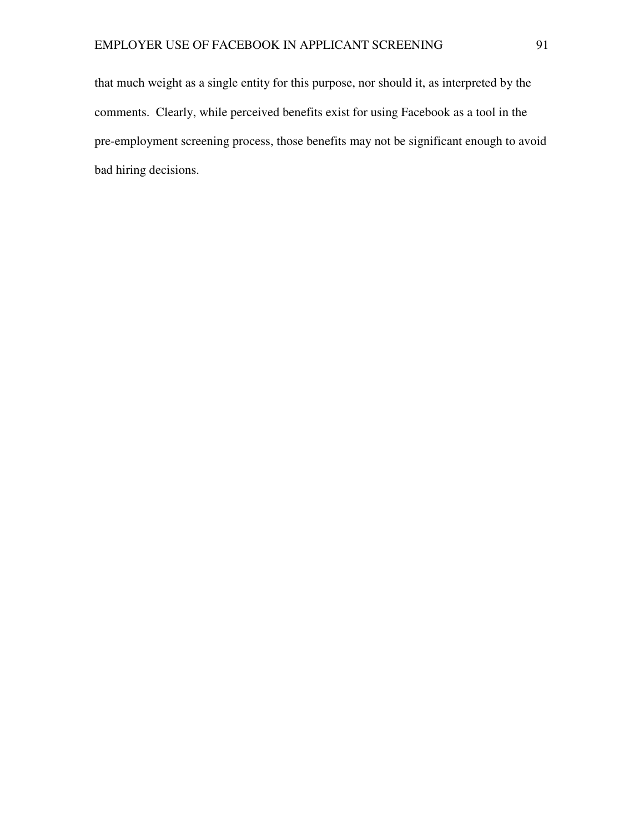that much weight as a single entity for this purpose, nor should it, as interpreted by the comments. Clearly, while perceived benefits exist for using Facebook as a tool in the pre-employment screening process, those benefits may not be significant enough to avoid bad hiring decisions.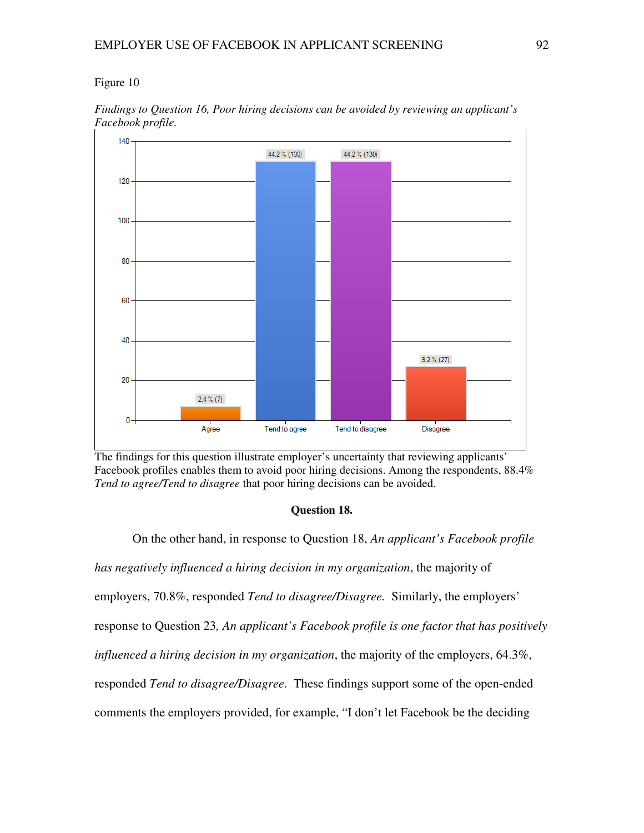

*Findings to Question 16, Poor hiring decisions can be avoided by reviewing an applicant's Facebook profile.* 

# **Question 18.**

On the other hand, in response to Question 18, An applicant's Facebook profile has negatively influenced a hiring decision in my organization, the majority of employers, 70.8%, responded *Tend to disagree/Disagree.* Similarly, the employers' response to Question 23*, An applicant's Facebook profile is one factor that has positively influenced a hiring decision in my organization*, the majority of the employers, 64.3%, responded Tend to disagree/Disagree. These findings support some of the open-ended comments the employers provided, for example, "I don't let Facebook be the deciding

The findings for this question illustrate employer's uncertainty that reviewing applicants' Facebook profiles enables them to avoid poor hiring decisions. Among the respondents, 88.4% *Tend to agree/Tend to disagree* that poor hiring decisions can be avoided.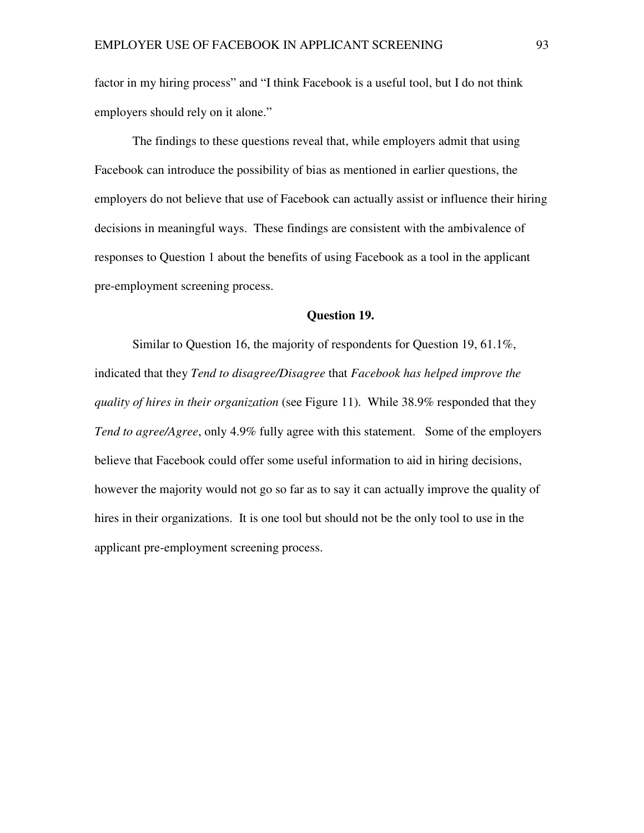factor in my hiring process" and "I think Facebook is a useful tool, but I do not think employers should rely on it alone."

The findings to these questions reveal that, while employers admit that using Facebook can introduce the possibility of bias as mentioned in earlier questions, the employers do not believe that use of Facebook can actually assist or influence their hiring decisions in meaningful ways. These findings are consistent with the ambivalence of responses to Question 1 about the benefits of using Facebook as a tool in the applicant pre-employment screening process.

## **Question 19.**

Similar to Question 16, the majority of respondents for Question 19, 61.1%, indicated that they *Tend to disagree/Disagree* that *Facebook has helped improve the quality of hires in their organization* (see Figure 11). While 38.9% responded that they *Tend to agree/Agree*, only 4.9% fully agree with this statement. Some of the employers believe that Facebook could offer some useful information to aid in hiring decisions, however the majority would not go so far as to say it can actually improve the quality of hires in their organizations. It is one tool but should not be the only tool to use in the applicant pre-employment screening process.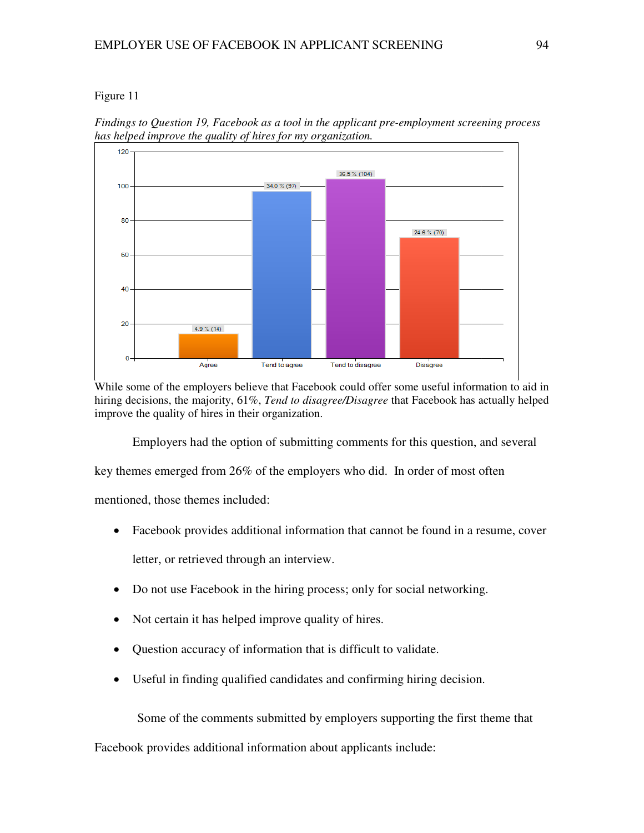

*Findings to Question 19, Facebook as a tool in the applicant pre-employment screening process has helped improve the quality of hires for my organization.* 

While some of the employers believe that Facebook could offer some useful information to aid in hiring decisions, the majority, 61%, *Tend to disagree/Disagree* that Facebook has actually helped hiring decisions, the majority, 61%, Tend to disagree/Disagree that Facebook has actually improve the quality of hires in their organization.

Employers had the option of submitting comments for this question, and several

key themes emerged from 26% of the employers who did. In order of most often

mentioned, those themes included:

• Facebook provides additional information that cannot be found in a resume, cover rder of most often<br>
e found in a resume, cov<br>
ial networking.<br>
idate.<br>
iring decision.<br>
ting the first theme that

letter, or retrieved through an interview.

- Do not use Facebook in the hiring process; only for social networking.
- Not certain it has helped improve quality of hires.
- Question accuracy of information that is difficult to validate.
- Useful in finding qualified candidates and confirming hiring decision.

Some of the comments submitted by employers supporting the first theme

Facebook provides additional information about applicants include: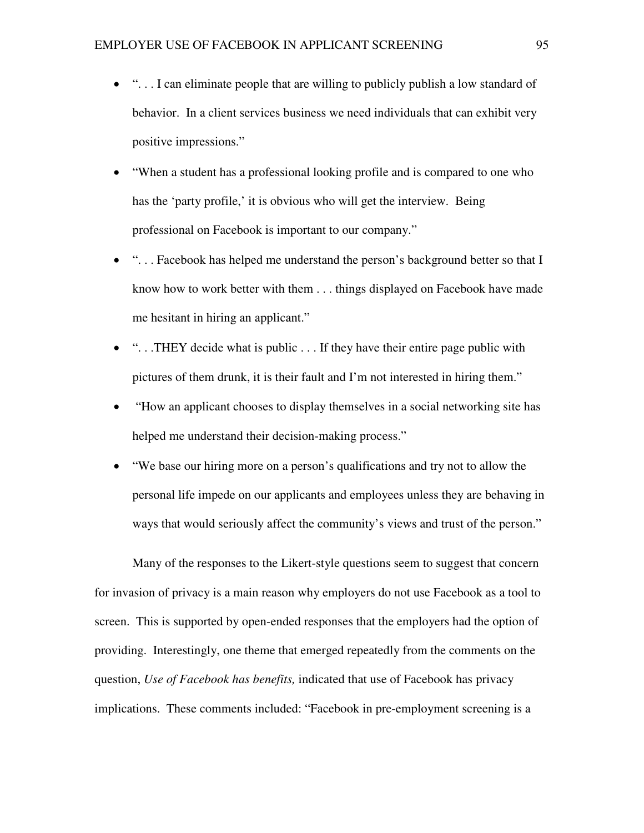- "... I can eliminate people that are willing to publicly publish a low standard of behavior. In a client services business we need individuals that can exhibit very positive impressions."
- "When a student has a professional looking profile and is compared to one who has the 'party profile,' it is obvious who will get the interview. Being professional on Facebook is important to our company."
- "... Facebook has helped me understand the person's background better so that I know how to work better with them . . . things displayed on Facebook have made me hesitant in hiring an applicant."
- ". . .THEY decide what is public . . . If they have their entire page public with pictures of them drunk, it is their fault and I'm not interested in hiring them."
- "How an applicant chooses to display themselves in a social networking site has helped me understand their decision-making process."
- "We base our hiring more on a person's qualifications and try not to allow the personal life impede on our applicants and employees unless they are behaving in ways that would seriously affect the community's views and trust of the person."

Many of the responses to the Likert-style questions seem to suggest that concern for invasion of privacy is a main reason why employers do not use Facebook as a tool to screen. This is supported by open-ended responses that the employers had the option of providing. Interestingly, one theme that emerged repeatedly from the comments on the question, *Use of Facebook has benefits,* indicated that use of Facebook has privacy implications. These comments included: "Facebook in pre-employment screening is a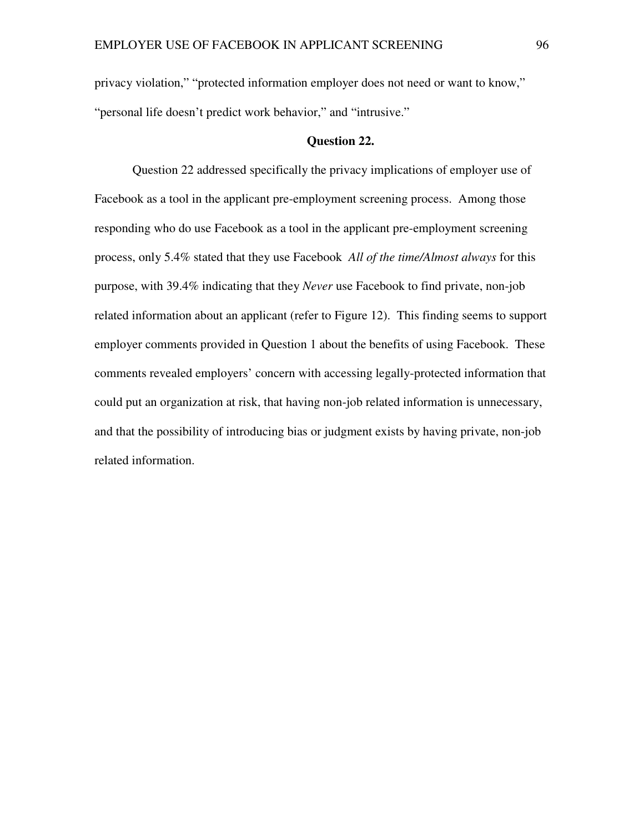privacy violation," "protected information employer does not need or want to know," "personal life doesn't predict work behavior," and "intrusive."

## **Question 22.**

Question 22 addressed specifically the privacy implications of employer use of Facebook as a tool in the applicant pre-employment screening process. Among those responding who do use Facebook as a tool in the applicant pre-employment screening process, only 5.4% stated that they use Facebook *All of the time/Almost always* for this purpose, with 39.4% indicating that they *Never* use Facebook to find private, non-job related information about an applicant (refer to Figure 12). This finding seems to support employer comments provided in Question 1 about the benefits of using Facebook. These comments revealed employers' concern with accessing legally-protected information that could put an organization at risk, that having non-job related information is unnecessary, and that the possibility of introducing bias or judgment exists by having private, non-job related information.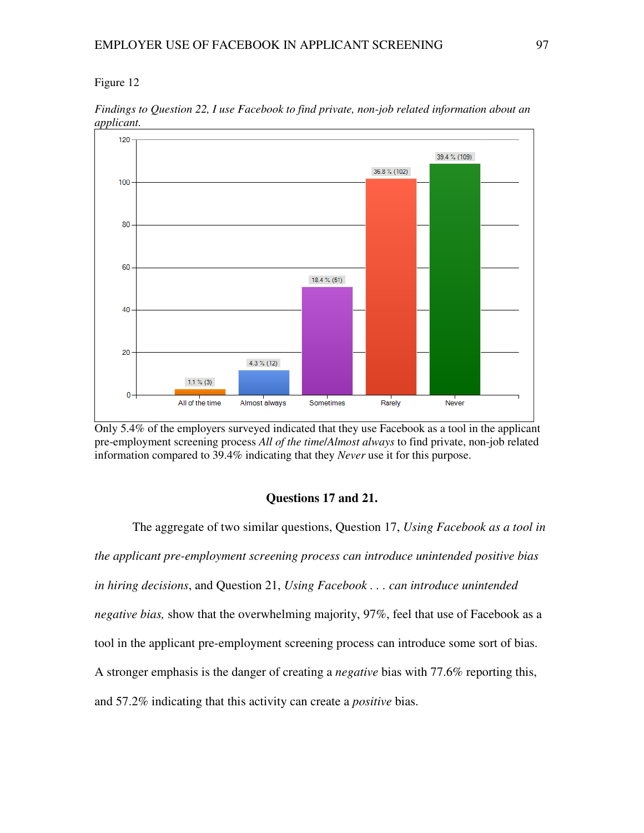

*Findings to Question 22, I use Facebook to find private, non-job related information about an applicant.* 

Only 5.4% of the employers surveyed indicated that they use Facebook as a tool in the applicant pre-employment screening process *All of the time/Almost always* to find private, non-job related information compared to 39.4% indicating that they *Never* use it for this purpose.

# **Questions 17 and 21.**

The aggregate of two similar questions, Question 17, *Using Facebook as a tool in the applicant pre-employment screening process can introduce unintended positive bias* in hiring decisions, and Question 21, Using Facebook . . . can introduce unintended negative bias, show that the overwhelming majority, 97%, feel that use of Facebook as a tool in the applicant pre-employment screening process can introduce some sort of bias. A stronger emphasis is the danger of creating a *negative* bias with 77.6% reporting this, and 57.2% indicating that this activity can create a *positive* bias.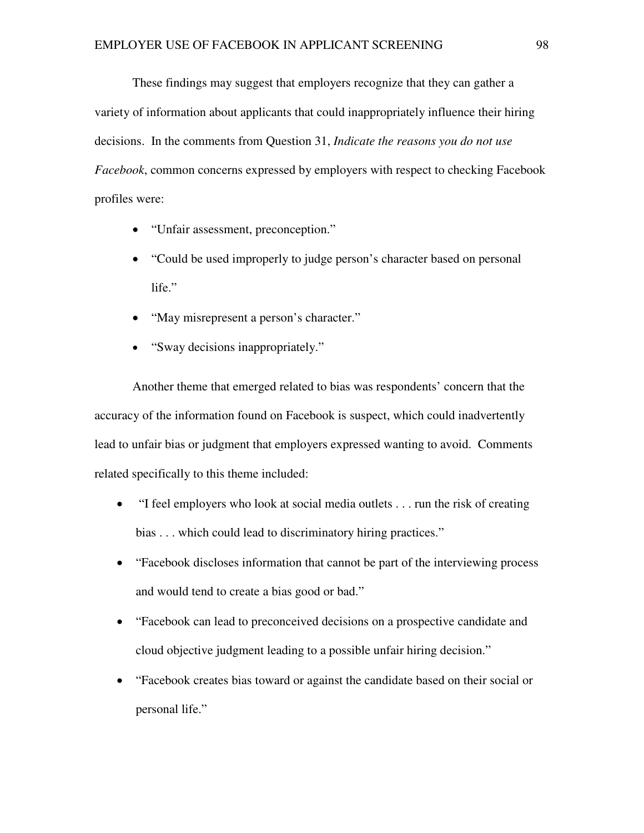These findings may suggest that employers recognize that they can gather a variety of information about applicants that could inappropriately influence their hiring decisions. In the comments from Question 31, *Indicate the reasons you do not use Facebook*, common concerns expressed by employers with respect to checking Facebook profiles were:

- "Unfair assessment, preconception."
- "Could be used improperly to judge person's character based on personal life."
- "May misrepresent a person's character."
- "Sway decisions inappropriately."

Another theme that emerged related to bias was respondents' concern that the accuracy of the information found on Facebook is suspect, which could inadvertently lead to unfair bias or judgment that employers expressed wanting to avoid. Comments related specifically to this theme included:

- "I feel employers who look at social media outlets . . . run the risk of creating bias . . . which could lead to discriminatory hiring practices."
- "Facebook discloses information that cannot be part of the interviewing process and would tend to create a bias good or bad."
- "Facebook can lead to preconceived decisions on a prospective candidate and cloud objective judgment leading to a possible unfair hiring decision."
- "Facebook creates bias toward or against the candidate based on their social or personal life."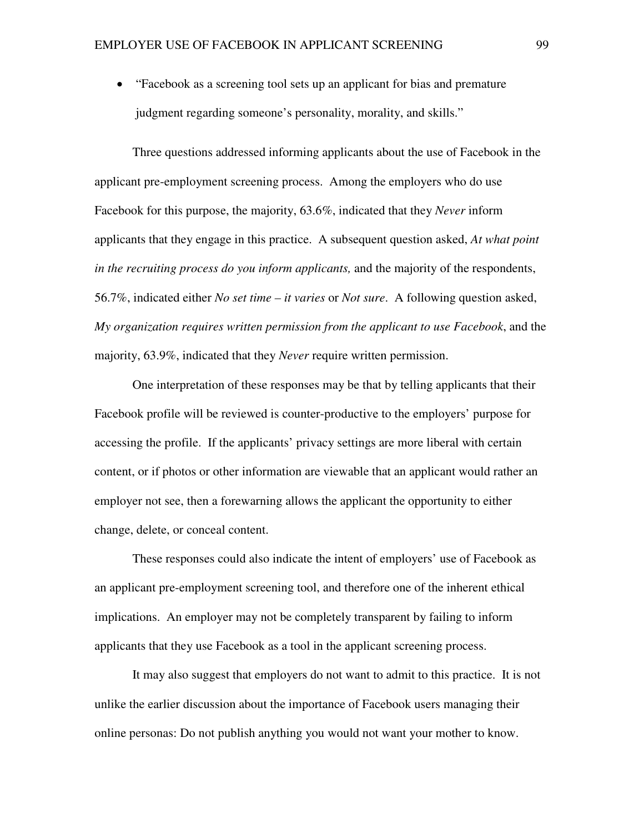• "Facebook as a screening tool sets up an applicant for bias and premature judgment regarding someone's personality, morality, and skills."

Three questions addressed informing applicants about the use of Facebook in the applicant pre-employment screening process. Among the employers who do use Facebook for this purpose, the majority, 63.6%, indicated that they *Never* inform applicants that they engage in this practice. A subsequent question asked, *At what point in the recruiting process do you inform applicants,* and the majority of the respondents, 56.7%, indicated either *No set time – it varies* or *Not sure*. A following question asked, *My organization requires written permission from the applicant to use Facebook*, and the majority, 63.9%, indicated that they *Never* require written permission.

One interpretation of these responses may be that by telling applicants that their Facebook profile will be reviewed is counter-productive to the employers' purpose for accessing the profile. If the applicants' privacy settings are more liberal with certain content, or if photos or other information are viewable that an applicant would rather an employer not see, then a forewarning allows the applicant the opportunity to either change, delete, or conceal content.

These responses could also indicate the intent of employers' use of Facebook as an applicant pre-employment screening tool, and therefore one of the inherent ethical implications. An employer may not be completely transparent by failing to inform applicants that they use Facebook as a tool in the applicant screening process.

It may also suggest that employers do not want to admit to this practice. It is not unlike the earlier discussion about the importance of Facebook users managing their online personas: Do not publish anything you would not want your mother to know.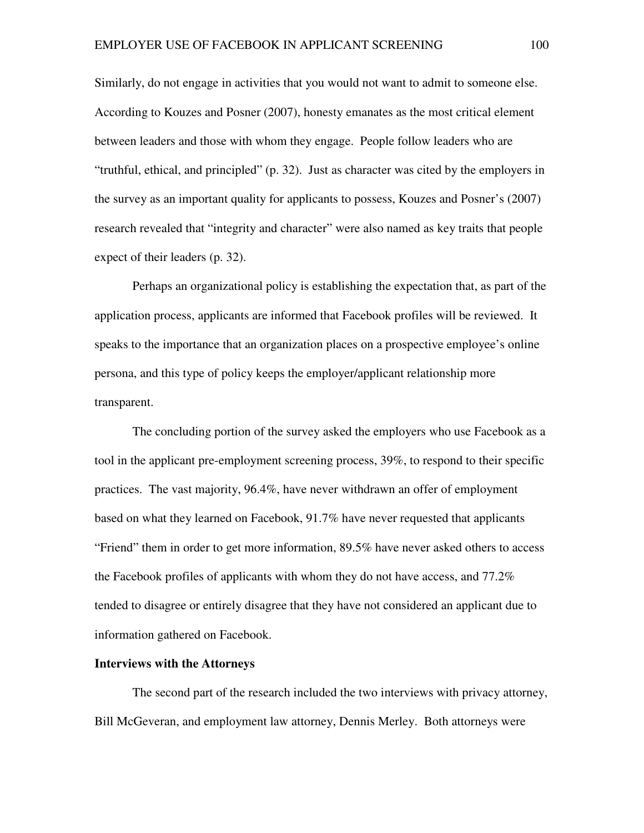Similarly, do not engage in activities that you would not want to admit to someone else. According to Kouzes and Posner (2007), honesty emanates as the most critical element between leaders and those with whom they engage. People follow leaders who are "truthful, ethical, and principled" (p. 32). Just as character was cited by the employers in the survey as an important quality for applicants to possess, Kouzes and Posner's (2007) research revealed that "integrity and character" were also named as key traits that people expect of their leaders (p. 32).

Perhaps an organizational policy is establishing the expectation that, as part of the application process, applicants are informed that Facebook profiles will be reviewed. It speaks to the importance that an organization places on a prospective employee's online persona, and this type of policy keeps the employer/applicant relationship more transparent.

The concluding portion of the survey asked the employers who use Facebook as a tool in the applicant pre-employment screening process, 39%, to respond to their specific practices. The vast majority, 96.4%, have never withdrawn an offer of employment based on what they learned on Facebook, 91.7% have never requested that applicants "Friend" them in order to get more information, 89.5% have never asked others to access the Facebook profiles of applicants with whom they do not have access, and 77.2% tended to disagree or entirely disagree that they have not considered an applicant due to information gathered on Facebook.

#### **Interviews with the Attorneys**

 The second part of the research included the two interviews with privacy attorney, Bill McGeveran, and employment law attorney, Dennis Merley. Both attorneys were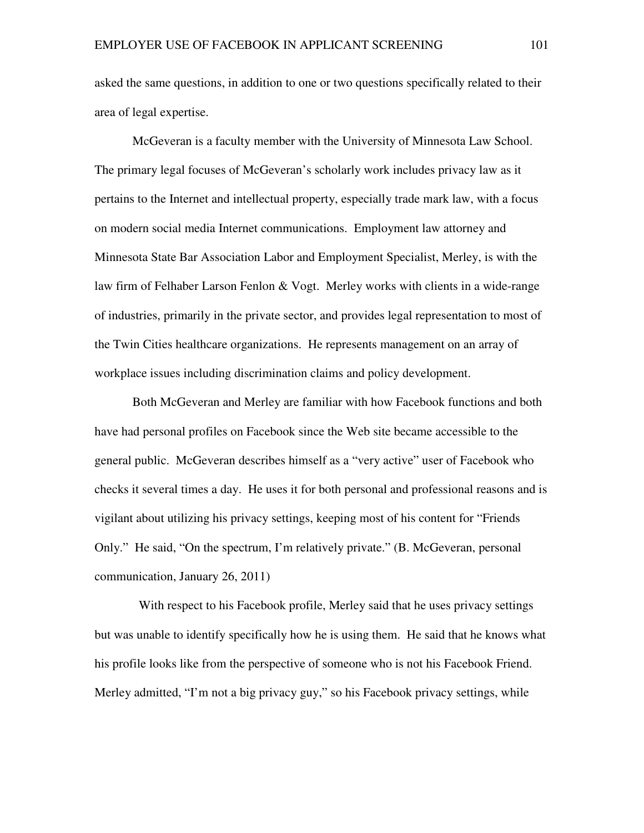asked the same questions, in addition to one or two questions specifically related to their area of legal expertise.

McGeveran is a faculty member with the University of Minnesota Law School. The primary legal focuses of McGeveran's scholarly work includes privacy law as it pertains to the Internet and intellectual property, especially trade mark law, with a focus on modern social media Internet communications. Employment law attorney and Minnesota State Bar Association Labor and Employment Specialist, Merley, is with the law firm of Felhaber Larson Fenlon & Vogt. Merley works with clients in a wide-range of industries, primarily in the private sector, and provides legal representation to most of the Twin Cities healthcare organizations. He represents management on an array of workplace issues including discrimination claims and policy development.

Both McGeveran and Merley are familiar with how Facebook functions and both have had personal profiles on Facebook since the Web site became accessible to the general public. McGeveran describes himself as a "very active" user of Facebook who checks it several times a day. He uses it for both personal and professional reasons and is vigilant about utilizing his privacy settings, keeping most of his content for "Friends Only." He said, "On the spectrum, I'm relatively private." (B. McGeveran, personal communication, January 26, 2011)

 With respect to his Facebook profile, Merley said that he uses privacy settings but was unable to identify specifically how he is using them. He said that he knows what his profile looks like from the perspective of someone who is not his Facebook Friend. Merley admitted, "I'm not a big privacy guy," so his Facebook privacy settings, while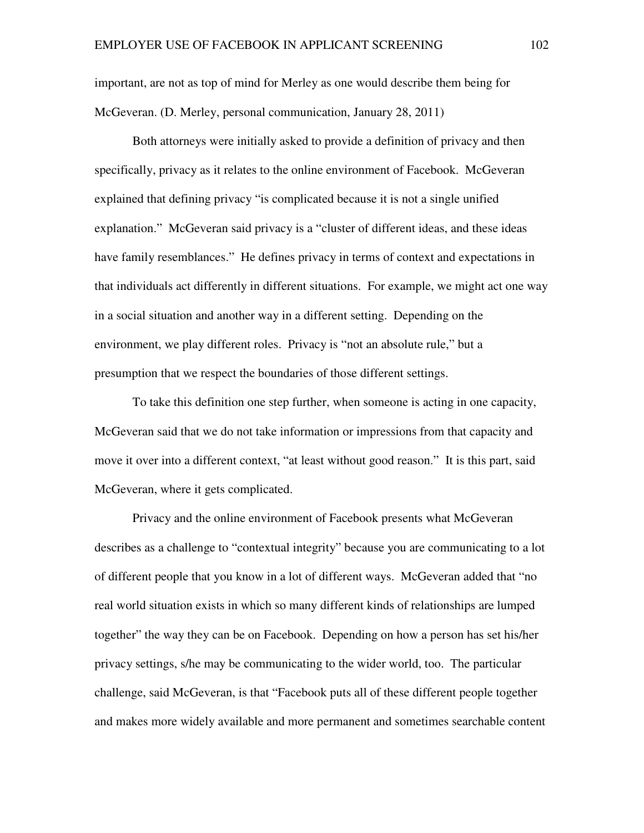important, are not as top of mind for Merley as one would describe them being for McGeveran. (D. Merley, personal communication, January 28, 2011)

Both attorneys were initially asked to provide a definition of privacy and then specifically, privacy as it relates to the online environment of Facebook. McGeveran explained that defining privacy "is complicated because it is not a single unified explanation." McGeveran said privacy is a "cluster of different ideas, and these ideas have family resemblances." He defines privacy in terms of context and expectations in that individuals act differently in different situations. For example, we might act one way in a social situation and another way in a different setting. Depending on the environment, we play different roles. Privacy is "not an absolute rule," but a presumption that we respect the boundaries of those different settings.

To take this definition one step further, when someone is acting in one capacity, McGeveran said that we do not take information or impressions from that capacity and move it over into a different context, "at least without good reason." It is this part, said McGeveran, where it gets complicated.

Privacy and the online environment of Facebook presents what McGeveran describes as a challenge to "contextual integrity" because you are communicating to a lot of different people that you know in a lot of different ways. McGeveran added that "no real world situation exists in which so many different kinds of relationships are lumped together" the way they can be on Facebook. Depending on how a person has set his/her privacy settings, s/he may be communicating to the wider world, too. The particular challenge, said McGeveran, is that "Facebook puts all of these different people together and makes more widely available and more permanent and sometimes searchable content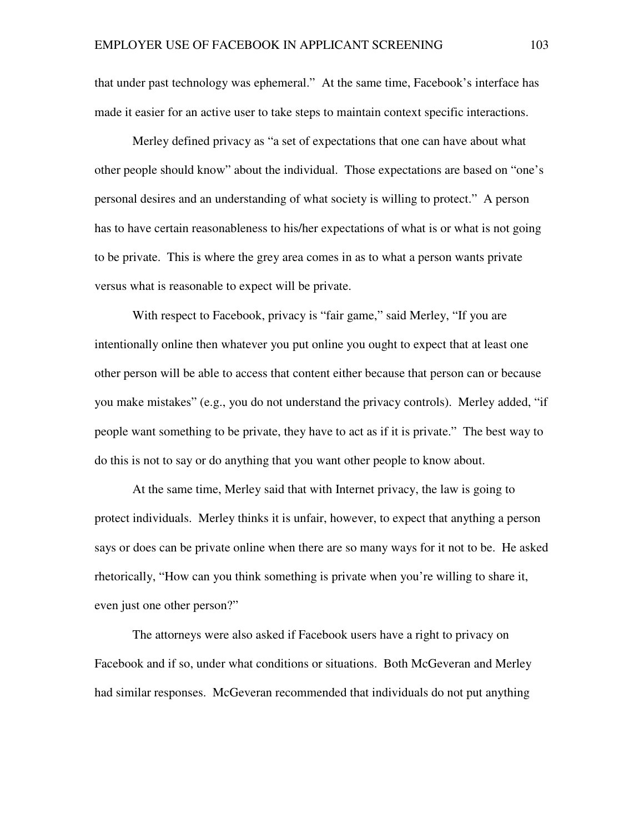that under past technology was ephemeral." At the same time, Facebook's interface has made it easier for an active user to take steps to maintain context specific interactions.

Merley defined privacy as "a set of expectations that one can have about what other people should know" about the individual. Those expectations are based on "one's personal desires and an understanding of what society is willing to protect." A person has to have certain reasonableness to his/her expectations of what is or what is not going to be private. This is where the grey area comes in as to what a person wants private versus what is reasonable to expect will be private.

With respect to Facebook, privacy is "fair game," said Merley, "If you are intentionally online then whatever you put online you ought to expect that at least one other person will be able to access that content either because that person can or because you make mistakes" (e.g., you do not understand the privacy controls). Merley added, "if people want something to be private, they have to act as if it is private." The best way to do this is not to say or do anything that you want other people to know about.

At the same time, Merley said that with Internet privacy, the law is going to protect individuals. Merley thinks it is unfair, however, to expect that anything a person says or does can be private online when there are so many ways for it not to be. He asked rhetorically, "How can you think something is private when you're willing to share it, even just one other person?"

The attorneys were also asked if Facebook users have a right to privacy on Facebook and if so, under what conditions or situations. Both McGeveran and Merley had similar responses. McGeveran recommended that individuals do not put anything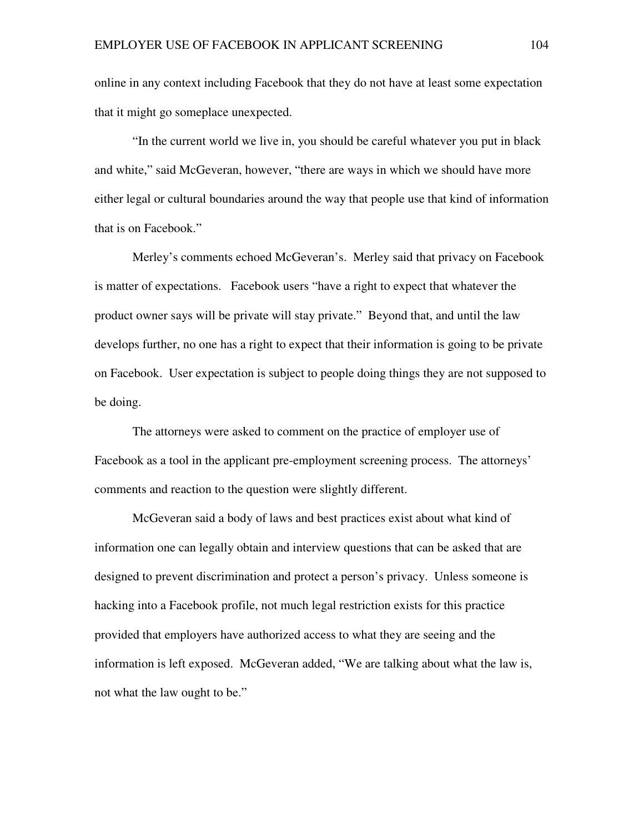online in any context including Facebook that they do not have at least some expectation that it might go someplace unexpected.

"In the current world we live in, you should be careful whatever you put in black and white," said McGeveran, however, "there are ways in which we should have more either legal or cultural boundaries around the way that people use that kind of information that is on Facebook."

Merley's comments echoed McGeveran's. Merley said that privacy on Facebook is matter of expectations. Facebook users "have a right to expect that whatever the product owner says will be private will stay private." Beyond that, and until the law develops further, no one has a right to expect that their information is going to be private on Facebook. User expectation is subject to people doing things they are not supposed to be doing.

The attorneys were asked to comment on the practice of employer use of Facebook as a tool in the applicant pre-employment screening process. The attorneys' comments and reaction to the question were slightly different.

McGeveran said a body of laws and best practices exist about what kind of information one can legally obtain and interview questions that can be asked that are designed to prevent discrimination and protect a person's privacy. Unless someone is hacking into a Facebook profile, not much legal restriction exists for this practice provided that employers have authorized access to what they are seeing and the information is left exposed. McGeveran added, "We are talking about what the law is, not what the law ought to be."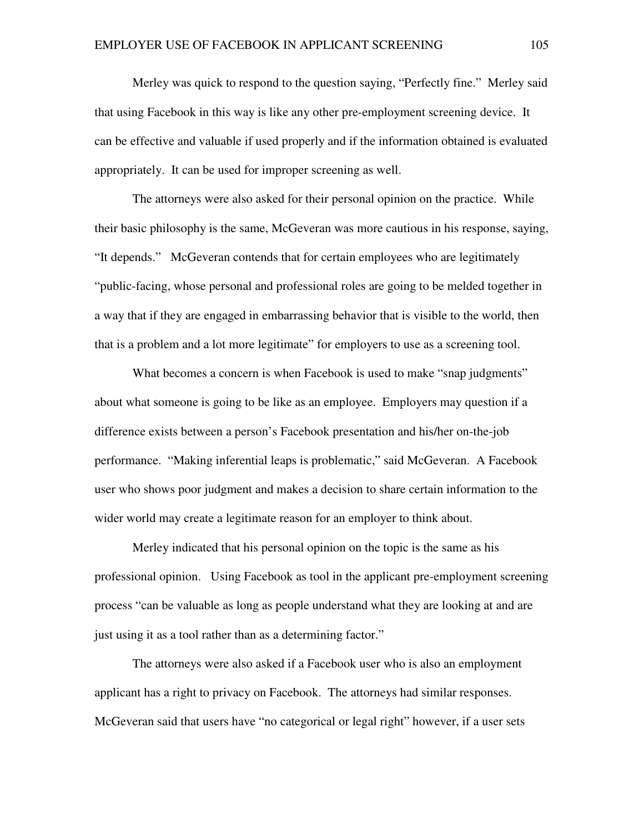Merley was quick to respond to the question saying, "Perfectly fine." Merley said that using Facebook in this way is like any other pre-employment screening device. It can be effective and valuable if used properly and if the information obtained is evaluated appropriately. It can be used for improper screening as well.

 The attorneys were also asked for their personal opinion on the practice. While their basic philosophy is the same, McGeveran was more cautious in his response, saying, "It depends." McGeveran contends that for certain employees who are legitimately "public-facing, whose personal and professional roles are going to be melded together in a way that if they are engaged in embarrassing behavior that is visible to the world, then that is a problem and a lot more legitimate" for employers to use as a screening tool.

What becomes a concern is when Facebook is used to make "snap judgments" about what someone is going to be like as an employee. Employers may question if a difference exists between a person's Facebook presentation and his/her on-the-job performance. "Making inferential leaps is problematic," said McGeveran. A Facebook user who shows poor judgment and makes a decision to share certain information to the wider world may create a legitimate reason for an employer to think about.

Merley indicated that his personal opinion on the topic is the same as his professional opinion. Using Facebook as tool in the applicant pre-employment screening process "can be valuable as long as people understand what they are looking at and are just using it as a tool rather than as a determining factor."

The attorneys were also asked if a Facebook user who is also an employment applicant has a right to privacy on Facebook. The attorneys had similar responses. McGeveran said that users have "no categorical or legal right" however, if a user sets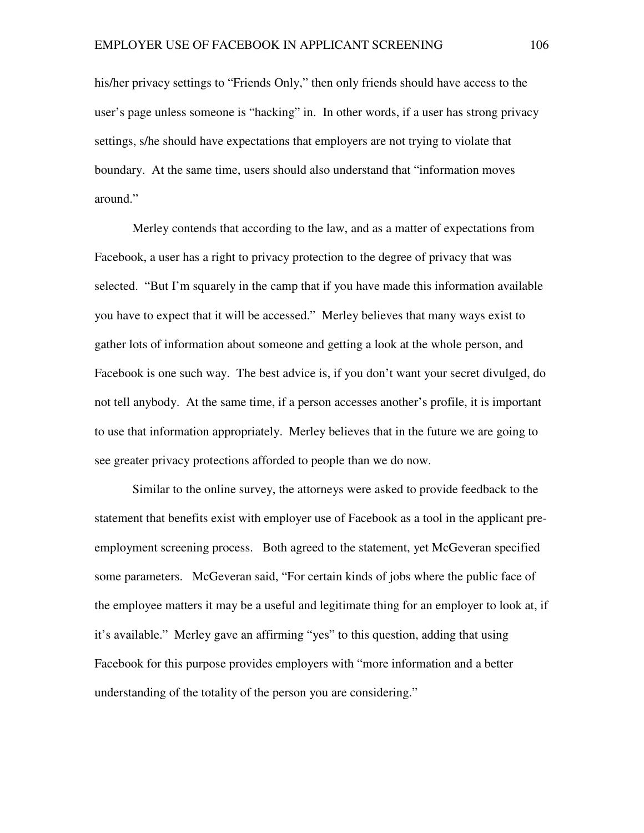his/her privacy settings to "Friends Only," then only friends should have access to the user's page unless someone is "hacking" in. In other words, if a user has strong privacy settings, s/he should have expectations that employers are not trying to violate that boundary. At the same time, users should also understand that "information moves around."

Merley contends that according to the law, and as a matter of expectations from Facebook, a user has a right to privacy protection to the degree of privacy that was selected. "But I'm squarely in the camp that if you have made this information available you have to expect that it will be accessed." Merley believes that many ways exist to gather lots of information about someone and getting a look at the whole person, and Facebook is one such way. The best advice is, if you don't want your secret divulged, do not tell anybody. At the same time, if a person accesses another's profile, it is important to use that information appropriately. Merley believes that in the future we are going to see greater privacy protections afforded to people than we do now.

 Similar to the online survey, the attorneys were asked to provide feedback to the statement that benefits exist with employer use of Facebook as a tool in the applicant preemployment screening process. Both agreed to the statement, yet McGeveran specified some parameters. McGeveran said, "For certain kinds of jobs where the public face of the employee matters it may be a useful and legitimate thing for an employer to look at, if it's available." Merley gave an affirming "yes" to this question, adding that using Facebook for this purpose provides employers with "more information and a better understanding of the totality of the person you are considering."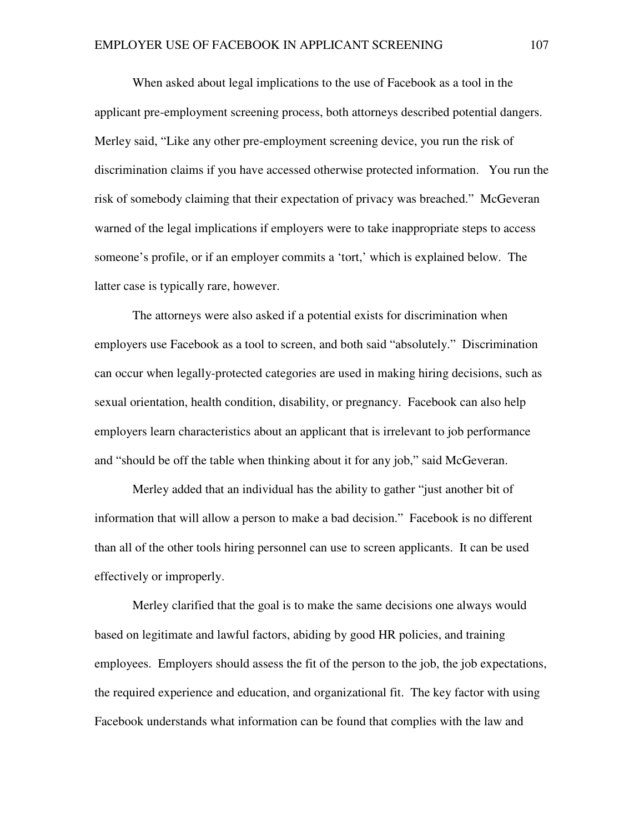When asked about legal implications to the use of Facebook as a tool in the applicant pre-employment screening process, both attorneys described potential dangers. Merley said, "Like any other pre-employment screening device, you run the risk of discrimination claims if you have accessed otherwise protected information. You run the risk of somebody claiming that their expectation of privacy was breached." McGeveran warned of the legal implications if employers were to take inappropriate steps to access someone's profile, or if an employer commits a 'tort,' which is explained below. The latter case is typically rare, however.

The attorneys were also asked if a potential exists for discrimination when employers use Facebook as a tool to screen, and both said "absolutely." Discrimination can occur when legally-protected categories are used in making hiring decisions, such as sexual orientation, health condition, disability, or pregnancy. Facebook can also help employers learn characteristics about an applicant that is irrelevant to job performance and "should be off the table when thinking about it for any job," said McGeveran.

Merley added that an individual has the ability to gather "just another bit of information that will allow a person to make a bad decision." Facebook is no different than all of the other tools hiring personnel can use to screen applicants. It can be used effectively or improperly.

Merley clarified that the goal is to make the same decisions one always would based on legitimate and lawful factors, abiding by good HR policies, and training employees. Employers should assess the fit of the person to the job, the job expectations, the required experience and education, and organizational fit. The key factor with using Facebook understands what information can be found that complies with the law and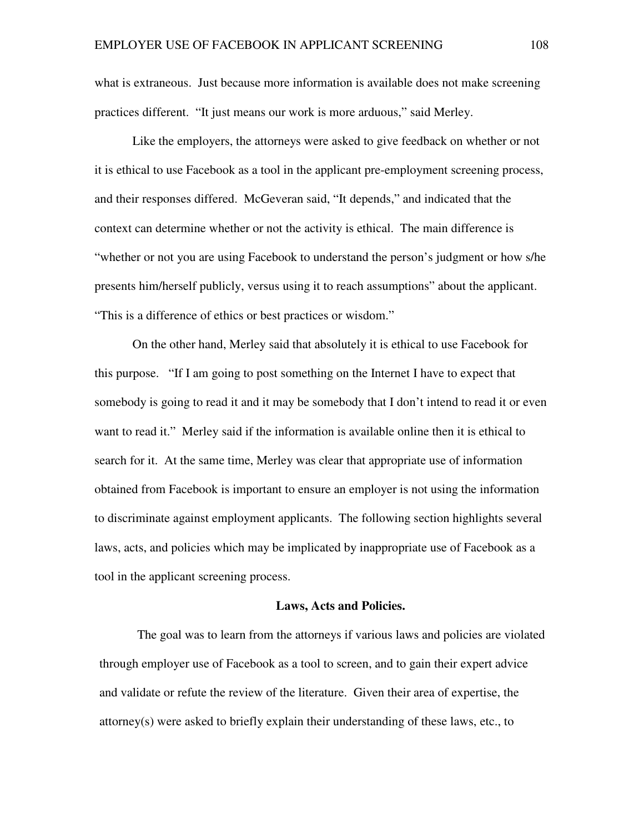what is extraneous. Just because more information is available does not make screening practices different. "It just means our work is more arduous," said Merley.

Like the employers, the attorneys were asked to give feedback on whether or not it is ethical to use Facebook as a tool in the applicant pre-employment screening process, and their responses differed. McGeveran said, "It depends," and indicated that the context can determine whether or not the activity is ethical. The main difference is "whether or not you are using Facebook to understand the person's judgment or how s/he presents him/herself publicly, versus using it to reach assumptions" about the applicant. "This is a difference of ethics or best practices or wisdom."

 On the other hand, Merley said that absolutely it is ethical to use Facebook for this purpose. "If I am going to post something on the Internet I have to expect that somebody is going to read it and it may be somebody that I don't intend to read it or even want to read it." Merley said if the information is available online then it is ethical to search for it. At the same time, Merley was clear that appropriate use of information obtained from Facebook is important to ensure an employer is not using the information to discriminate against employment applicants. The following section highlights several laws, acts, and policies which may be implicated by inappropriate use of Facebook as a tool in the applicant screening process.

#### **Laws, Acts and Policies.**

The goal was to learn from the attorneys if various laws and policies are violated through employer use of Facebook as a tool to screen, and to gain their expert advice and validate or refute the review of the literature. Given their area of expertise, the attorney(s) were asked to briefly explain their understanding of these laws, etc., to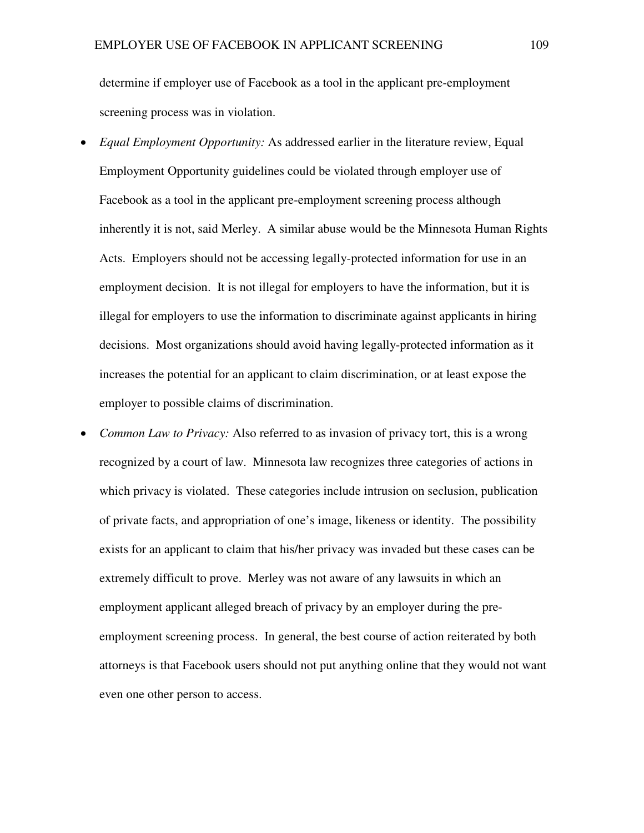determine if employer use of Facebook as a tool in the applicant pre-employment screening process was in violation.

- *Equal Employment Opportunity:* As addressed earlier in the literature review, Equal Employment Opportunity guidelines could be violated through employer use of Facebook as a tool in the applicant pre-employment screening process although inherently it is not, said Merley. A similar abuse would be the Minnesota Human Rights Acts. Employers should not be accessing legally-protected information for use in an employment decision. It is not illegal for employers to have the information, but it is illegal for employers to use the information to discriminate against applicants in hiring decisions. Most organizations should avoid having legally-protected information as it increases the potential for an applicant to claim discrimination, or at least expose the employer to possible claims of discrimination.
- *Common Law to Privacy:* Also referred to as invasion of privacy tort, this is a wrong recognized by a court of law. Minnesota law recognizes three categories of actions in which privacy is violated. These categories include intrusion on seclusion, publication of private facts, and appropriation of one's image, likeness or identity. The possibility exists for an applicant to claim that his/her privacy was invaded but these cases can be extremely difficult to prove. Merley was not aware of any lawsuits in which an employment applicant alleged breach of privacy by an employer during the preemployment screening process. In general, the best course of action reiterated by both attorneys is that Facebook users should not put anything online that they would not want even one other person to access.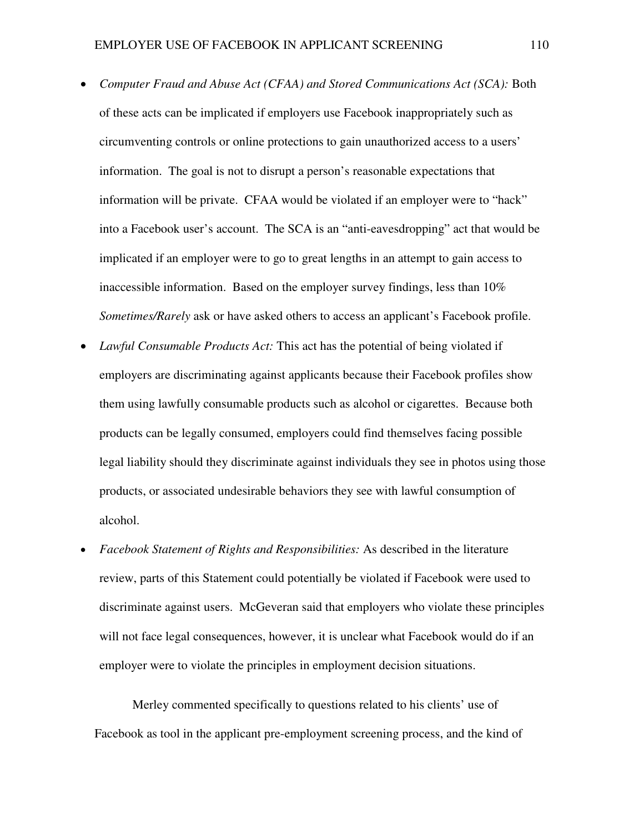- *Computer Fraud and Abuse Act (CFAA) and Stored Communications Act (SCA):* Both of these acts can be implicated if employers use Facebook inappropriately such as circumventing controls or online protections to gain unauthorized access to a users' information. The goal is not to disrupt a person's reasonable expectations that information will be private. CFAA would be violated if an employer were to "hack" into a Facebook user's account. The SCA is an "anti-eavesdropping" act that would be implicated if an employer were to go to great lengths in an attempt to gain access to inaccessible information. Based on the employer survey findings, less than 10% *Sometimes/Rarely* ask or have asked others to access an applicant's Facebook profile.
- *Lawful Consumable Products Act:* This act has the potential of being violated if employers are discriminating against applicants because their Facebook profiles show them using lawfully consumable products such as alcohol or cigarettes. Because both products can be legally consumed, employers could find themselves facing possible legal liability should they discriminate against individuals they see in photos using those products, or associated undesirable behaviors they see with lawful consumption of alcohol.
- *Facebook Statement of Rights and Responsibilities:* As described in the literature review, parts of this Statement could potentially be violated if Facebook were used to discriminate against users. McGeveran said that employers who violate these principles will not face legal consequences, however, it is unclear what Facebook would do if an employer were to violate the principles in employment decision situations.

Merley commented specifically to questions related to his clients' use of Facebook as tool in the applicant pre-employment screening process, and the kind of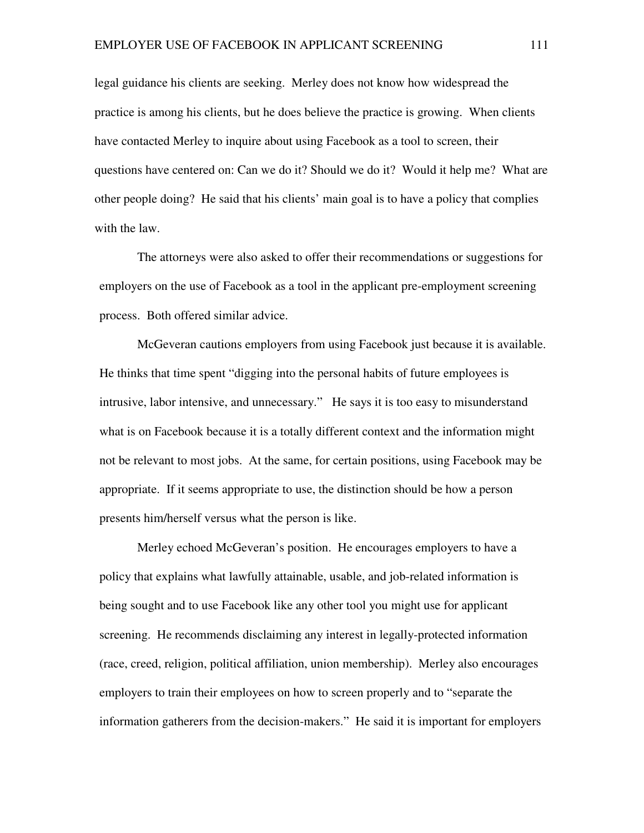legal guidance his clients are seeking. Merley does not know how widespread the practice is among his clients, but he does believe the practice is growing. When clients have contacted Merley to inquire about using Facebook as a tool to screen, their questions have centered on: Can we do it? Should we do it? Would it help me? What are other people doing? He said that his clients' main goal is to have a policy that complies with the law.

The attorneys were also asked to offer their recommendations or suggestions for employers on the use of Facebook as a tool in the applicant pre-employment screening process. Both offered similar advice.

McGeveran cautions employers from using Facebook just because it is available. He thinks that time spent "digging into the personal habits of future employees is intrusive, labor intensive, and unnecessary." He says it is too easy to misunderstand what is on Facebook because it is a totally different context and the information might not be relevant to most jobs. At the same, for certain positions, using Facebook may be appropriate. If it seems appropriate to use, the distinction should be how a person presents him/herself versus what the person is like.

Merley echoed McGeveran's position. He encourages employers to have a policy that explains what lawfully attainable, usable, and job-related information is being sought and to use Facebook like any other tool you might use for applicant screening. He recommends disclaiming any interest in legally-protected information (race, creed, religion, political affiliation, union membership). Merley also encourages employers to train their employees on how to screen properly and to "separate the information gatherers from the decision-makers." He said it is important for employers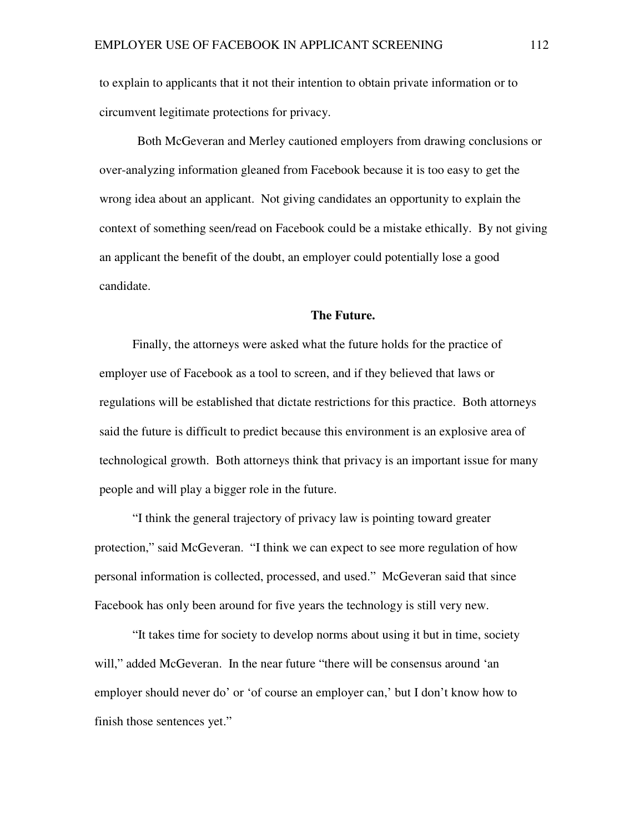to explain to applicants that it not their intention to obtain private information or to circumvent legitimate protections for privacy.

Both McGeveran and Merley cautioned employers from drawing conclusions or over-analyzing information gleaned from Facebook because it is too easy to get the wrong idea about an applicant. Not giving candidates an opportunity to explain the context of something seen/read on Facebook could be a mistake ethically. By not giving an applicant the benefit of the doubt, an employer could potentially lose a good candidate.

#### **The Future.**

Finally, the attorneys were asked what the future holds for the practice of employer use of Facebook as a tool to screen, and if they believed that laws or regulations will be established that dictate restrictions for this practice. Both attorneys said the future is difficult to predict because this environment is an explosive area of technological growth. Both attorneys think that privacy is an important issue for many people and will play a bigger role in the future.

"I think the general trajectory of privacy law is pointing toward greater protection," said McGeveran. "I think we can expect to see more regulation of how personal information is collected, processed, and used." McGeveran said that since Facebook has only been around for five years the technology is still very new.

"It takes time for society to develop norms about using it but in time, society will," added McGeveran. In the near future "there will be consensus around 'an employer should never do' or 'of course an employer can,' but I don't know how to finish those sentences yet."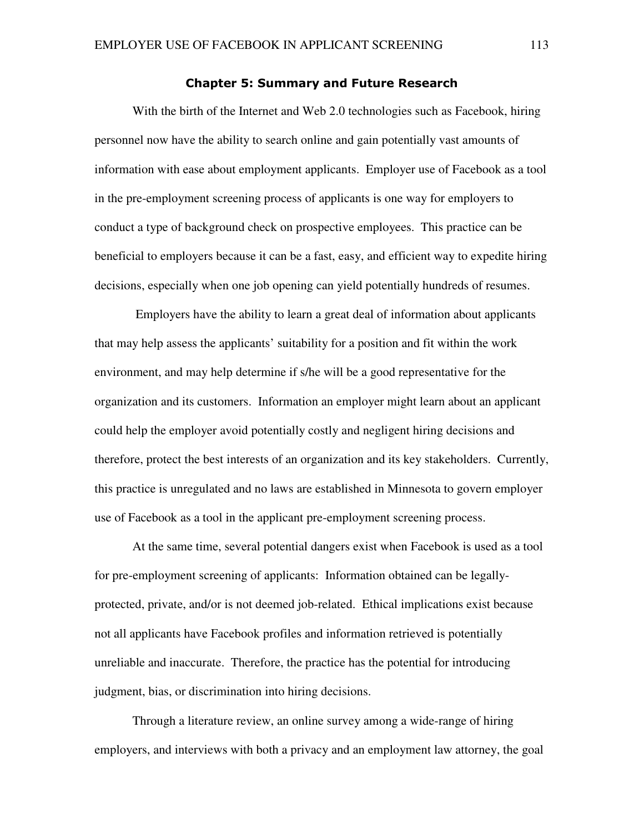#### Chapter 5: Summary and Future Research

With the birth of the Internet and Web 2.0 technologies such as Facebook, hiring personnel now have the ability to search online and gain potentially vast amounts of information with ease about employment applicants. Employer use of Facebook as a tool in the pre-employment screening process of applicants is one way for employers to conduct a type of background check on prospective employees. This practice can be beneficial to employers because it can be a fast, easy, and efficient way to expedite hiring decisions, especially when one job opening can yield potentially hundreds of resumes.

Employers have the ability to learn a great deal of information about applicants that may help assess the applicants' suitability for a position and fit within the work environment, and may help determine if s/he will be a good representative for the organization and its customers. Information an employer might learn about an applicant could help the employer avoid potentially costly and negligent hiring decisions and therefore, protect the best interests of an organization and its key stakeholders. Currently, this practice is unregulated and no laws are established in Minnesota to govern employer use of Facebook as a tool in the applicant pre-employment screening process.

At the same time, several potential dangers exist when Facebook is used as a tool for pre-employment screening of applicants: Information obtained can be legallyprotected, private, and/or is not deemed job-related. Ethical implications exist because not all applicants have Facebook profiles and information retrieved is potentially unreliable and inaccurate. Therefore, the practice has the potential for introducing judgment, bias, or discrimination into hiring decisions.

Through a literature review, an online survey among a wide-range of hiring employers, and interviews with both a privacy and an employment law attorney, the goal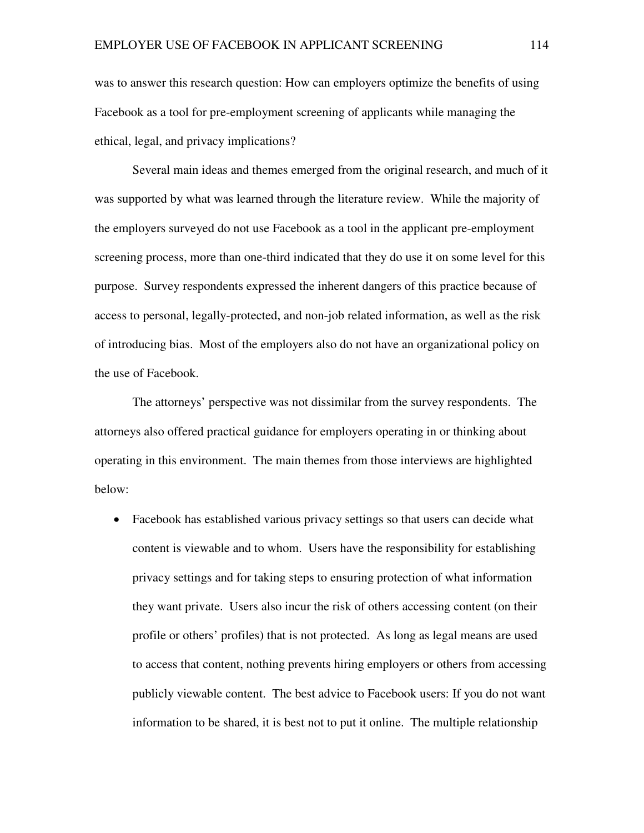was to answer this research question: How can employers optimize the benefits of using Facebook as a tool for pre-employment screening of applicants while managing the ethical, legal, and privacy implications?

Several main ideas and themes emerged from the original research, and much of it was supported by what was learned through the literature review. While the majority of the employers surveyed do not use Facebook as a tool in the applicant pre-employment screening process, more than one-third indicated that they do use it on some level for this purpose. Survey respondents expressed the inherent dangers of this practice because of access to personal, legally-protected, and non-job related information, as well as the risk of introducing bias. Most of the employers also do not have an organizational policy on the use of Facebook.

The attorneys' perspective was not dissimilar from the survey respondents. The attorneys also offered practical guidance for employers operating in or thinking about operating in this environment. The main themes from those interviews are highlighted below:

• Facebook has established various privacy settings so that users can decide what content is viewable and to whom. Users have the responsibility for establishing privacy settings and for taking steps to ensuring protection of what information they want private. Users also incur the risk of others accessing content (on their profile or others' profiles) that is not protected. As long as legal means are used to access that content, nothing prevents hiring employers or others from accessing publicly viewable content. The best advice to Facebook users: If you do not want information to be shared, it is best not to put it online. The multiple relationship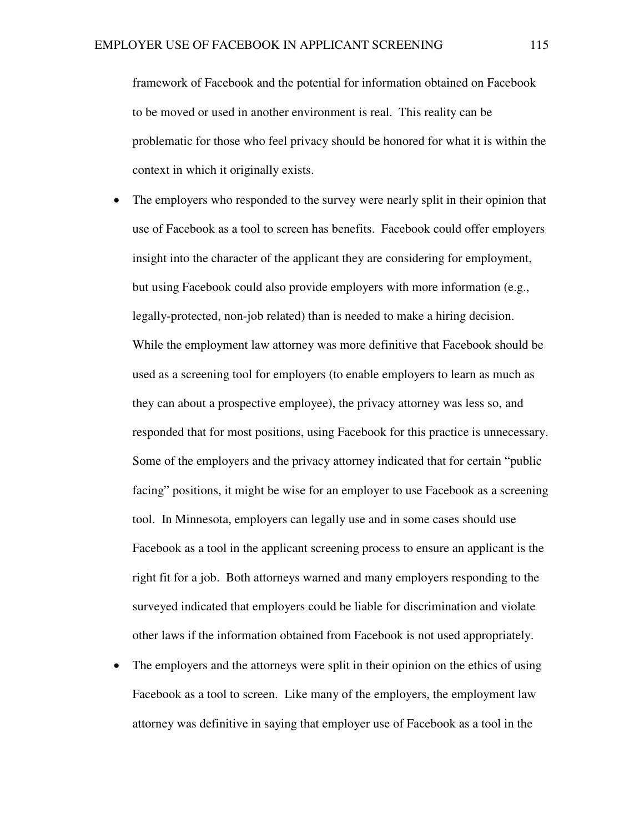framework of Facebook and the potential for information obtained on Facebook to be moved or used in another environment is real. This reality can be problematic for those who feel privacy should be honored for what it is within the context in which it originally exists.

- The employers who responded to the survey were nearly split in their opinion that use of Facebook as a tool to screen has benefits. Facebook could offer employers insight into the character of the applicant they are considering for employment, but using Facebook could also provide employers with more information (e.g., legally-protected, non-job related) than is needed to make a hiring decision. While the employment law attorney was more definitive that Facebook should be used as a screening tool for employers (to enable employers to learn as much as they can about a prospective employee), the privacy attorney was less so, and responded that for most positions, using Facebook for this practice is unnecessary. Some of the employers and the privacy attorney indicated that for certain "public facing" positions, it might be wise for an employer to use Facebook as a screening tool. In Minnesota, employers can legally use and in some cases should use Facebook as a tool in the applicant screening process to ensure an applicant is the right fit for a job. Both attorneys warned and many employers responding to the surveyed indicated that employers could be liable for discrimination and violate other laws if the information obtained from Facebook is not used appropriately.
- The employers and the attorneys were split in their opinion on the ethics of using Facebook as a tool to screen. Like many of the employers, the employment law attorney was definitive in saying that employer use of Facebook as a tool in the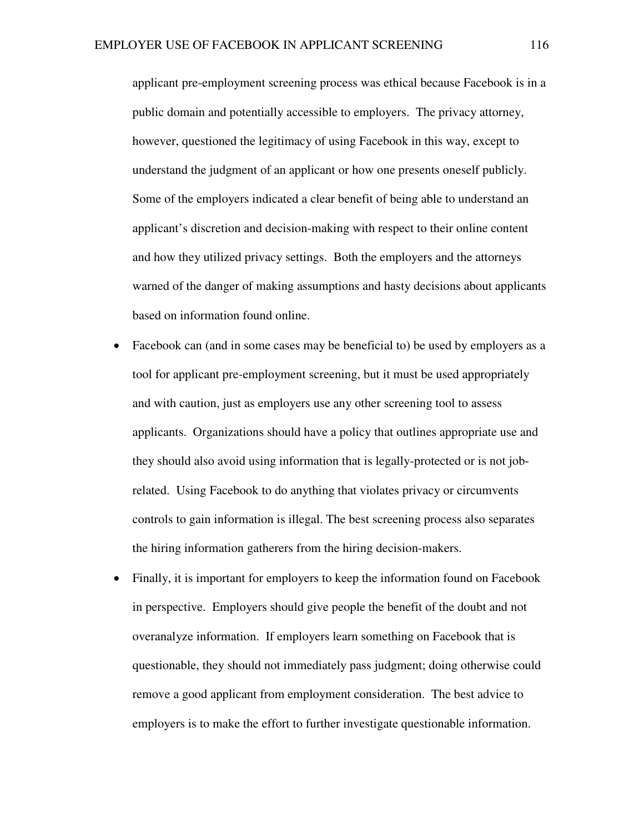applicant pre-employment screening process was ethical because Facebook is in a public domain and potentially accessible to employers. The privacy attorney, however, questioned the legitimacy of using Facebook in this way, except to understand the judgment of an applicant or how one presents oneself publicly. Some of the employers indicated a clear benefit of being able to understand an applicant's discretion and decision-making with respect to their online content and how they utilized privacy settings. Both the employers and the attorneys warned of the danger of making assumptions and hasty decisions about applicants based on information found online.

- Facebook can (and in some cases may be beneficial to) be used by employers as a tool for applicant pre-employment screening, but it must be used appropriately and with caution, just as employers use any other screening tool to assess applicants. Organizations should have a policy that outlines appropriate use and they should also avoid using information that is legally-protected or is not jobrelated. Using Facebook to do anything that violates privacy or circumvents controls to gain information is illegal. The best screening process also separates the hiring information gatherers from the hiring decision-makers.
- Finally, it is important for employers to keep the information found on Facebook in perspective. Employers should give people the benefit of the doubt and not overanalyze information. If employers learn something on Facebook that is questionable, they should not immediately pass judgment; doing otherwise could remove a good applicant from employment consideration. The best advice to employers is to make the effort to further investigate questionable information.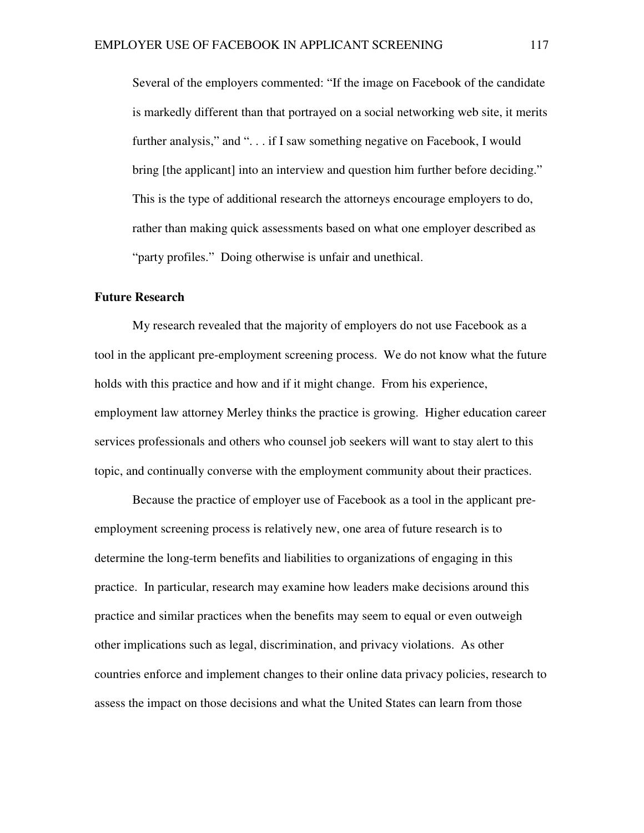Several of the employers commented: "If the image on Facebook of the candidate is markedly different than that portrayed on a social networking web site, it merits further analysis," and ". . . if I saw something negative on Facebook, I would bring [the applicant] into an interview and question him further before deciding." This is the type of additional research the attorneys encourage employers to do, rather than making quick assessments based on what one employer described as "party profiles." Doing otherwise is unfair and unethical.

#### **Future Research**

My research revealed that the majority of employers do not use Facebook as a tool in the applicant pre-employment screening process. We do not know what the future holds with this practice and how and if it might change. From his experience, employment law attorney Merley thinks the practice is growing. Higher education career services professionals and others who counsel job seekers will want to stay alert to this topic, and continually converse with the employment community about their practices.

Because the practice of employer use of Facebook as a tool in the applicant preemployment screening process is relatively new, one area of future research is to determine the long-term benefits and liabilities to organizations of engaging in this practice. In particular, research may examine how leaders make decisions around this practice and similar practices when the benefits may seem to equal or even outweigh other implications such as legal, discrimination, and privacy violations. As other countries enforce and implement changes to their online data privacy policies, research to assess the impact on those decisions and what the United States can learn from those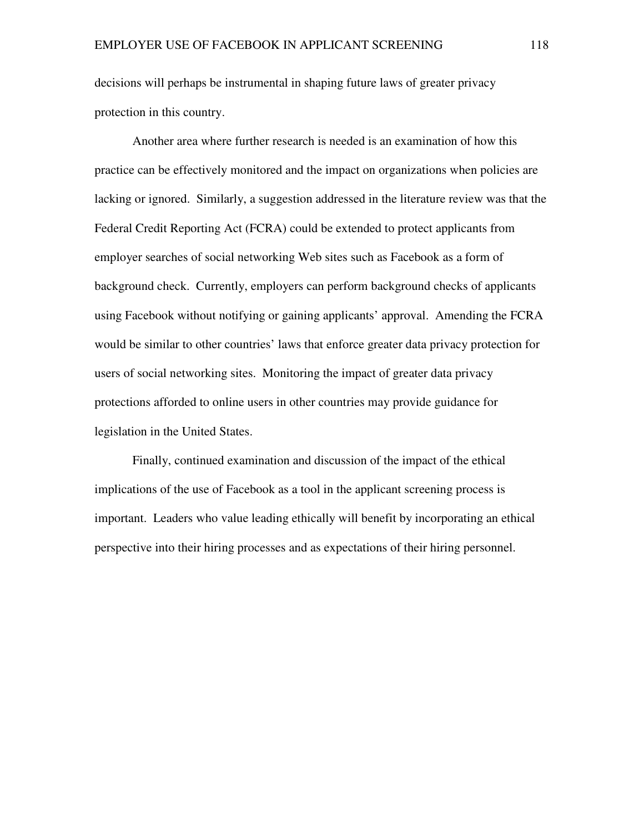decisions will perhaps be instrumental in shaping future laws of greater privacy protection in this country.

Another area where further research is needed is an examination of how this practice can be effectively monitored and the impact on organizations when policies are lacking or ignored. Similarly, a suggestion addressed in the literature review was that the Federal Credit Reporting Act (FCRA) could be extended to protect applicants from employer searches of social networking Web sites such as Facebook as a form of background check. Currently, employers can perform background checks of applicants using Facebook without notifying or gaining applicants' approval. Amending the FCRA would be similar to other countries' laws that enforce greater data privacy protection for users of social networking sites. Monitoring the impact of greater data privacy protections afforded to online users in other countries may provide guidance for legislation in the United States.

Finally, continued examination and discussion of the impact of the ethical implications of the use of Facebook as a tool in the applicant screening process is important. Leaders who value leading ethically will benefit by incorporating an ethical perspective into their hiring processes and as expectations of their hiring personnel.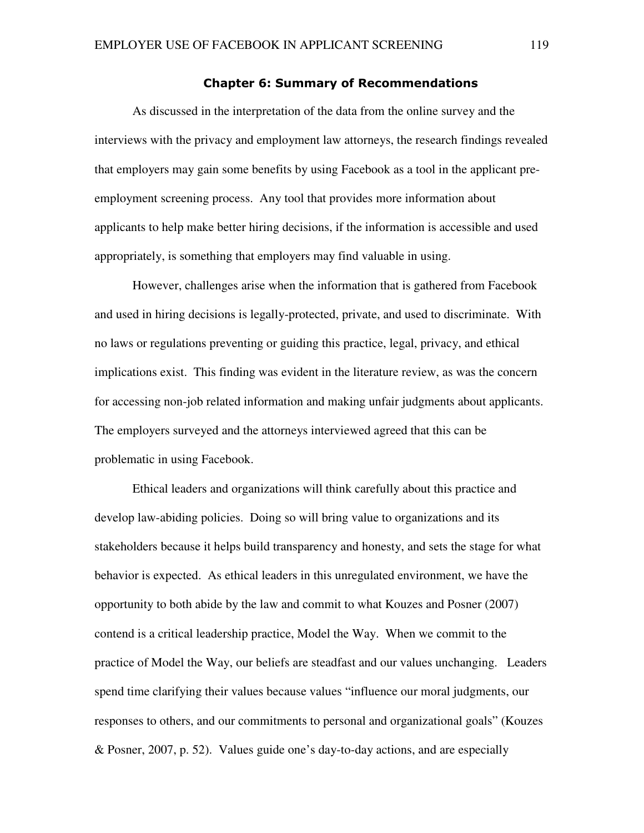#### Chapter 6: Summary of Recommendations

As discussed in the interpretation of the data from the online survey and the interviews with the privacy and employment law attorneys, the research findings revealed that employers may gain some benefits by using Facebook as a tool in the applicant preemployment screening process. Any tool that provides more information about applicants to help make better hiring decisions, if the information is accessible and used appropriately, is something that employers may find valuable in using.

However, challenges arise when the information that is gathered from Facebook and used in hiring decisions is legally-protected, private, and used to discriminate. With no laws or regulations preventing or guiding this practice, legal, privacy, and ethical implications exist. This finding was evident in the literature review, as was the concern for accessing non-job related information and making unfair judgments about applicants. The employers surveyed and the attorneys interviewed agreed that this can be problematic in using Facebook.

Ethical leaders and organizations will think carefully about this practice and develop law-abiding policies. Doing so will bring value to organizations and its stakeholders because it helps build transparency and honesty, and sets the stage for what behavior is expected. As ethical leaders in this unregulated environment, we have the opportunity to both abide by the law and commit to what Kouzes and Posner (2007) contend is a critical leadership practice, Model the Way. When we commit to the practice of Model the Way, our beliefs are steadfast and our values unchanging. Leaders spend time clarifying their values because values "influence our moral judgments, our responses to others, and our commitments to personal and organizational goals" (Kouzes & Posner, 2007, p. 52). Values guide one's day-to-day actions, and are especially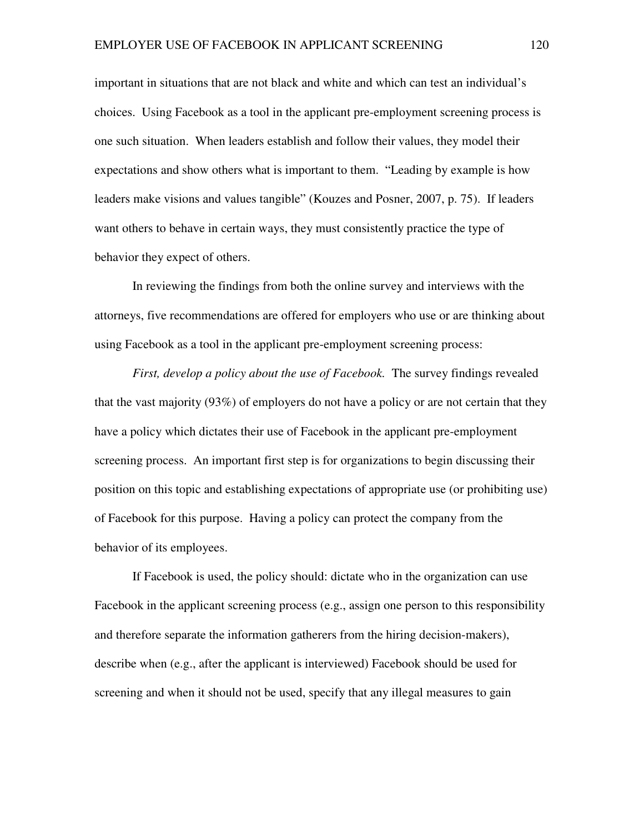important in situations that are not black and white and which can test an individual's choices. Using Facebook as a tool in the applicant pre-employment screening process is one such situation. When leaders establish and follow their values, they model their expectations and show others what is important to them. "Leading by example is how leaders make visions and values tangible" (Kouzes and Posner, 2007, p. 75). If leaders want others to behave in certain ways, they must consistently practice the type of behavior they expect of others.

In reviewing the findings from both the online survey and interviews with the attorneys, five recommendations are offered for employers who use or are thinking about using Facebook as a tool in the applicant pre-employment screening process:

*First, develop a policy about the use of Facebook.* The survey findings revealed that the vast majority (93%) of employers do not have a policy or are not certain that they have a policy which dictates their use of Facebook in the applicant pre-employment screening process. An important first step is for organizations to begin discussing their position on this topic and establishing expectations of appropriate use (or prohibiting use) of Facebook for this purpose. Having a policy can protect the company from the behavior of its employees.

If Facebook is used, the policy should: dictate who in the organization can use Facebook in the applicant screening process (e.g., assign one person to this responsibility and therefore separate the information gatherers from the hiring decision-makers), describe when (e.g., after the applicant is interviewed) Facebook should be used for screening and when it should not be used, specify that any illegal measures to gain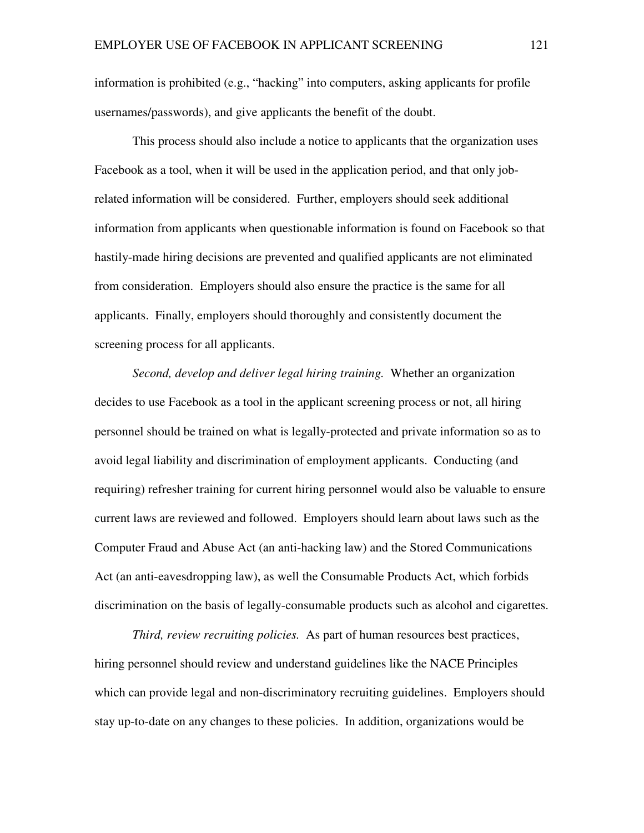information is prohibited (e.g., "hacking" into computers, asking applicants for profile usernames/passwords), and give applicants the benefit of the doubt.

This process should also include a notice to applicants that the organization uses Facebook as a tool, when it will be used in the application period, and that only jobrelated information will be considered. Further, employers should seek additional information from applicants when questionable information is found on Facebook so that hastily-made hiring decisions are prevented and qualified applicants are not eliminated from consideration. Employers should also ensure the practice is the same for all applicants. Finally, employers should thoroughly and consistently document the screening process for all applicants.

*Second, develop and deliver legal hiring training.* Whether an organization decides to use Facebook as a tool in the applicant screening process or not, all hiring personnel should be trained on what is legally-protected and private information so as to avoid legal liability and discrimination of employment applicants. Conducting (and requiring) refresher training for current hiring personnel would also be valuable to ensure current laws are reviewed and followed. Employers should learn about laws such as the Computer Fraud and Abuse Act (an anti-hacking law) and the Stored Communications Act (an anti-eavesdropping law), as well the Consumable Products Act, which forbids discrimination on the basis of legally-consumable products such as alcohol and cigarettes.

*Third, review recruiting policies.* As part of human resources best practices, hiring personnel should review and understand guidelines like the NACE Principles which can provide legal and non-discriminatory recruiting guidelines. Employers should stay up-to-date on any changes to these policies. In addition, organizations would be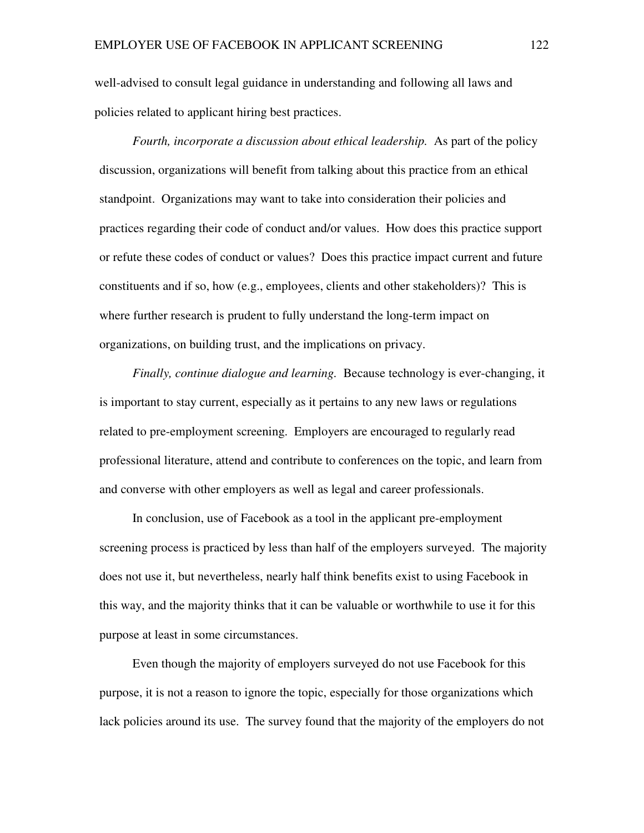well-advised to consult legal guidance in understanding and following all laws and policies related to applicant hiring best practices.

*Fourth, incorporate a discussion about ethical leadership.* As part of the policy discussion, organizations will benefit from talking about this practice from an ethical standpoint. Organizations may want to take into consideration their policies and practices regarding their code of conduct and/or values. How does this practice support or refute these codes of conduct or values? Does this practice impact current and future constituents and if so, how (e.g., employees, clients and other stakeholders)? This is where further research is prudent to fully understand the long-term impact on organizations, on building trust, and the implications on privacy.

 *Finally, continue dialogue and learning.* Because technology is ever-changing, it is important to stay current, especially as it pertains to any new laws or regulations related to pre-employment screening. Employers are encouraged to regularly read professional literature, attend and contribute to conferences on the topic, and learn from and converse with other employers as well as legal and career professionals.

 In conclusion, use of Facebook as a tool in the applicant pre-employment screening process is practiced by less than half of the employers surveyed. The majority does not use it, but nevertheless, nearly half think benefits exist to using Facebook in this way, and the majority thinks that it can be valuable or worthwhile to use it for this purpose at least in some circumstances.

 Even though the majority of employers surveyed do not use Facebook for this purpose, it is not a reason to ignore the topic, especially for those organizations which lack policies around its use. The survey found that the majority of the employers do not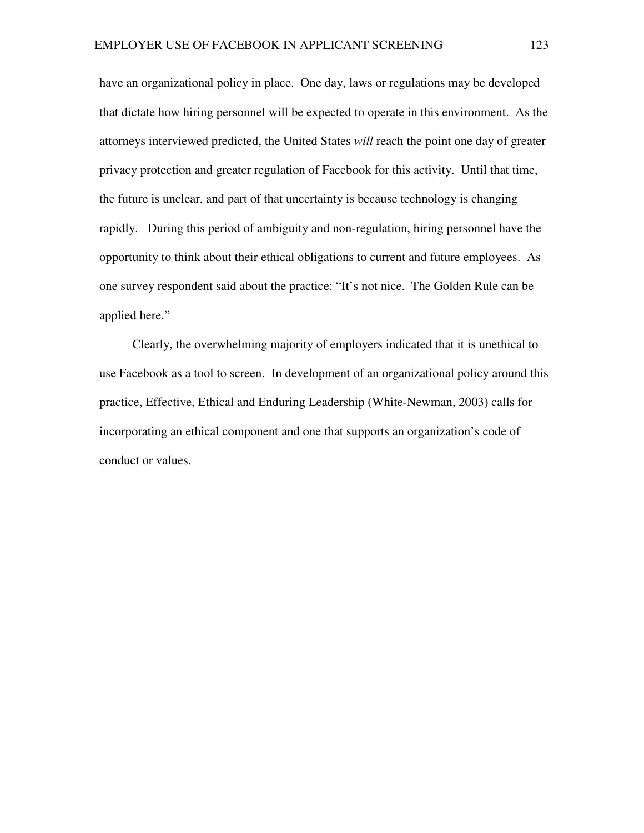have an organizational policy in place. One day, laws or regulations may be developed that dictate how hiring personnel will be expected to operate in this environment. As the attorneys interviewed predicted, the United States *will* reach the point one day of greater privacy protection and greater regulation of Facebook for this activity. Until that time, the future is unclear, and part of that uncertainty is because technology is changing rapidly. During this period of ambiguity and non-regulation, hiring personnel have the opportunity to think about their ethical obligations to current and future employees. As one survey respondent said about the practice: "It's not nice. The Golden Rule can be applied here."

Clearly, the overwhelming majority of employers indicated that it is unethical to use Facebook as a tool to screen. In development of an organizational policy around this practice, Effective, Ethical and Enduring Leadership (White-Newman, 2003) calls for incorporating an ethical component and one that supports an organization's code of conduct or values.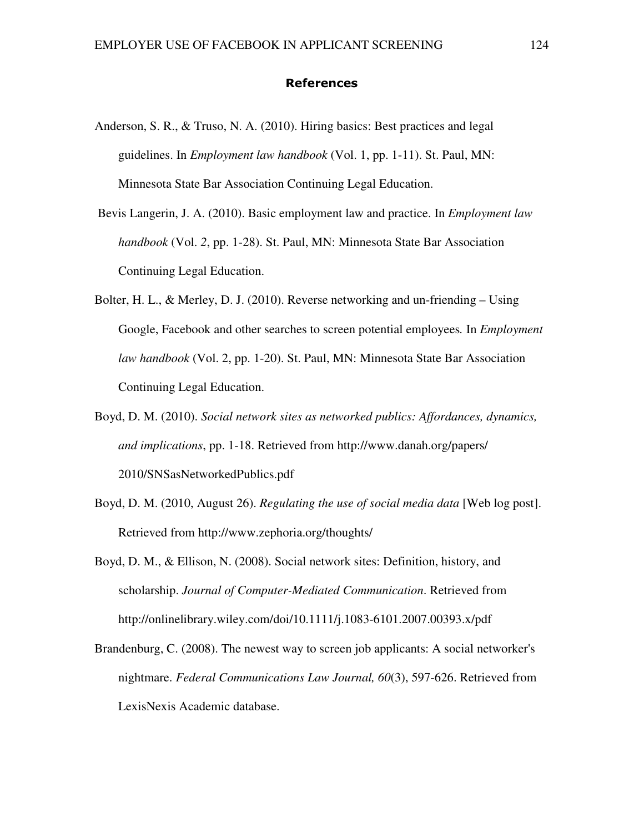#### References

- Anderson, S. R., & Truso, N. A. (2010). Hiring basics: Best practices and legal guidelines. In *Employment law handbook* (Vol. 1, pp. 1-11). St. Paul, MN: Minnesota State Bar Association Continuing Legal Education.
- Bevis Langerin, J. A. (2010). Basic employment law and practice. In *Employment law handbook* (Vol. *2*, pp. 1-28). St. Paul, MN: Minnesota State Bar Association Continuing Legal Education.
- Bolter, H. L., & Merley, D. J. (2010). Reverse networking and un-friending Using Google, Facebook and other searches to screen potential employees*.* In *Employment law handbook* (Vol. 2, pp. 1-20). St. Paul, MN: Minnesota State Bar Association Continuing Legal Education.
- Boyd, D. M. (2010). *Social network sites as networked publics: Affordances, dynamics, and implications*, pp. 1-18. Retrieved from http://www.danah.org/papers/ 2010/SNSasNetworkedPublics.pdf
- Boyd, D. M. (2010, August 26). *Regulating the use of social media data* [Web log post]. Retrieved from http://www.zephoria.org/thoughts/
- Boyd, D. M., & Ellison, N. (2008). Social network sites: Definition, history, and scholarship. *Journal of Computer-Mediated Communication*. Retrieved from http://onlinelibrary.wiley.com/doi/10.1111/j.1083-6101.2007.00393.x/pdf
- Brandenburg, C. (2008). The newest way to screen job applicants: A social networker's nightmare. *Federal Communications Law Journal, 60*(3), 597-626. Retrieved from LexisNexis Academic database.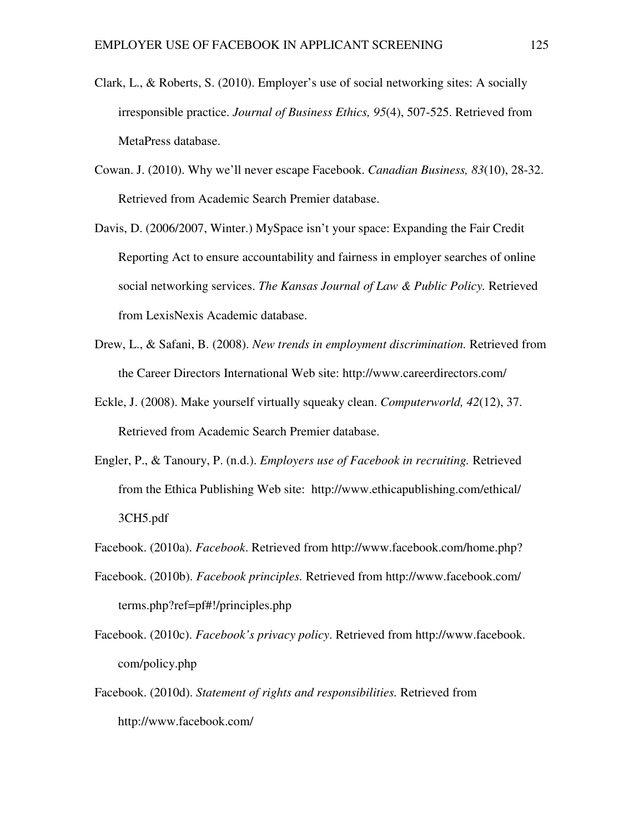- Clark, L., & Roberts, S. (2010). Employer's use of social networking sites: A socially irresponsible practice. *Journal of Business Ethics, 95*(4), 507-525. Retrieved from MetaPress database.
- Cowan. J. (2010). Why we'll never escape Facebook. *Canadian Business, 83*(10), 28-32. Retrieved from Academic Search Premier database.
- Davis, D. (2006/2007, Winter.) MySpace isn't your space: Expanding the Fair Credit Reporting Act to ensure accountability and fairness in employer searches of online social networking services. *The Kansas Journal of Law & Public Policy.* Retrieved from LexisNexis Academic database.
- Drew, L., & Safani, B. (2008). *New trends in employment discrimination.* Retrieved from the Career Directors International Web site: http://www.careerdirectors.com/
- Eckle, J. (2008). Make yourself virtually squeaky clean. *Computerworld, 42*(12), 37. Retrieved from Academic Search Premier database.
- Engler, P., & Tanoury, P. (n.d.). *Employers use of Facebook in recruiting.* Retrieved from the Ethica Publishing Web site: http://www.ethicapublishing.com/ethical/ 3CH5.pdf
- Facebook. (2010a). *Facebook*. Retrieved from http://www.facebook.com/home.php?
- Facebook. (2010b). *Facebook principles.* Retrieved from http://www.facebook.com/ terms.php?ref=pf#!/principles.php
- Facebook. (2010c). *Facebook's privacy policy*. Retrieved from http://www.facebook. com/policy.php
- Facebook. (2010d). *Statement of rights and responsibilities.* Retrieved from http://www.facebook.com/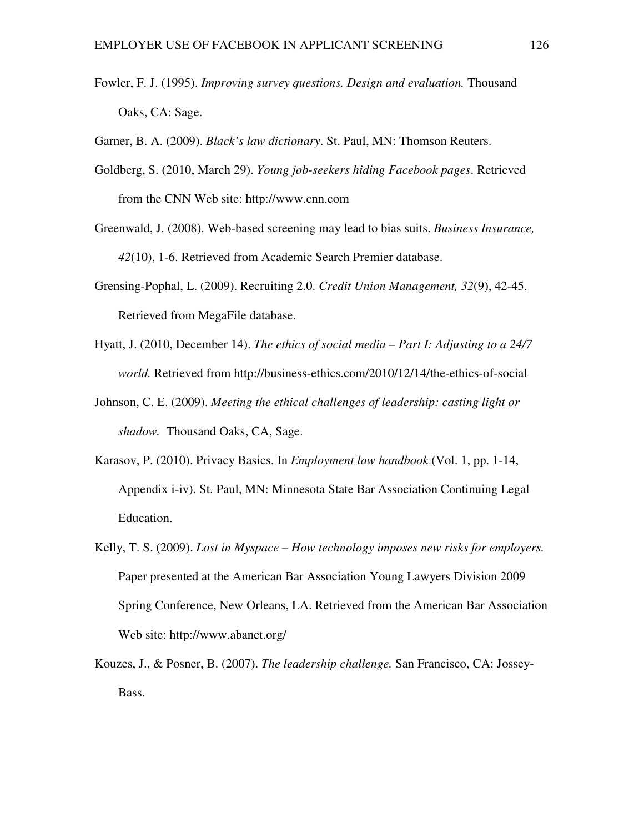- Fowler, F. J. (1995). *Improving survey questions. Design and evaluation.* Thousand Oaks, CA: Sage.
- Garner, B. A. (2009). *Black's law dictionary*. St. Paul, MN: Thomson Reuters.
- Goldberg, S. (2010, March 29). *Young job-seekers hiding Facebook pages*. Retrieved from the CNN Web site: http://www.cnn.com
- Greenwald, J. (2008). Web-based screening may lead to bias suits. *Business Insurance, 42*(10), 1-6. Retrieved from Academic Search Premier database.
- Grensing-Pophal, L. (2009). Recruiting 2.0. *Credit Union Management, 32*(9), 42-45. Retrieved from MegaFile database.
- Hyatt, J. (2010, December 14). *The ethics of social media Part I: Adjusting to a 24/7 world.* Retrieved from http://business-ethics.com/2010/12/14/the-ethics-of-social
- Johnson, C. E. (2009). *Meeting the ethical challenges of leadership: casting light or shadow.* Thousand Oaks, CA, Sage.
- Karasov, P. (2010). Privacy Basics. In *Employment law handbook* (Vol. 1, pp. 1-14, Appendix i-iv). St. Paul, MN: Minnesota State Bar Association Continuing Legal Education.
- Kelly, T. S. (2009). *Lost in Myspace How technology imposes new risks for employers.*  Paper presented at the American Bar Association Young Lawyers Division 2009 Spring Conference, New Orleans, LA. Retrieved from the American Bar Association Web site: http://www.abanet.org/
- Kouzes, J., & Posner, B. (2007). *The leadership challenge.* San Francisco, CA: Jossey-Bass.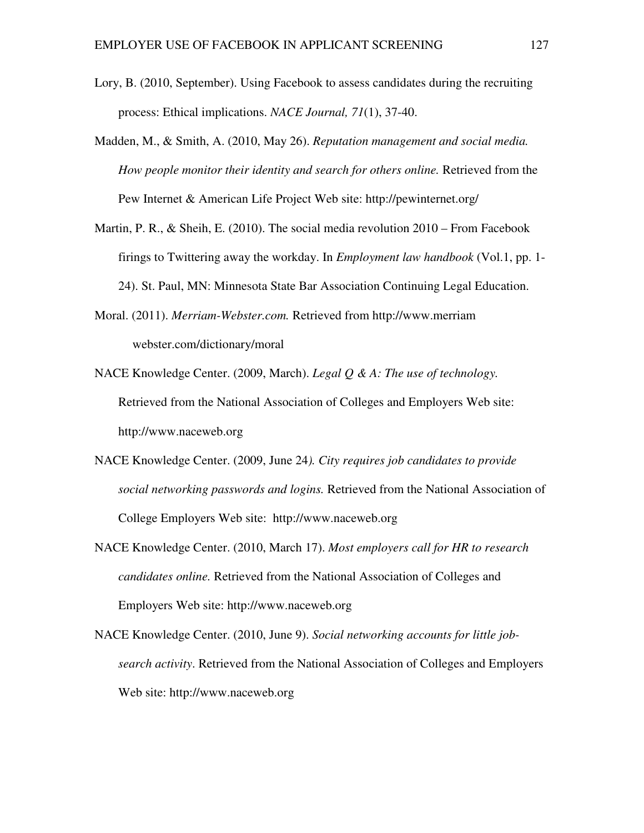- Lory, B. (2010, September). Using Facebook to assess candidates during the recruiting process: Ethical implications. *NACE Journal, 71*(1), 37-40.
- Madden, M., & Smith, A. (2010, May 26). *Reputation management and social media. How people monitor their identity and search for others online.* Retrieved from the Pew Internet & American Life Project Web site: http://pewinternet.org/
- Martin, P. R., & Sheih, E. (2010). The social media revolution 2010 From Facebook firings to Twittering away the workday. In *Employment law handbook* (Vol.1, pp. 1- 24). St. Paul, MN: Minnesota State Bar Association Continuing Legal Education.
- Moral. (2011). *Merriam-Webster.com.* Retrieved from http://www.merriam webster.com/dictionary/moral
- NACE Knowledge Center. (2009, March). *Legal Q & A: The use of technology.* Retrieved from the National Association of Colleges and Employers Web site: http://www.naceweb.org
- NACE Knowledge Center. (2009, June 24*). City requires job candidates to provide social networking passwords and logins.* Retrieved from the National Association of College Employers Web site: http://www.naceweb.org
- NACE Knowledge Center. (2010, March 17). *Most employers call for HR to research candidates online.* Retrieved from the National Association of Colleges and Employers Web site: http://www.naceweb.org
- NACE Knowledge Center. (2010, June 9). *Social networking accounts for little jobsearch activity*. Retrieved from the National Association of Colleges and Employers Web site: http://www.naceweb.org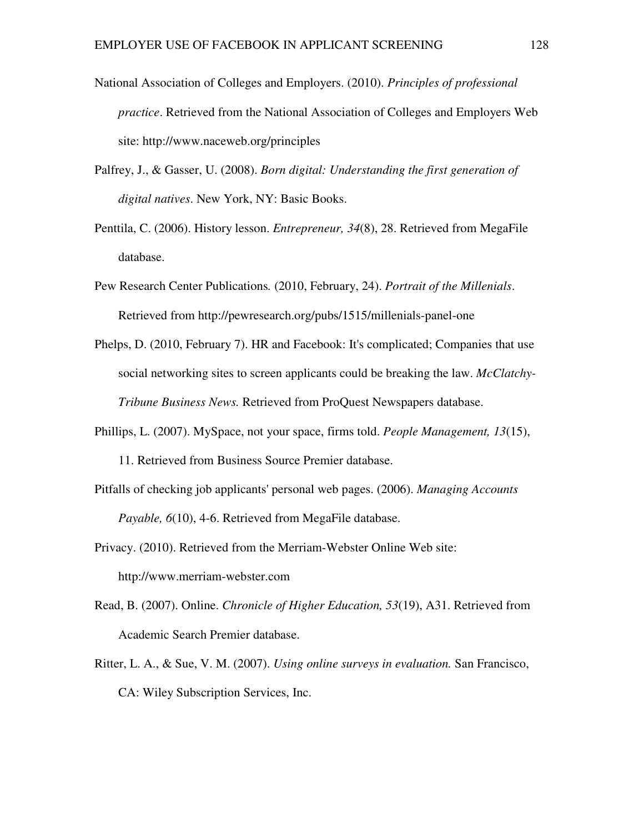- National Association of Colleges and Employers. (2010). *Principles of professional practice*. Retrieved from the National Association of Colleges and Employers Web site: http://www.naceweb.org/principles
- Palfrey, J., & Gasser, U. (2008). *Born digital: Understanding the first generation of digital natives*. New York, NY: Basic Books.
- Penttila, C. (2006). History lesson. *Entrepreneur, 34*(8), 28. Retrieved from MegaFile database.
- Pew Research Center Publications*.* (2010, February, 24). *Portrait of the Millenials*. Retrieved from http://pewresearch.org/pubs/1515/millenials-panel-one
- Phelps, D. (2010, February 7). HR and Facebook: It's complicated; Companies that use social networking sites to screen applicants could be breaking the law. *McClatchy-Tribune Business News.* Retrieved from ProQuest Newspapers database.
- Phillips, L. (2007). MySpace, not your space, firms told. *People Management, 13*(15),
	- 11. Retrieved from Business Source Premier database.
- Pitfalls of checking job applicants' personal web pages. (2006). *Managing Accounts Payable, 6*(10), 4-6. Retrieved from MegaFile database.
- Privacy. (2010). Retrieved from the Merriam-Webster Online Web site: http://www.merriam-webster.com
- Read, B. (2007). Online. *Chronicle of Higher Education, 53*(19), A31. Retrieved from Academic Search Premier database.
- Ritter, L. A., & Sue, V. M. (2007). *Using online surveys in evaluation.* San Francisco, CA: Wiley Subscription Services, Inc.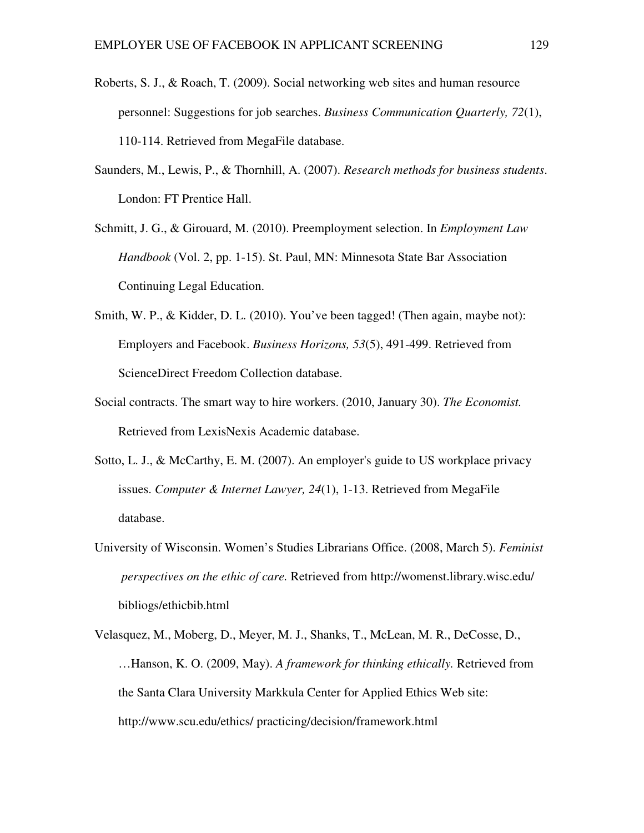- Roberts, S. J., & Roach, T. (2009). Social networking web sites and human resource personnel: Suggestions for job searches. *Business Communication Quarterly, 72*(1), 110-114. Retrieved from MegaFile database.
- Saunders, M., Lewis, P., & Thornhill, A. (2007). *Research methods for business students*. London: FT Prentice Hall.
- Schmitt, J. G., & Girouard, M. (2010). Preemployment selection. In *Employment Law Handbook* (Vol. 2, pp. 1-15). St. Paul, MN: Minnesota State Bar Association Continuing Legal Education.
- Smith, W. P., & Kidder, D. L. (2010). You've been tagged! (Then again, maybe not): Employers and Facebook. *Business Horizons, 53*(5), 491-499. Retrieved from ScienceDirect Freedom Collection database.
- Social contracts. The smart way to hire workers. (2010, January 30). *The Economist.*  Retrieved from LexisNexis Academic database.
- Sotto, L. J., & McCarthy, E. M. (2007). An employer's guide to US workplace privacy issues. *Computer & Internet Lawyer, 24*(1), 1-13. Retrieved from MegaFile database.
- University of Wisconsin. Women's Studies Librarians Office. (2008, March 5). *Feminist perspectives on the ethic of care.* Retrieved from http://womenst.library.wisc.edu/ bibliogs/ethicbib.html
- Velasquez, M., Moberg, D., Meyer, M. J., Shanks, T., McLean, M. R., DeCosse, D., …Hanson, K. O. (2009, May). *A framework for thinking ethically.* Retrieved from the Santa Clara University Markkula Center for Applied Ethics Web site: http://www.scu.edu/ethics/ practicing/decision/framework.html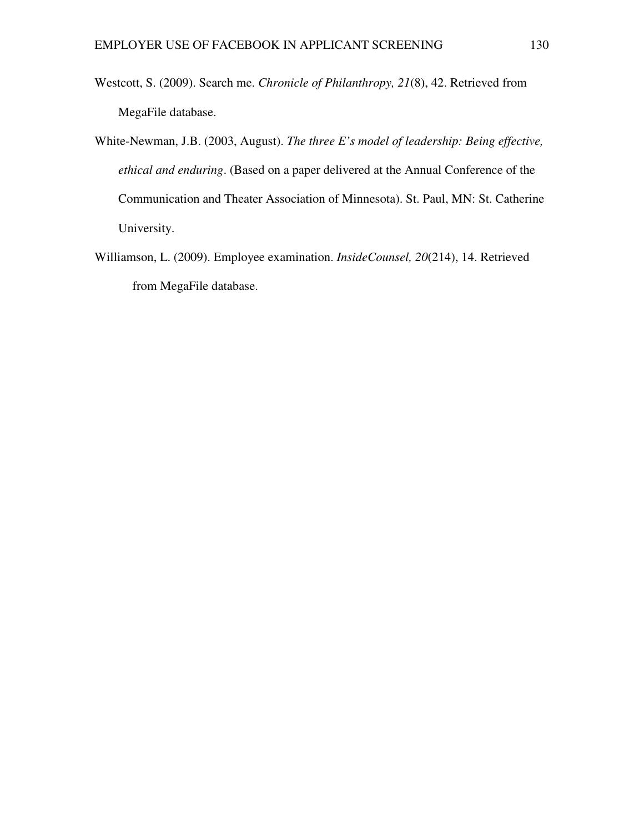- Westcott, S. (2009). Search me. *Chronicle of Philanthropy, 21*(8), 42. Retrieved from MegaFile database.
- White-Newman, J.B. (2003, August). *The three E's model of leadership: Being effective, ethical and enduring*. (Based on a paper delivered at the Annual Conference of the Communication and Theater Association of Minnesota). St. Paul, MN: St. Catherine University.
- Williamson, L. (2009). Employee examination. *InsideCounsel, 20*(214), 14. Retrieved from MegaFile database.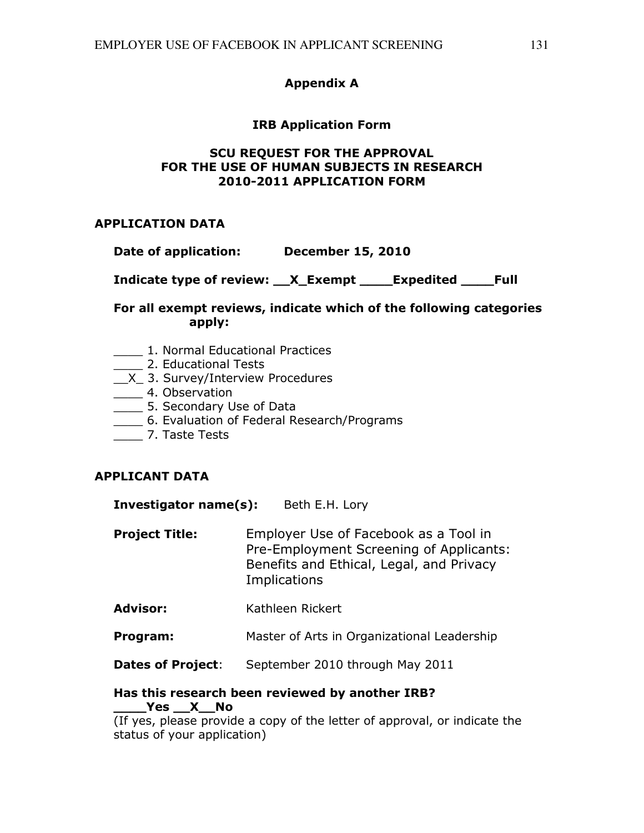## Appendix A

## IRB Application Form

## SCU REQUEST FOR THE APPROVAL FOR THE USE OF HUMAN SUBJECTS IN RESEARCH 2010-2011 APPLICATION FORM

## APPLICATION DATA

| Date of application: | <b>December 15, 2010</b> |  |
|----------------------|--------------------------|--|
|                      |                          |  |

Indicate type of review: \_\_X\_Exempt \_\_\_\_Expedited \_\_\_\_Full

## For all exempt reviews, indicate which of the following categories apply:

- \_\_\_\_ 1. Normal Educational Practices
- \_\_\_\_ 2. Educational Tests
- \_\_X\_ 3. Survey/Interview Procedures
- **\_\_\_\_\_** 4. Observation
- \_\_\_\_ 5. Secondary Use of Data
- \_\_\_\_ 6. Evaluation of Federal Research/Programs
- \_\_\_\_ 7. Taste Tests

# APPLICANT DATA

Investigator name(s): Beth E.H. Lory

- **Project Title:** Employer Use of Facebook as a Tool in Pre-Employment Screening of Applicants: Benefits and Ethical, Legal, and Privacy **Implications**
- Advisor: Kathleen Rickert
- **Program:** Master of Arts in Organizational Leadership
- **Dates of Project:** September 2010 through May 2011

### Has this research been reviewed by another IRB? \_\_\_\_Yes \_\_X\_\_No

(If yes, please provide a copy of the letter of approval, or indicate the status of your application)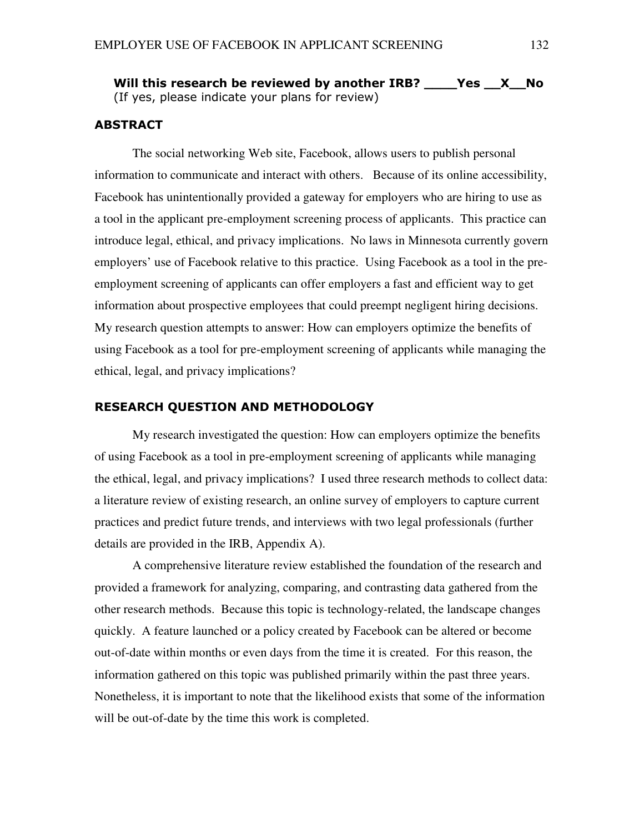Will this research be reviewed by another IRB? \_\_\_\_Yes \_\_X\_\_No (If yes, please indicate your plans for review)

#### ABSTRACT

The social networking Web site, Facebook, allows users to publish personal information to communicate and interact with others. Because of its online accessibility, Facebook has unintentionally provided a gateway for employers who are hiring to use as a tool in the applicant pre-employment screening process of applicants. This practice can introduce legal, ethical, and privacy implications. No laws in Minnesota currently govern employers' use of Facebook relative to this practice. Using Facebook as a tool in the preemployment screening of applicants can offer employers a fast and efficient way to get information about prospective employees that could preempt negligent hiring decisions. My research question attempts to answer: How can employers optimize the benefits of using Facebook as a tool for pre-employment screening of applicants while managing the ethical, legal, and privacy implications?

#### RESEARCH QUESTION AND METHODOLOGY

My research investigated the question: How can employers optimize the benefits of using Facebook as a tool in pre-employment screening of applicants while managing the ethical, legal, and privacy implications? I used three research methods to collect data: a literature review of existing research, an online survey of employers to capture current practices and predict future trends, and interviews with two legal professionals (further details are provided in the IRB, Appendix A).

A comprehensive literature review established the foundation of the research and provided a framework for analyzing, comparing, and contrasting data gathered from the other research methods. Because this topic is technology-related, the landscape changes quickly. A feature launched or a policy created by Facebook can be altered or become out-of-date within months or even days from the time it is created. For this reason, the information gathered on this topic was published primarily within the past three years. Nonetheless, it is important to note that the likelihood exists that some of the information will be out-of-date by the time this work is completed.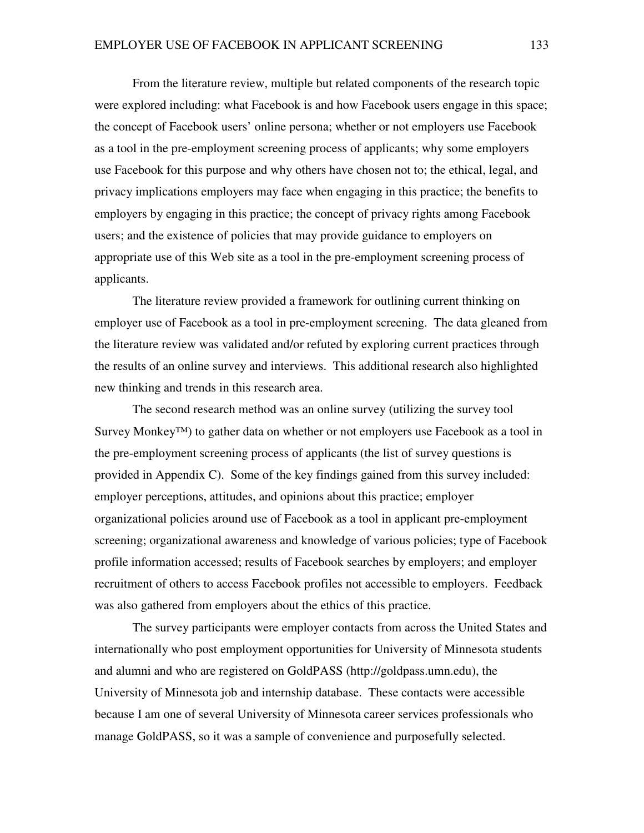From the literature review, multiple but related components of the research topic were explored including: what Facebook is and how Facebook users engage in this space; the concept of Facebook users' online persona; whether or not employers use Facebook as a tool in the pre-employment screening process of applicants; why some employers use Facebook for this purpose and why others have chosen not to; the ethical, legal, and privacy implications employers may face when engaging in this practice; the benefits to employers by engaging in this practice; the concept of privacy rights among Facebook users; and the existence of policies that may provide guidance to employers on appropriate use of this Web site as a tool in the pre-employment screening process of applicants.

The literature review provided a framework for outlining current thinking on employer use of Facebook as a tool in pre-employment screening. The data gleaned from the literature review was validated and/or refuted by exploring current practices through the results of an online survey and interviews. This additional research also highlighted new thinking and trends in this research area.

The second research method was an online survey (utilizing the survey tool Survey Monkey™) to gather data on whether or not employers use Facebook as a tool in the pre-employment screening process of applicants (the list of survey questions is provided in Appendix C). Some of the key findings gained from this survey included: employer perceptions, attitudes, and opinions about this practice; employer organizational policies around use of Facebook as a tool in applicant pre-employment screening; organizational awareness and knowledge of various policies; type of Facebook profile information accessed; results of Facebook searches by employers; and employer recruitment of others to access Facebook profiles not accessible to employers. Feedback was also gathered from employers about the ethics of this practice.

The survey participants were employer contacts from across the United States and internationally who post employment opportunities for University of Minnesota students and alumni and who are registered on GoldPASS (http://goldpass.umn.edu), the University of Minnesota job and internship database. These contacts were accessible because I am one of several University of Minnesota career services professionals who manage GoldPASS, so it was a sample of convenience and purposefully selected.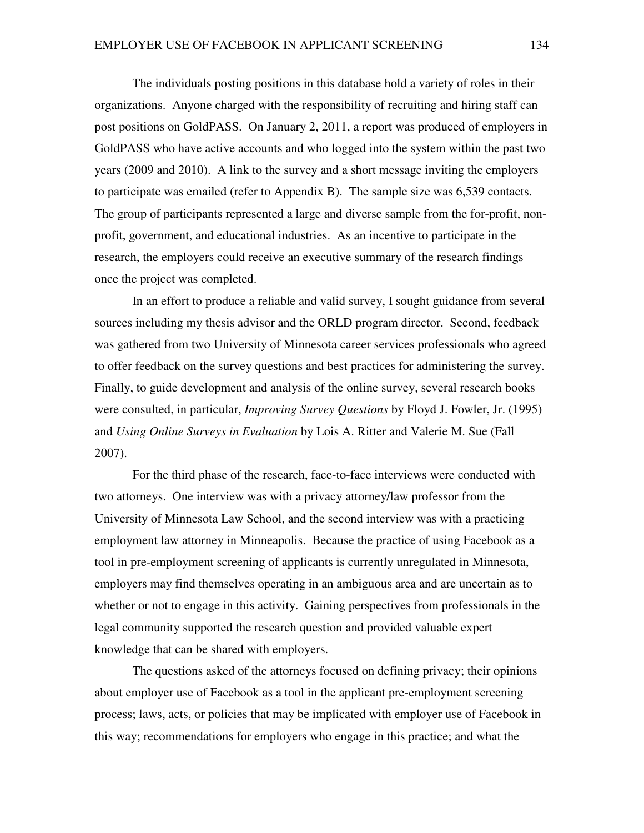The individuals posting positions in this database hold a variety of roles in their organizations. Anyone charged with the responsibility of recruiting and hiring staff can post positions on GoldPASS. On January 2, 2011, a report was produced of employers in GoldPASS who have active accounts and who logged into the system within the past two years (2009 and 2010). A link to the survey and a short message inviting the employers to participate was emailed (refer to Appendix B). The sample size was 6,539 contacts. The group of participants represented a large and diverse sample from the for-profit, nonprofit, government, and educational industries. As an incentive to participate in the research, the employers could receive an executive summary of the research findings once the project was completed.

In an effort to produce a reliable and valid survey, I sought guidance from several sources including my thesis advisor and the ORLD program director. Second, feedback was gathered from two University of Minnesota career services professionals who agreed to offer feedback on the survey questions and best practices for administering the survey. Finally, to guide development and analysis of the online survey, several research books were consulted, in particular, *Improving Survey Questions* by Floyd J. Fowler, Jr. (1995) and *Using Online Surveys in Evaluation* by Lois A. Ritter and Valerie M. Sue (Fall 2007).

For the third phase of the research, face-to-face interviews were conducted with two attorneys. One interview was with a privacy attorney/law professor from the University of Minnesota Law School, and the second interview was with a practicing employment law attorney in Minneapolis. Because the practice of using Facebook as a tool in pre-employment screening of applicants is currently unregulated in Minnesota, employers may find themselves operating in an ambiguous area and are uncertain as to whether or not to engage in this activity. Gaining perspectives from professionals in the legal community supported the research question and provided valuable expert knowledge that can be shared with employers.

The questions asked of the attorneys focused on defining privacy; their opinions about employer use of Facebook as a tool in the applicant pre-employment screening process; laws, acts, or policies that may be implicated with employer use of Facebook in this way; recommendations for employers who engage in this practice; and what the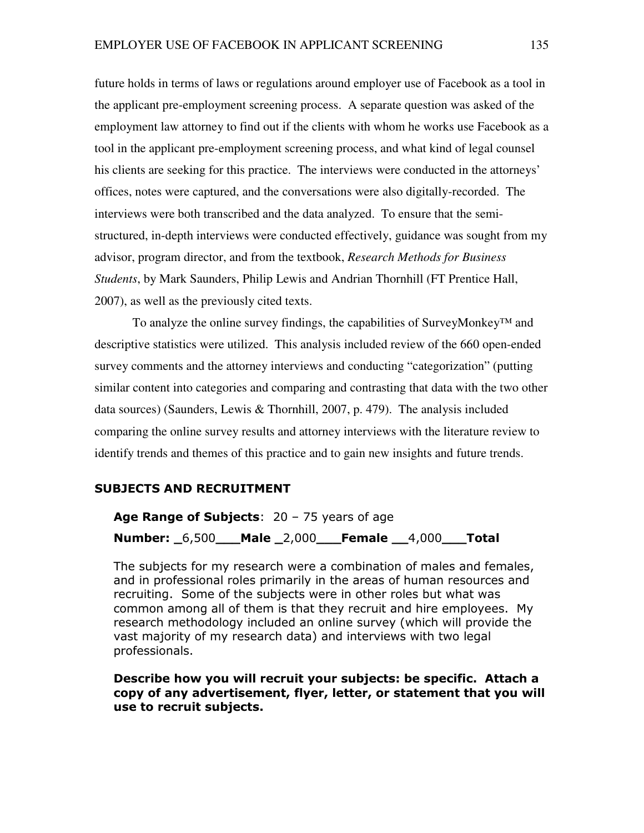future holds in terms of laws or regulations around employer use of Facebook as a tool in the applicant pre-employment screening process. A separate question was asked of the employment law attorney to find out if the clients with whom he works use Facebook as a tool in the applicant pre-employment screening process, and what kind of legal counsel his clients are seeking for this practice. The interviews were conducted in the attorneys' offices, notes were captured, and the conversations were also digitally-recorded. The interviews were both transcribed and the data analyzed. To ensure that the semistructured, in-depth interviews were conducted effectively, guidance was sought from my advisor, program director, and from the textbook, *Research Methods for Business Students*, by Mark Saunders, Philip Lewis and Andrian Thornhill (FT Prentice Hall, 2007), as well as the previously cited texts.

To analyze the online survey findings, the capabilities of SurveyMonkey™ and descriptive statistics were utilized. This analysis included review of the 660 open-ended survey comments and the attorney interviews and conducting "categorization" (putting similar content into categories and comparing and contrasting that data with the two other data sources) (Saunders, Lewis & Thornhill, 2007, p. 479). The analysis included comparing the online survey results and attorney interviews with the literature review to identify trends and themes of this practice and to gain new insights and future trends.

#### SUBJECTS AND RECRUITMENT

Age Range of Subjects:  $20 - 75$  years of age Number: \_6,500\_\_\_Male \_2,000\_\_\_Female \_\_4,000\_\_\_Total

The subjects for my research were a combination of males and females, and in professional roles primarily in the areas of human resources and recruiting. Some of the subjects were in other roles but what was common among all of them is that they recruit and hire employees. My research methodology included an online survey (which will provide the vast majority of my research data) and interviews with two legal professionals.

### Describe how you will recruit your subjects: be specific. Attach a copy of any advertisement, flyer, letter, or statement that you will use to recruit subjects.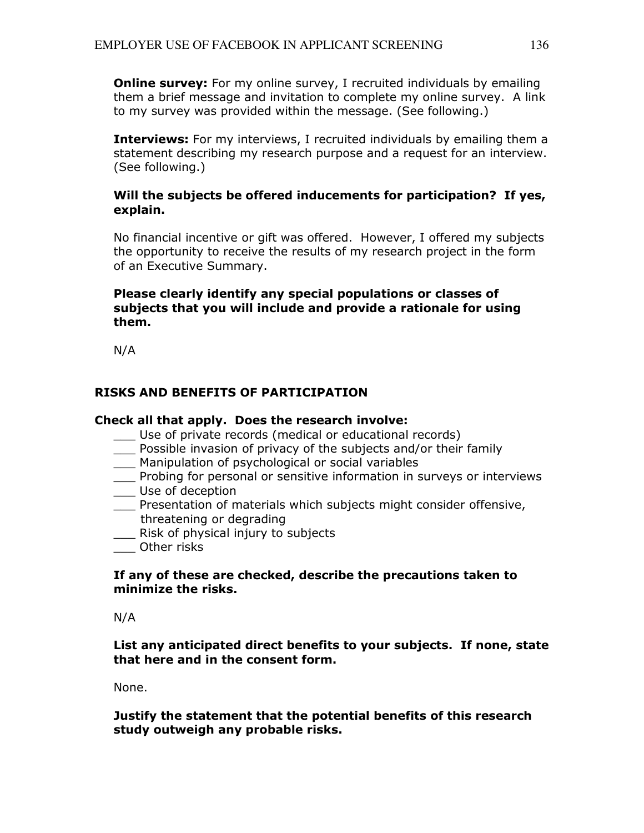**Online survey:** For my online survey, I recruited individuals by emailing them a brief message and invitation to complete my online survey. A link to my survey was provided within the message. (See following.)

**Interviews:** For my interviews, I recruited individuals by emailing them a statement describing my research purpose and a request for an interview. (See following.)

## Will the subjects be offered inducements for participation? If yes, explain.

No financial incentive or gift was offered. However, I offered my subjects the opportunity to receive the results of my research project in the form of an Executive Summary.

## Please clearly identify any special populations or classes of subjects that you will include and provide a rationale for using them.

N/A

## RISKS AND BENEFITS OF PARTICIPATION

#### Check all that apply. Does the research involve:

- Use of private records (medical or educational records)
- \_\_\_ Possible invasion of privacy of the subjects and/or their family
- \_\_\_ Manipulation of psychological or social variables
- \_\_\_ Probing for personal or sensitive information in surveys or interviews
- \_\_\_ Use of deception
- \_\_\_ Presentation of materials which subjects might consider offensive, threatening or degrading
- \_\_\_ Risk of physical injury to subjects
- \_\_\_ Other risks

#### If any of these are checked, describe the precautions taken to minimize the risks.

N/A

List any anticipated direct benefits to your subjects. If none, state that here and in the consent form.

None.

Justify the statement that the potential benefits of this research study outweigh any probable risks.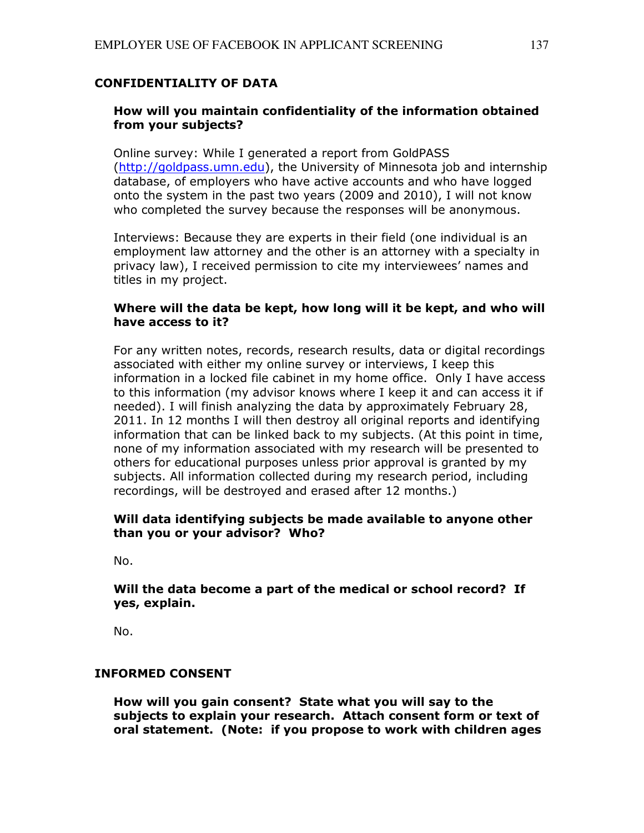### CONFIDENTIALITY OF DATA

### How will you maintain confidentiality of the information obtained from your subjects?

Online survey: While I generated a report from GoldPASS (http://goldpass.umn.edu), the University of Minnesota job and internship database, of employers who have active accounts and who have logged onto the system in the past two years (2009 and 2010), I will not know who completed the survey because the responses will be anonymous.

Interviews: Because they are experts in their field (one individual is an employment law attorney and the other is an attorney with a specialty in privacy law), I received permission to cite my interviewees' names and titles in my project.

### Where will the data be kept, how long will it be kept, and who will have access to it?

For any written notes, records, research results, data or digital recordings associated with either my online survey or interviews, I keep this information in a locked file cabinet in my home office. Only I have access to this information (my advisor knows where I keep it and can access it if needed). I will finish analyzing the data by approximately February 28, 2011. In 12 months I will then destroy all original reports and identifying information that can be linked back to my subjects. (At this point in time, none of my information associated with my research will be presented to others for educational purposes unless prior approval is granted by my subjects. All information collected during my research period, including recordings, will be destroyed and erased after 12 months.)

### Will data identifying subjects be made available to anyone other than you or your advisor? Who?

No.

### Will the data become a part of the medical or school record? If yes, explain.

No.

### INFORMED CONSENT

How will you gain consent? State what you will say to the subjects to explain your research. Attach consent form or text of oral statement. (Note: if you propose to work with children ages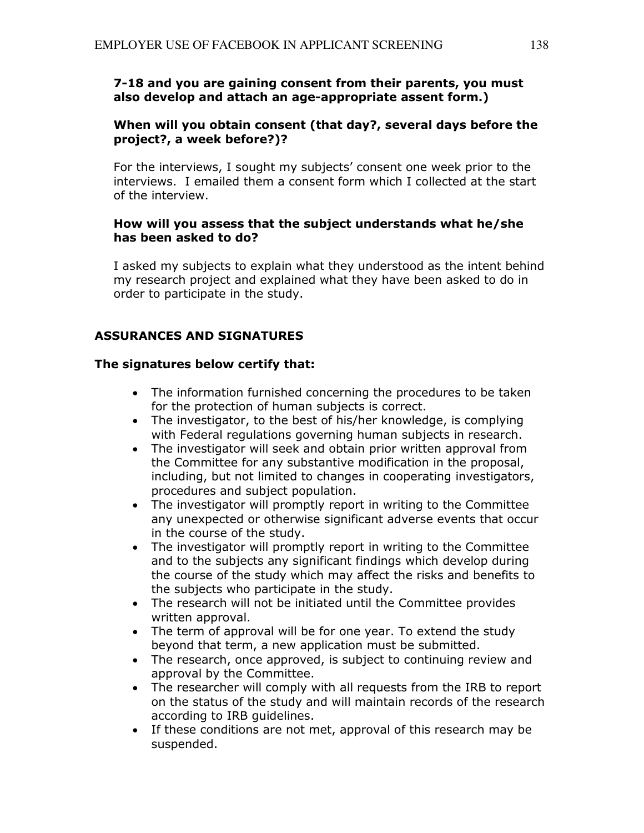### 7-18 and you are gaining consent from their parents, you must also develop and attach an age-appropriate assent form.)

## When will you obtain consent (that day?, several days before the project?, a week before?)?

For the interviews, I sought my subjects' consent one week prior to the interviews. I emailed them a consent form which I collected at the start of the interview.

## How will you assess that the subject understands what he/she has been asked to do?

I asked my subjects to explain what they understood as the intent behind my research project and explained what they have been asked to do in order to participate in the study.

## ASSURANCES AND SIGNATURES

### The signatures below certify that:

- The information furnished concerning the procedures to be taken for the protection of human subjects is correct.
- The investigator, to the best of his/her knowledge, is complying with Federal regulations governing human subjects in research.
- The investigator will seek and obtain prior written approval from the Committee for any substantive modification in the proposal, including, but not limited to changes in cooperating investigators, procedures and subject population.
- The investigator will promptly report in writing to the Committee any unexpected or otherwise significant adverse events that occur in the course of the study.
- The investigator will promptly report in writing to the Committee and to the subjects any significant findings which develop during the course of the study which may affect the risks and benefits to the subjects who participate in the study.
- The research will not be initiated until the Committee provides written approval.
- The term of approval will be for one year. To extend the study beyond that term, a new application must be submitted.
- The research, once approved, is subject to continuing review and approval by the Committee.
- The researcher will comply with all requests from the IRB to report on the status of the study and will maintain records of the research according to IRB guidelines.
- If these conditions are not met, approval of this research may be suspended.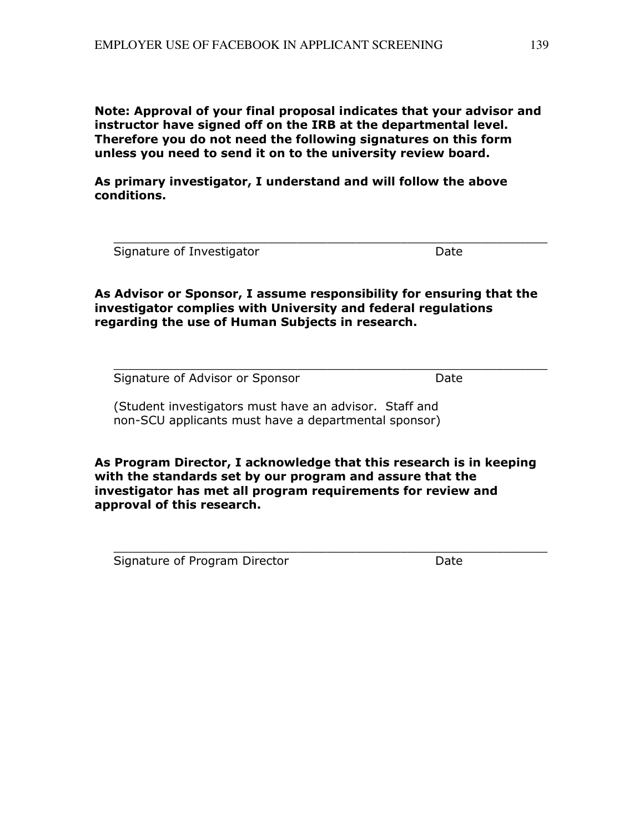Note: Approval of your final proposal indicates that your advisor and instructor have signed off on the IRB at the departmental level. Therefore you do not need the following signatures on this form unless you need to send it on to the university review board.

As primary investigator, I understand and will follow the above conditions.

| Signature of Investigator | Date |
|---------------------------|------|
|                           |      |

As Advisor or Sponsor, I assume responsibility for ensuring that the investigator complies with University and federal regulations regarding the use of Human Subjects in research.

\_\_\_\_\_\_\_\_\_\_\_\_\_\_\_\_\_\_\_\_\_\_\_\_\_\_\_\_\_\_\_\_\_\_\_\_\_\_\_\_\_\_\_\_\_\_\_\_\_\_\_\_\_\_\_\_\_\_\_

\_\_\_\_\_\_\_\_\_\_\_\_\_\_\_\_\_\_\_\_\_\_\_\_\_\_\_\_\_\_\_\_\_\_\_\_\_\_\_\_\_\_\_\_\_\_\_\_\_\_\_\_\_\_\_\_\_\_\_

Signature of Advisor or Sponsor **Date** 

(Student investigators must have an advisor. Staff and non-SCU applicants must have a departmental sponsor)

As Program Director, I acknowledge that this research is in keeping with the standards set by our program and assure that the investigator has met all program requirements for review and approval of this research.

\_\_\_\_\_\_\_\_\_\_\_\_\_\_\_\_\_\_\_\_\_\_\_\_\_\_\_\_\_\_\_\_\_\_\_\_\_\_\_\_\_\_\_\_\_\_\_\_\_\_\_\_\_\_\_\_\_\_\_

Signature of Program Director **Date** Date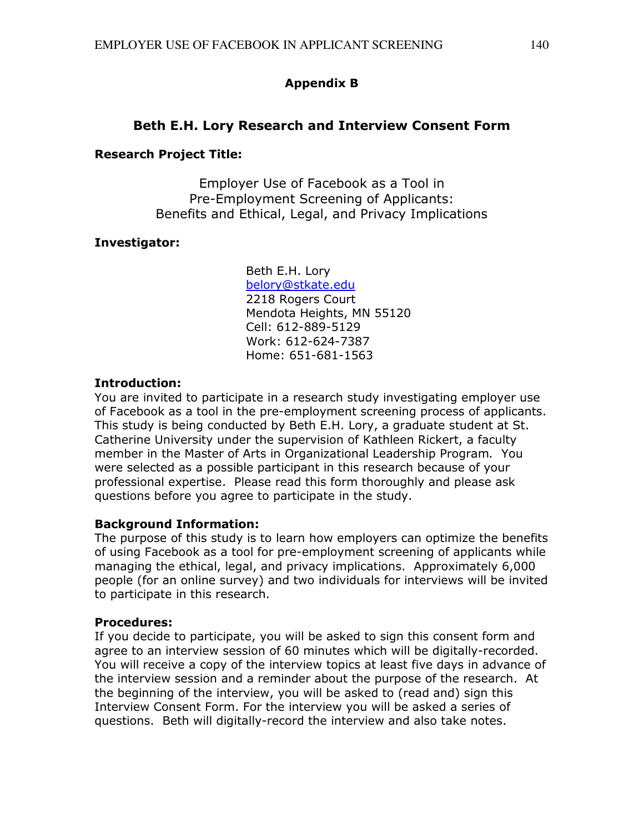## Appendix B

## Beth E.H. Lory Research and Interview Consent Form

#### Research Project Title:

Employer Use of Facebook as a Tool in Pre-Employment Screening of Applicants: Benefits and Ethical, Legal, and Privacy Implications

#### Investigator:

Beth E.H. Lory belory@stkate.edu 2218 Rogers Court Mendota Heights, MN 55120 Cell: 612-889-5129 Work: 612-624-7387 Home: 651-681-1563

#### Introduction:

You are invited to participate in a research study investigating employer use of Facebook as a tool in the pre-employment screening process of applicants. This study is being conducted by Beth E.H. Lory, a graduate student at St. Catherine University under the supervision of Kathleen Rickert, a faculty member in the Master of Arts in Organizational Leadership Program. You were selected as a possible participant in this research because of your professional expertise. Please read this form thoroughly and please ask questions before you agree to participate in the study.

#### Background Information:

The purpose of this study is to learn how employers can optimize the benefits of using Facebook as a tool for pre-employment screening of applicants while managing the ethical, legal, and privacy implications. Approximately 6,000 people (for an online survey) and two individuals for interviews will be invited to participate in this research.

#### Procedures:

If you decide to participate, you will be asked to sign this consent form and agree to an interview session of 60 minutes which will be digitally-recorded. You will receive a copy of the interview topics at least five days in advance of the interview session and a reminder about the purpose of the research. At the beginning of the interview, you will be asked to (read and) sign this Interview Consent Form. For the interview you will be asked a series of questions. Beth will digitally-record the interview and also take notes.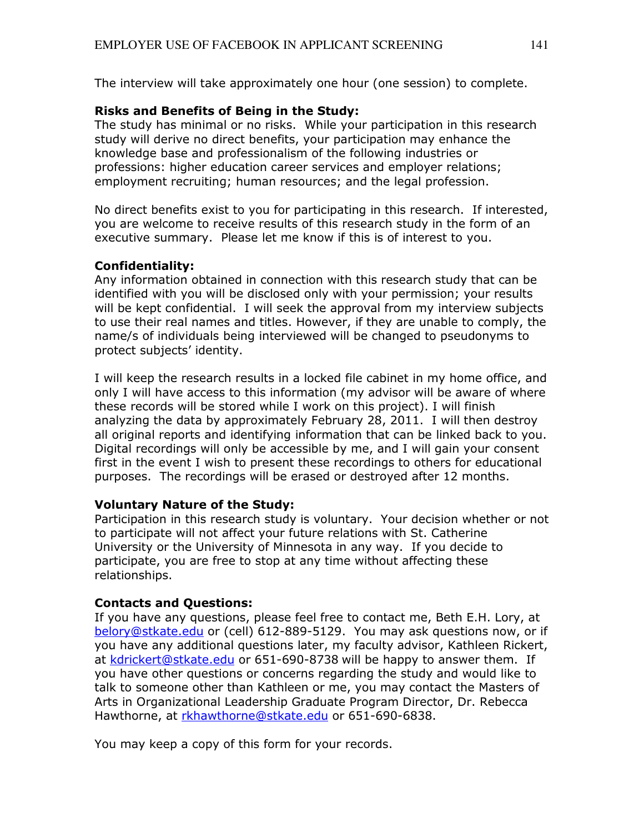The interview will take approximately one hour (one session) to complete.

## Risks and Benefits of Being in the Study:

The study has minimal or no risks. While your participation in this research study will derive no direct benefits, your participation may enhance the knowledge base and professionalism of the following industries or professions: higher education career services and employer relations; employment recruiting; human resources; and the legal profession.

No direct benefits exist to you for participating in this research. If interested, you are welcome to receive results of this research study in the form of an executive summary. Please let me know if this is of interest to you.

### Confidentiality:

Any information obtained in connection with this research study that can be identified with you will be disclosed only with your permission; your results will be kept confidential. I will seek the approval from my interview subjects to use their real names and titles. However, if they are unable to comply, the name/s of individuals being interviewed will be changed to pseudonyms to protect subjects' identity.

I will keep the research results in a locked file cabinet in my home office, and only I will have access to this information (my advisor will be aware of where these records will be stored while I work on this project). I will finish analyzing the data by approximately February 28, 2011. I will then destroy all original reports and identifying information that can be linked back to you. Digital recordings will only be accessible by me, and I will gain your consent first in the event I wish to present these recordings to others for educational purposes. The recordings will be erased or destroyed after 12 months.

## Voluntary Nature of the Study:

Participation in this research study is voluntary. Your decision whether or not to participate will not affect your future relations with St. Catherine University or the University of Minnesota in any way. If you decide to participate, you are free to stop at any time without affecting these relationships.

## Contacts and Questions:

If you have any questions, please feel free to contact me, Beth E.H. Lory, at belory@stkate.edu or (cell) 612-889-5129. You may ask questions now, or if you have any additional questions later, my faculty advisor, Kathleen Rickert, at kdrickert@stkate.edu or 651-690-8738 will be happy to answer them. If you have other questions or concerns regarding the study and would like to talk to someone other than Kathleen or me, you may contact the Masters of Arts in Organizational Leadership Graduate Program Director, Dr. Rebecca Hawthorne, at rkhawthorne@stkate.edu or 651-690-6838.

You may keep a copy of this form for your records.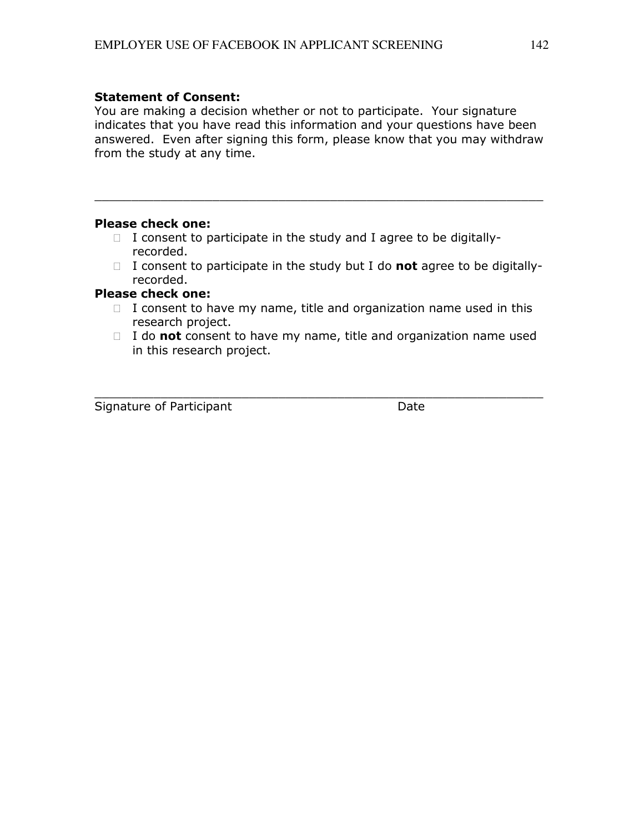#### Statement of Consent:

You are making a decision whether or not to participate. Your signature indicates that you have read this information and your questions have been answered. Even after signing this form, please know that you may withdraw from the study at any time.

#### Please check one:

 I consent to participate in the study and I agree to be digitallyrecorded.

 $\overline{\phantom{a}}$  , and the contribution of the contribution of the contribution of the contribution of the contribution of the contribution of the contribution of the contribution of the contribution of the contribution of the

 I consent to participate in the study but I do not agree to be digitallyrecorded.

#### Please check one:

 I consent to have my name, title and organization name used in this research project.

I do not consent to have my name, title and organization name used in this research project.

 $\_$  . The contribution of the contribution of  $\overline{a}$  ,  $\overline{b}$  ,  $\overline{c}$  ,  $\overline{c}$  ,  $\overline{c}$  ,  $\overline{c}$  ,  $\overline{c}$  ,  $\overline{c}$  ,  $\overline{c}$  ,  $\overline{c}$  ,  $\overline{c}$  ,  $\overline{c}$  ,  $\overline{c}$  ,  $\overline{c}$  ,  $\overline{c}$  ,  $\overline{c}$  ,

Signature of Participant **Date** Date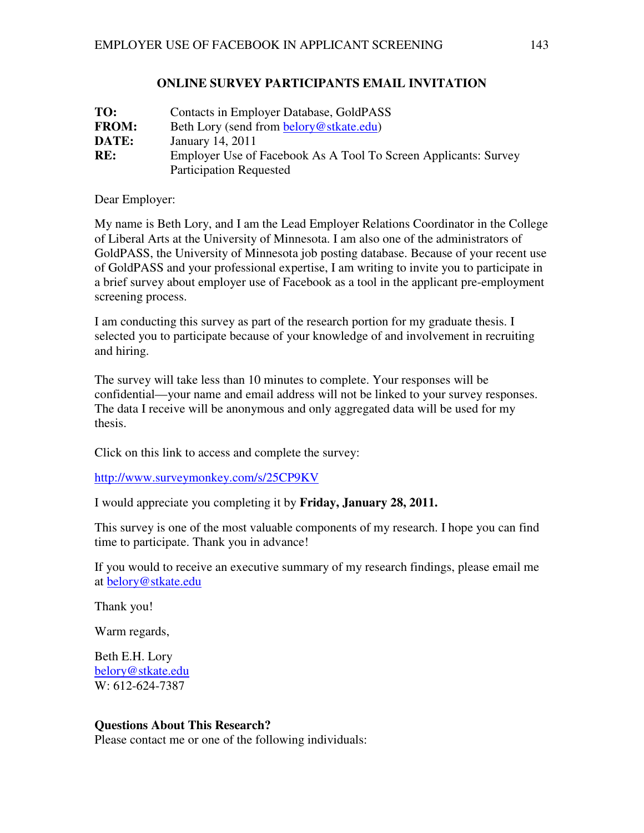#### **ONLINE SURVEY PARTICIPANTS EMAIL INVITATION**

| TO:          | Contacts in Employer Database, GoldPASS                         |
|--------------|-----------------------------------------------------------------|
| <b>FROM:</b> | Beth Lory (send from belory@stkate.edu)                         |
| DATE:        | January 14, 2011                                                |
| RE:          | Employer Use of Facebook As A Tool To Screen Applicants: Survey |
|              | <b>Participation Requested</b>                                  |

Dear Employer:

My name is Beth Lory, and I am the Lead Employer Relations Coordinator in the College of Liberal Arts at the University of Minnesota. I am also one of the administrators of GoldPASS, the University of Minnesota job posting database. Because of your recent use of GoldPASS and your professional expertise, I am writing to invite you to participate in a brief survey about employer use of Facebook as a tool in the applicant pre-employment screening process.

I am conducting this survey as part of the research portion for my graduate thesis. I selected you to participate because of your knowledge of and involvement in recruiting and hiring.

The survey will take less than 10 minutes to complete. Your responses will be confidential—your name and email address will not be linked to your survey responses. The data I receive will be anonymous and only aggregated data will be used for my thesis.

Click on this link to access and complete the survey:

http://www.surveymonkey.com/s/25CP9KV

I would appreciate you completing it by **Friday, January 28, 2011.**

This survey is one of the most valuable components of my research. I hope you can find time to participate. Thank you in advance!

If you would to receive an executive summary of my research findings, please email me at belory@stkate.edu

Thank you!

Warm regards,

Beth E.H. Lory belory@stkate.edu W: 612-624-7387

#### **Questions About This Research?**

Please contact me or one of the following individuals: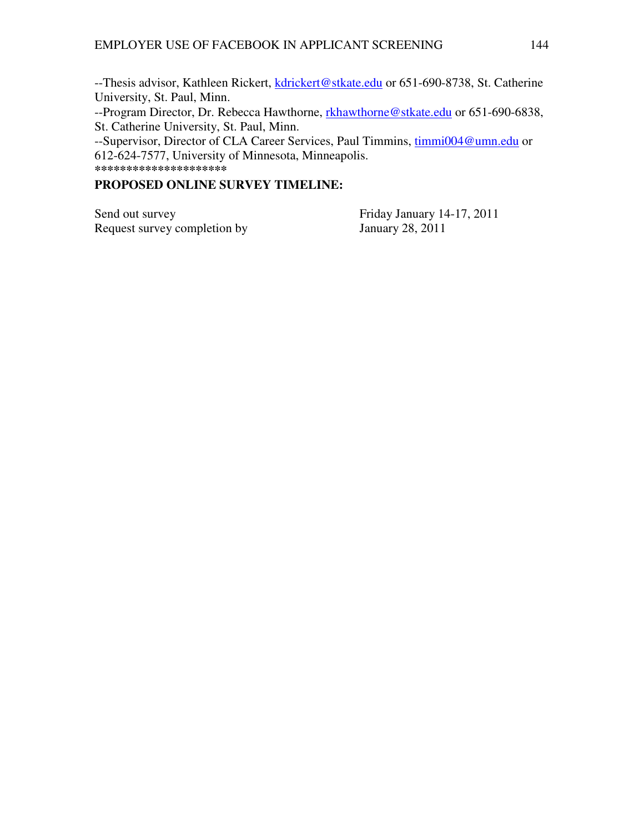--Thesis advisor, Kathleen Rickert, kdrickert@stkate.edu or 651-690-8738, St. Catherine University, St. Paul, Minn.

--Program Director, Dr. Rebecca Hawthorne, rkhawthorne@stkate.edu or 651-690-6838, St. Catherine University, St. Paul, Minn.

--Supervisor, Director of CLA Career Services, Paul Timmins, timmi004@umn.edu or 612-624-7577, University of Minnesota, Minneapolis. **\*\*\*\*\*\*\*\*\*\*\*\*\*\*\*\*\*\*\*\*\*** 

## **PROPOSED ONLINE SURVEY TIMELINE:**

Send out survey<br>
Request survey completion by<br>
Sanuary 28, 2011<br>
Sanuary 28, 2011 Request survey completion by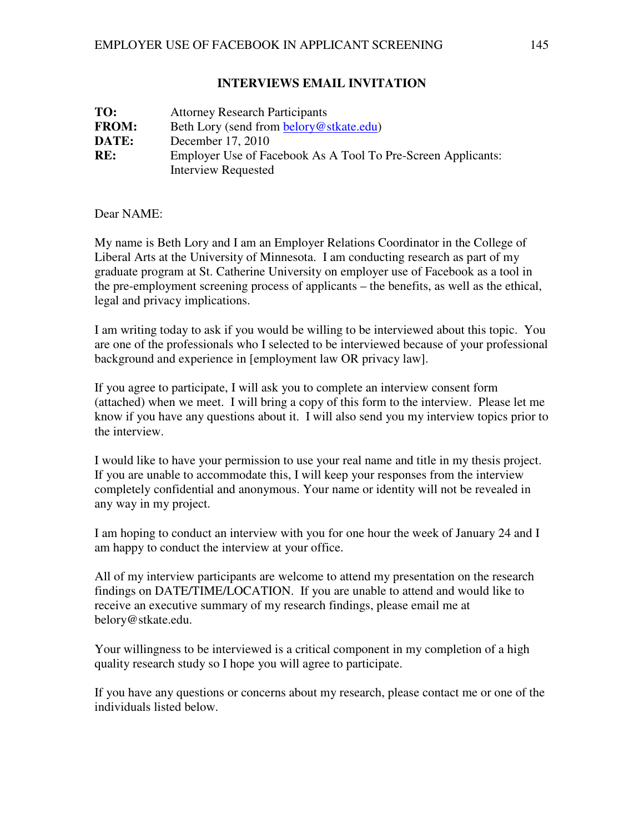#### **INTERVIEWS EMAIL INVITATION**

| TO:          | <b>Attorney Research Participants</b>                        |
|--------------|--------------------------------------------------------------|
| <b>FROM:</b> | Beth Lory (send from belory@stkate.edu)                      |
| DATE:        | December 17, 2010                                            |
| RE:          | Employer Use of Facebook As A Tool To Pre-Screen Applicants: |
|              | <b>Interview Requested</b>                                   |

Dear NAME:

My name is Beth Lory and I am an Employer Relations Coordinator in the College of Liberal Arts at the University of Minnesota. I am conducting research as part of my graduate program at St. Catherine University on employer use of Facebook as a tool in the pre-employment screening process of applicants – the benefits, as well as the ethical, legal and privacy implications.

I am writing today to ask if you would be willing to be interviewed about this topic. You are one of the professionals who I selected to be interviewed because of your professional background and experience in [employment law OR privacy law].

If you agree to participate, I will ask you to complete an interview consent form (attached) when we meet. I will bring a copy of this form to the interview. Please let me know if you have any questions about it. I will also send you my interview topics prior to the interview.

I would like to have your permission to use your real name and title in my thesis project. If you are unable to accommodate this, I will keep your responses from the interview completely confidential and anonymous. Your name or identity will not be revealed in any way in my project.

I am hoping to conduct an interview with you for one hour the week of January 24 and I am happy to conduct the interview at your office.

All of my interview participants are welcome to attend my presentation on the research findings on DATE/TIME/LOCATION. If you are unable to attend and would like to receive an executive summary of my research findings, please email me at belory@stkate.edu.

Your willingness to be interviewed is a critical component in my completion of a high quality research study so I hope you will agree to participate.

If you have any questions or concerns about my research, please contact me or one of the individuals listed below.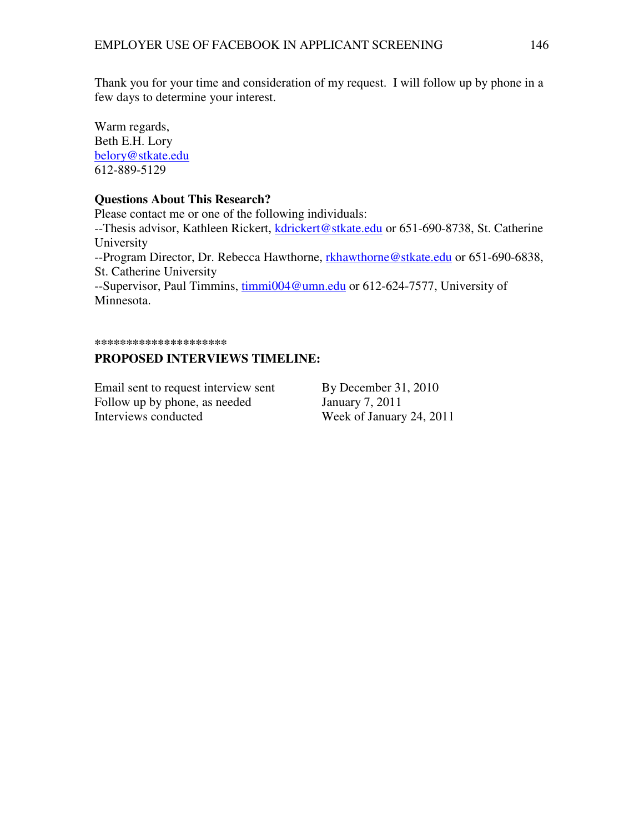Thank you for your time and consideration of my request. I will follow up by phone in a few days to determine your interest.

Warm regards, Beth E.H. Lory belory@stkate.edu 612-889-5129

### **Questions About This Research?**

Please contact me or one of the following individuals:

--Thesis advisor, Kathleen Rickert, kdrickert@stkate.edu or 651-690-8738, St. Catherine University

--Program Director, Dr. Rebecca Hawthorne, rkhawthorne@stkate.edu or 651-690-6838, St. Catherine University

--Supervisor, Paul Timmins, timmi004@umn.edu or 612-624-7577, University of Minnesota.

#### **\*\*\*\*\*\*\*\*\*\*\*\*\*\*\*\*\*\*\*\*\***

### **PROPOSED INTERVIEWS TIMELINE:**

Email sent to request interview sent By December 31, 2010 Follow up by phone, as needed January 7, 2011<br>Interviews conducted Week of January

Week of January 24, 2011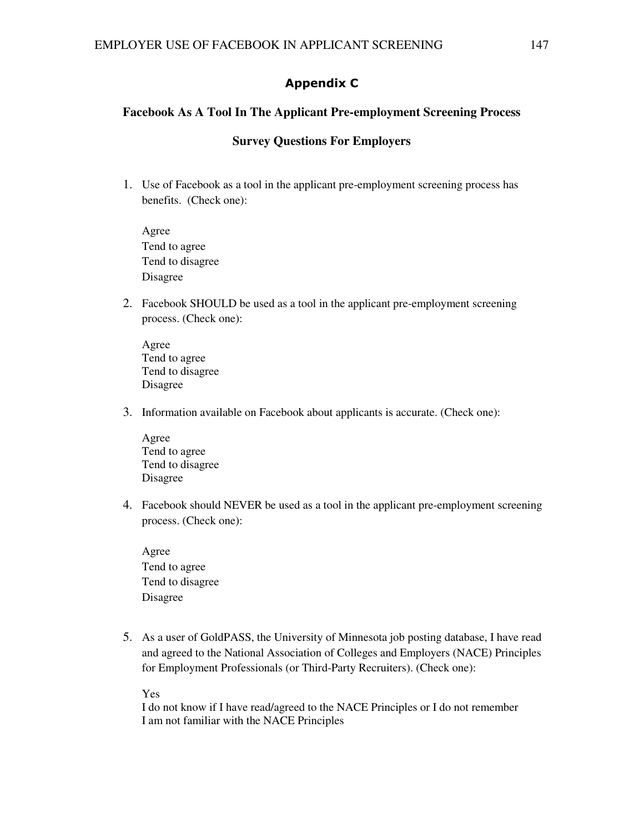### Appendix C

#### **Facebook As A Tool In The Applicant Pre-employment Screening Process**

### **Survey Questions For Employers**

1. Use of Facebook as a tool in the applicant pre-employment screening process has benefits. (Check one):

Agree Tend to agree Tend to disagree Disagree

2. Facebook SHOULD be used as a tool in the applicant pre-employment screening process. (Check one):

Agree Tend to agree Tend to disagree Disagree

3. Information available on Facebook about applicants is accurate. (Check one):

Agree Tend to agree Tend to disagree Disagree

4. Facebook should NEVER be used as a tool in the applicant pre-employment screening process. (Check one):

Agree Tend to agree Tend to disagree Disagree

5. As a user of GoldPASS, the University of Minnesota job posting database, I have read and agreed to the National Association of Colleges and Employers (NACE) Principles for Employment Professionals (or Third-Party Recruiters). (Check one):

Yes

I do not know if I have read/agreed to the NACE Principles or I do not remember I am not familiar with the NACE Principles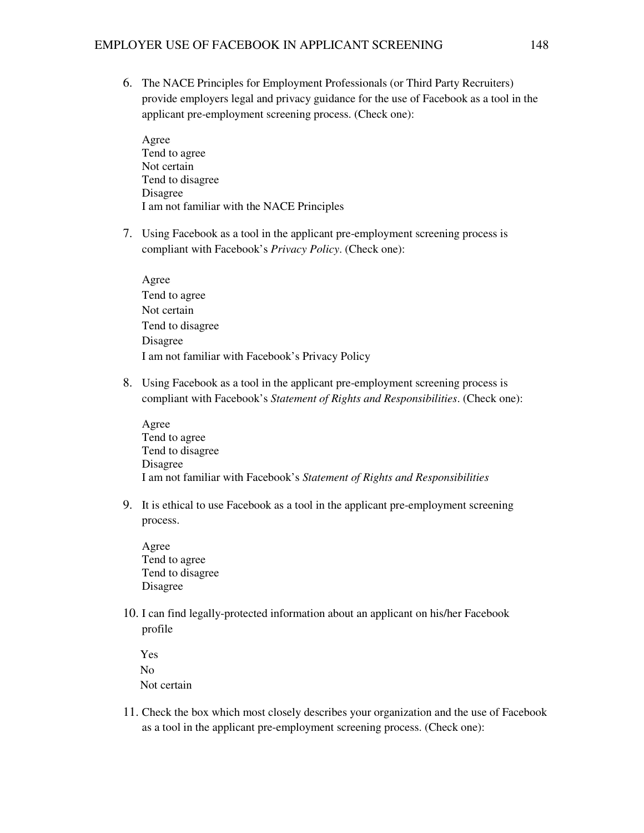- 6. The NACE Principles for Employment Professionals (or Third Party Recruiters) provide employers legal and privacy guidance for the use of Facebook as a tool in the applicant pre-employment screening process. (Check one):
	- Agree Tend to agree Not certain Tend to disagree Disagree I am not familiar with the NACE Principles
- 7. Using Facebook as a tool in the applicant pre-employment screening process is compliant with Facebook's *Privacy Policy*. (Check one):

Agree Tend to agree Not certain Tend to disagree Disagree I am not familiar with Facebook's Privacy Policy

8. Using Facebook as a tool in the applicant pre-employment screening process is compliant with Facebook's *Statement of Rights and Responsibilities*. (Check one):

Agree Tend to agree Tend to disagree Disagree I am not familiar with Facebook's *Statement of Rights and Responsibilities*

- 9. It is ethical to use Facebook as a tool in the applicant pre-employment screening process.
	- Agree Tend to agree Tend to disagree Disagree
- 10. I can find legally-protected information about an applicant on his/her Facebook profile
	- Yes No Not certain
- 11. Check the box which most closely describes your organization and the use of Facebook as a tool in the applicant pre-employment screening process. (Check one):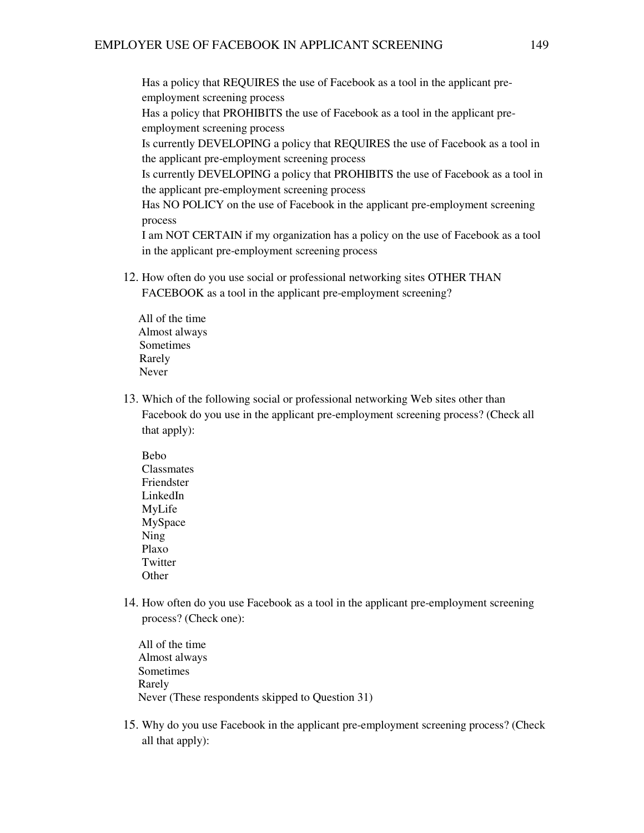Has a policy that REQUIRES the use of Facebook as a tool in the applicant preemployment screening process Has a policy that PROHIBITS the use of Facebook as a tool in the applicant preemployment screening process Is currently DEVELOPING a policy that REQUIRES the use of Facebook as a tool in the applicant pre-employment screening process Is currently DEVELOPING a policy that PROHIBITS the use of Facebook as a tool in the applicant pre-employment screening process Has NO POLICY on the use of Facebook in the applicant pre-employment screening process I am NOT CERTAIN if my organization has a policy on the use of Facebook as a tool in the applicant pre-employment screening process

12. How often do you use social or professional networking sites OTHER THAN FACEBOOK as a tool in the applicant pre-employment screening?

 All of the time Almost always Sometimes Rarely Never

- 13. Which of the following social or professional networking Web sites other than Facebook do you use in the applicant pre-employment screening process? (Check all that apply):
	- Bebo Classmates Friendster LinkedIn MyLife MySpace Ning Plaxo Twitter **Other**
- 14. How often do you use Facebook as a tool in the applicant pre-employment screening process? (Check one):

 All of the time Almost always Sometimes Rarely Never (These respondents skipped to Question 31)

15. Why do you use Facebook in the applicant pre-employment screening process? (Check all that apply):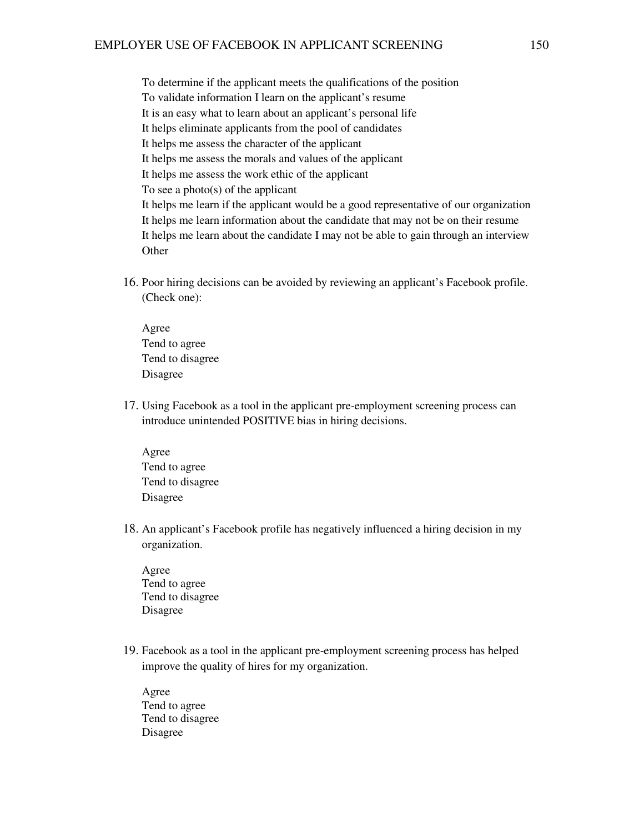To determine if the applicant meets the qualifications of the position To validate information I learn on the applicant's resume It is an easy what to learn about an applicant's personal life It helps eliminate applicants from the pool of candidates It helps me assess the character of the applicant It helps me assess the morals and values of the applicant It helps me assess the work ethic of the applicant To see a photo(s) of the applicant It helps me learn if the applicant would be a good representative of our organization It helps me learn information about the candidate that may not be on their resume It helps me learn about the candidate I may not be able to gain through an interview **Other** 

16. Poor hiring decisions can be avoided by reviewing an applicant's Facebook profile. (Check one):

Agree Tend to agree Tend to disagree Disagree

17. Using Facebook as a tool in the applicant pre-employment screening process can introduce unintended POSITIVE bias in hiring decisions.

Agree Tend to agree Tend to disagree Disagree

18. An applicant's Facebook profile has negatively influenced a hiring decision in my organization.

Agree Tend to agree Tend to disagree Disagree

19. Facebook as a tool in the applicant pre-employment screening process has helped improve the quality of hires for my organization.

Agree Tend to agree Tend to disagree Disagree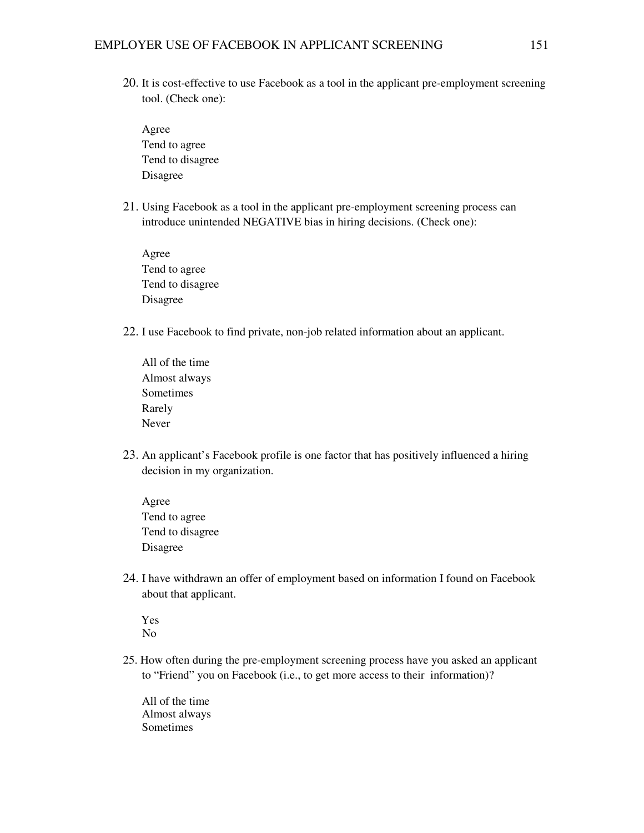20. It is cost-effective to use Facebook as a tool in the applicant pre-employment screening tool. (Check one):

Agree Tend to agree Tend to disagree Disagree

21. Using Facebook as a tool in the applicant pre-employment screening process can introduce unintended NEGATIVE bias in hiring decisions. (Check one):

Agree Tend to agree Tend to disagree Disagree

22. I use Facebook to find private, non-job related information about an applicant.

All of the time Almost always Sometimes Rarely Never

23. An applicant's Facebook profile is one factor that has positively influenced a hiring decision in my organization.

Agree Tend to agree Tend to disagree Disagree

24. I have withdrawn an offer of employment based on information I found on Facebook about that applicant.

 Yes No

25. How often during the pre-employment screening process have you asked an applicant to "Friend" you on Facebook (i.e., to get more access to their information)?

All of the time Almost always Sometimes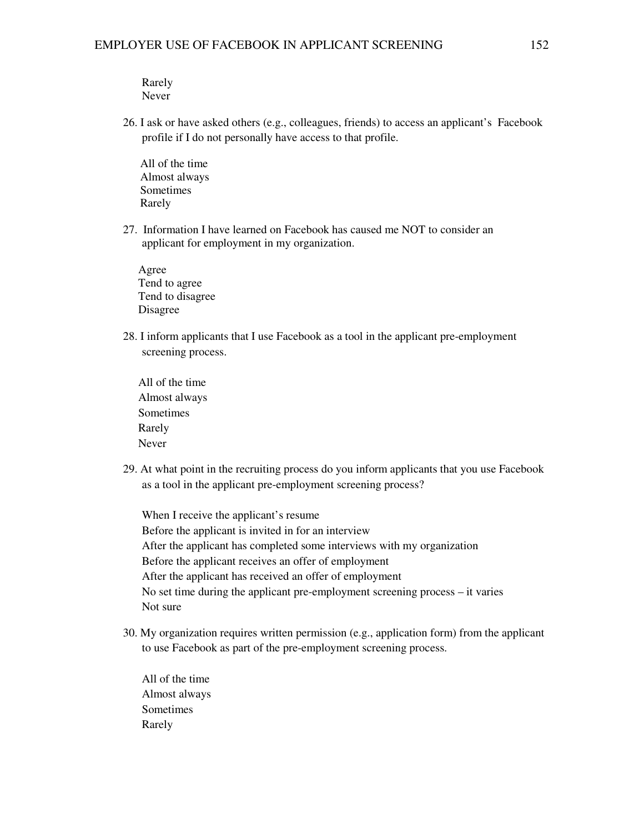Rarely Never

26. I ask or have asked others (e.g., colleagues, friends) to access an applicant's Facebook profile if I do not personally have access to that profile.

 All of the time Almost always Sometimes Rarely

27. Information I have learned on Facebook has caused me NOT to consider an applicant for employment in my organization.

 Agree Tend to agree Tend to disagree Disagree

28. I inform applicants that I use Facebook as a tool in the applicant pre-employment screening process.

 All of the time Almost always Sometimes Rarely Never

29. At what point in the recruiting process do you inform applicants that you use Facebook as a tool in the applicant pre-employment screening process?

When I receive the applicant's resume Before the applicant is invited in for an interview After the applicant has completed some interviews with my organization Before the applicant receives an offer of employment After the applicant has received an offer of employment No set time during the applicant pre-employment screening process – it varies Not sure

- 30. My organization requires written permission (e.g., application form) from the applicant to use Facebook as part of the pre-employment screening process.
	- All of the time Almost always Sometimes Rarely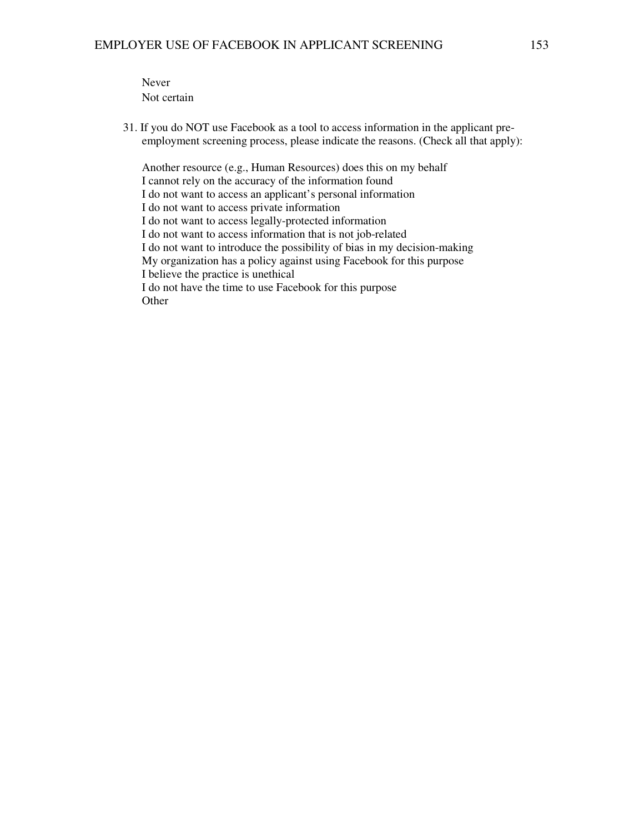31. If you do NOT use Facebook as a tool to access information in the applicant preemployment screening process, please indicate the reasons. (Check all that apply):

Another resource (e.g., Human Resources) does this on my behalf I cannot rely on the accuracy of the information found I do not want to access an applicant's personal information I do not want to access private information I do not want to access legally-protected information I do not want to access information that is not job-related I do not want to introduce the possibility of bias in my decision-making My organization has a policy against using Facebook for this purpose I believe the practice is unethical I do not have the time to use Facebook for this purpose **Other**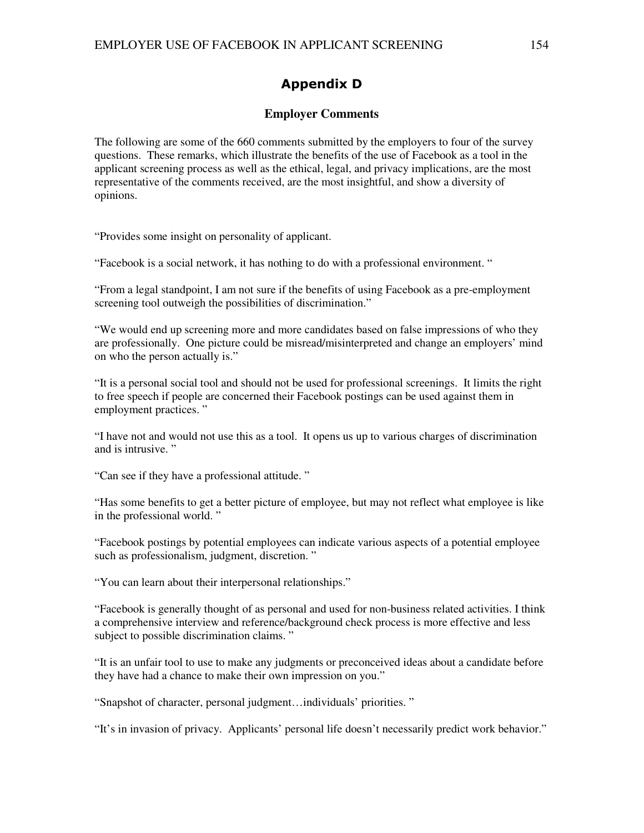# Appendix D

### **Employer Comments**

The following are some of the 660 comments submitted by the employers to four of the survey questions. These remarks, which illustrate the benefits of the use of Facebook as a tool in the applicant screening process as well as the ethical, legal, and privacy implications, are the most representative of the comments received, are the most insightful, and show a diversity of opinions.

"Provides some insight on personality of applicant.

"Facebook is a social network, it has nothing to do with a professional environment. "

"From a legal standpoint, I am not sure if the benefits of using Facebook as a pre-employment screening tool outweigh the possibilities of discrimination."

"We would end up screening more and more candidates based on false impressions of who they are professionally. One picture could be misread/misinterpreted and change an employers' mind on who the person actually is."

"It is a personal social tool and should not be used for professional screenings. It limits the right to free speech if people are concerned their Facebook postings can be used against them in employment practices. "

"I have not and would not use this as a tool. It opens us up to various charges of discrimination and is intrusive. "

"Can see if they have a professional attitude. "

"Has some benefits to get a better picture of employee, but may not reflect what employee is like in the professional world. "

"Facebook postings by potential employees can indicate various aspects of a potential employee such as professionalism, judgment, discretion. "

"You can learn about their interpersonal relationships."

"Facebook is generally thought of as personal and used for non-business related activities. I think a comprehensive interview and reference/background check process is more effective and less subject to possible discrimination claims. "

"It is an unfair tool to use to make any judgments or preconceived ideas about a candidate before they have had a chance to make their own impression on you."

"Snapshot of character, personal judgment…individuals' priorities. "

"It's in invasion of privacy. Applicants' personal life doesn't necessarily predict work behavior."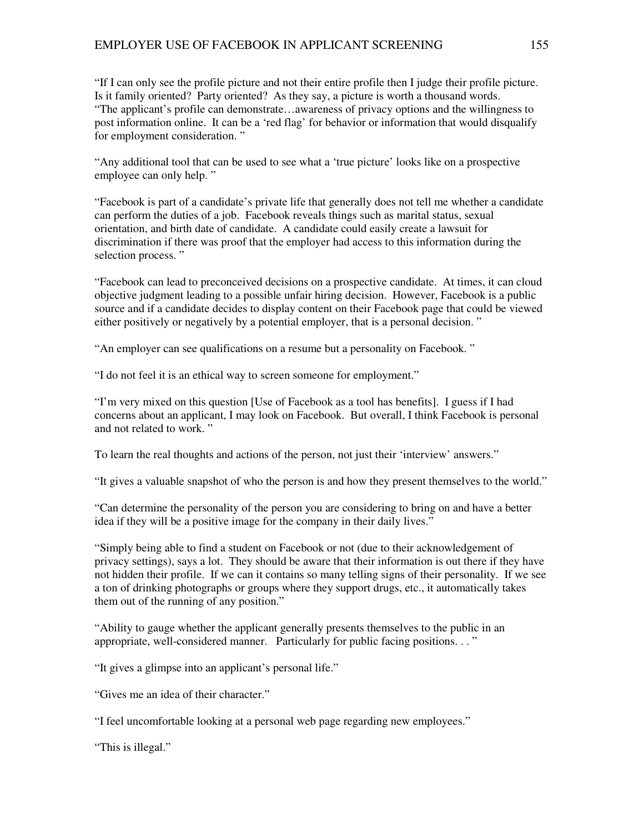"If I can only see the profile picture and not their entire profile then I judge their profile picture. Is it family oriented? Party oriented? As they say, a picture is worth a thousand words. "The applicant's profile can demonstrate…awareness of privacy options and the willingness to post information online. It can be a 'red flag' for behavior or information that would disqualify for employment consideration. "

"Any additional tool that can be used to see what a 'true picture' looks like on a prospective employee can only help. "

"Facebook is part of a candidate's private life that generally does not tell me whether a candidate can perform the duties of a job. Facebook reveals things such as marital status, sexual orientation, and birth date of candidate. A candidate could easily create a lawsuit for discrimination if there was proof that the employer had access to this information during the selection process."

"Facebook can lead to preconceived decisions on a prospective candidate. At times, it can cloud objective judgment leading to a possible unfair hiring decision. However, Facebook is a public source and if a candidate decides to display content on their Facebook page that could be viewed either positively or negatively by a potential employer, that is a personal decision. "

"An employer can see qualifications on a resume but a personality on Facebook. "

"I do not feel it is an ethical way to screen someone for employment."

"I'm very mixed on this question [Use of Facebook as a tool has benefits]. I guess if I had concerns about an applicant, I may look on Facebook. But overall, I think Facebook is personal and not related to work. "

To learn the real thoughts and actions of the person, not just their 'interview' answers."

"It gives a valuable snapshot of who the person is and how they present themselves to the world."

"Can determine the personality of the person you are considering to bring on and have a better idea if they will be a positive image for the company in their daily lives."

"Simply being able to find a student on Facebook or not (due to their acknowledgement of privacy settings), says a lot. They should be aware that their information is out there if they have not hidden their profile. If we can it contains so many telling signs of their personality. If we see a ton of drinking photographs or groups where they support drugs, etc., it automatically takes them out of the running of any position."

"Ability to gauge whether the applicant generally presents themselves to the public in an appropriate, well-considered manner. Particularly for public facing positions. . . "

"It gives a glimpse into an applicant's personal life."

"Gives me an idea of their character."

"I feel uncomfortable looking at a personal web page regarding new employees."

"This is illegal."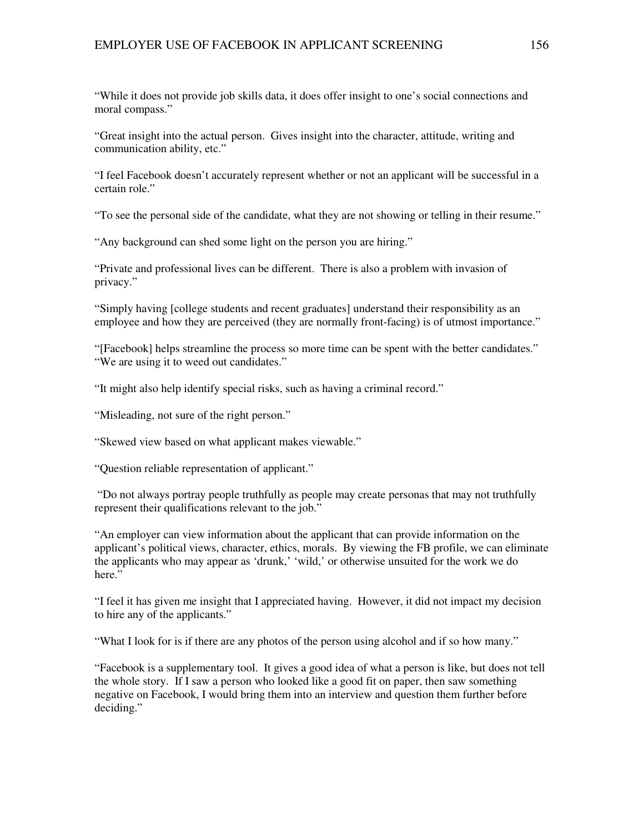"While it does not provide job skills data, it does offer insight to one's social connections and moral compass."

"Great insight into the actual person. Gives insight into the character, attitude, writing and communication ability, etc."

"I feel Facebook doesn't accurately represent whether or not an applicant will be successful in a certain role."

"To see the personal side of the candidate, what they are not showing or telling in their resume."

"Any background can shed some light on the person you are hiring."

"Private and professional lives can be different. There is also a problem with invasion of privacy."

"Simply having [college students and recent graduates] understand their responsibility as an employee and how they are perceived (they are normally front-facing) is of utmost importance."

"[Facebook] helps streamline the process so more time can be spent with the better candidates." "We are using it to weed out candidates."

"It might also help identify special risks, such as having a criminal record."

"Misleading, not sure of the right person."

"Skewed view based on what applicant makes viewable."

"Question reliable representation of applicant."

 "Do not always portray people truthfully as people may create personas that may not truthfully represent their qualifications relevant to the job."

"An employer can view information about the applicant that can provide information on the applicant's political views, character, ethics, morals. By viewing the FB profile, we can eliminate the applicants who may appear as 'drunk,' 'wild,' or otherwise unsuited for the work we do here."

"I feel it has given me insight that I appreciated having. However, it did not impact my decision to hire any of the applicants."

"What I look for is if there are any photos of the person using alcohol and if so how many."

"Facebook is a supplementary tool. It gives a good idea of what a person is like, but does not tell the whole story. If I saw a person who looked like a good fit on paper, then saw something negative on Facebook, I would bring them into an interview and question them further before deciding."